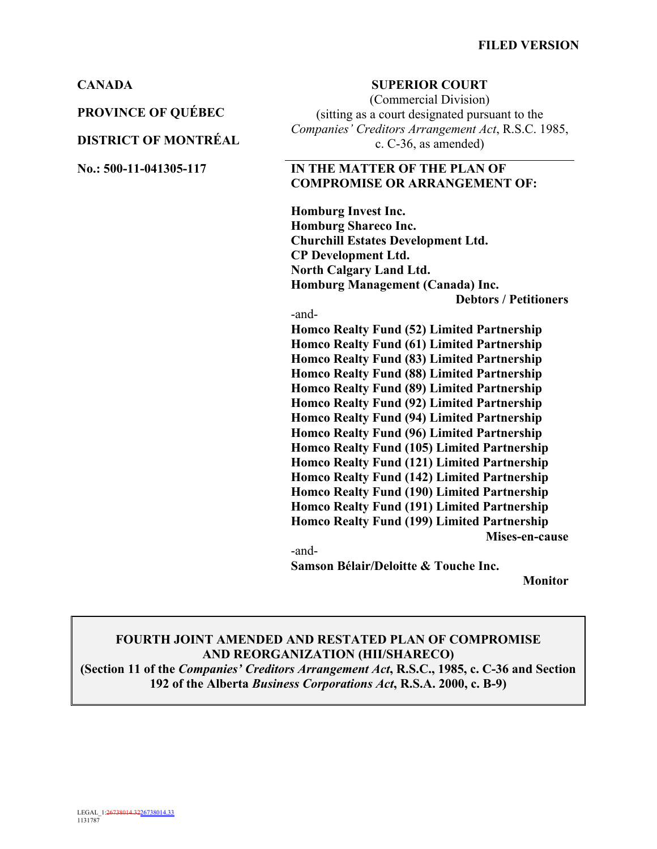**PROVINCE OF QUÉBEC**

### **DISTRICT OF MONTRÉAL**

#### **CANADA SUPERIOR COURT**

(Commercial Division) (sitting as a court designated pursuant to the *Companies' Creditors Arrangement Act*, R.S.C. 1985, c. C-36, as amended)

### **No.: 500-11-041305-117 IN THE MATTER OF THE PLAN OF COMPROMISE OR ARRANGEMENT OF:**

**Homburg Invest Inc. Homburg Shareco Inc. Churchill Estates Development Ltd. CP Development Ltd. North Calgary Land Ltd. Homburg Management (Canada) Inc.**

**Debtors / Petitioners**

-and-

**Homco Realty Fund (52) Limited Partnership Homco Realty Fund (61) Limited Partnership Homco Realty Fund (83) Limited Partnership Homco Realty Fund (88) Limited Partnership Homco Realty Fund (89) Limited Partnership Homco Realty Fund (92) Limited Partnership Homco Realty Fund (94) Limited Partnership Homco Realty Fund (96) Limited Partnership Homco Realty Fund (105) Limited Partnership Homco Realty Fund (121) Limited Partnership Homco Realty Fund (142) Limited Partnership Homco Realty Fund (190) Limited Partnership Homco Realty Fund (191) Limited Partnership Homco Realty Fund (199) Limited Partnership Mises-en-cause** -and-

**Samson Bélair/Deloitte & Touche Inc.** 

**Monitor**

## **FOURTH JOINT AMENDED AND RESTATED PLAN OF COMPROMISE AND REORGANIZATION (HII/SHARECO)**

**(Section 11 of the** *Companies' Creditors Arrangement Act***, R.S.C., 1985, c. C-36 and Section 192 of the Alberta** *Business Corporations Act***, R.S.A. 2000, c. B-9)**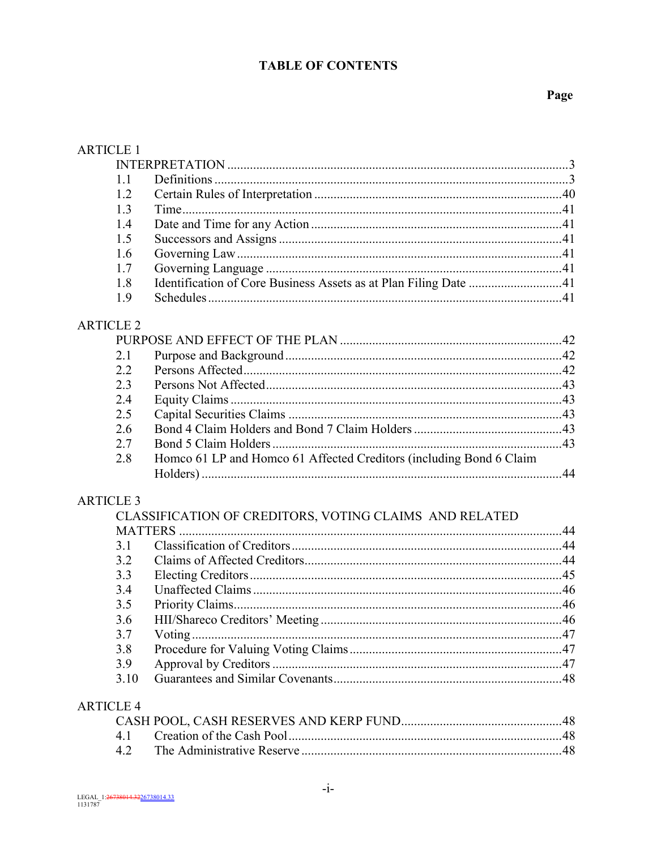# **TABLE OF CONTENTS**

| <b>ARTICLE 1</b> |                                                                     |     |
|------------------|---------------------------------------------------------------------|-----|
|                  |                                                                     |     |
| 1.1              |                                                                     |     |
| 1.2              |                                                                     |     |
| 1.3              |                                                                     |     |
| 1.4              |                                                                     |     |
| 1.5              |                                                                     |     |
| 1.6              |                                                                     |     |
| 1.7              |                                                                     |     |
| 1.8              | Identification of Core Business Assets as at Plan Filing Date 41    |     |
| 1.9              |                                                                     |     |
| <b>ARTICLE 2</b> |                                                                     |     |
|                  |                                                                     |     |
| 2.1              |                                                                     |     |
| 2.2              |                                                                     |     |
| 2.3              |                                                                     |     |
| 2.4              |                                                                     |     |
| 2.5              |                                                                     |     |
| 2.6              |                                                                     |     |
| 2.7              |                                                                     |     |
| 2.8              | Homco 61 LP and Homco 61 Affected Creditors (including Bond 6 Claim |     |
| <b>ARTICLE 3</b> |                                                                     |     |
|                  | CLASSIFICATION OF CREDITORS, VOTING CLAIMS AND RELATED              |     |
|                  | <b>MATTERS</b>                                                      |     |
| 3.1              |                                                                     |     |
| 3.2              |                                                                     |     |
| 3.3              |                                                                     |     |
| 3.4              |                                                                     |     |
| 3.5              |                                                                     |     |
| 3.6              | HII/Shareco Creditors' Meeting                                      | .46 |
| 3.7              |                                                                     |     |
| 3.8              |                                                                     |     |
| 3.9              |                                                                     |     |
| 3.10             |                                                                     |     |
|                  |                                                                     |     |
| <b>ARTICLE 4</b> |                                                                     |     |
|                  |                                                                     |     |
| 4.1              |                                                                     |     |
| 4.2              |                                                                     |     |
|                  |                                                                     |     |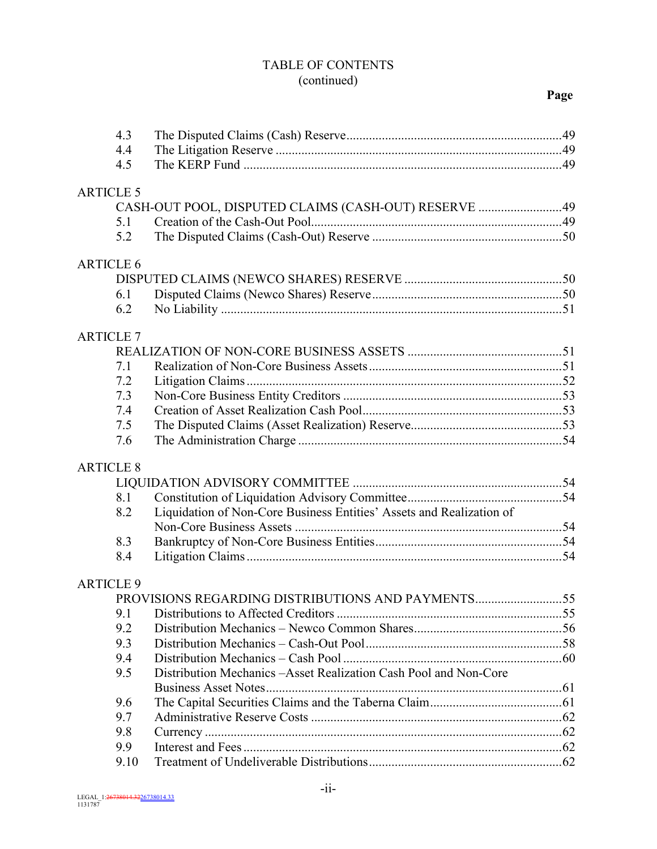## TABLE OF CONTENTS (continued)

| 4.3              |                                                                      |  |
|------------------|----------------------------------------------------------------------|--|
| 4.4              |                                                                      |  |
| 4.5              |                                                                      |  |
|                  |                                                                      |  |
| <b>ARTICLE 5</b> |                                                                      |  |
|                  | CASH-OUT POOL, DISPUTED CLAIMS (CASH-OUT) RESERVE 49                 |  |
| 5.1              |                                                                      |  |
| 5.2              |                                                                      |  |
| <b>ARTICLE 6</b> |                                                                      |  |
|                  |                                                                      |  |
| 6.1              |                                                                      |  |
| 6.2              |                                                                      |  |
|                  |                                                                      |  |
| <b>ARTICLE 7</b> |                                                                      |  |
|                  |                                                                      |  |
| 7.1              |                                                                      |  |
| 7.2              |                                                                      |  |
| 7.3              |                                                                      |  |
| 7.4              |                                                                      |  |
| 7.5              |                                                                      |  |
| 7.6              |                                                                      |  |
| <b>ARTICLE 8</b> |                                                                      |  |
|                  |                                                                      |  |
| 8.1              |                                                                      |  |
| 8.2              | Liquidation of Non-Core Business Entities' Assets and Realization of |  |
|                  |                                                                      |  |
| 8.3              |                                                                      |  |
| 8.4              |                                                                      |  |
|                  |                                                                      |  |
| <b>ARTICLE 9</b> | PROVISIONS REGARDING DISTRIBUTIONS AND PAYMENTS55                    |  |
|                  |                                                                      |  |
| 9.1              |                                                                      |  |
| 9.2              |                                                                      |  |
| 9.3              |                                                                      |  |
| 9.4              |                                                                      |  |
| 9.5              | Distribution Mechanics - Asset Realization Cash Pool and Non-Core    |  |
| 9.6              |                                                                      |  |
| 9.7              |                                                                      |  |
| 9.8              |                                                                      |  |
| 9.9              |                                                                      |  |
| 9.10             |                                                                      |  |
|                  |                                                                      |  |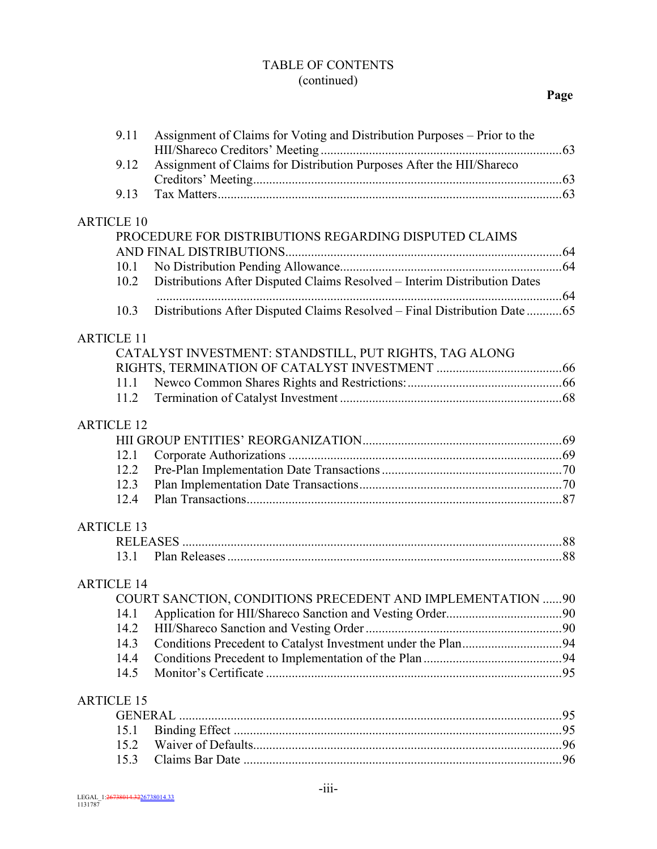## TABLE OF CONTENTS (continued)

| 9.11              | Assignment of Claims for Voting and Distribution Purposes – Prior to the  |  |
|-------------------|---------------------------------------------------------------------------|--|
| 9.12              | Assignment of Claims for Distribution Purposes After the HII/Shareco      |  |
| 9.13              |                                                                           |  |
|                   |                                                                           |  |
| <b>ARTICLE 10</b> |                                                                           |  |
|                   | PROCEDURE FOR DISTRIBUTIONS REGARDING DISPUTED CLAIMS                     |  |
|                   |                                                                           |  |
| 10.1              |                                                                           |  |
| 10.2              | Distributions After Disputed Claims Resolved - Interim Distribution Dates |  |
|                   |                                                                           |  |
| 10.3              | Distributions After Disputed Claims Resolved - Final Distribution Date 65 |  |
| <b>ARTICLE 11</b> |                                                                           |  |
|                   | CATALYST INVESTMENT: STANDSTILL, PUT RIGHTS, TAG ALONG                    |  |
|                   |                                                                           |  |
| 11.1              |                                                                           |  |
| 11.2              |                                                                           |  |
|                   |                                                                           |  |
| <b>ARTICLE 12</b> |                                                                           |  |
|                   |                                                                           |  |
| 12.1              |                                                                           |  |
| 12.2              |                                                                           |  |
| 12.3              |                                                                           |  |
| 12.4              |                                                                           |  |
| <b>ARTICLE 13</b> |                                                                           |  |
|                   |                                                                           |  |
| 13.1              |                                                                           |  |
|                   |                                                                           |  |
| <b>ARTICLE 14</b> |                                                                           |  |
|                   | COURT SANCTION, CONDITIONS PRECEDENT AND IMPLEMENTATION  90               |  |
| 14.1              |                                                                           |  |
| 14.2              |                                                                           |  |
| 14.3              |                                                                           |  |
| 14.4<br>14.5      |                                                                           |  |
|                   |                                                                           |  |
| <b>ARTICLE 15</b> |                                                                           |  |
|                   |                                                                           |  |
| 15.1              |                                                                           |  |
| 15.2              |                                                                           |  |
| 15.3              |                                                                           |  |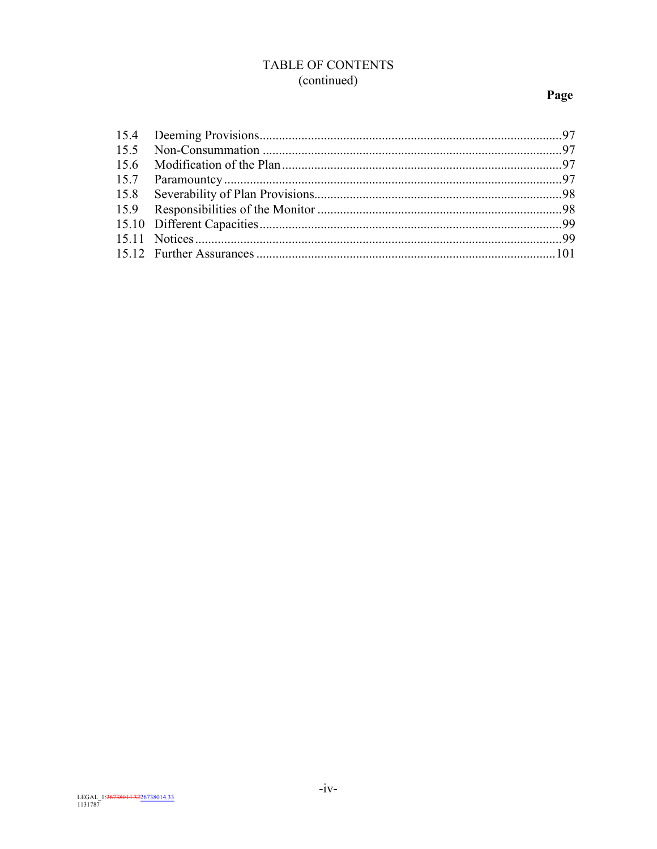# TABLE OF CONTENTS (continued)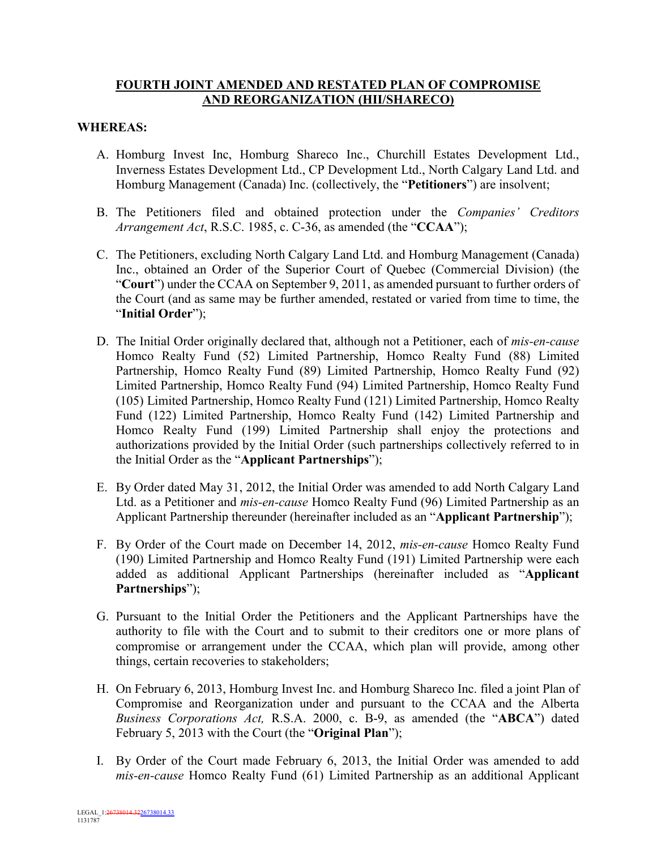## **FOURTH JOINT AMENDED AND RESTATED PLAN OF COMPROMISE AND REORGANIZATION (HII/SHARECO)**

#### **WHEREAS:**

- A. Homburg Invest Inc, Homburg Shareco Inc., Churchill Estates Development Ltd., Inverness Estates Development Ltd., CP Development Ltd., North Calgary Land Ltd. and Homburg Management (Canada) Inc. (collectively, the "**Petitioners**") are insolvent;
- B. The Petitioners filed and obtained protection under the *Companies' Creditors Arrangement Act*, R.S.C. 1985, c. C-36, as amended (the "**CCAA**");
- C. The Petitioners, excluding North Calgary Land Ltd. and Homburg Management (Canada) Inc., obtained an Order of the Superior Court of Quebec (Commercial Division) (the "**Court**") under the CCAA on September 9, 2011, as amended pursuant to further orders of the Court (and as same may be further amended, restated or varied from time to time, the "**Initial Order**");
- D. The Initial Order originally declared that, although not a Petitioner, each of *mis-en-cause* Homco Realty Fund (52) Limited Partnership, Homco Realty Fund (88) Limited Partnership, Homco Realty Fund (89) Limited Partnership, Homco Realty Fund (92) Limited Partnership, Homco Realty Fund (94) Limited Partnership, Homco Realty Fund (105) Limited Partnership, Homco Realty Fund (121) Limited Partnership, Homco Realty Fund (122) Limited Partnership, Homco Realty Fund (142) Limited Partnership and Homco Realty Fund (199) Limited Partnership shall enjoy the protections and authorizations provided by the Initial Order (such partnerships collectively referred to in the Initial Order as the "**Applicant Partnerships**");
- E. By Order dated May 31, 2012, the Initial Order was amended to add North Calgary Land Ltd. as a Petitioner and *mis-en-cause* Homco Realty Fund (96) Limited Partnership as an Applicant Partnership thereunder (hereinafter included as an "**Applicant Partnership**");
- F. By Order of the Court made on December 14, 2012, *mis-en-cause* Homco Realty Fund (190) Limited Partnership and Homco Realty Fund (191) Limited Partnership were each added as additional Applicant Partnerships (hereinafter included as "**Applicant Partnerships**");
- G. Pursuant to the Initial Order the Petitioners and the Applicant Partnerships have the authority to file with the Court and to submit to their creditors one or more plans of compromise or arrangement under the CCAA, which plan will provide, among other things, certain recoveries to stakeholders;
- H. On February 6, 2013, Homburg Invest Inc. and Homburg Shareco Inc. filed a joint Plan of Compromise and Reorganization under and pursuant to the CCAA and the Alberta *Business Corporations Act,* R.S.A. 2000, c. B-9, as amended (the "**ABCA**") dated February 5, 2013 with the Court (the "**Original Plan**");
- I. By Order of the Court made February 6, 2013, the Initial Order was amended to add *mis-en-cause* Homco Realty Fund (61) Limited Partnership as an additional Applicant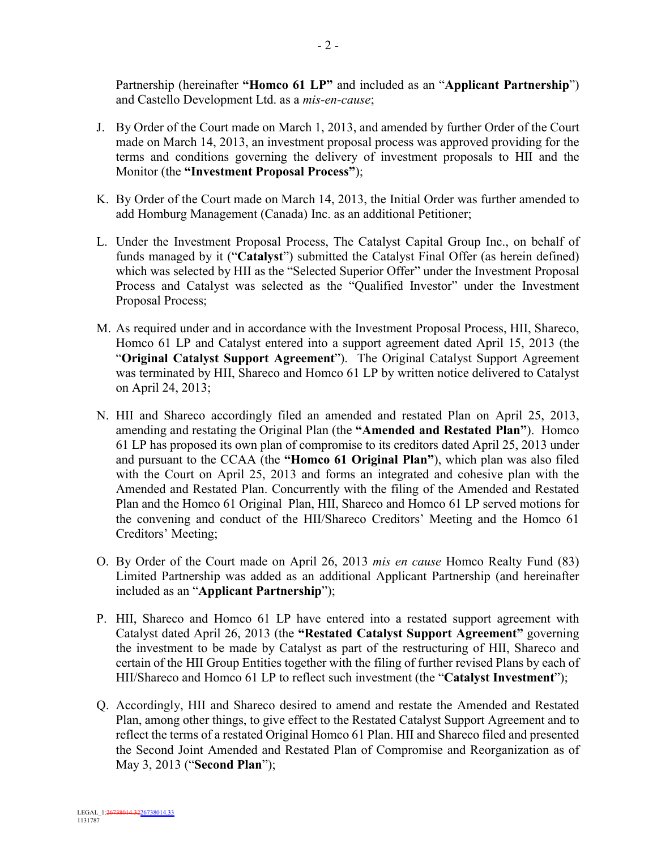Partnership (hereinafter **"Homco 61 LP"** and included as an "**Applicant Partnership**") and Castello Development Ltd. as a *mis-en-cause*;

- J. By Order of the Court made on March 1, 2013, and amended by further Order of the Court made on March 14, 2013, an investment proposal process was approved providing for the terms and conditions governing the delivery of investment proposals to HII and the Monitor (the **"Investment Proposal Process"**);
- K. By Order of the Court made on March 14, 2013, the Initial Order was further amended to add Homburg Management (Canada) Inc. as an additional Petitioner;
- L. Under the Investment Proposal Process, The Catalyst Capital Group Inc., on behalf of funds managed by it ("**Catalyst**") submitted the Catalyst Final Offer (as herein defined) which was selected by HII as the "Selected Superior Offer" under the Investment Proposal Process and Catalyst was selected as the "Qualified Investor" under the Investment Proposal Process;
- M. As required under and in accordance with the Investment Proposal Process, HII, Shareco, Homco 61 LP and Catalyst entered into a support agreement dated April 15, 2013 (the "**Original Catalyst Support Agreement**"). The Original Catalyst Support Agreement was terminated by HII, Shareco and Homco 61 LP by written notice delivered to Catalyst on April 24, 2013;
- N. HII and Shareco accordingly filed an amended and restated Plan on April 25, 2013, amending and restating the Original Plan (the **"Amended and Restated Plan"**). Homco 61 LP has proposed its own plan of compromise to its creditors dated April 25, 2013 under and pursuant to the CCAA (the **"Homco 61 Original Plan"**), which plan was also filed with the Court on April 25, 2013 and forms an integrated and cohesive plan with the Amended and Restated Plan. Concurrently with the filing of the Amended and Restated Plan and the Homco 61 Original Plan, HII, Shareco and Homco 61 LP served motions for the convening and conduct of the HII/Shareco Creditors' Meeting and the Homco 61 Creditors' Meeting;
- O. By Order of the Court made on April 26, 2013 *mis en cause* Homco Realty Fund (83) Limited Partnership was added as an additional Applicant Partnership (and hereinafter included as an "**Applicant Partnership**");
- P. HII, Shareco and Homco 61 LP have entered into a restated support agreement with Catalyst dated April 26, 2013 (the **"Restated Catalyst Support Agreement"** governing the investment to be made by Catalyst as part of the restructuring of HII, Shareco and certain of the HII Group Entities together with the filing of further revised Plans by each of HII/Shareco and Homco 61 LP to reflect such investment (the "**Catalyst Investment**");
- Q. Accordingly, HII and Shareco desired to amend and restate the Amended and Restated Plan, among other things, to give effect to the Restated Catalyst Support Agreement and to reflect the terms of a restated Original Homco 61 Plan. HII and Shareco filed and presented the Second Joint Amended and Restated Plan of Compromise and Reorganization as of May 3, 2013 ("**Second Plan**");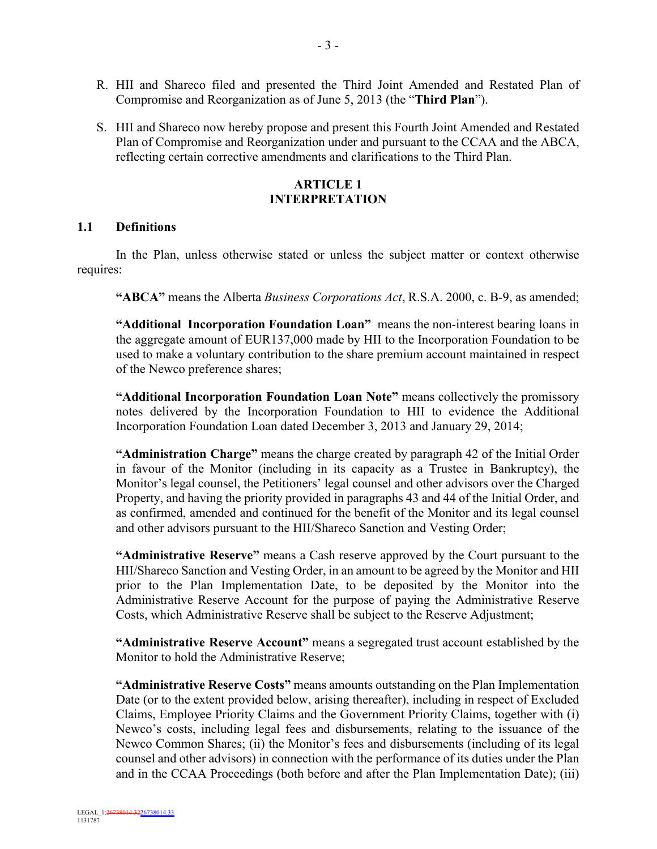- R. HII and Shareco filed and presented the Third Joint Amended and Restated Plan of Compromise and Reorganization as of June 5, 2013 (the "**Third Plan**").
- S. HII and Shareco now hereby propose and present this Fourth Joint Amended and Restated Plan of Compromise and Reorganization under and pursuant to the CCAA and the ABCA, reflecting certain corrective amendments and clarifications to the Third Plan.

#### **ARTICLE 1 INTERPRETATION**

#### **1.1 Definitions**

In the Plan, unless otherwise stated or unless the subject matter or context otherwise requires:

**"ABCA"** means the Alberta *Business Corporations Act*, R.S.A. 2000, c. B-9, as amended;

**"Additional Incorporation Foundation Loan"** means the non-interest bearing loans in the aggregate amount of EUR137,000 made by HII to the Incorporation Foundation to be used to make a voluntary contribution to the share premium account maintained in respect of the Newco preference shares;

**"Additional Incorporation Foundation Loan Note"** means collectively the promissory notes delivered by the Incorporation Foundation to HII to evidence the Additional Incorporation Foundation Loan dated December 3, 2013 and January 29, 2014;

**"Administration Charge"** means the charge created by paragraph 42 of the Initial Order in favour of the Monitor (including in its capacity as a Trustee in Bankruptcy), the Monitor's legal counsel, the Petitioners' legal counsel and other advisors over the Charged Property, and having the priority provided in paragraphs 43 and 44 of the Initial Order, and as confirmed, amended and continued for the benefit of the Monitor and its legal counsel and other advisors pursuant to the HII/Shareco Sanction and Vesting Order;

**"Administrative Reserve"** means a Cash reserve approved by the Court pursuant to the HII/Shareco Sanction and Vesting Order, in an amount to be agreed by the Monitor and HII prior to the Plan Implementation Date, to be deposited by the Monitor into the Administrative Reserve Account for the purpose of paying the Administrative Reserve Costs, which Administrative Reserve shall be subject to the Reserve Adjustment;

**"Administrative Reserve Account"** means a segregated trust account established by the Monitor to hold the Administrative Reserve;

**"Administrative Reserve Costs"** means amounts outstanding on the Plan Implementation Date (or to the extent provided below, arising thereafter), including in respect of Excluded Claims, Employee Priority Claims and the Government Priority Claims, together with (i) Newco's costs, including legal fees and disbursements, relating to the issuance of the Newco Common Shares; (ii) the Monitor's fees and disbursements (including of its legal counsel and other advisors) in connection with the performance of its duties under the Plan and in the CCAA Proceedings (both before and after the Plan Implementation Date); (iii)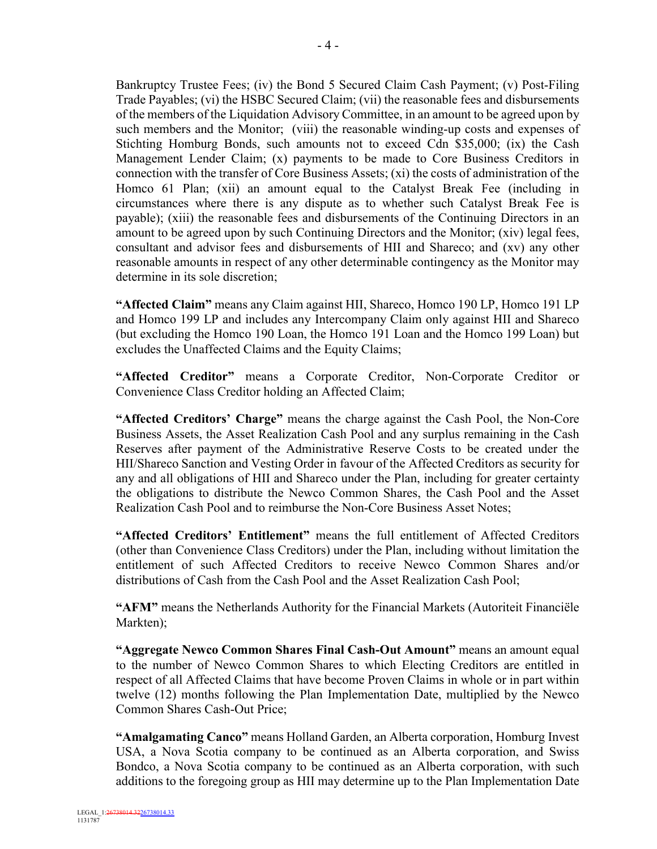Bankruptcy Trustee Fees; (iv) the Bond 5 Secured Claim Cash Payment; (v) Post-Filing Trade Payables; (vi) the HSBC Secured Claim; (vii) the reasonable fees and disbursements of the members of the Liquidation Advisory Committee, in an amount to be agreed upon by such members and the Monitor; (viii) the reasonable winding-up costs and expenses of Stichting Homburg Bonds, such amounts not to exceed Cdn \$35,000; (ix) the Cash Management Lender Claim; (x) payments to be made to Core Business Creditors in connection with the transfer of Core Business Assets; (xi) the costs of administration of the Homco 61 Plan; (xii) an amount equal to the Catalyst Break Fee (including in circumstances where there is any dispute as to whether such Catalyst Break Fee is payable); (xiii) the reasonable fees and disbursements of the Continuing Directors in an amount to be agreed upon by such Continuing Directors and the Monitor; (xiv) legal fees, consultant and advisor fees and disbursements of HII and Shareco; and (xv) any other reasonable amounts in respect of any other determinable contingency as the Monitor may determine in its sole discretion;

**"Affected Claim"** means any Claim against HII, Shareco, Homco 190 LP, Homco 191 LP and Homco 199 LP and includes any Intercompany Claim only against HII and Shareco (but excluding the Homco 190 Loan, the Homco 191 Loan and the Homco 199 Loan) but excludes the Unaffected Claims and the Equity Claims;

**"Affected Creditor"** means a Corporate Creditor, Non-Corporate Creditor or Convenience Class Creditor holding an Affected Claim;

**"Affected Creditors' Charge"** means the charge against the Cash Pool, the Non-Core Business Assets, the Asset Realization Cash Pool and any surplus remaining in the Cash Reserves after payment of the Administrative Reserve Costs to be created under the HII/Shareco Sanction and Vesting Order in favour of the Affected Creditors as security for any and all obligations of HII and Shareco under the Plan, including for greater certainty the obligations to distribute the Newco Common Shares, the Cash Pool and the Asset Realization Cash Pool and to reimburse the Non-Core Business Asset Notes;

**"Affected Creditors' Entitlement"** means the full entitlement of Affected Creditors (other than Convenience Class Creditors) under the Plan, including without limitation the entitlement of such Affected Creditors to receive Newco Common Shares and/or distributions of Cash from the Cash Pool and the Asset Realization Cash Pool;

**"AFM"** means the Netherlands Authority for the Financial Markets (Autoriteit Financiële Markten);

**"Aggregate Newco Common Shares Final Cash-Out Amount"** means an amount equal to the number of Newco Common Shares to which Electing Creditors are entitled in respect of all Affected Claims that have become Proven Claims in whole or in part within twelve (12) months following the Plan Implementation Date, multiplied by the Newco Common Shares Cash-Out Price;

**"Amalgamating Canco"** means Holland Garden, an Alberta corporation, Homburg Invest USA, a Nova Scotia company to be continued as an Alberta corporation, and Swiss Bondco, a Nova Scotia company to be continued as an Alberta corporation, with such additions to the foregoing group as HII may determine up to the Plan Implementation Date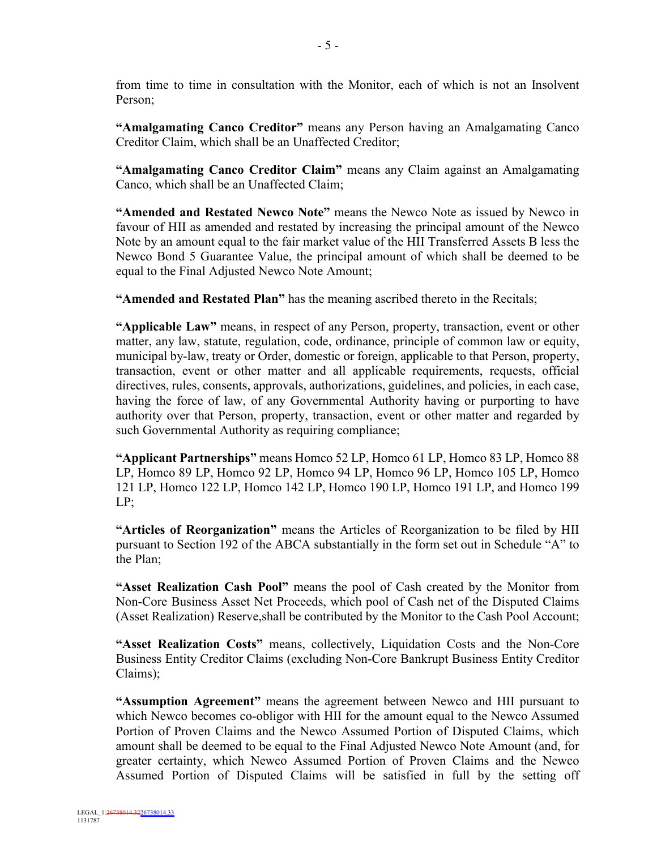from time to time in consultation with the Monitor, each of which is not an Insolvent Person;

**"Amalgamating Canco Creditor"** means any Person having an Amalgamating Canco Creditor Claim, which shall be an Unaffected Creditor;

**"Amalgamating Canco Creditor Claim"** means any Claim against an Amalgamating Canco, which shall be an Unaffected Claim;

**"Amended and Restated Newco Note"** means the Newco Note as issued by Newco in favour of HII as amended and restated by increasing the principal amount of the Newco Note by an amount equal to the fair market value of the HII Transferred Assets B less the Newco Bond 5 Guarantee Value, the principal amount of which shall be deemed to be equal to the Final Adjusted Newco Note Amount;

**"Amended and Restated Plan"** has the meaning ascribed thereto in the Recitals;

**"Applicable Law"** means, in respect of any Person, property, transaction, event or other matter, any law, statute, regulation, code, ordinance, principle of common law or equity, municipal by-law, treaty or Order, domestic or foreign, applicable to that Person, property, transaction, event or other matter and all applicable requirements, requests, official directives, rules, consents, approvals, authorizations, guidelines, and policies, in each case, having the force of law, of any Governmental Authority having or purporting to have authority over that Person, property, transaction, event or other matter and regarded by such Governmental Authority as requiring compliance;

**"Applicant Partnerships"** means Homco 52 LP, Homco 61 LP, Homco 83 LP, Homco 88 LP, Homco 89 LP, Homco 92 LP, Homco 94 LP, Homco 96 LP, Homco 105 LP, Homco 121 LP, Homco 122 LP, Homco 142 LP, Homco 190 LP, Homco 191 LP, and Homco 199 LP;

**"Articles of Reorganization"** means the Articles of Reorganization to be filed by HII pursuant to Section 192 of the ABCA substantially in the form set out in Schedule "A" to the Plan;

**"Asset Realization Cash Pool"** means the pool of Cash created by the Monitor from Non-Core Business Asset Net Proceeds, which pool of Cash net of the Disputed Claims (Asset Realization) Reserve,shall be contributed by the Monitor to the Cash Pool Account;

**"Asset Realization Costs"** means, collectively, Liquidation Costs and the Non-Core Business Entity Creditor Claims (excluding Non-Core Bankrupt Business Entity Creditor Claims);

**"Assumption Agreement"** means the agreement between Newco and HII pursuant to which Newco becomes co-obligor with HII for the amount equal to the Newco Assumed Portion of Proven Claims and the Newco Assumed Portion of Disputed Claims, which amount shall be deemed to be equal to the Final Adjusted Newco Note Amount (and, for greater certainty, which Newco Assumed Portion of Proven Claims and the Newco Assumed Portion of Disputed Claims will be satisfied in full by the setting off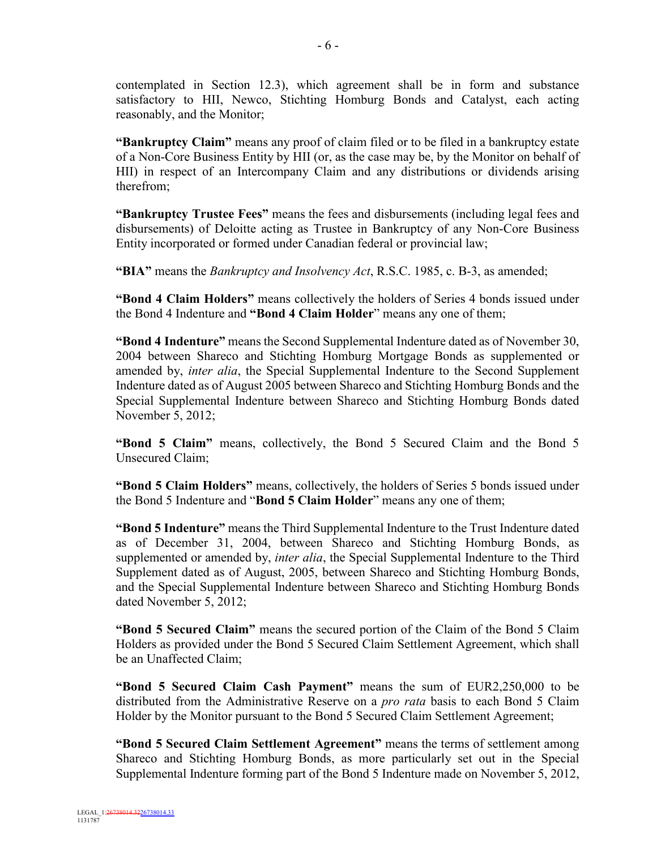contemplated in Section 12.3), which agreement shall be in form and substance satisfactory to HII, Newco, Stichting Homburg Bonds and Catalyst, each acting reasonably, and the Monitor;

**"Bankruptcy Claim"** means any proof of claim filed or to be filed in a bankruptcy estate of a Non-Core Business Entity by HII (or, as the case may be, by the Monitor on behalf of HII) in respect of an Intercompany Claim and any distributions or dividends arising therefrom;

**"Bankruptcy Trustee Fees"** means the fees and disbursements (including legal fees and disbursements) of Deloitte acting as Trustee in Bankruptcy of any Non-Core Business Entity incorporated or formed under Canadian federal or provincial law;

**"BIA"** means the *Bankruptcy and Insolvency Act*, R.S.C. 1985, c. B-3, as amended;

**"Bond 4 Claim Holders"** means collectively the holders of Series 4 bonds issued under the Bond 4 Indenture and **"Bond 4 Claim Holder**" means any one of them;

**"Bond 4 Indenture"** means the Second Supplemental Indenture dated as of November 30, 2004 between Shareco and Stichting Homburg Mortgage Bonds as supplemented or amended by, *inter alia*, the Special Supplemental Indenture to the Second Supplement Indenture dated as of August 2005 between Shareco and Stichting Homburg Bonds and the Special Supplemental Indenture between Shareco and Stichting Homburg Bonds dated November 5, 2012;

**"Bond 5 Claim"** means, collectively, the Bond 5 Secured Claim and the Bond 5 Unsecured Claim;

**"Bond 5 Claim Holders"** means, collectively, the holders of Series 5 bonds issued under the Bond 5 Indenture and "**Bond 5 Claim Holder**" means any one of them;

**"Bond 5 Indenture"** means the Third Supplemental Indenture to the Trust Indenture dated as of December 31, 2004, between Shareco and Stichting Homburg Bonds, as supplemented or amended by, *inter alia*, the Special Supplemental Indenture to the Third Supplement dated as of August, 2005, between Shareco and Stichting Homburg Bonds, and the Special Supplemental Indenture between Shareco and Stichting Homburg Bonds dated November 5, 2012;

**"Bond 5 Secured Claim"** means the secured portion of the Claim of the Bond 5 Claim Holders as provided under the Bond 5 Secured Claim Settlement Agreement, which shall be an Unaffected Claim;

**"Bond 5 Secured Claim Cash Payment"** means the sum of EUR2,250,000 to be distributed from the Administrative Reserve on a *pro rata* basis to each Bond 5 Claim Holder by the Monitor pursuant to the Bond 5 Secured Claim Settlement Agreement;

**"Bond 5 Secured Claim Settlement Agreement"** means the terms of settlement among Shareco and Stichting Homburg Bonds, as more particularly set out in the Special Supplemental Indenture forming part of the Bond 5 Indenture made on November 5, 2012,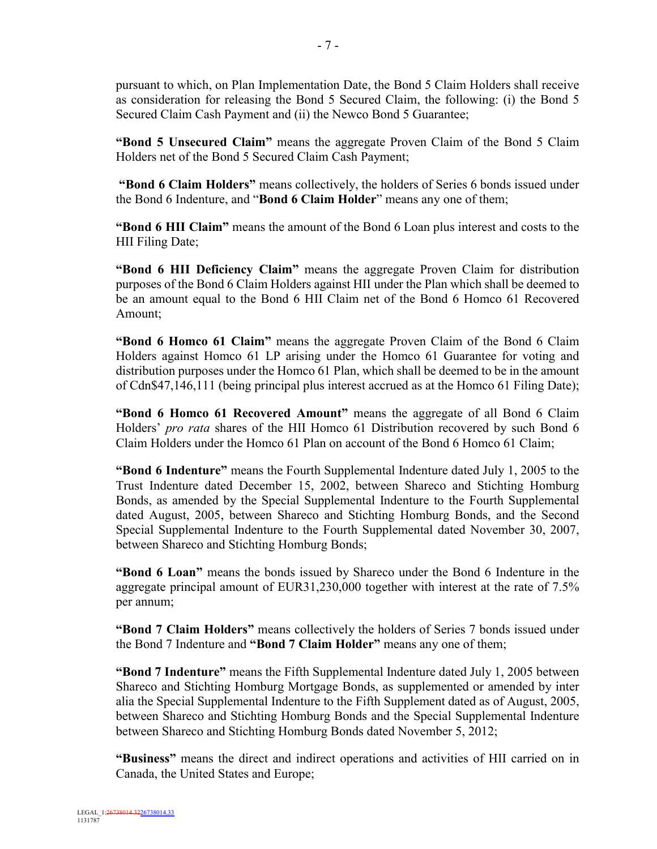pursuant to which, on Plan Implementation Date, the Bond 5 Claim Holders shall receive as consideration for releasing the Bond 5 Secured Claim, the following: (i) the Bond 5 Secured Claim Cash Payment and (ii) the Newco Bond 5 Guarantee;

**"Bond 5 Unsecured Claim"** means the aggregate Proven Claim of the Bond 5 Claim Holders net of the Bond 5 Secured Claim Cash Payment;

**"Bond 6 Claim Holders"** means collectively, the holders of Series 6 bonds issued under the Bond 6 Indenture, and "**Bond 6 Claim Holder**" means any one of them;

**"Bond 6 HII Claim"** means the amount of the Bond 6 Loan plus interest and costs to the HII Filing Date;

**"Bond 6 HII Deficiency Claim"** means the aggregate Proven Claim for distribution purposes of the Bond 6 Claim Holders against HII under the Plan which shall be deemed to be an amount equal to the Bond 6 HII Claim net of the Bond 6 Homco 61 Recovered Amount;

**"Bond 6 Homco 61 Claim"** means the aggregate Proven Claim of the Bond 6 Claim Holders against Homco 61 LP arising under the Homco 61 Guarantee for voting and distribution purposes under the Homco 61 Plan, which shall be deemed to be in the amount of Cdn\$47,146,111 (being principal plus interest accrued as at the Homco 61 Filing Date);

**"Bond 6 Homco 61 Recovered Amount"** means the aggregate of all Bond 6 Claim Holders' *pro rata* shares of the HII Homco 61 Distribution recovered by such Bond 6 Claim Holders under the Homco 61 Plan on account of the Bond 6 Homco 61 Claim;

**"Bond 6 Indenture"** means the Fourth Supplemental Indenture dated July 1, 2005 to the Trust Indenture dated December 15, 2002, between Shareco and Stichting Homburg Bonds, as amended by the Special Supplemental Indenture to the Fourth Supplemental dated August, 2005, between Shareco and Stichting Homburg Bonds, and the Second Special Supplemental Indenture to the Fourth Supplemental dated November 30, 2007, between Shareco and Stichting Homburg Bonds;

**"Bond 6 Loan"** means the bonds issued by Shareco under the Bond 6 Indenture in the aggregate principal amount of EUR31,230,000 together with interest at the rate of 7.5% per annum;

**"Bond 7 Claim Holders"** means collectively the holders of Series 7 bonds issued under the Bond 7 Indenture and **"Bond 7 Claim Holder"** means any one of them;

**"Bond 7 Indenture"** means the Fifth Supplemental Indenture dated July 1, 2005 between Shareco and Stichting Homburg Mortgage Bonds, as supplemented or amended by inter alia the Special Supplemental Indenture to the Fifth Supplement dated as of August, 2005, between Shareco and Stichting Homburg Bonds and the Special Supplemental Indenture between Shareco and Stichting Homburg Bonds dated November 5, 2012;

**"Business"** means the direct and indirect operations and activities of HII carried on in Canada, the United States and Europe;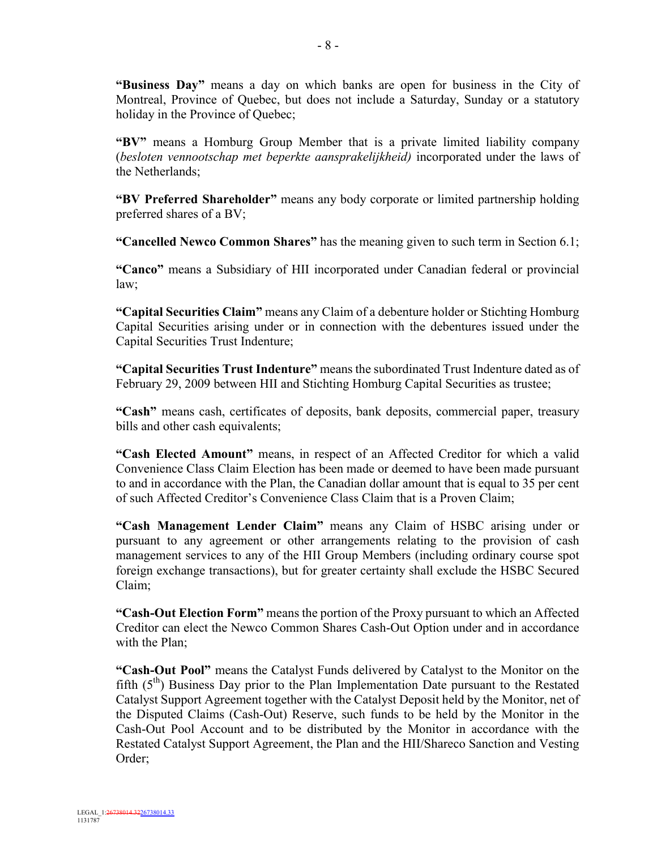**"Business Day"** means a day on which banks are open for business in the City of Montreal, Province of Quebec, but does not include a Saturday, Sunday or a statutory holiday in the Province of Quebec;

**"BV"** means a Homburg Group Member that is a private limited liability company (*besloten vennootschap met beperkte aansprakelijkheid)* incorporated under the laws of the Netherlands;

**"BV Preferred Shareholder"** means any body corporate or limited partnership holding preferred shares of a BV;

**"Cancelled Newco Common Shares"** has the meaning given to such term in Section 6.1;

**"Canco"** means a Subsidiary of HII incorporated under Canadian federal or provincial law;

**"Capital Securities Claim"** means any Claim of a debenture holder or Stichting Homburg Capital Securities arising under or in connection with the debentures issued under the Capital Securities Trust Indenture;

**"Capital Securities Trust Indenture"** means the subordinated Trust Indenture dated as of February 29, 2009 between HII and Stichting Homburg Capital Securities as trustee;

**"Cash"** means cash, certificates of deposits, bank deposits, commercial paper, treasury bills and other cash equivalents;

**"Cash Elected Amount"** means, in respect of an Affected Creditor for which a valid Convenience Class Claim Election has been made or deemed to have been made pursuant to and in accordance with the Plan, the Canadian dollar amount that is equal to 35 per cent of such Affected Creditor's Convenience Class Claim that is a Proven Claim;

**"Cash Management Lender Claim"** means any Claim of HSBC arising under or pursuant to any agreement or other arrangements relating to the provision of cash management services to any of the HII Group Members (including ordinary course spot foreign exchange transactions), but for greater certainty shall exclude the HSBC Secured Claim;

**"Cash-Out Election Form"** means the portion of the Proxy pursuant to which an Affected Creditor can elect the Newco Common Shares Cash-Out Option under and in accordance with the Plan;

**"Cash-Out Pool"** means the Catalyst Funds delivered by Catalyst to the Monitor on the fifth  $(5<sup>th</sup>)$  Business Day prior to the Plan Implementation Date pursuant to the Restated Catalyst Support Agreement together with the Catalyst Deposit held by the Monitor, net of the Disputed Claims (Cash-Out) Reserve, such funds to be held by the Monitor in the Cash-Out Pool Account and to be distributed by the Monitor in accordance with the Restated Catalyst Support Agreement, the Plan and the HII/Shareco Sanction and Vesting Order;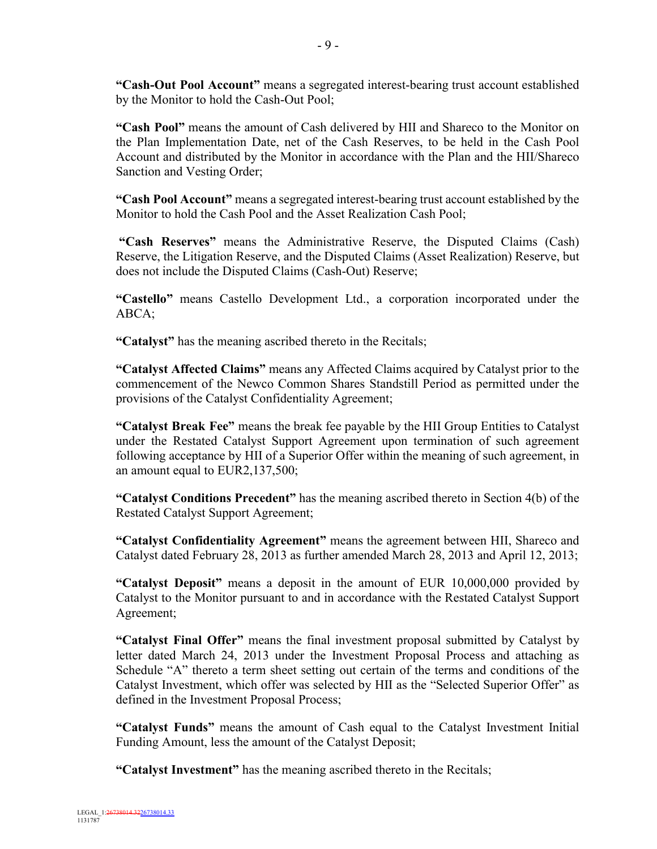**"Cash-Out Pool Account"** means a segregated interest-bearing trust account established by the Monitor to hold the Cash-Out Pool;

**"Cash Pool"** means the amount of Cash delivered by HII and Shareco to the Monitor on the Plan Implementation Date, net of the Cash Reserves, to be held in the Cash Pool Account and distributed by the Monitor in accordance with the Plan and the HII/Shareco Sanction and Vesting Order;

**"Cash Pool Account"** means a segregated interest-bearing trust account established by the Monitor to hold the Cash Pool and the Asset Realization Cash Pool;

**"Cash Reserves"** means the Administrative Reserve, the Disputed Claims (Cash) Reserve, the Litigation Reserve, and the Disputed Claims (Asset Realization) Reserve, but does not include the Disputed Claims (Cash-Out) Reserve;

**"Castello"** means Castello Development Ltd., a corporation incorporated under the ABCA;

**"Catalyst"** has the meaning ascribed thereto in the Recitals;

**"Catalyst Affected Claims"** means any Affected Claims acquired by Catalyst prior to the commencement of the Newco Common Shares Standstill Period as permitted under the provisions of the Catalyst Confidentiality Agreement;

**"Catalyst Break Fee"** means the break fee payable by the HII Group Entities to Catalyst under the Restated Catalyst Support Agreement upon termination of such agreement following acceptance by HII of a Superior Offer within the meaning of such agreement, in an amount equal to EUR2,137,500;

**"Catalyst Conditions Precedent"** has the meaning ascribed thereto in Section 4(b) of the Restated Catalyst Support Agreement;

**"Catalyst Confidentiality Agreement"** means the agreement between HII, Shareco and Catalyst dated February 28, 2013 as further amended March 28, 2013 and April 12, 2013;

**"Catalyst Deposit"** means a deposit in the amount of EUR 10,000,000 provided by Catalyst to the Monitor pursuant to and in accordance with the Restated Catalyst Support Agreement;

**"Catalyst Final Offer"** means the final investment proposal submitted by Catalyst by letter dated March 24, 2013 under the Investment Proposal Process and attaching as Schedule "A" thereto a term sheet setting out certain of the terms and conditions of the Catalyst Investment, which offer was selected by HII as the "Selected Superior Offer" as defined in the Investment Proposal Process;

**"Catalyst Funds"** means the amount of Cash equal to the Catalyst Investment Initial Funding Amount, less the amount of the Catalyst Deposit;

**"Catalyst Investment"** has the meaning ascribed thereto in the Recitals;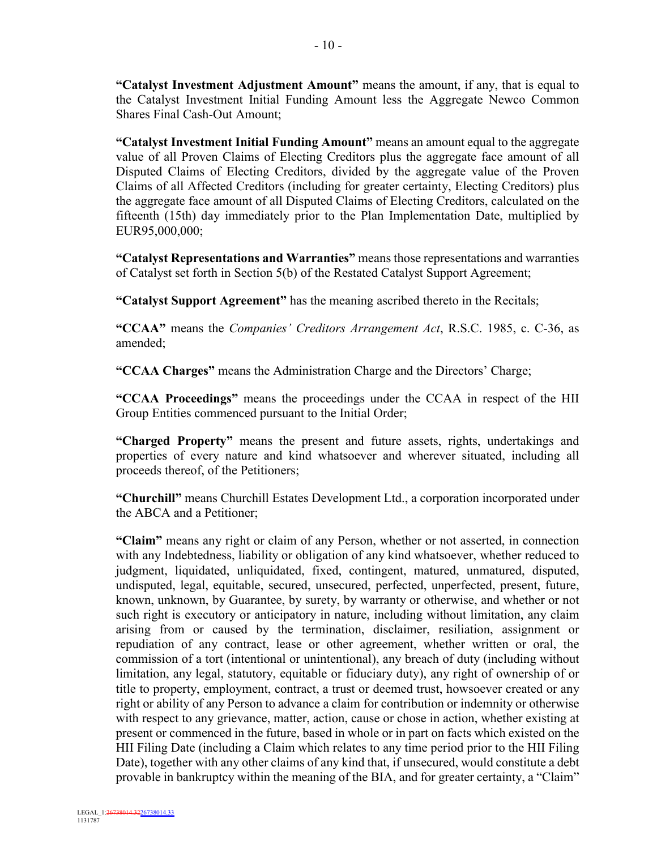**"Catalyst Investment Adjustment Amount"** means the amount, if any, that is equal to the Catalyst Investment Initial Funding Amount less the Aggregate Newco Common Shares Final Cash-Out Amount;

**"Catalyst Investment Initial Funding Amount"** means an amount equal to the aggregate value of all Proven Claims of Electing Creditors plus the aggregate face amount of all Disputed Claims of Electing Creditors, divided by the aggregate value of the Proven Claims of all Affected Creditors (including for greater certainty, Electing Creditors) plus the aggregate face amount of all Disputed Claims of Electing Creditors, calculated on the fifteenth (15th) day immediately prior to the Plan Implementation Date, multiplied by EUR95,000,000;

**"Catalyst Representations and Warranties"** means those representations and warranties of Catalyst set forth in Section 5(b) of the Restated Catalyst Support Agreement;

**"Catalyst Support Agreement"** has the meaning ascribed thereto in the Recitals;

**"CCAA"** means the *Companies' Creditors Arrangement Act*, R.S.C. 1985, c. C-36, as amended;

**"CCAA Charges"** means the Administration Charge and the Directors' Charge;

**"CCAA Proceedings"** means the proceedings under the CCAA in respect of the HII Group Entities commenced pursuant to the Initial Order;

**"Charged Property"** means the present and future assets, rights, undertakings and properties of every nature and kind whatsoever and wherever situated, including all proceeds thereof, of the Petitioners;

**"Churchill"** means Churchill Estates Development Ltd., a corporation incorporated under the ABCA and a Petitioner;

**"Claim"** means any right or claim of any Person, whether or not asserted, in connection with any Indebtedness, liability or obligation of any kind whatsoever, whether reduced to judgment, liquidated, unliquidated, fixed, contingent, matured, unmatured, disputed, undisputed, legal, equitable, secured, unsecured, perfected, unperfected, present, future, known, unknown, by Guarantee, by surety, by warranty or otherwise, and whether or not such right is executory or anticipatory in nature, including without limitation, any claim arising from or caused by the termination, disclaimer, resiliation, assignment or repudiation of any contract, lease or other agreement, whether written or oral, the commission of a tort (intentional or unintentional), any breach of duty (including without limitation, any legal, statutory, equitable or fiduciary duty), any right of ownership of or title to property, employment, contract, a trust or deemed trust, howsoever created or any right or ability of any Person to advance a claim for contribution or indemnity or otherwise with respect to any grievance, matter, action, cause or chose in action, whether existing at present or commenced in the future, based in whole or in part on facts which existed on the HII Filing Date (including a Claim which relates to any time period prior to the HII Filing Date), together with any other claims of any kind that, if unsecured, would constitute a debt provable in bankruptcy within the meaning of the BIA, and for greater certainty, a "Claim"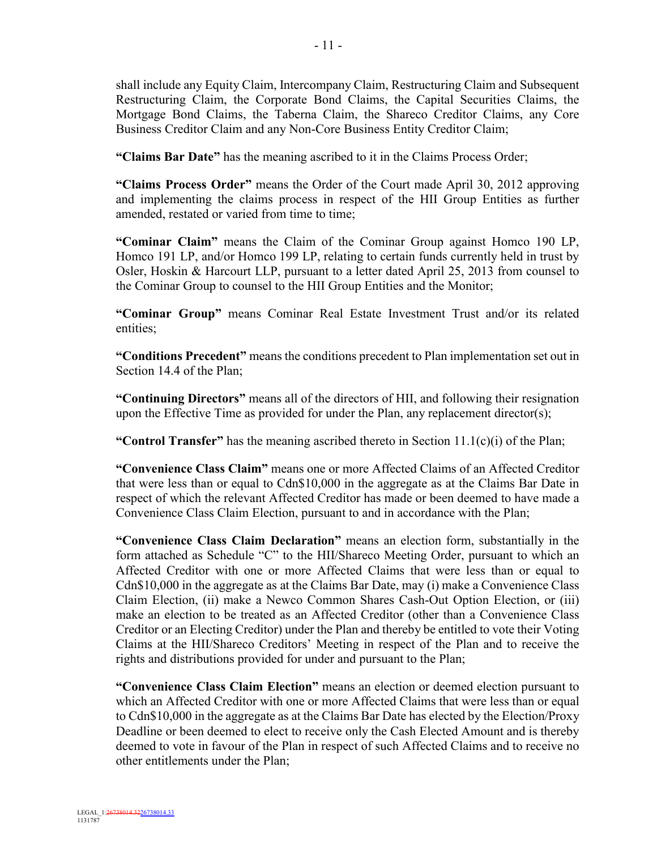shall include any Equity Claim, Intercompany Claim, Restructuring Claim and Subsequent Restructuring Claim, the Corporate Bond Claims, the Capital Securities Claims, the Mortgage Bond Claims, the Taberna Claim, the Shareco Creditor Claims, any Core Business Creditor Claim and any Non-Core Business Entity Creditor Claim;

**"Claims Bar Date"** has the meaning ascribed to it in the Claims Process Order;

**"Claims Process Order"** means the Order of the Court made April 30, 2012 approving and implementing the claims process in respect of the HII Group Entities as further amended, restated or varied from time to time;

**"Cominar Claim"** means the Claim of the Cominar Group against Homco 190 LP, Homco 191 LP, and/or Homco 199 LP, relating to certain funds currently held in trust by Osler, Hoskin & Harcourt LLP, pursuant to a letter dated April 25, 2013 from counsel to the Cominar Group to counsel to the HII Group Entities and the Monitor;

**"Cominar Group"** means Cominar Real Estate Investment Trust and/or its related entities;

**"Conditions Precedent"** means the conditions precedent to Plan implementation set out in Section 14.4 of the Plan;

**"Continuing Directors"** means all of the directors of HII, and following their resignation upon the Effective Time as provided for under the Plan, any replacement director(s);

**"Control Transfer"** has the meaning ascribed thereto in Section 11.1(c)(i) of the Plan;

**"Convenience Class Claim"** means one or more Affected Claims of an Affected Creditor that were less than or equal to Cdn\$10,000 in the aggregate as at the Claims Bar Date in respect of which the relevant Affected Creditor has made or been deemed to have made a Convenience Class Claim Election, pursuant to and in accordance with the Plan;

**"Convenience Class Claim Declaration"** means an election form, substantially in the form attached as Schedule "C" to the HII/Shareco Meeting Order, pursuant to which an Affected Creditor with one or more Affected Claims that were less than or equal to Cdn\$10,000 in the aggregate as at the Claims Bar Date, may (i) make a Convenience Class Claim Election, (ii) make a Newco Common Shares Cash-Out Option Election, or (iii) make an election to be treated as an Affected Creditor (other than a Convenience Class Creditor or an Electing Creditor) under the Plan and thereby be entitled to vote their Voting Claims at the HII/Shareco Creditors' Meeting in respect of the Plan and to receive the rights and distributions provided for under and pursuant to the Plan;

**"Convenience Class Claim Election"** means an election or deemed election pursuant to which an Affected Creditor with one or more Affected Claims that were less than or equal to Cdn\$10,000 in the aggregate as at the Claims Bar Date has elected by the Election/Proxy Deadline or been deemed to elect to receive only the Cash Elected Amount and is thereby deemed to vote in favour of the Plan in respect of such Affected Claims and to receive no other entitlements under the Plan;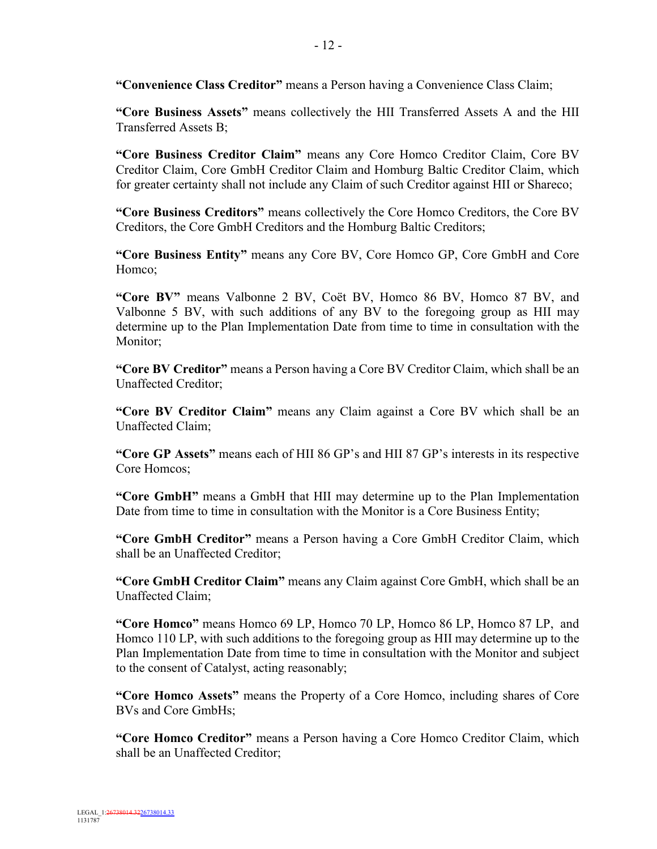**"Convenience Class Creditor"** means a Person having a Convenience Class Claim;

**"Core Business Assets"** means collectively the HII Transferred Assets A and the HII Transferred Assets B;

**"Core Business Creditor Claim"** means any Core Homco Creditor Claim, Core BV Creditor Claim, Core GmbH Creditor Claim and Homburg Baltic Creditor Claim, which for greater certainty shall not include any Claim of such Creditor against HII or Shareco;

**"Core Business Creditors"** means collectively the Core Homco Creditors, the Core BV Creditors, the Core GmbH Creditors and the Homburg Baltic Creditors;

**"Core Business Entity"** means any Core BV, Core Homco GP, Core GmbH and Core Homco;

**"Core BV"** means Valbonne 2 BV, Coët BV, Homco 86 BV, Homco 87 BV, and Valbonne 5 BV, with such additions of any BV to the foregoing group as HII may determine up to the Plan Implementation Date from time to time in consultation with the Monitor;

**"Core BV Creditor"** means a Person having a Core BV Creditor Claim, which shall be an Unaffected Creditor;

**"Core BV Creditor Claim"** means any Claim against a Core BV which shall be an Unaffected Claim;

**"Core GP Assets"** means each of HII 86 GP's and HII 87 GP's interests in its respective Core Homcos;

**"Core GmbH"** means a GmbH that HII may determine up to the Plan Implementation Date from time to time in consultation with the Monitor is a Core Business Entity;

**"Core GmbH Creditor"** means a Person having a Core GmbH Creditor Claim, which shall be an Unaffected Creditor;

**"Core GmbH Creditor Claim"** means any Claim against Core GmbH, which shall be an Unaffected Claim;

**"Core Homco"** means Homco 69 LP, Homco 70 LP, Homco 86 LP, Homco 87 LP, and Homco 110 LP, with such additions to the foregoing group as HII may determine up to the Plan Implementation Date from time to time in consultation with the Monitor and subject to the consent of Catalyst, acting reasonably;

**"Core Homco Assets"** means the Property of a Core Homco, including shares of Core BVs and Core GmbHs;

**"Core Homco Creditor"** means a Person having a Core Homco Creditor Claim, which shall be an Unaffected Creditor;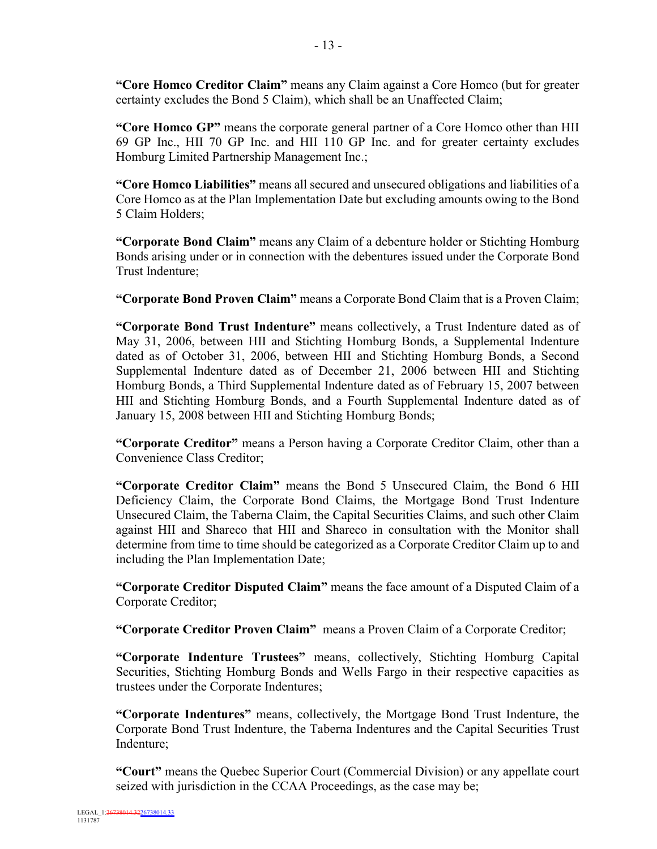**"Core Homco Creditor Claim"** means any Claim against a Core Homco (but for greater certainty excludes the Bond 5 Claim), which shall be an Unaffected Claim;

**"Core Homco GP"** means the corporate general partner of a Core Homco other than HII 69 GP Inc., HII 70 GP Inc. and HII 110 GP Inc. and for greater certainty excludes Homburg Limited Partnership Management Inc.;

**"Core Homco Liabilities"** means all secured and unsecured obligations and liabilities of a Core Homco as at the Plan Implementation Date but excluding amounts owing to the Bond 5 Claim Holders;

**"Corporate Bond Claim"** means any Claim of a debenture holder or Stichting Homburg Bonds arising under or in connection with the debentures issued under the Corporate Bond Trust Indenture;

**"Corporate Bond Proven Claim"** means a Corporate Bond Claim that is a Proven Claim;

**"Corporate Bond Trust Indenture"** means collectively, a Trust Indenture dated as of May 31, 2006, between HII and Stichting Homburg Bonds, a Supplemental Indenture dated as of October 31, 2006, between HII and Stichting Homburg Bonds, a Second Supplemental Indenture dated as of December 21, 2006 between HII and Stichting Homburg Bonds, a Third Supplemental Indenture dated as of February 15, 2007 between HII and Stichting Homburg Bonds, and a Fourth Supplemental Indenture dated as of January 15, 2008 between HII and Stichting Homburg Bonds;

**"Corporate Creditor"** means a Person having a Corporate Creditor Claim, other than a Convenience Class Creditor;

**"Corporate Creditor Claim"** means the Bond 5 Unsecured Claim, the Bond 6 HII Deficiency Claim, the Corporate Bond Claims, the Mortgage Bond Trust Indenture Unsecured Claim, the Taberna Claim, the Capital Securities Claims, and such other Claim against HII and Shareco that HII and Shareco in consultation with the Monitor shall determine from time to time should be categorized as a Corporate Creditor Claim up to and including the Plan Implementation Date;

**"Corporate Creditor Disputed Claim"** means the face amount of a Disputed Claim of a Corporate Creditor;

**"Corporate Creditor Proven Claim"** means a Proven Claim of a Corporate Creditor;

**"Corporate Indenture Trustees"** means, collectively, Stichting Homburg Capital Securities, Stichting Homburg Bonds and Wells Fargo in their respective capacities as trustees under the Corporate Indentures;

**"Corporate Indentures"** means, collectively, the Mortgage Bond Trust Indenture, the Corporate Bond Trust Indenture, the Taberna Indentures and the Capital Securities Trust Indenture;

**"Court"** means the Quebec Superior Court (Commercial Division) or any appellate court seized with jurisdiction in the CCAA Proceedings, as the case may be;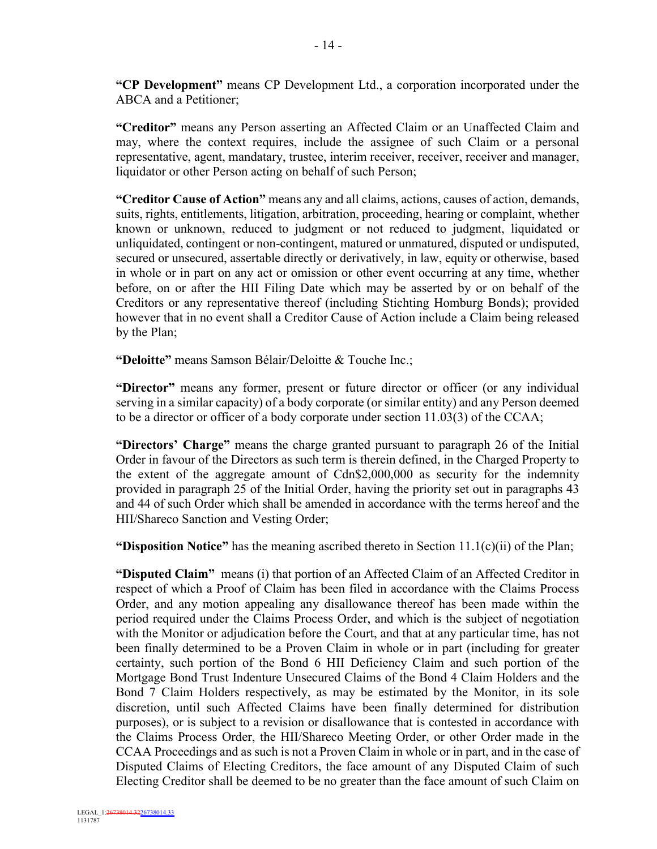**"CP Development"** means CP Development Ltd., a corporation incorporated under the ABCA and a Petitioner;

**"Creditor"** means any Person asserting an Affected Claim or an Unaffected Claim and may, where the context requires, include the assignee of such Claim or a personal representative, agent, mandatary, trustee, interim receiver, receiver, receiver and manager, liquidator or other Person acting on behalf of such Person;

**"Creditor Cause of Action"** means any and all claims, actions, causes of action, demands, suits, rights, entitlements, litigation, arbitration, proceeding, hearing or complaint, whether known or unknown, reduced to judgment or not reduced to judgment, liquidated or unliquidated, contingent or non-contingent, matured or unmatured, disputed or undisputed, secured or unsecured, assertable directly or derivatively, in law, equity or otherwise, based in whole or in part on any act or omission or other event occurring at any time, whether before, on or after the HII Filing Date which may be asserted by or on behalf of the Creditors or any representative thereof (including Stichting Homburg Bonds); provided however that in no event shall a Creditor Cause of Action include a Claim being released by the Plan;

**"Deloitte"** means Samson Bélair/Deloitte & Touche Inc.;

**"Director"** means any former, present or future director or officer (or any individual serving in a similar capacity) of a body corporate (or similar entity) and any Person deemed to be a director or officer of a body corporate under section 11.03(3) of the CCAA;

**"Directors' Charge"** means the charge granted pursuant to paragraph 26 of the Initial Order in favour of the Directors as such term is therein defined, in the Charged Property to the extent of the aggregate amount of Cdn\$2,000,000 as security for the indemnity provided in paragraph 25 of the Initial Order, having the priority set out in paragraphs 43 and 44 of such Order which shall be amended in accordance with the terms hereof and the HII/Shareco Sanction and Vesting Order;

**"Disposition Notice"** has the meaning ascribed thereto in Section 11.1(c)(ii) of the Plan;

**"Disputed Claim"** means (i) that portion of an Affected Claim of an Affected Creditor in respect of which a Proof of Claim has been filed in accordance with the Claims Process Order, and any motion appealing any disallowance thereof has been made within the period required under the Claims Process Order, and which is the subject of negotiation with the Monitor or adjudication before the Court, and that at any particular time, has not been finally determined to be a Proven Claim in whole or in part (including for greater certainty, such portion of the Bond 6 HII Deficiency Claim and such portion of the Mortgage Bond Trust Indenture Unsecured Claims of the Bond 4 Claim Holders and the Bond 7 Claim Holders respectively, as may be estimated by the Monitor, in its sole discretion, until such Affected Claims have been finally determined for distribution purposes), or is subject to a revision or disallowance that is contested in accordance with the Claims Process Order, the HII/Shareco Meeting Order, or other Order made in the CCAA Proceedings and as such is not a Proven Claim in whole or in part, and in the case of Disputed Claims of Electing Creditors, the face amount of any Disputed Claim of such Electing Creditor shall be deemed to be no greater than the face amount of such Claim on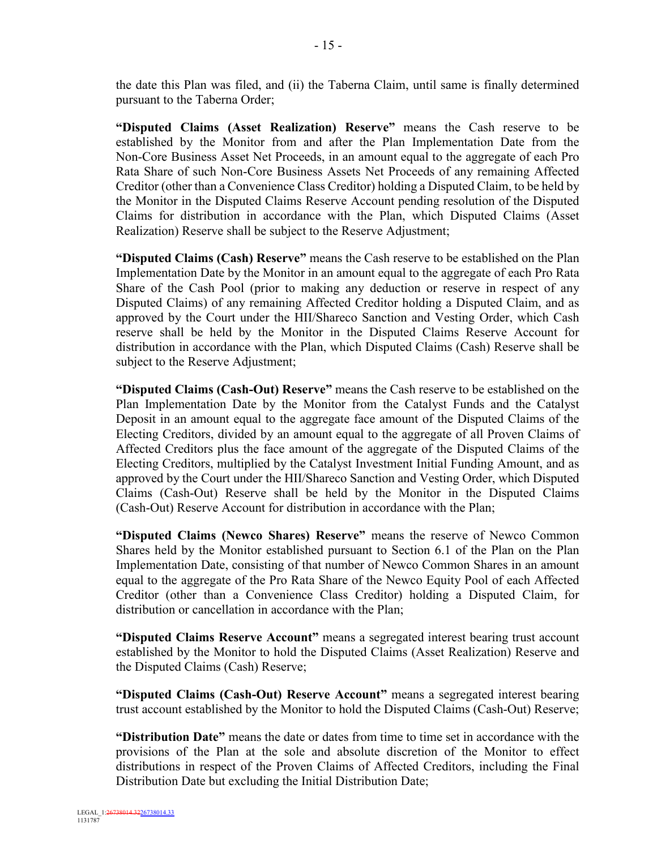the date this Plan was filed, and (ii) the Taberna Claim, until same is finally determined pursuant to the Taberna Order;

**"Disputed Claims (Asset Realization) Reserve"** means the Cash reserve to be established by the Monitor from and after the Plan Implementation Date from the Non-Core Business Asset Net Proceeds, in an amount equal to the aggregate of each Pro Rata Share of such Non-Core Business Assets Net Proceeds of any remaining Affected Creditor (other than a Convenience Class Creditor) holding a Disputed Claim, to be held by the Monitor in the Disputed Claims Reserve Account pending resolution of the Disputed Claims for distribution in accordance with the Plan, which Disputed Claims (Asset Realization) Reserve shall be subject to the Reserve Adjustment;

**"Disputed Claims (Cash) Reserve"** means the Cash reserve to be established on the Plan Implementation Date by the Monitor in an amount equal to the aggregate of each Pro Rata Share of the Cash Pool (prior to making any deduction or reserve in respect of any Disputed Claims) of any remaining Affected Creditor holding a Disputed Claim, and as approved by the Court under the HII/Shareco Sanction and Vesting Order, which Cash reserve shall be held by the Monitor in the Disputed Claims Reserve Account for distribution in accordance with the Plan, which Disputed Claims (Cash) Reserve shall be subject to the Reserve Adjustment;

**"Disputed Claims (Cash-Out) Reserve"** means the Cash reserve to be established on the Plan Implementation Date by the Monitor from the Catalyst Funds and the Catalyst Deposit in an amount equal to the aggregate face amount of the Disputed Claims of the Electing Creditors, divided by an amount equal to the aggregate of all Proven Claims of Affected Creditors plus the face amount of the aggregate of the Disputed Claims of the Electing Creditors, multiplied by the Catalyst Investment Initial Funding Amount, and as approved by the Court under the HII/Shareco Sanction and Vesting Order, which Disputed Claims (Cash-Out) Reserve shall be held by the Monitor in the Disputed Claims (Cash-Out) Reserve Account for distribution in accordance with the Plan;

**"Disputed Claims (Newco Shares) Reserve"** means the reserve of Newco Common Shares held by the Monitor established pursuant to Section 6.1 of the Plan on the Plan Implementation Date, consisting of that number of Newco Common Shares in an amount equal to the aggregate of the Pro Rata Share of the Newco Equity Pool of each Affected Creditor (other than a Convenience Class Creditor) holding a Disputed Claim, for distribution or cancellation in accordance with the Plan;

**"Disputed Claims Reserve Account"** means a segregated interest bearing trust account established by the Monitor to hold the Disputed Claims (Asset Realization) Reserve and the Disputed Claims (Cash) Reserve;

**"Disputed Claims (Cash-Out) Reserve Account"** means a segregated interest bearing trust account established by the Monitor to hold the Disputed Claims (Cash-Out) Reserve;

**"Distribution Date"** means the date or dates from time to time set in accordance with the provisions of the Plan at the sole and absolute discretion of the Monitor to effect distributions in respect of the Proven Claims of Affected Creditors, including the Final Distribution Date but excluding the Initial Distribution Date;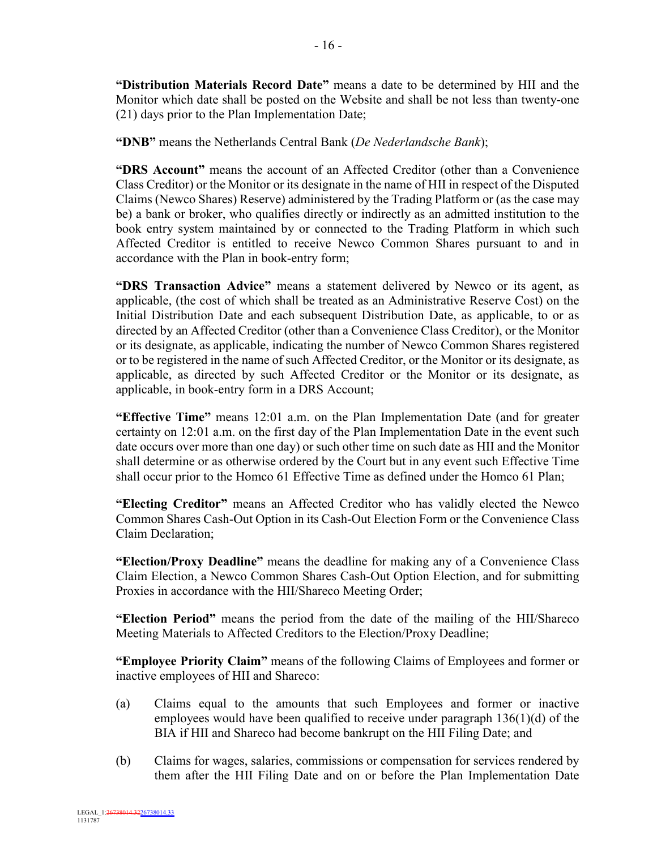**"Distribution Materials Record Date"** means a date to be determined by HII and the Monitor which date shall be posted on the Website and shall be not less than twenty-one (21) days prior to the Plan Implementation Date;

**"DNB"** means the Netherlands Central Bank (*De Nederlandsche Bank*);

**"DRS Account"** means the account of an Affected Creditor (other than a Convenience Class Creditor) or the Monitor or its designate in the name of HII in respect of the Disputed Claims (Newco Shares) Reserve) administered by the Trading Platform or (as the case may be) a bank or broker, who qualifies directly or indirectly as an admitted institution to the book entry system maintained by or connected to the Trading Platform in which such Affected Creditor is entitled to receive Newco Common Shares pursuant to and in accordance with the Plan in book-entry form;

**"DRS Transaction Advice"** means a statement delivered by Newco or its agent, as applicable, (the cost of which shall be treated as an Administrative Reserve Cost) on the Initial Distribution Date and each subsequent Distribution Date, as applicable, to or as directed by an Affected Creditor (other than a Convenience Class Creditor), or the Monitor or its designate, as applicable, indicating the number of Newco Common Shares registered or to be registered in the name of such Affected Creditor, or the Monitor or its designate, as applicable, as directed by such Affected Creditor or the Monitor or its designate, as applicable, in book-entry form in a DRS Account;

**"Effective Time"** means 12:01 a.m. on the Plan Implementation Date (and for greater certainty on 12:01 a.m. on the first day of the Plan Implementation Date in the event such date occurs over more than one day) or such other time on such date as HII and the Monitor shall determine or as otherwise ordered by the Court but in any event such Effective Time shall occur prior to the Homco 61 Effective Time as defined under the Homco 61 Plan;

**"Electing Creditor"** means an Affected Creditor who has validly elected the Newco Common Shares Cash-Out Option in its Cash-Out Election Form or the Convenience Class Claim Declaration;

**"Election/Proxy Deadline"** means the deadline for making any of a Convenience Class Claim Election, a Newco Common Shares Cash-Out Option Election, and for submitting Proxies in accordance with the HII/Shareco Meeting Order;

**"Election Period"** means the period from the date of the mailing of the HII/Shareco Meeting Materials to Affected Creditors to the Election/Proxy Deadline;

**"Employee Priority Claim"** means of the following Claims of Employees and former or inactive employees of HII and Shareco:

- (a) Claims equal to the amounts that such Employees and former or inactive employees would have been qualified to receive under paragraph 136(1)(d) of the BIA if HII and Shareco had become bankrupt on the HII Filing Date; and
- (b) Claims for wages, salaries, commissions or compensation for services rendered by them after the HII Filing Date and on or before the Plan Implementation Date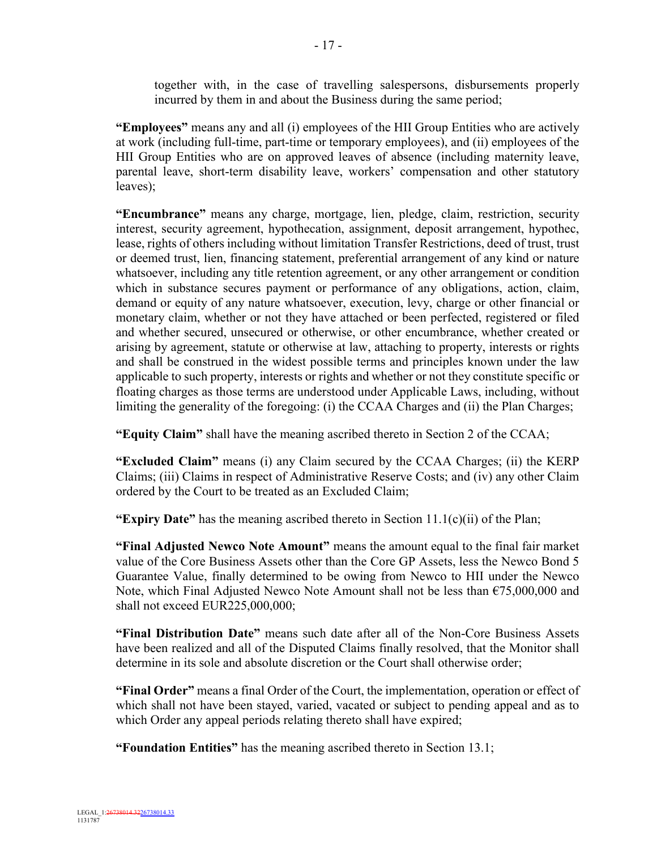together with, in the case of travelling salespersons, disbursements properly incurred by them in and about the Business during the same period;

**"Employees"** means any and all (i) employees of the HII Group Entities who are actively at work (including full-time, part-time or temporary employees), and (ii) employees of the HII Group Entities who are on approved leaves of absence (including maternity leave, parental leave, short-term disability leave, workers' compensation and other statutory leaves);

**"Encumbrance"** means any charge, mortgage, lien, pledge, claim, restriction, security interest, security agreement, hypothecation, assignment, deposit arrangement, hypothec, lease, rights of others including without limitation Transfer Restrictions, deed of trust, trust or deemed trust, lien, financing statement, preferential arrangement of any kind or nature whatsoever, including any title retention agreement, or any other arrangement or condition which in substance secures payment or performance of any obligations, action, claim, demand or equity of any nature whatsoever, execution, levy, charge or other financial or monetary claim, whether or not they have attached or been perfected, registered or filed and whether secured, unsecured or otherwise, or other encumbrance, whether created or arising by agreement, statute or otherwise at law, attaching to property, interests or rights and shall be construed in the widest possible terms and principles known under the law applicable to such property, interests or rights and whether or not they constitute specific or floating charges as those terms are understood under Applicable Laws, including, without limiting the generality of the foregoing: (i) the CCAA Charges and (ii) the Plan Charges;

**"Equity Claim"** shall have the meaning ascribed thereto in Section 2 of the CCAA;

**"Excluded Claim"** means (i) any Claim secured by the CCAA Charges; (ii) the KERP Claims; (iii) Claims in respect of Administrative Reserve Costs; and (iv) any other Claim ordered by the Court to be treated as an Excluded Claim;

**"Expiry Date"** has the meaning ascribed thereto in Section 11.1(c)(ii) of the Plan;

**"Final Adjusted Newco Note Amount"** means the amount equal to the final fair market value of the Core Business Assets other than the Core GP Assets, less the Newco Bond 5 Guarantee Value, finally determined to be owing from Newco to HII under the Newco Note, which Final Adjusted Newco Note Amount shall not be less than  $\epsilon$ 75,000,000 and shall not exceed EUR225,000,000;

**"Final Distribution Date"** means such date after all of the Non-Core Business Assets have been realized and all of the Disputed Claims finally resolved, that the Monitor shall determine in its sole and absolute discretion or the Court shall otherwise order;

**"Final Order"** means a final Order of the Court, the implementation, operation or effect of which shall not have been stayed, varied, vacated or subject to pending appeal and as to which Order any appeal periods relating thereto shall have expired;

**"Foundation Entities"** has the meaning ascribed thereto in Section 13.1;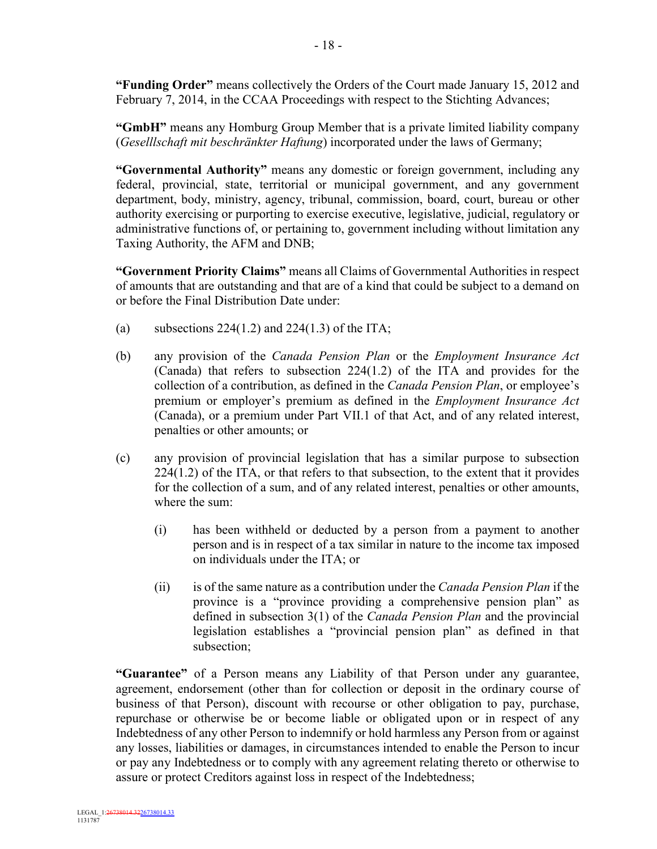**"Funding Order"** means collectively the Orders of the Court made January 15, 2012 and February 7, 2014, in the CCAA Proceedings with respect to the Stichting Advances;

**"GmbH"** means any Homburg Group Member that is a private limited liability company (*Geselllschaft mit beschränkter Haftung*) incorporated under the laws of Germany;

**"Governmental Authority"** means any domestic or foreign government, including any federal, provincial, state, territorial or municipal government, and any government department, body, ministry, agency, tribunal, commission, board, court, bureau or other authority exercising or purporting to exercise executive, legislative, judicial, regulatory or administrative functions of, or pertaining to, government including without limitation any Taxing Authority, the AFM and DNB;

**"Government Priority Claims"** means all Claims of Governmental Authorities in respect of amounts that are outstanding and that are of a kind that could be subject to a demand on or before the Final Distribution Date under:

- (a) subsections  $224(1.2)$  and  $224(1.3)$  of the ITA;
- (b) any provision of the *Canada Pension Plan* or the *Employment Insurance Act* (Canada) that refers to subsection 224(1.2) of the ITA and provides for the collection of a contribution, as defined in the *Canada Pension Plan*, or employee's premium or employer's premium as defined in the *Employment Insurance Act*  (Canada), or a premium under Part VII.1 of that Act, and of any related interest, penalties or other amounts; or
- (c) any provision of provincial legislation that has a similar purpose to subsection 224(1.2) of the ITA, or that refers to that subsection, to the extent that it provides for the collection of a sum, and of any related interest, penalties or other amounts, where the sum:
	- (i) has been withheld or deducted by a person from a payment to another person and is in respect of a tax similar in nature to the income tax imposed on individuals under the ITA; or
	- (ii) is of the same nature as a contribution under the *Canada Pension Plan* if the province is a "province providing a comprehensive pension plan" as defined in subsection 3(1) of the *Canada Pension Plan* and the provincial legislation establishes a "provincial pension plan" as defined in that subsection;

**"Guarantee"** of a Person means any Liability of that Person under any guarantee, agreement, endorsement (other than for collection or deposit in the ordinary course of business of that Person), discount with recourse or other obligation to pay, purchase, repurchase or otherwise be or become liable or obligated upon or in respect of any Indebtedness of any other Person to indemnify or hold harmless any Person from or against any losses, liabilities or damages, in circumstances intended to enable the Person to incur or pay any Indebtedness or to comply with any agreement relating thereto or otherwise to assure or protect Creditors against loss in respect of the Indebtedness;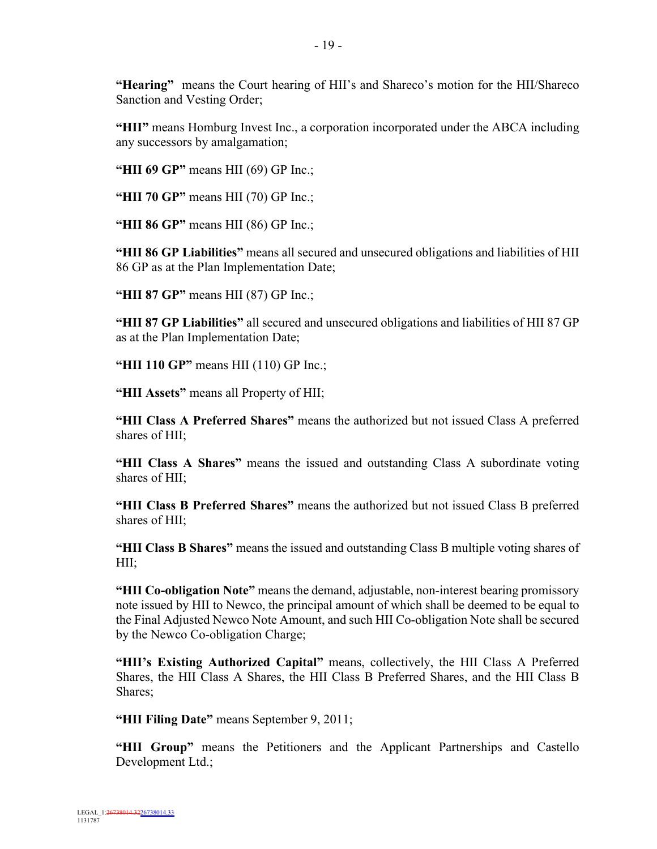**"Hearing"** means the Court hearing of HII's and Shareco's motion for the HII/Shareco Sanction and Vesting Order;

**"HII"** means Homburg Invest Inc., a corporation incorporated under the ABCA including any successors by amalgamation;

**"HII 69 GP"** means HII (69) GP Inc.;

**"HII 70 GP"** means HII (70) GP Inc.;

**"HII 86 GP"** means HII (86) GP Inc.;

**"HII 86 GP Liabilities"** means all secured and unsecured obligations and liabilities of HII 86 GP as at the Plan Implementation Date;

**"HII 87 GP"** means HII (87) GP Inc.;

**"HII 87 GP Liabilities"** all secured and unsecured obligations and liabilities of HII 87 GP as at the Plan Implementation Date;

**"HII 110 GP"** means HII (110) GP Inc.;

**"HII Assets"** means all Property of HII;

**"HII Class A Preferred Shares"** means the authorized but not issued Class A preferred shares of HII;

**"HII Class A Shares"** means the issued and outstanding Class A subordinate voting shares of HII;

**"HII Class B Preferred Shares"** means the authorized but not issued Class B preferred shares of HII;

**"HII Class B Shares"** means the issued and outstanding Class B multiple voting shares of HII;

**"HII Co-obligation Note"** means the demand, adjustable, non-interest bearing promissory note issued by HII to Newco, the principal amount of which shall be deemed to be equal to the Final Adjusted Newco Note Amount, and such HII Co-obligation Note shall be secured by the Newco Co-obligation Charge;

**"HII's Existing Authorized Capital"** means, collectively, the HII Class A Preferred Shares, the HII Class A Shares, the HII Class B Preferred Shares, and the HII Class B Shares;

**"HII Filing Date"** means September 9, 2011;

**"HII Group"** means the Petitioners and the Applicant Partnerships and Castello Development Ltd.;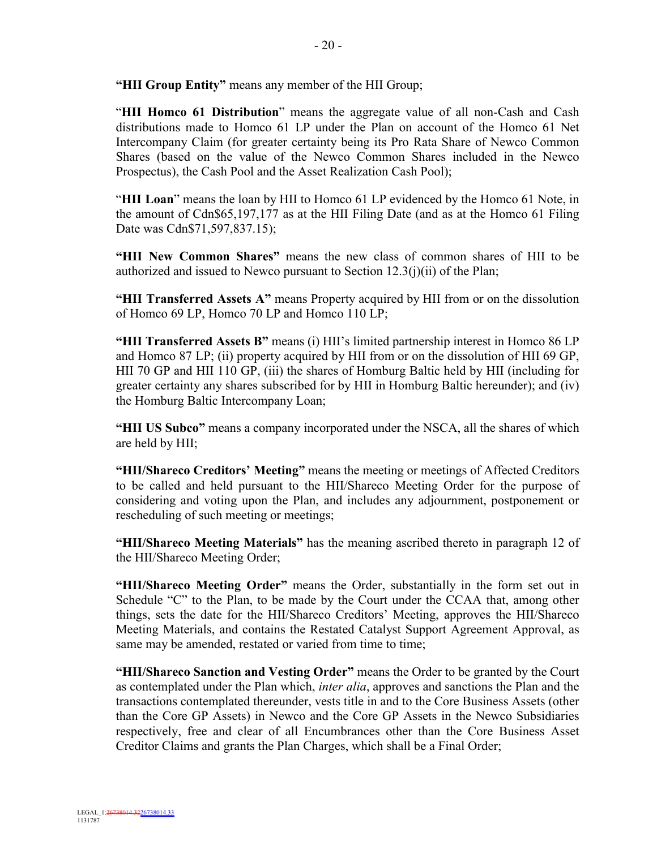**"HII Group Entity"** means any member of the HII Group;

"**HII Homco 61 Distribution**" means the aggregate value of all non-Cash and Cash distributions made to Homco 61 LP under the Plan on account of the Homco 61 Net Intercompany Claim (for greater certainty being its Pro Rata Share of Newco Common Shares (based on the value of the Newco Common Shares included in the Newco Prospectus), the Cash Pool and the Asset Realization Cash Pool);

"**HII Loan**" means the loan by HII to Homco 61 LP evidenced by the Homco 61 Note, in the amount of Cdn\$65,197,177 as at the HII Filing Date (and as at the Homco 61 Filing Date was Cdn\$71,597,837.15);

**"HII New Common Shares"** means the new class of common shares of HII to be authorized and issued to Newco pursuant to Section  $12.3(i)(ii)$  of the Plan;

**"HII Transferred Assets A"** means Property acquired by HII from or on the dissolution of Homco 69 LP, Homco 70 LP and Homco 110 LP;

**"HII Transferred Assets B"** means (i) HII's limited partnership interest in Homco 86 LP and Homco 87 LP; (ii) property acquired by HII from or on the dissolution of HII 69 GP, HII 70 GP and HII 110 GP, (iii) the shares of Homburg Baltic held by HII (including for greater certainty any shares subscribed for by HII in Homburg Baltic hereunder); and (iv) the Homburg Baltic Intercompany Loan;

**"HII US Subco"** means a company incorporated under the NSCA, all the shares of which are held by HII;

**"HII/Shareco Creditors' Meeting"** means the meeting or meetings of Affected Creditors to be called and held pursuant to the HII/Shareco Meeting Order for the purpose of considering and voting upon the Plan, and includes any adjournment, postponement or rescheduling of such meeting or meetings;

**"HII/Shareco Meeting Materials"** has the meaning ascribed thereto in paragraph 12 of the HII/Shareco Meeting Order;

**"HII/Shareco Meeting Order"** means the Order, substantially in the form set out in Schedule "C" to the Plan, to be made by the Court under the CCAA that, among other things, sets the date for the HII/Shareco Creditors' Meeting, approves the HII/Shareco Meeting Materials, and contains the Restated Catalyst Support Agreement Approval, as same may be amended, restated or varied from time to time;

**"HII/Shareco Sanction and Vesting Order"** means the Order to be granted by the Court as contemplated under the Plan which, *inter alia*, approves and sanctions the Plan and the transactions contemplated thereunder, vests title in and to the Core Business Assets (other than the Core GP Assets) in Newco and the Core GP Assets in the Newco Subsidiaries respectively, free and clear of all Encumbrances other than the Core Business Asset Creditor Claims and grants the Plan Charges, which shall be a Final Order;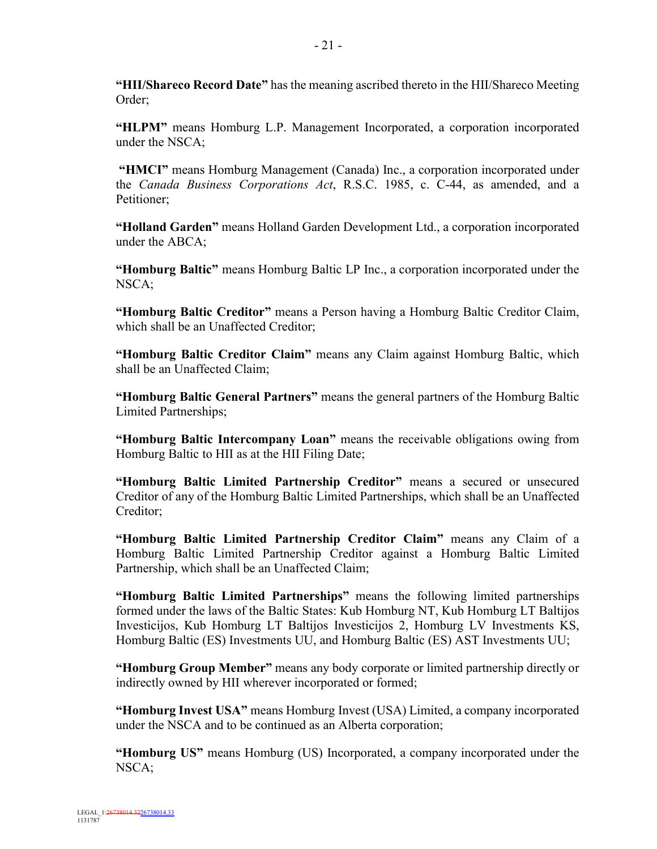**"HII/Shareco Record Date"** has the meaning ascribed thereto in the HII/Shareco Meeting Order;

**"HLPM"** means Homburg L.P. Management Incorporated, a corporation incorporated under the NSCA;

**"HMCI"** means Homburg Management (Canada) Inc., a corporation incorporated under the *Canada Business Corporations Act*, R.S.C. 1985, c. C-44, as amended, and a Petitioner;

**"Holland Garden"** means Holland Garden Development Ltd., a corporation incorporated under the ABCA;

**"Homburg Baltic"** means Homburg Baltic LP Inc., a corporation incorporated under the NSCA;

**"Homburg Baltic Creditor"** means a Person having a Homburg Baltic Creditor Claim, which shall be an Unaffected Creditor;

**"Homburg Baltic Creditor Claim"** means any Claim against Homburg Baltic, which shall be an Unaffected Claim;

**"Homburg Baltic General Partners"** means the general partners of the Homburg Baltic Limited Partnerships;

**"Homburg Baltic Intercompany Loan"** means the receivable obligations owing from Homburg Baltic to HII as at the HII Filing Date;

**"Homburg Baltic Limited Partnership Creditor"** means a secured or unsecured Creditor of any of the Homburg Baltic Limited Partnerships, which shall be an Unaffected Creditor;

**"Homburg Baltic Limited Partnership Creditor Claim"** means any Claim of a Homburg Baltic Limited Partnership Creditor against a Homburg Baltic Limited Partnership, which shall be an Unaffected Claim;

**"Homburg Baltic Limited Partnerships"** means the following limited partnerships formed under the laws of the Baltic States: Kub Homburg NT, Kub Homburg LT Baltijos Investicijos, Kub Homburg LT Baltijos Investicijos 2, Homburg LV Investments KS, Homburg Baltic (ES) Investments UU, and Homburg Baltic (ES) AST Investments UU;

**"Homburg Group Member"** means any body corporate or limited partnership directly or indirectly owned by HII wherever incorporated or formed;

**"Homburg Invest USA"** means Homburg Invest (USA) Limited, a company incorporated under the NSCA and to be continued as an Alberta corporation;

**"Homburg US"** means Homburg (US) Incorporated, a company incorporated under the NSCA;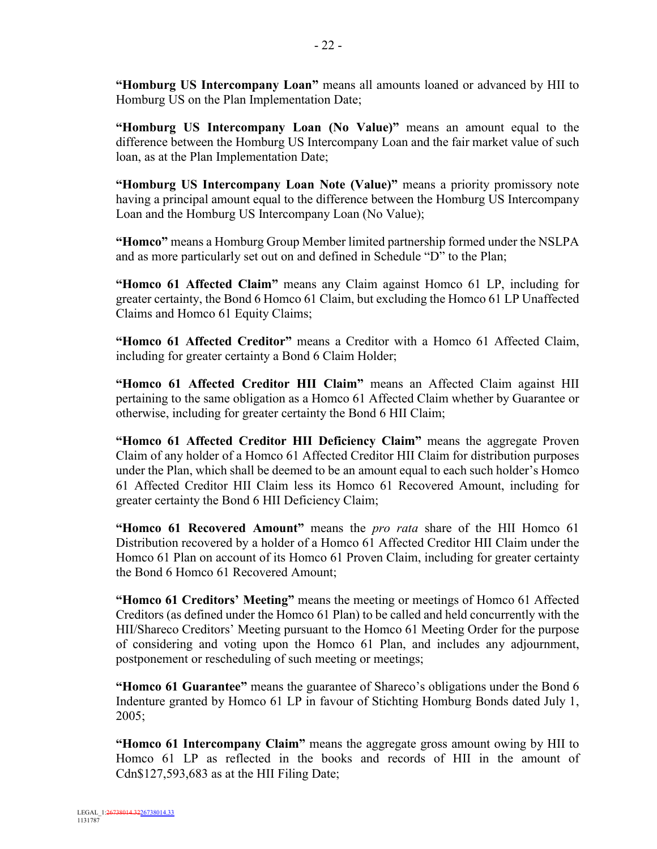**"Homburg US Intercompany Loan"** means all amounts loaned or advanced by HII to Homburg US on the Plan Implementation Date;

**"Homburg US Intercompany Loan (No Value)"** means an amount equal to the difference between the Homburg US Intercompany Loan and the fair market value of such loan, as at the Plan Implementation Date;

**"Homburg US Intercompany Loan Note (Value)"** means a priority promissory note having a principal amount equal to the difference between the Homburg US Intercompany Loan and the Homburg US Intercompany Loan (No Value);

**"Homco"** means a Homburg Group Member limited partnership formed under the NSLPA and as more particularly set out on and defined in Schedule "D" to the Plan;

**"Homco 61 Affected Claim"** means any Claim against Homco 61 LP, including for greater certainty, the Bond 6 Homco 61 Claim, but excluding the Homco 61 LP Unaffected Claims and Homco 61 Equity Claims;

**"Homco 61 Affected Creditor"** means a Creditor with a Homco 61 Affected Claim, including for greater certainty a Bond 6 Claim Holder;

**"Homco 61 Affected Creditor HII Claim"** means an Affected Claim against HII pertaining to the same obligation as a Homco 61 Affected Claim whether by Guarantee or otherwise, including for greater certainty the Bond 6 HII Claim;

**"Homco 61 Affected Creditor HII Deficiency Claim"** means the aggregate Proven Claim of any holder of a Homco 61 Affected Creditor HII Claim for distribution purposes under the Plan, which shall be deemed to be an amount equal to each such holder's Homco 61 Affected Creditor HII Claim less its Homco 61 Recovered Amount, including for greater certainty the Bond 6 HII Deficiency Claim;

**"Homco 61 Recovered Amount"** means the *pro rata* share of the HII Homco 61 Distribution recovered by a holder of a Homco 61 Affected Creditor HII Claim under the Homco 61 Plan on account of its Homco 61 Proven Claim, including for greater certainty the Bond 6 Homco 61 Recovered Amount;

**"Homco 61 Creditors' Meeting"** means the meeting or meetings of Homco 61 Affected Creditors (as defined under the Homco 61 Plan) to be called and held concurrently with the HII/Shareco Creditors' Meeting pursuant to the Homco 61 Meeting Order for the purpose of considering and voting upon the Homco 61 Plan, and includes any adjournment, postponement or rescheduling of such meeting or meetings;

**"Homco 61 Guarantee"** means the guarantee of Shareco's obligations under the Bond 6 Indenture granted by Homco 61 LP in favour of Stichting Homburg Bonds dated July 1, 2005;

**"Homco 61 Intercompany Claim"** means the aggregate gross amount owing by HII to Homco 61 LP as reflected in the books and records of HII in the amount of Cdn\$127,593,683 as at the HII Filing Date;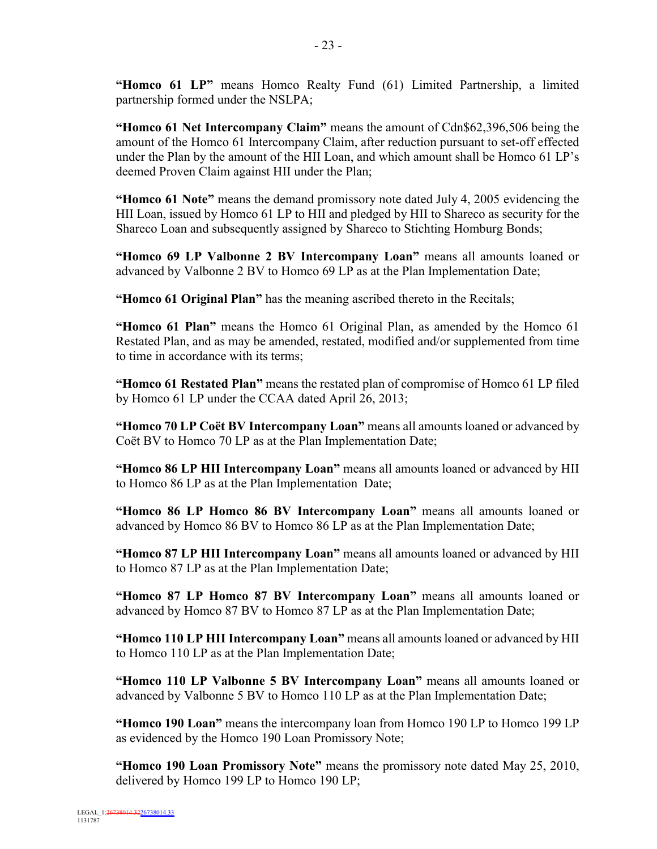**"Homco 61 LP"** means Homco Realty Fund (61) Limited Partnership, a limited partnership formed under the NSLPA;

**"Homco 61 Net Intercompany Claim"** means the amount of Cdn\$62,396,506 being the amount of the Homco 61 Intercompany Claim, after reduction pursuant to set-off effected under the Plan by the amount of the HII Loan, and which amount shall be Homco 61 LP's deemed Proven Claim against HII under the Plan;

**"Homco 61 Note"** means the demand promissory note dated July 4, 2005 evidencing the HII Loan, issued by Homco 61 LP to HII and pledged by HII to Shareco as security for the Shareco Loan and subsequently assigned by Shareco to Stichting Homburg Bonds;

**"Homco 69 LP Valbonne 2 BV Intercompany Loan"** means all amounts loaned or advanced by Valbonne 2 BV to Homco 69 LP as at the Plan Implementation Date;

**"Homco 61 Original Plan"** has the meaning ascribed thereto in the Recitals;

**"Homco 61 Plan"** means the Homco 61 Original Plan, as amended by the Homco 61 Restated Plan, and as may be amended, restated, modified and/or supplemented from time to time in accordance with its terms;

**"Homco 61 Restated Plan"** means the restated plan of compromise of Homco 61 LP filed by Homco 61 LP under the CCAA dated April 26, 2013;

**"Homco 70 LP Coët BV Intercompany Loan"** means all amounts loaned or advanced by Coët BV to Homco 70 LP as at the Plan Implementation Date;

**"Homco 86 LP HII Intercompany Loan"** means all amounts loaned or advanced by HII to Homco 86 LP as at the Plan Implementation Date;

**"Homco 86 LP Homco 86 BV Intercompany Loan"** means all amounts loaned or advanced by Homco 86 BV to Homco 86 LP as at the Plan Implementation Date;

**"Homco 87 LP HII Intercompany Loan"** means all amounts loaned or advanced by HII to Homco 87 LP as at the Plan Implementation Date;

**"Homco 87 LP Homco 87 BV Intercompany Loan"** means all amounts loaned or advanced by Homco 87 BV to Homco 87 LP as at the Plan Implementation Date;

**"Homco 110 LP HII Intercompany Loan"** means all amounts loaned or advanced by HII to Homco 110 LP as at the Plan Implementation Date;

**"Homco 110 LP Valbonne 5 BV Intercompany Loan"** means all amounts loaned or advanced by Valbonne 5 BV to Homco 110 LP as at the Plan Implementation Date;

**"Homco 190 Loan"** means the intercompany loan from Homco 190 LP to Homco 199 LP as evidenced by the Homco 190 Loan Promissory Note;

**"Homco 190 Loan Promissory Note"** means the promissory note dated May 25, 2010, delivered by Homco 199 LP to Homco 190 LP;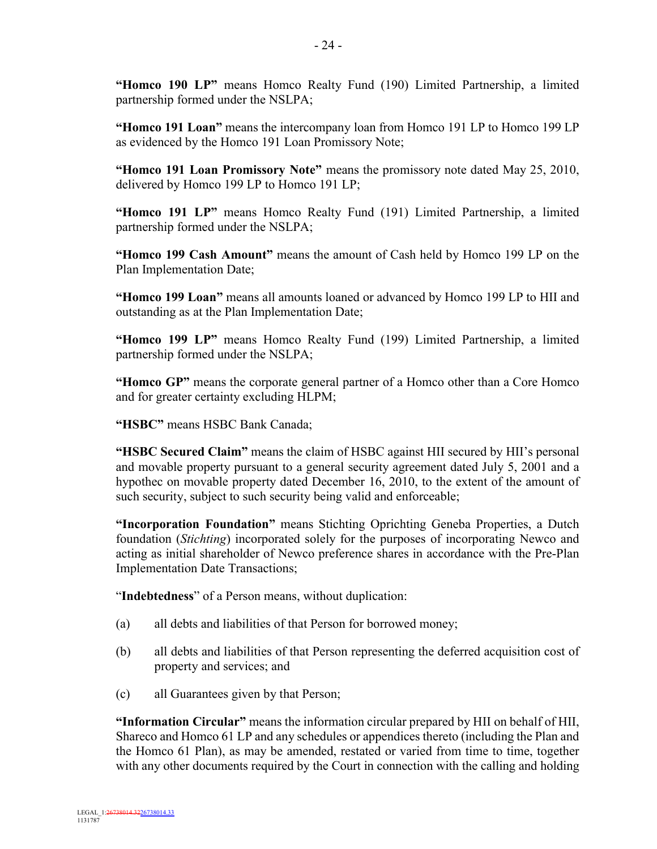**"Homco 190 LP"** means Homco Realty Fund (190) Limited Partnership, a limited partnership formed under the NSLPA;

**"Homco 191 Loan"** means the intercompany loan from Homco 191 LP to Homco 199 LP as evidenced by the Homco 191 Loan Promissory Note;

**"Homco 191 Loan Promissory Note"** means the promissory note dated May 25, 2010, delivered by Homco 199 LP to Homco 191 LP;

**"Homco 191 LP"** means Homco Realty Fund (191) Limited Partnership, a limited partnership formed under the NSLPA;

**"Homco 199 Cash Amount"** means the amount of Cash held by Homco 199 LP on the Plan Implementation Date;

**"Homco 199 Loan"** means all amounts loaned or advanced by Homco 199 LP to HII and outstanding as at the Plan Implementation Date;

**"Homco 199 LP"** means Homco Realty Fund (199) Limited Partnership, a limited partnership formed under the NSLPA;

**"Homco GP"** means the corporate general partner of a Homco other than a Core Homco and for greater certainty excluding HLPM;

**"HSBC"** means HSBC Bank Canada;

**"HSBC Secured Claim"** means the claim of HSBC against HII secured by HII's personal and movable property pursuant to a general security agreement dated July 5, 2001 and a hypothec on movable property dated December 16, 2010, to the extent of the amount of such security, subject to such security being valid and enforceable;

**"Incorporation Foundation"** means Stichting Oprichting Geneba Properties, a Dutch foundation (*Stichting*) incorporated solely for the purposes of incorporating Newco and acting as initial shareholder of Newco preference shares in accordance with the Pre-Plan Implementation Date Transactions;

"**Indebtedness**" of a Person means, without duplication:

- (a) all debts and liabilities of that Person for borrowed money;
- (b) all debts and liabilities of that Person representing the deferred acquisition cost of property and services; and
- (c) all Guarantees given by that Person;

**"Information Circular"** means the information circular prepared by HII on behalf of HII, Shareco and Homco 61 LP and any schedules or appendices thereto (including the Plan and the Homco 61 Plan), as may be amended, restated or varied from time to time, together with any other documents required by the Court in connection with the calling and holding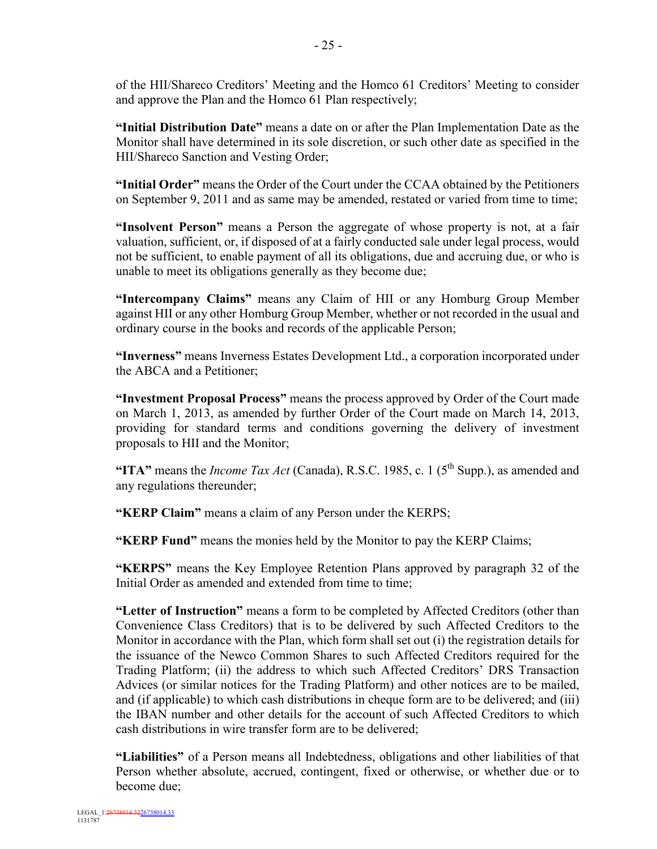of the HII/Shareco Creditors' Meeting and the Homco 61 Creditors' Meeting to consider and approve the Plan and the Homco 61 Plan respectively;

**"Initial Distribution Date"** means a date on or after the Plan Implementation Date as the Monitor shall have determined in its sole discretion, or such other date as specified in the HII/Shareco Sanction and Vesting Order;

**"Initial Order"** means the Order of the Court under the CCAA obtained by the Petitioners on September 9, 2011 and as same may be amended, restated or varied from time to time;

**"Insolvent Person"** means a Person the aggregate of whose property is not, at a fair valuation, sufficient, or, if disposed of at a fairly conducted sale under legal process, would not be sufficient, to enable payment of all its obligations, due and accruing due, or who is unable to meet its obligations generally as they become due;

**"Intercompany Claims"** means any Claim of HII or any Homburg Group Member against HII or any other Homburg Group Member, whether or not recorded in the usual and ordinary course in the books and records of the applicable Person;

**"Inverness"** means Inverness Estates Development Ltd., a corporation incorporated under the ABCA and a Petitioner;

**"Investment Proposal Process"** means the process approved by Order of the Court made on March 1, 2013, as amended by further Order of the Court made on March 14, 2013, providing for standard terms and conditions governing the delivery of investment proposals to HII and the Monitor;

"ITA" means the *Income Tax Act* (Canada), R.S.C. 1985, c. 1 ( $5<sup>th</sup>$  Supp.), as amended and any regulations thereunder;

**"KERP Claim"** means a claim of any Person under the KERPS;

**"KERP Fund"** means the monies held by the Monitor to pay the KERP Claims;

**"KERPS"** means the Key Employee Retention Plans approved by paragraph 32 of the Initial Order as amended and extended from time to time;

**"Letter of Instruction"** means a form to be completed by Affected Creditors (other than Convenience Class Creditors) that is to be delivered by such Affected Creditors to the Monitor in accordance with the Plan, which form shall set out (i) the registration details for the issuance of the Newco Common Shares to such Affected Creditors required for the Trading Platform; (ii) the address to which such Affected Creditors' DRS Transaction Advices (or similar notices for the Trading Platform) and other notices are to be mailed, and (if applicable) to which cash distributions in cheque form are to be delivered; and (iii) the IBAN number and other details for the account of such Affected Creditors to which cash distributions in wire transfer form are to be delivered;

**"Liabilities"** of a Person means all Indebtedness, obligations and other liabilities of that Person whether absolute, accrued, contingent, fixed or otherwise, or whether due or to become due;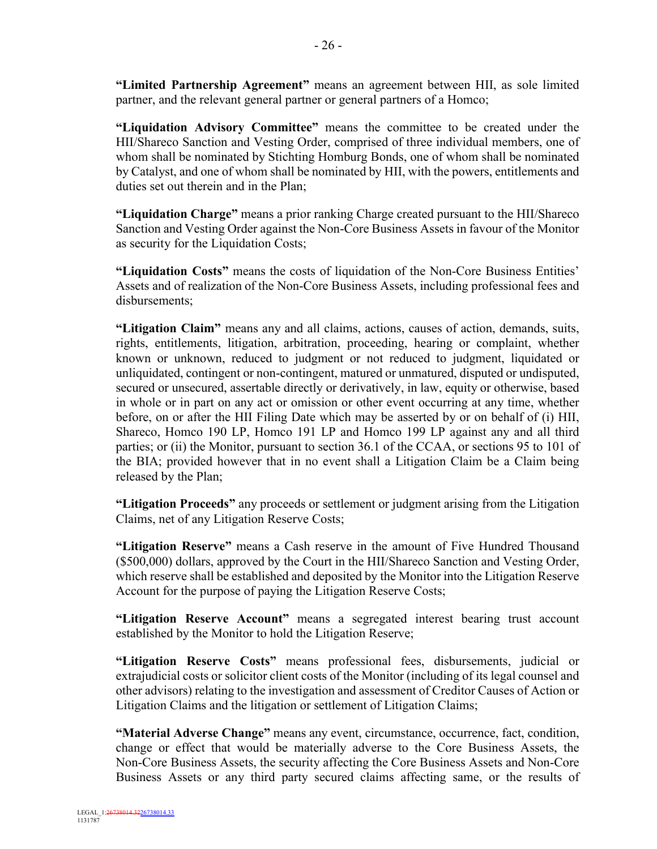**"Limited Partnership Agreement"** means an agreement between HII, as sole limited partner, and the relevant general partner or general partners of a Homco;

**"Liquidation Advisory Committee"** means the committee to be created under the HII/Shareco Sanction and Vesting Order, comprised of three individual members, one of whom shall be nominated by Stichting Homburg Bonds, one of whom shall be nominated by Catalyst, and one of whom shall be nominated by HII, with the powers, entitlements and duties set out therein and in the Plan;

**"Liquidation Charge"** means a prior ranking Charge created pursuant to the HII/Shareco Sanction and Vesting Order against the Non-Core Business Assets in favour of the Monitor as security for the Liquidation Costs;

**"Liquidation Costs"** means the costs of liquidation of the Non-Core Business Entities' Assets and of realization of the Non-Core Business Assets, including professional fees and disbursements;

**"Litigation Claim"** means any and all claims, actions, causes of action, demands, suits, rights, entitlements, litigation, arbitration, proceeding, hearing or complaint, whether known or unknown, reduced to judgment or not reduced to judgment, liquidated or unliquidated, contingent or non-contingent, matured or unmatured, disputed or undisputed, secured or unsecured, assertable directly or derivatively, in law, equity or otherwise, based in whole or in part on any act or omission or other event occurring at any time, whether before, on or after the HII Filing Date which may be asserted by or on behalf of (i) HII, Shareco, Homco 190 LP, Homco 191 LP and Homco 199 LP against any and all third parties; or (ii) the Monitor, pursuant to section 36.1 of the CCAA, or sections 95 to 101 of the BIA; provided however that in no event shall a Litigation Claim be a Claim being released by the Plan;

**"Litigation Proceeds"** any proceeds or settlement or judgment arising from the Litigation Claims, net of any Litigation Reserve Costs;

**"Litigation Reserve"** means a Cash reserve in the amount of Five Hundred Thousand (\$500,000) dollars, approved by the Court in the HII/Shareco Sanction and Vesting Order, which reserve shall be established and deposited by the Monitor into the Litigation Reserve Account for the purpose of paying the Litigation Reserve Costs;

**"Litigation Reserve Account"** means a segregated interest bearing trust account established by the Monitor to hold the Litigation Reserve;

**"Litigation Reserve Costs"** means professional fees, disbursements, judicial or extrajudicial costs or solicitor client costs of the Monitor (including of its legal counsel and other advisors) relating to the investigation and assessment of Creditor Causes of Action or Litigation Claims and the litigation or settlement of Litigation Claims;

**"Material Adverse Change"** means any event, circumstance, occurrence, fact, condition, change or effect that would be materially adverse to the Core Business Assets, the Non-Core Business Assets, the security affecting the Core Business Assets and Non-Core Business Assets or any third party secured claims affecting same, or the results of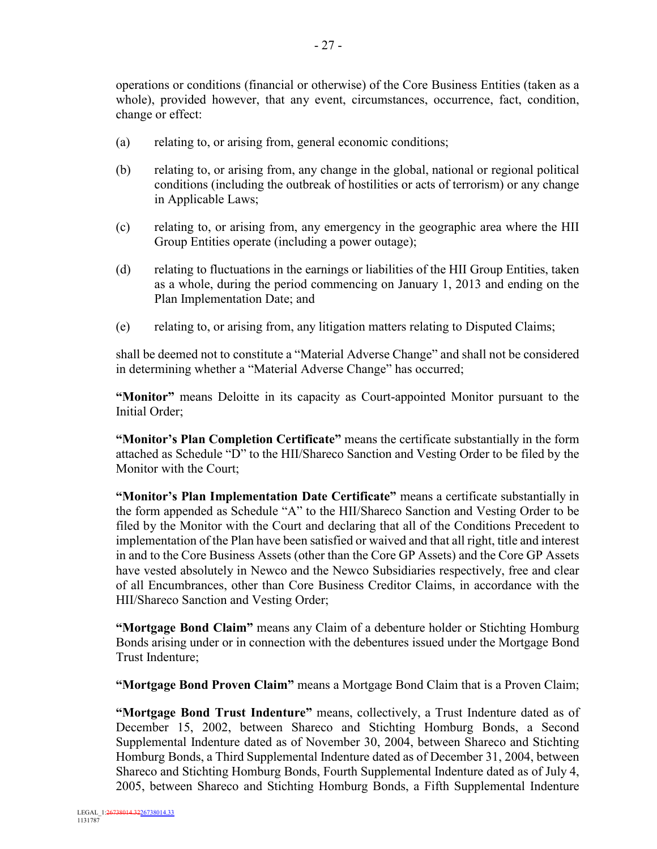operations or conditions (financial or otherwise) of the Core Business Entities (taken as a whole), provided however, that any event, circumstances, occurrence, fact, condition, change or effect:

- (a) relating to, or arising from, general economic conditions;
- (b) relating to, or arising from, any change in the global, national or regional political conditions (including the outbreak of hostilities or acts of terrorism) or any change in Applicable Laws;
- (c) relating to, or arising from, any emergency in the geographic area where the HII Group Entities operate (including a power outage);
- (d) relating to fluctuations in the earnings or liabilities of the HII Group Entities, taken as a whole, during the period commencing on January 1, 2013 and ending on the Plan Implementation Date; and
- (e) relating to, or arising from, any litigation matters relating to Disputed Claims;

shall be deemed not to constitute a "Material Adverse Change" and shall not be considered in determining whether a "Material Adverse Change" has occurred;

**"Monitor"** means Deloitte in its capacity as Court-appointed Monitor pursuant to the Initial Order;

**"Monitor's Plan Completion Certificate"** means the certificate substantially in the form attached as Schedule "D" to the HII/Shareco Sanction and Vesting Order to be filed by the Monitor with the Court;

**"Monitor's Plan Implementation Date Certificate"** means a certificate substantially in the form appended as Schedule "A" to the HII/Shareco Sanction and Vesting Order to be filed by the Monitor with the Court and declaring that all of the Conditions Precedent to implementation of the Plan have been satisfied or waived and that all right, title and interest in and to the Core Business Assets (other than the Core GP Assets) and the Core GP Assets have vested absolutely in Newco and the Newco Subsidiaries respectively, free and clear of all Encumbrances, other than Core Business Creditor Claims, in accordance with the HII/Shareco Sanction and Vesting Order;

**"Mortgage Bond Claim"** means any Claim of a debenture holder or Stichting Homburg Bonds arising under or in connection with the debentures issued under the Mortgage Bond Trust Indenture;

**"Mortgage Bond Proven Claim"** means a Mortgage Bond Claim that is a Proven Claim;

**"Mortgage Bond Trust Indenture"** means, collectively, a Trust Indenture dated as of December 15, 2002, between Shareco and Stichting Homburg Bonds, a Second Supplemental Indenture dated as of November 30, 2004, between Shareco and Stichting Homburg Bonds, a Third Supplemental Indenture dated as of December 31, 2004, between Shareco and Stichting Homburg Bonds, Fourth Supplemental Indenture dated as of July 4, 2005, between Shareco and Stichting Homburg Bonds, a Fifth Supplemental Indenture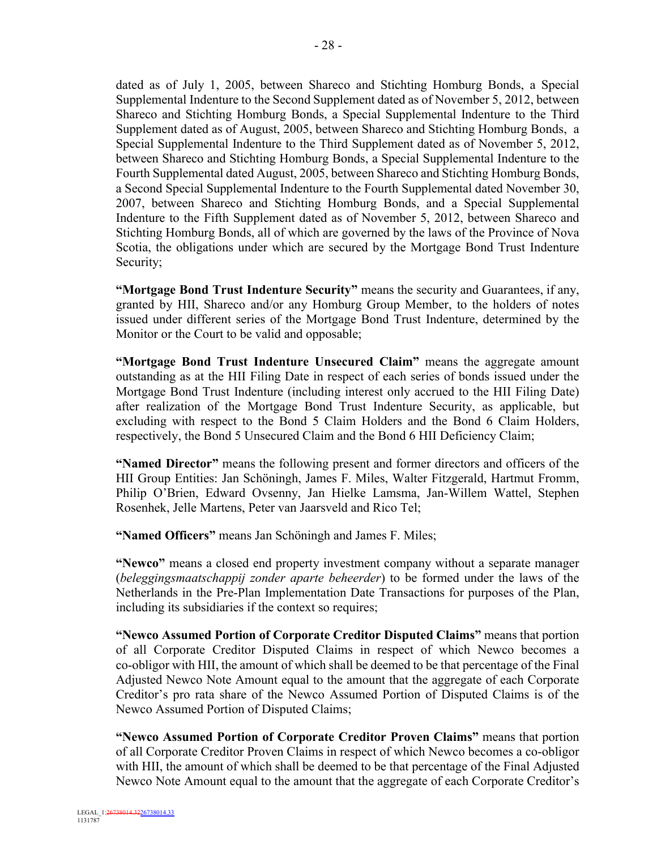dated as of July 1, 2005, between Shareco and Stichting Homburg Bonds, a Special Supplemental Indenture to the Second Supplement dated as of November 5, 2012, between Shareco and Stichting Homburg Bonds, a Special Supplemental Indenture to the Third Supplement dated as of August, 2005, between Shareco and Stichting Homburg Bonds, a Special Supplemental Indenture to the Third Supplement dated as of November 5, 2012, between Shareco and Stichting Homburg Bonds, a Special Supplemental Indenture to the Fourth Supplemental dated August, 2005, between Shareco and Stichting Homburg Bonds, a Second Special Supplemental Indenture to the Fourth Supplemental dated November 30, 2007, between Shareco and Stichting Homburg Bonds, and a Special Supplemental Indenture to the Fifth Supplement dated as of November 5, 2012, between Shareco and

Stichting Homburg Bonds, all of which are governed by the laws of the Province of Nova Scotia, the obligations under which are secured by the Mortgage Bond Trust Indenture Security;

**"Mortgage Bond Trust Indenture Security"** means the security and Guarantees, if any, granted by HII, Shareco and/or any Homburg Group Member, to the holders of notes issued under different series of the Mortgage Bond Trust Indenture, determined by the Monitor or the Court to be valid and opposable;

**"Mortgage Bond Trust Indenture Unsecured Claim"** means the aggregate amount outstanding as at the HII Filing Date in respect of each series of bonds issued under the Mortgage Bond Trust Indenture (including interest only accrued to the HII Filing Date) after realization of the Mortgage Bond Trust Indenture Security, as applicable, but excluding with respect to the Bond 5 Claim Holders and the Bond 6 Claim Holders, respectively, the Bond 5 Unsecured Claim and the Bond 6 HII Deficiency Claim;

**"Named Director"** means the following present and former directors and officers of the HII Group Entities: Jan Schöningh, James F. Miles, Walter Fitzgerald, Hartmut Fromm, Philip O'Brien, Edward Ovsenny, Jan Hielke Lamsma, Jan-Willem Wattel, Stephen Rosenhek, Jelle Martens, Peter van Jaarsveld and Rico Tel;

**"Named Officers"** means Jan Schöningh and James F. Miles;

**"Newco"** means a closed end property investment company without a separate manager (*beleggingsmaatschappij zonder aparte beheerder*) to be formed under the laws of the Netherlands in the Pre-Plan Implementation Date Transactions for purposes of the Plan, including its subsidiaries if the context so requires;

**"Newco Assumed Portion of Corporate Creditor Disputed Claims"** means that portion of all Corporate Creditor Disputed Claims in respect of which Newco becomes a co-obligor with HII, the amount of which shall be deemed to be that percentage of the Final Adjusted Newco Note Amount equal to the amount that the aggregate of each Corporate Creditor's pro rata share of the Newco Assumed Portion of Disputed Claims is of the Newco Assumed Portion of Disputed Claims;

**"Newco Assumed Portion of Corporate Creditor Proven Claims"** means that portion of all Corporate Creditor Proven Claims in respect of which Newco becomes a co-obligor with HII, the amount of which shall be deemed to be that percentage of the Final Adjusted Newco Note Amount equal to the amount that the aggregate of each Corporate Creditor's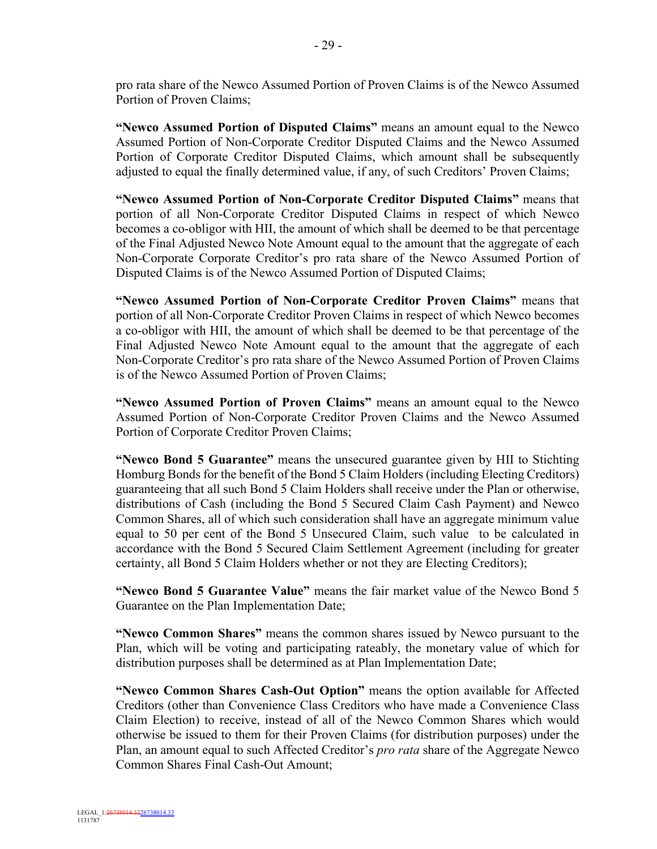pro rata share of the Newco Assumed Portion of Proven Claims is of the Newco Assumed Portion of Proven Claims;

**"Newco Assumed Portion of Disputed Claims"** means an amount equal to the Newco Assumed Portion of Non-Corporate Creditor Disputed Claims and the Newco Assumed Portion of Corporate Creditor Disputed Claims, which amount shall be subsequently adjusted to equal the finally determined value, if any, of such Creditors' Proven Claims;

**"Newco Assumed Portion of Non-Corporate Creditor Disputed Claims"** means that portion of all Non-Corporate Creditor Disputed Claims in respect of which Newco becomes a co-obligor with HII, the amount of which shall be deemed to be that percentage of the Final Adjusted Newco Note Amount equal to the amount that the aggregate of each Non-Corporate Corporate Creditor's pro rata share of the Newco Assumed Portion of Disputed Claims is of the Newco Assumed Portion of Disputed Claims;

**"Newco Assumed Portion of Non-Corporate Creditor Proven Claims"** means that portion of all Non-Corporate Creditor Proven Claims in respect of which Newco becomes a co-obligor with HII, the amount of which shall be deemed to be that percentage of the Final Adjusted Newco Note Amount equal to the amount that the aggregate of each Non-Corporate Creditor's pro rata share of the Newco Assumed Portion of Proven Claims is of the Newco Assumed Portion of Proven Claims;

**"Newco Assumed Portion of Proven Claims"** means an amount equal to the Newco Assumed Portion of Non-Corporate Creditor Proven Claims and the Newco Assumed Portion of Corporate Creditor Proven Claims;

**"Newco Bond 5 Guarantee"** means the unsecured guarantee given by HII to Stichting Homburg Bonds for the benefit of the Bond 5 Claim Holders (including Electing Creditors) guaranteeing that all such Bond 5 Claim Holders shall receive under the Plan or otherwise, distributions of Cash (including the Bond 5 Secured Claim Cash Payment) and Newco Common Shares, all of which such consideration shall have an aggregate minimum value equal to 50 per cent of the Bond 5 Unsecured Claim, such value to be calculated in accordance with the Bond 5 Secured Claim Settlement Agreement (including for greater certainty, all Bond 5 Claim Holders whether or not they are Electing Creditors);

**"Newco Bond 5 Guarantee Value"** means the fair market value of the Newco Bond 5 Guarantee on the Plan Implementation Date;

**"Newco Common Shares"** means the common shares issued by Newco pursuant to the Plan, which will be voting and participating rateably, the monetary value of which for distribution purposes shall be determined as at Plan Implementation Date;

**"Newco Common Shares Cash-Out Option"** means the option available for Affected Creditors (other than Convenience Class Creditors who have made a Convenience Class Claim Election) to receive, instead of all of the Newco Common Shares which would otherwise be issued to them for their Proven Claims (for distribution purposes) under the Plan, an amount equal to such Affected Creditor's *pro rata* share of the Aggregate Newco Common Shares Final Cash-Out Amount;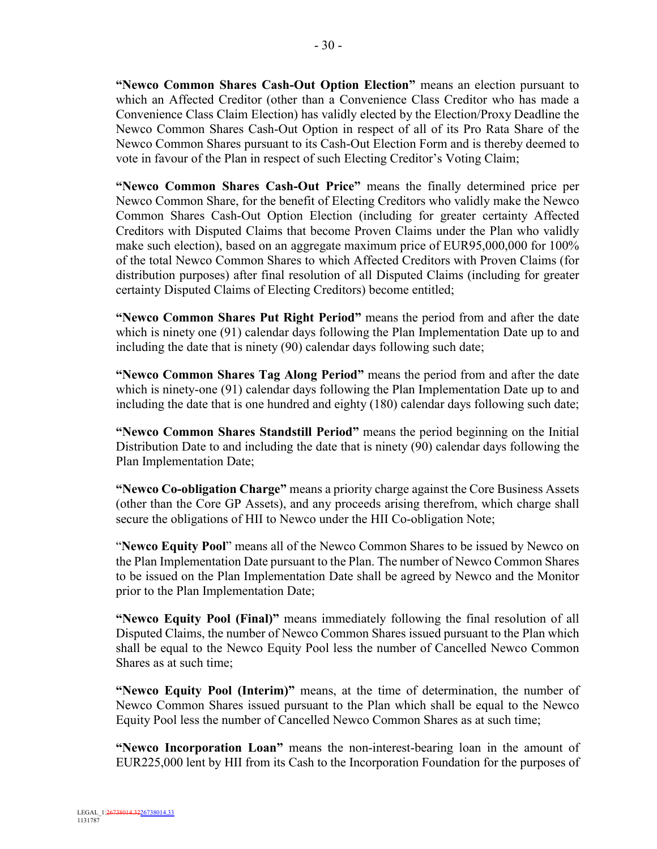**"Newco Common Shares Cash-Out Option Election"** means an election pursuant to which an Affected Creditor (other than a Convenience Class Creditor who has made a Convenience Class Claim Election) has validly elected by the Election/Proxy Deadline the Newco Common Shares Cash-Out Option in respect of all of its Pro Rata Share of the Newco Common Shares pursuant to its Cash-Out Election Form and is thereby deemed to vote in favour of the Plan in respect of such Electing Creditor's Voting Claim;

**"Newco Common Shares Cash-Out Price"** means the finally determined price per Newco Common Share, for the benefit of Electing Creditors who validly make the Newco Common Shares Cash-Out Option Election (including for greater certainty Affected Creditors with Disputed Claims that become Proven Claims under the Plan who validly make such election), based on an aggregate maximum price of EUR95,000,000 for 100% of the total Newco Common Shares to which Affected Creditors with Proven Claims (for distribution purposes) after final resolution of all Disputed Claims (including for greater certainty Disputed Claims of Electing Creditors) become entitled;

**"Newco Common Shares Put Right Period"** means the period from and after the date which is ninety one (91) calendar days following the Plan Implementation Date up to and including the date that is ninety (90) calendar days following such date;

**"Newco Common Shares Tag Along Period"** means the period from and after the date which is ninety-one (91) calendar days following the Plan Implementation Date up to and including the date that is one hundred and eighty (180) calendar days following such date;

**"Newco Common Shares Standstill Period"** means the period beginning on the Initial Distribution Date to and including the date that is ninety (90) calendar days following the Plan Implementation Date;

**"Newco Co-obligation Charge"** means a priority charge against the Core Business Assets (other than the Core GP Assets), and any proceeds arising therefrom, which charge shall secure the obligations of HII to Newco under the HII Co-obligation Note;

"**Newco Equity Pool**" means all of the Newco Common Shares to be issued by Newco on the Plan Implementation Date pursuant to the Plan. The number of Newco Common Shares to be issued on the Plan Implementation Date shall be agreed by Newco and the Monitor prior to the Plan Implementation Date;

**"Newco Equity Pool (Final)"** means immediately following the final resolution of all Disputed Claims, the number of Newco Common Shares issued pursuant to the Plan which shall be equal to the Newco Equity Pool less the number of Cancelled Newco Common Shares as at such time;

**"Newco Equity Pool (Interim)"** means, at the time of determination, the number of Newco Common Shares issued pursuant to the Plan which shall be equal to the Newco Equity Pool less the number of Cancelled Newco Common Shares as at such time;

**"Newco Incorporation Loan"** means the non-interest-bearing loan in the amount of EUR225,000 lent by HII from its Cash to the Incorporation Foundation for the purposes of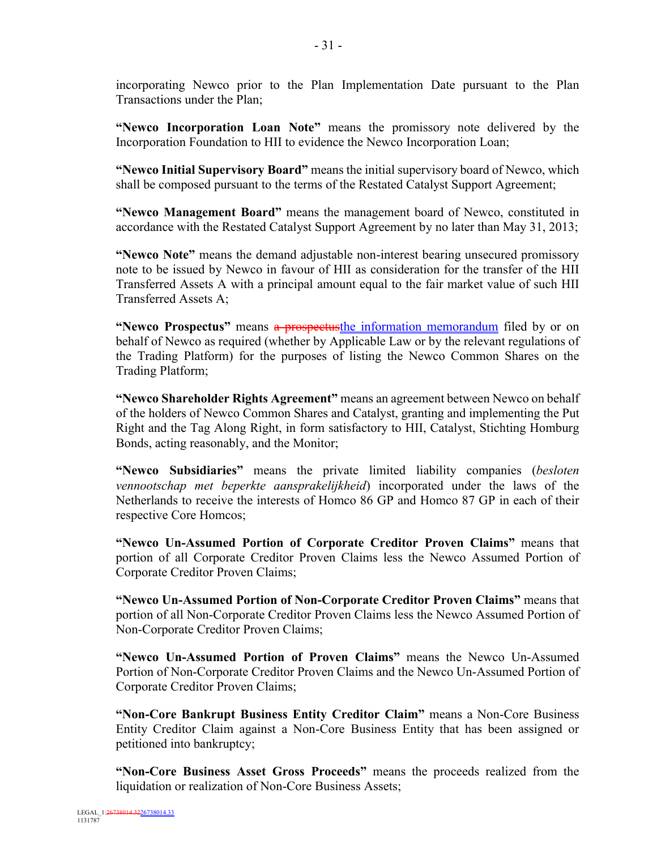incorporating Newco prior to the Plan Implementation Date pursuant to the Plan Transactions under the Plan;

**"Newco Incorporation Loan Note"** means the promissory note delivered by the Incorporation Foundation to HII to evidence the Newco Incorporation Loan;

**"Newco Initial Supervisory Board"** means the initial supervisory board of Newco, which shall be composed pursuant to the terms of the Restated Catalyst Support Agreement;

**"Newco Management Board"** means the management board of Newco, constituted in accordance with the Restated Catalyst Support Agreement by no later than May 31, 2013;

**"Newco Note"** means the demand adjustable non-interest bearing unsecured promissory note to be issued by Newco in favour of HII as consideration for the transfer of the HII Transferred Assets A with a principal amount equal to the fair market value of such HII Transferred Assets A;

**"Newco Prospectus"** means a prospectus the information memorandum filed by or on behalf of Newco as required (whether by Applicable Law or by the relevant regulations of the Trading Platform) for the purposes of listing the Newco Common Shares on the Trading Platform;

**"Newco Shareholder Rights Agreement"** means an agreement between Newco on behalf of the holders of Newco Common Shares and Catalyst, granting and implementing the Put Right and the Tag Along Right, in form satisfactory to HII, Catalyst, Stichting Homburg Bonds, acting reasonably, and the Monitor;

**"Newco Subsidiaries"** means the private limited liability companies (*besloten vennootschap met beperkte aansprakelijkheid*) incorporated under the laws of the Netherlands to receive the interests of Homco 86 GP and Homco 87 GP in each of their respective Core Homcos;

**"Newco Un-Assumed Portion of Corporate Creditor Proven Claims"** means that portion of all Corporate Creditor Proven Claims less the Newco Assumed Portion of Corporate Creditor Proven Claims;

**"Newco Un-Assumed Portion of Non-Corporate Creditor Proven Claims"** means that portion of all Non-Corporate Creditor Proven Claims less the Newco Assumed Portion of Non-Corporate Creditor Proven Claims;

**"Newco Un-Assumed Portion of Proven Claims"** means the Newco Un-Assumed Portion of Non-Corporate Creditor Proven Claims and the Newco Un-Assumed Portion of Corporate Creditor Proven Claims;

**"Non-Core Bankrupt Business Entity Creditor Claim"** means a Non-Core Business Entity Creditor Claim against a Non-Core Business Entity that has been assigned or petitioned into bankruptcy;

**"Non-Core Business Asset Gross Proceeds"** means the proceeds realized from the liquidation or realization of Non-Core Business Assets;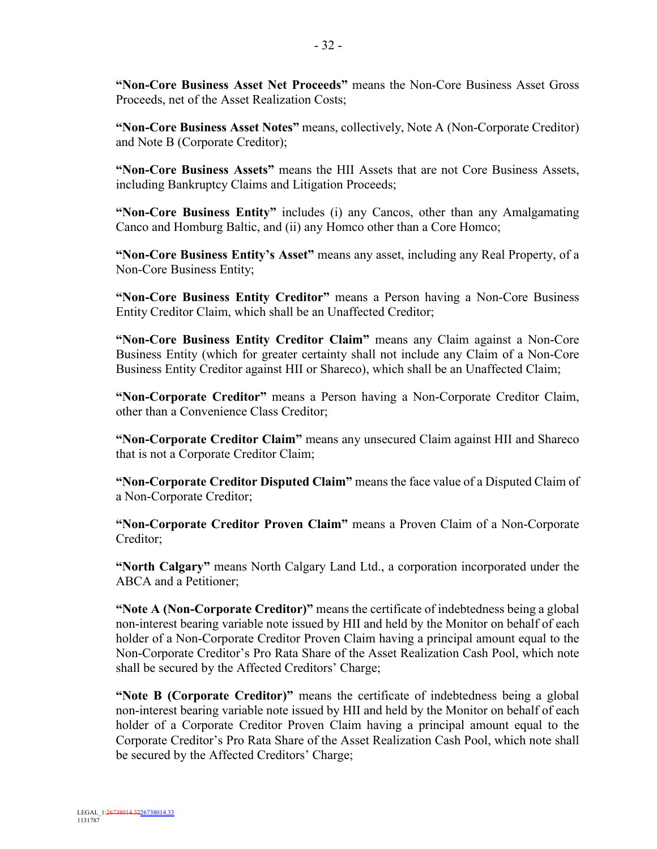**"Non-Core Business Asset Net Proceeds"** means the Non-Core Business Asset Gross Proceeds, net of the Asset Realization Costs;

**"Non-Core Business Asset Notes"** means, collectively, Note A (Non-Corporate Creditor) and Note B (Corporate Creditor);

**"Non-Core Business Assets"** means the HII Assets that are not Core Business Assets, including Bankruptcy Claims and Litigation Proceeds;

**"Non-Core Business Entity"** includes (i) any Cancos, other than any Amalgamating Canco and Homburg Baltic, and (ii) any Homco other than a Core Homco;

**"Non-Core Business Entity's Asset"** means any asset, including any Real Property, of a Non-Core Business Entity;

**"Non-Core Business Entity Creditor"** means a Person having a Non-Core Business Entity Creditor Claim, which shall be an Unaffected Creditor;

**"Non-Core Business Entity Creditor Claim"** means any Claim against a Non-Core Business Entity (which for greater certainty shall not include any Claim of a Non-Core Business Entity Creditor against HII or Shareco), which shall be an Unaffected Claim;

**"Non-Corporate Creditor"** means a Person having a Non-Corporate Creditor Claim, other than a Convenience Class Creditor;

**"Non-Corporate Creditor Claim"** means any unsecured Claim against HII and Shareco that is not a Corporate Creditor Claim;

**"Non-Corporate Creditor Disputed Claim"** means the face value of a Disputed Claim of a Non-Corporate Creditor;

**"Non-Corporate Creditor Proven Claim"** means a Proven Claim of a Non-Corporate Creditor;

**"North Calgary"** means North Calgary Land Ltd., a corporation incorporated under the ABCA and a Petitioner;

**"Note A (Non-Corporate Creditor)"** means the certificate of indebtedness being a global non-interest bearing variable note issued by HII and held by the Monitor on behalf of each holder of a Non-Corporate Creditor Proven Claim having a principal amount equal to the Non-Corporate Creditor's Pro Rata Share of the Asset Realization Cash Pool, which note shall be secured by the Affected Creditors' Charge;

**"Note B (Corporate Creditor)"** means the certificate of indebtedness being a global non-interest bearing variable note issued by HII and held by the Monitor on behalf of each holder of a Corporate Creditor Proven Claim having a principal amount equal to the Corporate Creditor's Pro Rata Share of the Asset Realization Cash Pool, which note shall be secured by the Affected Creditors' Charge;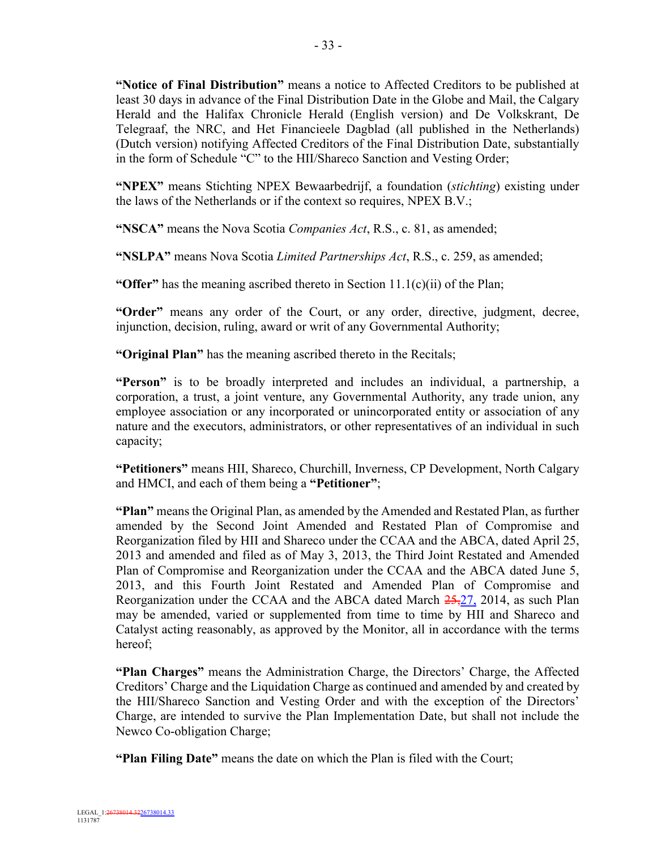**"Notice of Final Distribution"** means a notice to Affected Creditors to be published at least 30 days in advance of the Final Distribution Date in the Globe and Mail, the Calgary Herald and the Halifax Chronicle Herald (English version) and De Volkskrant, De Telegraaf, the NRC, and Het Financieele Dagblad (all published in the Netherlands) (Dutch version) notifying Affected Creditors of the Final Distribution Date, substantially in the form of Schedule "C" to the HII/Shareco Sanction and Vesting Order;

**"NPEX"** means Stichting NPEX Bewaarbedrijf, a foundation (*stichting*) existing under the laws of the Netherlands or if the context so requires, NPEX B.V.;

**"NSCA"** means the Nova Scotia *Companies Act*, R.S., c. 81, as amended;

**"NSLPA"** means Nova Scotia *Limited Partnerships Act*, R.S., c. 259, as amended;

**"Offer"** has the meaning ascribed thereto in Section 11.1(c)(ii) of the Plan;

**"Order"** means any order of the Court, or any order, directive, judgment, decree, injunction, decision, ruling, award or writ of any Governmental Authority;

**"Original Plan"** has the meaning ascribed thereto in the Recitals;

**"Person"** is to be broadly interpreted and includes an individual, a partnership, a corporation, a trust, a joint venture, any Governmental Authority, any trade union, any employee association or any incorporated or unincorporated entity or association of any nature and the executors, administrators, or other representatives of an individual in such capacity;

**"Petitioners"** means HII, Shareco, Churchill, Inverness, CP Development, North Calgary and HMCI, and each of them being a **"Petitioner"**;

**"Plan"** means the Original Plan, as amended by the Amended and Restated Plan, as further amended by the Second Joint Amended and Restated Plan of Compromise and Reorganization filed by HII and Shareco under the CCAA and the ABCA, dated April 25, 2013 and amended and filed as of May 3, 2013, the Third Joint Restated and Amended Plan of Compromise and Reorganization under the CCAA and the ABCA dated June 5, 2013, and this Fourth Joint Restated and Amended Plan of Compromise and Reorganization under the CCAA and the ABCA dated March 25,27, 2014, as such Plan may be amended, varied or supplemented from time to time by HII and Shareco and Catalyst acting reasonably, as approved by the Monitor, all in accordance with the terms hereof;

**"Plan Charges"** means the Administration Charge, the Directors' Charge, the Affected Creditors' Charge and the Liquidation Charge as continued and amended by and created by the HII/Shareco Sanction and Vesting Order and with the exception of the Directors' Charge, are intended to survive the Plan Implementation Date, but shall not include the Newco Co-obligation Charge;

**"Plan Filing Date"** means the date on which the Plan is filed with the Court;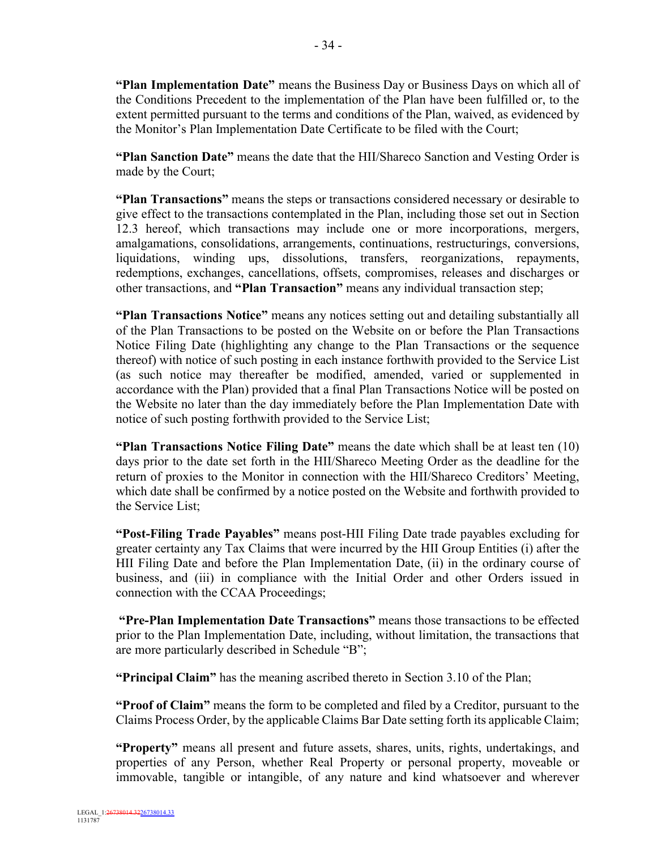**"Plan Implementation Date"** means the Business Day or Business Days on which all of the Conditions Precedent to the implementation of the Plan have been fulfilled or, to the extent permitted pursuant to the terms and conditions of the Plan, waived, as evidenced by the Monitor's Plan Implementation Date Certificate to be filed with the Court;

**"Plan Sanction Date"** means the date that the HII/Shareco Sanction and Vesting Order is made by the Court;

**"Plan Transactions"** means the steps or transactions considered necessary or desirable to give effect to the transactions contemplated in the Plan, including those set out in Section 12.3 hereof, which transactions may include one or more incorporations, mergers, amalgamations, consolidations, arrangements, continuations, restructurings, conversions, liquidations, winding ups, dissolutions, transfers, reorganizations, repayments, redemptions, exchanges, cancellations, offsets, compromises, releases and discharges or other transactions, and **"Plan Transaction"** means any individual transaction step;

**"Plan Transactions Notice"** means any notices setting out and detailing substantially all of the Plan Transactions to be posted on the Website on or before the Plan Transactions Notice Filing Date (highlighting any change to the Plan Transactions or the sequence thereof) with notice of such posting in each instance forthwith provided to the Service List (as such notice may thereafter be modified, amended, varied or supplemented in accordance with the Plan) provided that a final Plan Transactions Notice will be posted on the Website no later than the day immediately before the Plan Implementation Date with notice of such posting forthwith provided to the Service List;

**"Plan Transactions Notice Filing Date"** means the date which shall be at least ten (10) days prior to the date set forth in the HII/Shareco Meeting Order as the deadline for the return of proxies to the Monitor in connection with the HII/Shareco Creditors' Meeting, which date shall be confirmed by a notice posted on the Website and forthwith provided to the Service List;

**"Post-Filing Trade Payables"** means post-HII Filing Date trade payables excluding for greater certainty any Tax Claims that were incurred by the HII Group Entities (i) after the HII Filing Date and before the Plan Implementation Date, (ii) in the ordinary course of business, and (iii) in compliance with the Initial Order and other Orders issued in connection with the CCAA Proceedings;

**"Pre-Plan Implementation Date Transactions"** means those transactions to be effected prior to the Plan Implementation Date, including, without limitation, the transactions that are more particularly described in Schedule "B";

**"Principal Claim"** has the meaning ascribed thereto in Section 3.10 of the Plan;

**"Proof of Claim"** means the form to be completed and filed by a Creditor, pursuant to the Claims Process Order, by the applicable Claims Bar Date setting forth its applicable Claim;

**"Property"** means all present and future assets, shares, units, rights, undertakings, and properties of any Person, whether Real Property or personal property, moveable or immovable, tangible or intangible, of any nature and kind whatsoever and wherever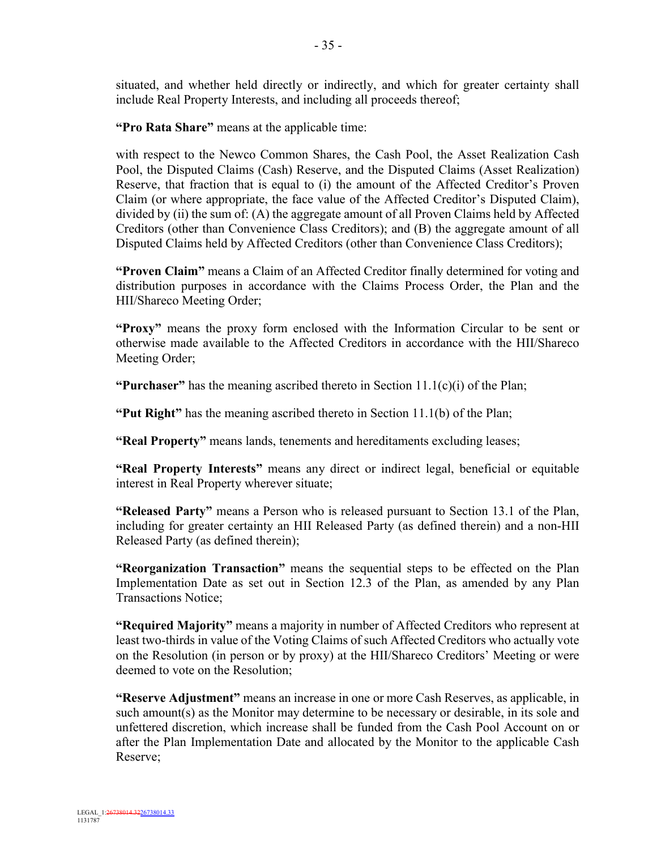situated, and whether held directly or indirectly, and which for greater certainty shall include Real Property Interests, and including all proceeds thereof;

**"Pro Rata Share"** means at the applicable time:

with respect to the Newco Common Shares, the Cash Pool, the Asset Realization Cash Pool, the Disputed Claims (Cash) Reserve, and the Disputed Claims (Asset Realization) Reserve, that fraction that is equal to (i) the amount of the Affected Creditor's Proven Claim (or where appropriate, the face value of the Affected Creditor's Disputed Claim), divided by (ii) the sum of: (A) the aggregate amount of all Proven Claims held by Affected Creditors (other than Convenience Class Creditors); and (B) the aggregate amount of all Disputed Claims held by Affected Creditors (other than Convenience Class Creditors);

**"Proven Claim"** means a Claim of an Affected Creditor finally determined for voting and distribution purposes in accordance with the Claims Process Order, the Plan and the HII/Shareco Meeting Order;

**"Proxy"** means the proxy form enclosed with the Information Circular to be sent or otherwise made available to the Affected Creditors in accordance with the HII/Shareco Meeting Order;

**"Purchaser"** has the meaning ascribed thereto in Section  $11.1(c)(i)$  of the Plan;

**"Put Right"** has the meaning ascribed thereto in Section 11.1(b) of the Plan;

**"Real Property"** means lands, tenements and hereditaments excluding leases;

**"Real Property Interests"** means any direct or indirect legal, beneficial or equitable interest in Real Property wherever situate;

**"Released Party"** means a Person who is released pursuant to Section 13.1 of the Plan, including for greater certainty an HII Released Party (as defined therein) and a non-HII Released Party (as defined therein);

**"Reorganization Transaction"** means the sequential steps to be effected on the Plan Implementation Date as set out in Section 12.3 of the Plan, as amended by any Plan Transactions Notice;

**"Required Majority"** means a majority in number of Affected Creditors who represent at least two-thirds in value of the Voting Claims of such Affected Creditors who actually vote on the Resolution (in person or by proxy) at the HII/Shareco Creditors' Meeting or were deemed to vote on the Resolution;

**"Reserve Adjustment"** means an increase in one or more Cash Reserves, as applicable, in such amount(s) as the Monitor may determine to be necessary or desirable, in its sole and unfettered discretion, which increase shall be funded from the Cash Pool Account on or after the Plan Implementation Date and allocated by the Monitor to the applicable Cash Reserve;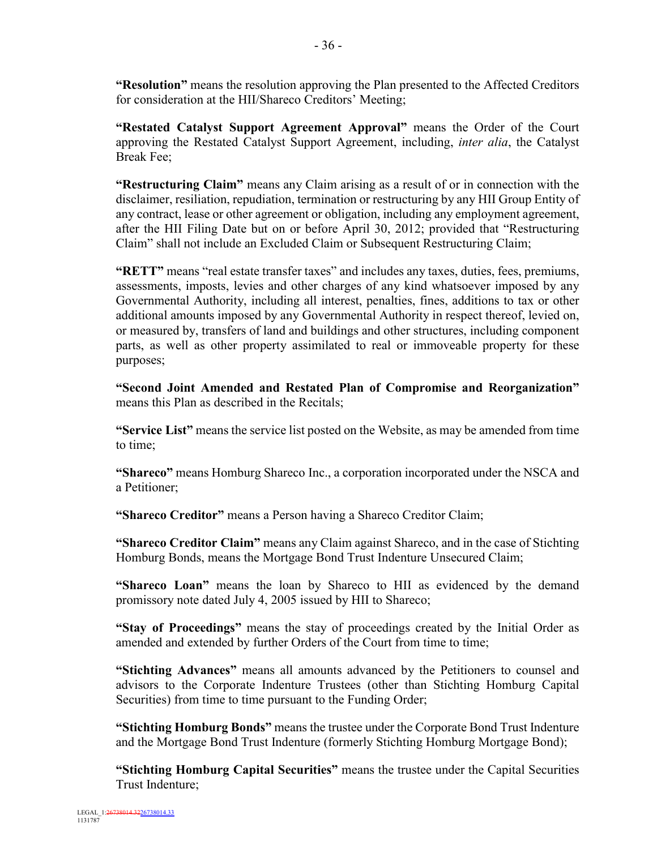**"Resolution"** means the resolution approving the Plan presented to the Affected Creditors for consideration at the HII/Shareco Creditors' Meeting;

**"Restated Catalyst Support Agreement Approval"** means the Order of the Court approving the Restated Catalyst Support Agreement, including, *inter alia*, the Catalyst Break Fee;

**"Restructuring Claim"** means any Claim arising as a result of or in connection with the disclaimer, resiliation, repudiation, termination or restructuring by any HII Group Entity of any contract, lease or other agreement or obligation, including any employment agreement, after the HII Filing Date but on or before April 30, 2012; provided that "Restructuring Claim" shall not include an Excluded Claim or Subsequent Restructuring Claim;

**"RETT"** means "real estate transfer taxes" and includes any taxes, duties, fees, premiums, assessments, imposts, levies and other charges of any kind whatsoever imposed by any Governmental Authority, including all interest, penalties, fines, additions to tax or other additional amounts imposed by any Governmental Authority in respect thereof, levied on, or measured by, transfers of land and buildings and other structures, including component parts, as well as other property assimilated to real or immoveable property for these purposes;

**"Second Joint Amended and Restated Plan of Compromise and Reorganization"**  means this Plan as described in the Recitals;

**"Service List"** means the service list posted on the Website, as may be amended from time to time;

**"Shareco"** means Homburg Shareco Inc., a corporation incorporated under the NSCA and a Petitioner;

**"Shareco Creditor"** means a Person having a Shareco Creditor Claim;

**"Shareco Creditor Claim"** means any Claim against Shareco, and in the case of Stichting Homburg Bonds, means the Mortgage Bond Trust Indenture Unsecured Claim;

**"Shareco Loan"** means the loan by Shareco to HII as evidenced by the demand promissory note dated July 4, 2005 issued by HII to Shareco;

**"Stay of Proceedings"** means the stay of proceedings created by the Initial Order as amended and extended by further Orders of the Court from time to time;

**"Stichting Advances"** means all amounts advanced by the Petitioners to counsel and advisors to the Corporate Indenture Trustees (other than Stichting Homburg Capital Securities) from time to time pursuant to the Funding Order;

**"Stichting Homburg Bonds"** means the trustee under the Corporate Bond Trust Indenture and the Mortgage Bond Trust Indenture (formerly Stichting Homburg Mortgage Bond);

**"Stichting Homburg Capital Securities"** means the trustee under the Capital Securities Trust Indenture;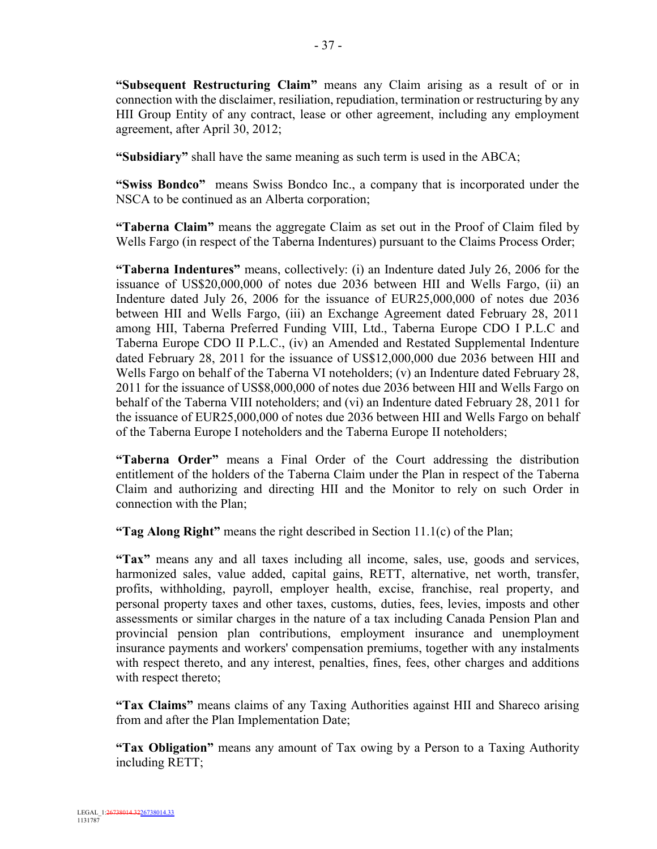**"Subsequent Restructuring Claim"** means any Claim arising as a result of or in connection with the disclaimer, resiliation, repudiation, termination or restructuring by any HII Group Entity of any contract, lease or other agreement, including any employment agreement, after April 30, 2012;

**"Subsidiary"** shall have the same meaning as such term is used in the ABCA;

**"Swiss Bondco"** means Swiss Bondco Inc., a company that is incorporated under the NSCA to be continued as an Alberta corporation;

**"Taberna Claim"** means the aggregate Claim as set out in the Proof of Claim filed by Wells Fargo (in respect of the Taberna Indentures) pursuant to the Claims Process Order;

**"Taberna Indentures"** means, collectively: (i) an Indenture dated July 26, 2006 for the issuance of US\$20,000,000 of notes due 2036 between HII and Wells Fargo, (ii) an Indenture dated July 26, 2006 for the issuance of EUR25,000,000 of notes due 2036 between HII and Wells Fargo, (iii) an Exchange Agreement dated February 28, 2011 among HII, Taberna Preferred Funding VIII, Ltd., Taberna Europe CDO I P.L.C and Taberna Europe CDO II P.L.C., (iv) an Amended and Restated Supplemental Indenture dated February 28, 2011 for the issuance of US\$12,000,000 due 2036 between HII and Wells Fargo on behalf of the Taberna VI noteholders: (v) an Indenture dated February 28, 2011 for the issuance of US\$8,000,000 of notes due 2036 between HII and Wells Fargo on behalf of the Taberna VIII noteholders; and (vi) an Indenture dated February 28, 2011 for the issuance of EUR25,000,000 of notes due 2036 between HII and Wells Fargo on behalf of the Taberna Europe I noteholders and the Taberna Europe II noteholders;

**"Taberna Order"** means a Final Order of the Court addressing the distribution entitlement of the holders of the Taberna Claim under the Plan in respect of the Taberna Claim and authorizing and directing HII and the Monitor to rely on such Order in connection with the Plan;

**"Tag Along Right"** means the right described in Section 11.1(c) of the Plan;

**"Tax"** means any and all taxes including all income, sales, use, goods and services, harmonized sales, value added, capital gains, RETT, alternative, net worth, transfer, profits, withholding, payroll, employer health, excise, franchise, real property, and personal property taxes and other taxes, customs, duties, fees, levies, imposts and other assessments or similar charges in the nature of a tax including Canada Pension Plan and provincial pension plan contributions, employment insurance and unemployment insurance payments and workers' compensation premiums, together with any instalments with respect thereto, and any interest, penalties, fines, fees, other charges and additions with respect thereto;

**"Tax Claims"** means claims of any Taxing Authorities against HII and Shareco arising from and after the Plan Implementation Date;

**"Tax Obligation"** means any amount of Tax owing by a Person to a Taxing Authority including RETT;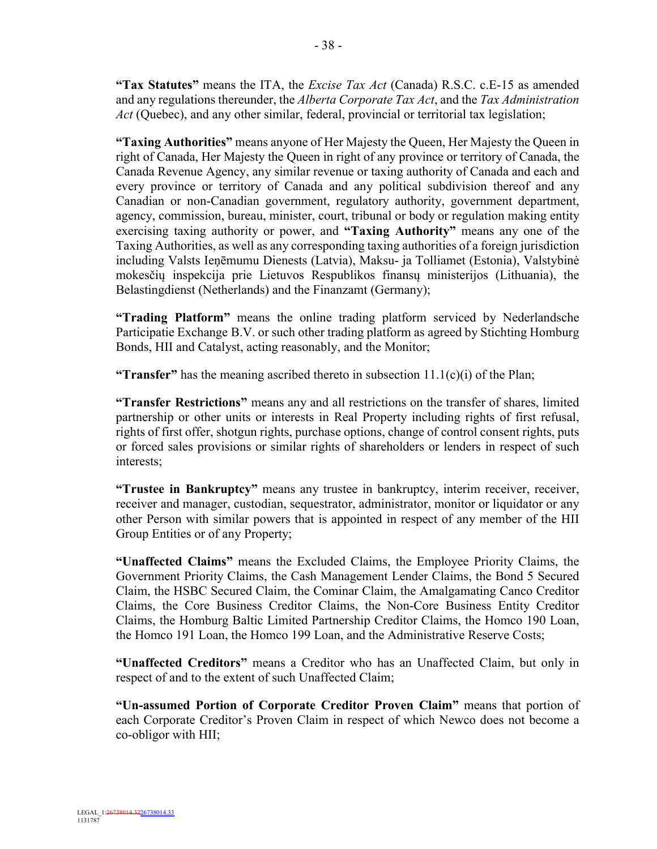**"Tax Statutes"** means the ITA, the *Excise Tax Act* (Canada) R.S.C. c.E-15 as amended and any regulations thereunder, the *Alberta Corporate Tax Act*, and the *Tax Administration Act* (Quebec), and any other similar, federal, provincial or territorial tax legislation;

**"Taxing Authorities"** means anyone of Her Majesty the Queen, Her Majesty the Queen in right of Canada, Her Majesty the Queen in right of any province or territory of Canada, the Canada Revenue Agency, any similar revenue or taxing authority of Canada and each and every province or territory of Canada and any political subdivision thereof and any Canadian or non-Canadian government, regulatory authority, government department, agency, commission, bureau, minister, court, tribunal or body or regulation making entity exercising taxing authority or power, and **"Taxing Authority"** means any one of the Taxing Authorities, as well as any corresponding taxing authorities of a foreign jurisdiction including Valsts Ieņēmumu Dienests (Latvia), Maksu- ja Tolliamet (Estonia), Valstybinė mokesčių inspekcija prie Lietuvos Respublikos finansų ministerijos (Lithuania), the Belastingdienst (Netherlands) and the Finanzamt (Germany);

**"Trading Platform"** means the online trading platform serviced by Nederlandsche Participatie Exchange B.V. or such other trading platform as agreed by Stichting Homburg Bonds, HII and Catalyst, acting reasonably, and the Monitor;

**"Transfer"** has the meaning ascribed thereto in subsection 11.1(c)(i) of the Plan;

**"Transfer Restrictions"** means any and all restrictions on the transfer of shares, limited partnership or other units or interests in Real Property including rights of first refusal, rights of first offer, shotgun rights, purchase options, change of control consent rights, puts or forced sales provisions or similar rights of shareholders or lenders in respect of such interests;

**"Trustee in Bankruptcy"** means any trustee in bankruptcy, interim receiver, receiver, receiver and manager, custodian, sequestrator, administrator, monitor or liquidator or any other Person with similar powers that is appointed in respect of any member of the HII Group Entities or of any Property;

**"Unaffected Claims"** means the Excluded Claims, the Employee Priority Claims, the Government Priority Claims, the Cash Management Lender Claims, the Bond 5 Secured Claim, the HSBC Secured Claim, the Cominar Claim, the Amalgamating Canco Creditor Claims, the Core Business Creditor Claims, the Non-Core Business Entity Creditor Claims, the Homburg Baltic Limited Partnership Creditor Claims, the Homco 190 Loan, the Homco 191 Loan, the Homco 199 Loan, and the Administrative Reserve Costs;

**"Unaffected Creditors"** means a Creditor who has an Unaffected Claim, but only in respect of and to the extent of such Unaffected Claim;

**"Un-assumed Portion of Corporate Creditor Proven Claim"** means that portion of each Corporate Creditor's Proven Claim in respect of which Newco does not become a co-obligor with HII;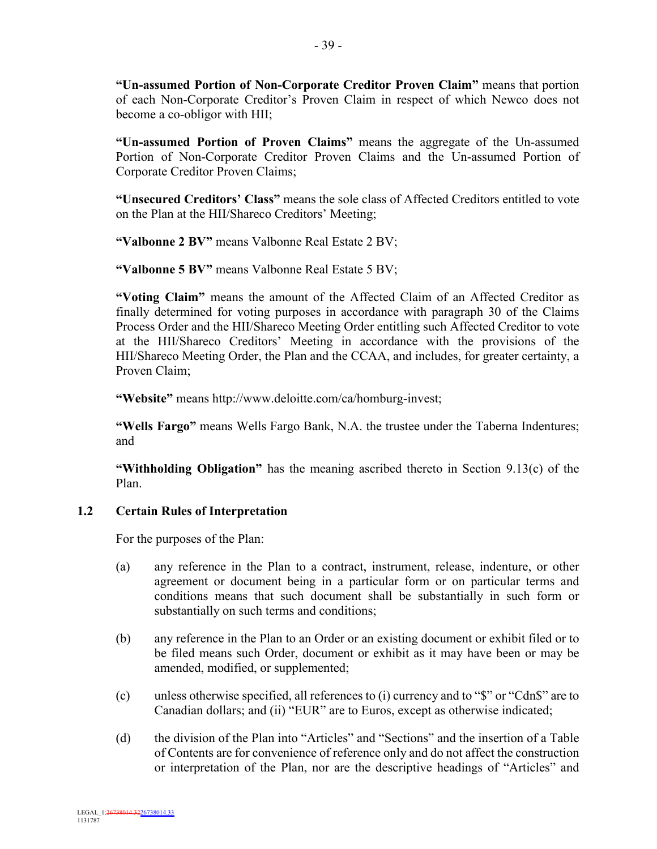**"Un-assumed Portion of Non-Corporate Creditor Proven Claim"** means that portion of each Non-Corporate Creditor's Proven Claim in respect of which Newco does not become a co-obligor with HII;

**"Un-assumed Portion of Proven Claims"** means the aggregate of the Un-assumed Portion of Non-Corporate Creditor Proven Claims and the Un-assumed Portion of Corporate Creditor Proven Claims;

**"Unsecured Creditors' Class"** means the sole class of Affected Creditors entitled to vote on the Plan at the HII/Shareco Creditors' Meeting;

**"Valbonne 2 BV"** means Valbonne Real Estate 2 BV;

**"Valbonne 5 BV"** means Valbonne Real Estate 5 BV;

**"Voting Claim"** means the amount of the Affected Claim of an Affected Creditor as finally determined for voting purposes in accordance with paragraph 30 of the Claims Process Order and the HII/Shareco Meeting Order entitling such Affected Creditor to vote at the HII/Shareco Creditors' Meeting in accordance with the provisions of the HII/Shareco Meeting Order, the Plan and the CCAA, and includes, for greater certainty, a Proven Claim;

**"Website"** means http://www.deloitte.com/ca/homburg-invest;

**"Wells Fargo"** means Wells Fargo Bank, N.A. the trustee under the Taberna Indentures; and

**"Withholding Obligation"** has the meaning ascribed thereto in Section 9.13(c) of the Plan.

## **1.2 Certain Rules of Interpretation**

For the purposes of the Plan:

- (a) any reference in the Plan to a contract, instrument, release, indenture, or other agreement or document being in a particular form or on particular terms and conditions means that such document shall be substantially in such form or substantially on such terms and conditions;
- (b) any reference in the Plan to an Order or an existing document or exhibit filed or to be filed means such Order, document or exhibit as it may have been or may be amended, modified, or supplemented;
- (c) unless otherwise specified, all references to (i) currency and to "\$" or "Cdn\$" are to Canadian dollars; and (ii) "EUR" are to Euros, except as otherwise indicated;
- (d) the division of the Plan into "Articles" and "Sections" and the insertion of a Table of Contents are for convenience of reference only and do not affect the construction or interpretation of the Plan, nor are the descriptive headings of "Articles" and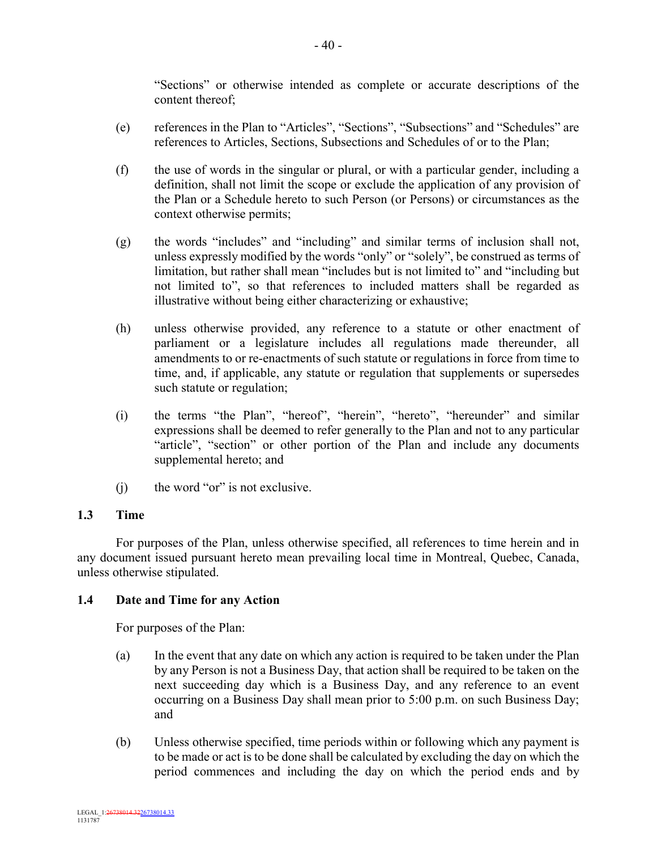"Sections" or otherwise intended as complete or accurate descriptions of the content thereof;

- (e) references in the Plan to "Articles", "Sections", "Subsections" and "Schedules" are references to Articles, Sections, Subsections and Schedules of or to the Plan;
- (f) the use of words in the singular or plural, or with a particular gender, including a definition, shall not limit the scope or exclude the application of any provision of the Plan or a Schedule hereto to such Person (or Persons) or circumstances as the context otherwise permits;
- (g) the words "includes" and "including" and similar terms of inclusion shall not, unless expressly modified by the words "only" or "solely", be construed as terms of limitation, but rather shall mean "includes but is not limited to" and "including but not limited to", so that references to included matters shall be regarded as illustrative without being either characterizing or exhaustive;
- (h) unless otherwise provided, any reference to a statute or other enactment of parliament or a legislature includes all regulations made thereunder, all amendments to or re-enactments of such statute or regulations in force from time to time, and, if applicable, any statute or regulation that supplements or supersedes such statute or regulation;
- (i) the terms "the Plan", "hereof", "herein", "hereto", "hereunder" and similar expressions shall be deemed to refer generally to the Plan and not to any particular "article", "section" or other portion of the Plan and include any documents supplemental hereto; and
- (j) the word "or" is not exclusive.

## **1.3 Time**

For purposes of the Plan, unless otherwise specified, all references to time herein and in any document issued pursuant hereto mean prevailing local time in Montreal, Quebec, Canada, unless otherwise stipulated.

## **1.4 Date and Time for any Action**

For purposes of the Plan:

- (a) In the event that any date on which any action is required to be taken under the Plan by any Person is not a Business Day, that action shall be required to be taken on the next succeeding day which is a Business Day, and any reference to an event occurring on a Business Day shall mean prior to 5:00 p.m. on such Business Day; and
- (b) Unless otherwise specified, time periods within or following which any payment is to be made or act is to be done shall be calculated by excluding the day on which the period commences and including the day on which the period ends and by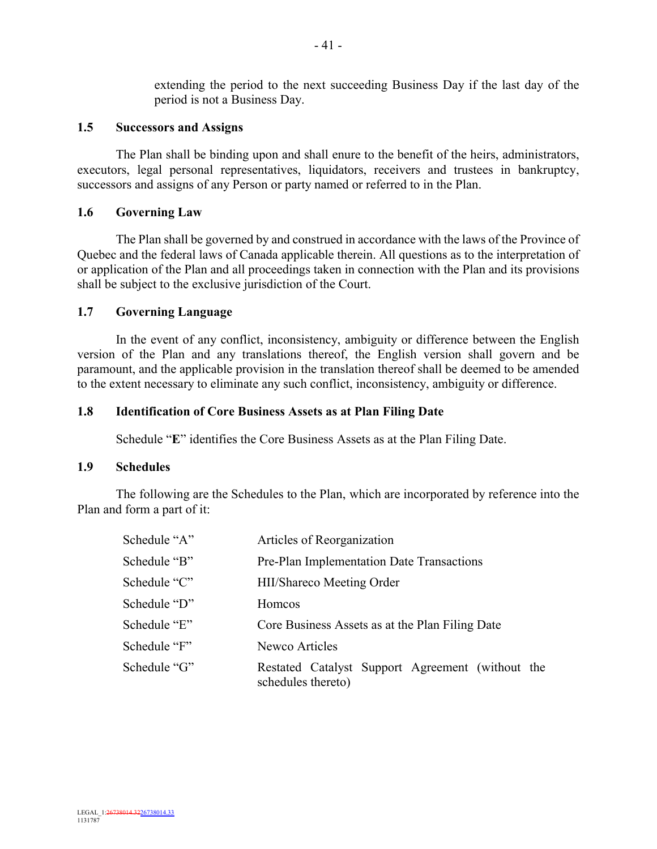extending the period to the next succeeding Business Day if the last day of the period is not a Business Day.

### **1.5 Successors and Assigns**

The Plan shall be binding upon and shall enure to the benefit of the heirs, administrators, executors, legal personal representatives, liquidators, receivers and trustees in bankruptcy, successors and assigns of any Person or party named or referred to in the Plan.

## **1.6 Governing Law**

The Plan shall be governed by and construed in accordance with the laws of the Province of Quebec and the federal laws of Canada applicable therein. All questions as to the interpretation of or application of the Plan and all proceedings taken in connection with the Plan and its provisions shall be subject to the exclusive jurisdiction of the Court.

### **1.7 Governing Language**

In the event of any conflict, inconsistency, ambiguity or difference between the English version of the Plan and any translations thereof, the English version shall govern and be paramount, and the applicable provision in the translation thereof shall be deemed to be amended to the extent necessary to eliminate any such conflict, inconsistency, ambiguity or difference.

### **1.8 Identification of Core Business Assets as at Plan Filing Date**

Schedule "**E**" identifies the Core Business Assets as at the Plan Filing Date.

#### **1.9 Schedules**

The following are the Schedules to the Plan, which are incorporated by reference into the Plan and form a part of it:

| Schedule "A" | Articles of Reorganization                                             |
|--------------|------------------------------------------------------------------------|
| Schedule "B" | Pre-Plan Implementation Date Transactions                              |
| Schedule "C" | HII/Shareco Meeting Order                                              |
| Schedule "D" | Homcos                                                                 |
| Schedule "E" | Core Business Assets as at the Plan Filing Date                        |
| Schedule "F" | Newco Articles                                                         |
| Schedule "G" | Restated Catalyst Support Agreement (without the<br>schedules thereto) |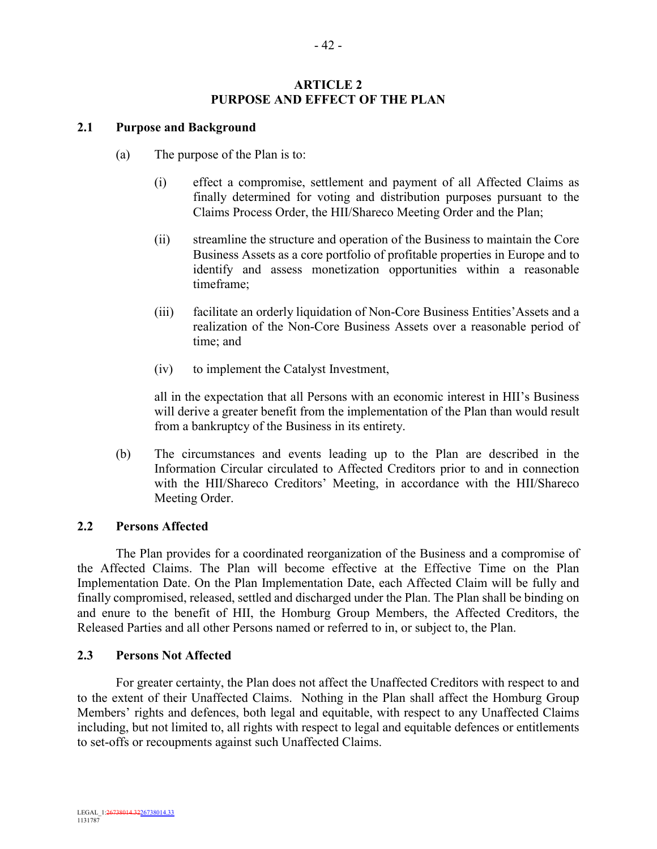## **ARTICLE 2 PURPOSE AND EFFECT OF THE PLAN**

## **2.1 Purpose and Background**

- (a) The purpose of the Plan is to:
	- (i) effect a compromise, settlement and payment of all Affected Claims as finally determined for voting and distribution purposes pursuant to the Claims Process Order, the HII/Shareco Meeting Order and the Plan;
	- (ii) streamline the structure and operation of the Business to maintain the Core Business Assets as a core portfolio of profitable properties in Europe and to identify and assess monetization opportunities within a reasonable timeframe;
	- (iii) facilitate an orderly liquidation of Non-Core Business Entities'Assets and a realization of the Non-Core Business Assets over a reasonable period of time; and
	- (iv) to implement the Catalyst Investment,

all in the expectation that all Persons with an economic interest in HII's Business will derive a greater benefit from the implementation of the Plan than would result from a bankruptcy of the Business in its entirety.

(b) The circumstances and events leading up to the Plan are described in the Information Circular circulated to Affected Creditors prior to and in connection with the HII/Shareco Creditors' Meeting, in accordance with the HII/Shareco Meeting Order.

## **2.2 Persons Affected**

The Plan provides for a coordinated reorganization of the Business and a compromise of the Affected Claims. The Plan will become effective at the Effective Time on the Plan Implementation Date. On the Plan Implementation Date, each Affected Claim will be fully and finally compromised, released, settled and discharged under the Plan. The Plan shall be binding on and enure to the benefit of HII, the Homburg Group Members, the Affected Creditors, the Released Parties and all other Persons named or referred to in, or subject to, the Plan.

## **2.3 Persons Not Affected**

For greater certainty, the Plan does not affect the Unaffected Creditors with respect to and to the extent of their Unaffected Claims. Nothing in the Plan shall affect the Homburg Group Members' rights and defences, both legal and equitable, with respect to any Unaffected Claims including, but not limited to, all rights with respect to legal and equitable defences or entitlements to set-offs or recoupments against such Unaffected Claims.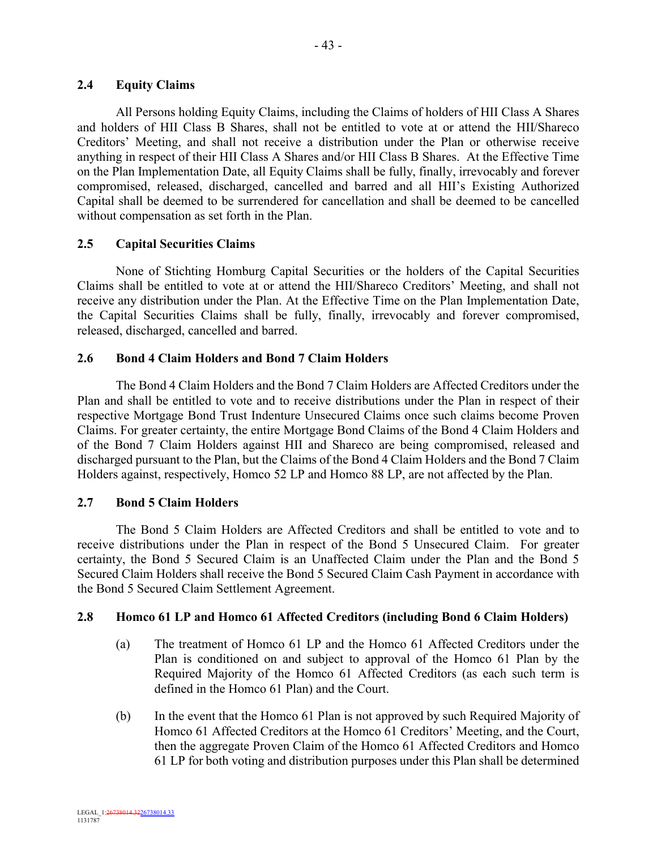## **2.4 Equity Claims**

All Persons holding Equity Claims, including the Claims of holders of HII Class A Shares and holders of HII Class B Shares, shall not be entitled to vote at or attend the HII/Shareco Creditors' Meeting, and shall not receive a distribution under the Plan or otherwise receive anything in respect of their HII Class A Shares and/or HII Class B Shares. At the Effective Time on the Plan Implementation Date, all Equity Claims shall be fully, finally, irrevocably and forever compromised, released, discharged, cancelled and barred and all HII's Existing Authorized Capital shall be deemed to be surrendered for cancellation and shall be deemed to be cancelled without compensation as set forth in the Plan.

# **2.5 Capital Securities Claims**

None of Stichting Homburg Capital Securities or the holders of the Capital Securities Claims shall be entitled to vote at or attend the HII/Shareco Creditors' Meeting, and shall not receive any distribution under the Plan. At the Effective Time on the Plan Implementation Date, the Capital Securities Claims shall be fully, finally, irrevocably and forever compromised, released, discharged, cancelled and barred.

## **2.6 Bond 4 Claim Holders and Bond 7 Claim Holders**

The Bond 4 Claim Holders and the Bond 7 Claim Holders are Affected Creditors under the Plan and shall be entitled to vote and to receive distributions under the Plan in respect of their respective Mortgage Bond Trust Indenture Unsecured Claims once such claims become Proven Claims. For greater certainty, the entire Mortgage Bond Claims of the Bond 4 Claim Holders and of the Bond 7 Claim Holders against HII and Shareco are being compromised, released and discharged pursuant to the Plan, but the Claims of the Bond 4 Claim Holders and the Bond 7 Claim Holders against, respectively, Homco 52 LP and Homco 88 LP, are not affected by the Plan.

# **2.7 Bond 5 Claim Holders**

The Bond 5 Claim Holders are Affected Creditors and shall be entitled to vote and to receive distributions under the Plan in respect of the Bond 5 Unsecured Claim. For greater certainty, the Bond 5 Secured Claim is an Unaffected Claim under the Plan and the Bond 5 Secured Claim Holders shall receive the Bond 5 Secured Claim Cash Payment in accordance with the Bond 5 Secured Claim Settlement Agreement.

# **2.8 Homco 61 LP and Homco 61 Affected Creditors (including Bond 6 Claim Holders)**

- (a) The treatment of Homco 61 LP and the Homco 61 Affected Creditors under the Plan is conditioned on and subject to approval of the Homco 61 Plan by the Required Majority of the Homco 61 Affected Creditors (as each such term is defined in the Homco 61 Plan) and the Court.
- (b) In the event that the Homco 61 Plan is not approved by such Required Majority of Homco 61 Affected Creditors at the Homco 61 Creditors' Meeting, and the Court, then the aggregate Proven Claim of the Homco 61 Affected Creditors and Homco 61 LP for both voting and distribution purposes under this Plan shall be determined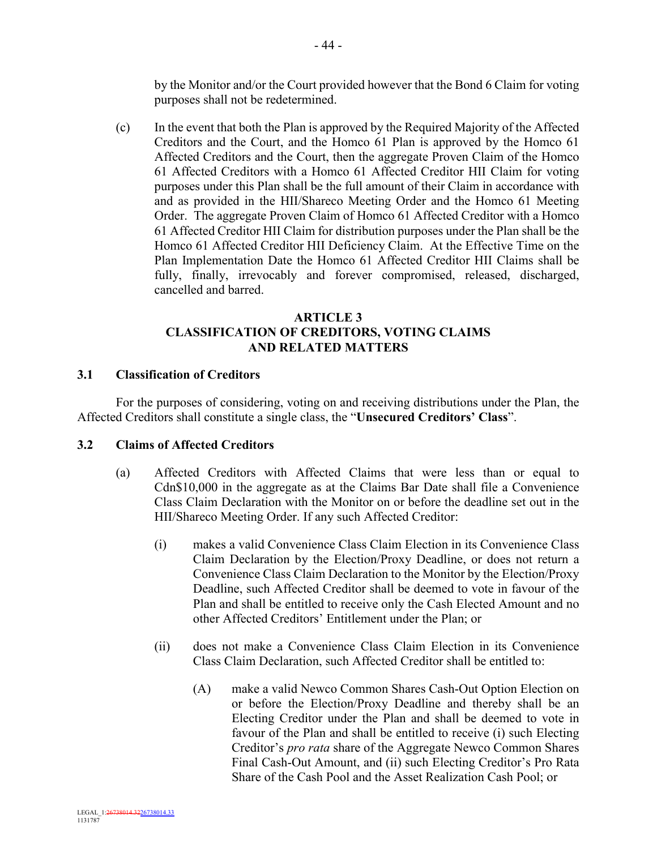by the Monitor and/or the Court provided however that the Bond 6 Claim for voting purposes shall not be redetermined.

(c) In the event that both the Plan is approved by the Required Majority of the Affected Creditors and the Court, and the Homco 61 Plan is approved by the Homco 61 Affected Creditors and the Court, then the aggregate Proven Claim of the Homco 61 Affected Creditors with a Homco 61 Affected Creditor HII Claim for voting purposes under this Plan shall be the full amount of their Claim in accordance with and as provided in the HII/Shareco Meeting Order and the Homco 61 Meeting Order. The aggregate Proven Claim of Homco 61 Affected Creditor with a Homco 61 Affected Creditor HII Claim for distribution purposes under the Plan shall be the Homco 61 Affected Creditor HII Deficiency Claim. At the Effective Time on the Plan Implementation Date the Homco 61 Affected Creditor HII Claims shall be fully, finally, irrevocably and forever compromised, released, discharged, cancelled and barred.

## **ARTICLE 3 CLASSIFICATION OF CREDITORS, VOTING CLAIMS AND RELATED MATTERS**

## **3.1 Classification of Creditors**

For the purposes of considering, voting on and receiving distributions under the Plan, the Affected Creditors shall constitute a single class, the "**Unsecured Creditors' Class**".

## **3.2 Claims of Affected Creditors**

- (a) Affected Creditors with Affected Claims that were less than or equal to Cdn\$10,000 in the aggregate as at the Claims Bar Date shall file a Convenience Class Claim Declaration with the Monitor on or before the deadline set out in the HII/Shareco Meeting Order. If any such Affected Creditor:
	- (i) makes a valid Convenience Class Claim Election in its Convenience Class Claim Declaration by the Election/Proxy Deadline, or does not return a Convenience Class Claim Declaration to the Monitor by the Election/Proxy Deadline, such Affected Creditor shall be deemed to vote in favour of the Plan and shall be entitled to receive only the Cash Elected Amount and no other Affected Creditors' Entitlement under the Plan; or
	- (ii) does not make a Convenience Class Claim Election in its Convenience Class Claim Declaration, such Affected Creditor shall be entitled to:
		- (A) make a valid Newco Common Shares Cash-Out Option Election on or before the Election/Proxy Deadline and thereby shall be an Electing Creditor under the Plan and shall be deemed to vote in favour of the Plan and shall be entitled to receive (i) such Electing Creditor's *pro rata* share of the Aggregate Newco Common Shares Final Cash-Out Amount, and (ii) such Electing Creditor's Pro Rata Share of the Cash Pool and the Asset Realization Cash Pool; or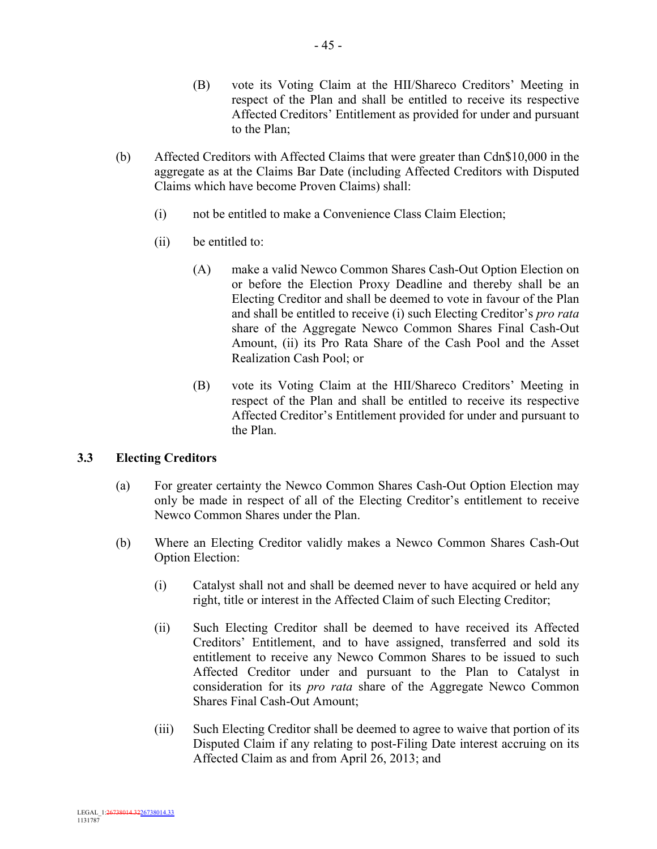- (B) vote its Voting Claim at the HII/Shareco Creditors' Meeting in respect of the Plan and shall be entitled to receive its respective Affected Creditors' Entitlement as provided for under and pursuant to the Plan;
- (b) Affected Creditors with Affected Claims that were greater than Cdn\$10,000 in the aggregate as at the Claims Bar Date (including Affected Creditors with Disputed Claims which have become Proven Claims) shall:
	- (i) not be entitled to make a Convenience Class Claim Election;
	- (ii) be entitled to:
		- (A) make a valid Newco Common Shares Cash-Out Option Election on or before the Election Proxy Deadline and thereby shall be an Electing Creditor and shall be deemed to vote in favour of the Plan and shall be entitled to receive (i) such Electing Creditor's *pro rata* share of the Aggregate Newco Common Shares Final Cash-Out Amount, (ii) its Pro Rata Share of the Cash Pool and the Asset Realization Cash Pool; or
		- (B) vote its Voting Claim at the HII/Shareco Creditors' Meeting in respect of the Plan and shall be entitled to receive its respective Affected Creditor's Entitlement provided for under and pursuant to the Plan.

# **3.3 Electing Creditors**

- (a) For greater certainty the Newco Common Shares Cash-Out Option Election may only be made in respect of all of the Electing Creditor's entitlement to receive Newco Common Shares under the Plan.
- (b) Where an Electing Creditor validly makes a Newco Common Shares Cash-Out Option Election:
	- (i) Catalyst shall not and shall be deemed never to have acquired or held any right, title or interest in the Affected Claim of such Electing Creditor;
	- (ii) Such Electing Creditor shall be deemed to have received its Affected Creditors' Entitlement, and to have assigned, transferred and sold its entitlement to receive any Newco Common Shares to be issued to such Affected Creditor under and pursuant to the Plan to Catalyst in consideration for its *pro rata* share of the Aggregate Newco Common Shares Final Cash-Out Amount;
	- (iii) Such Electing Creditor shall be deemed to agree to waive that portion of its Disputed Claim if any relating to post-Filing Date interest accruing on its Affected Claim as and from April 26, 2013; and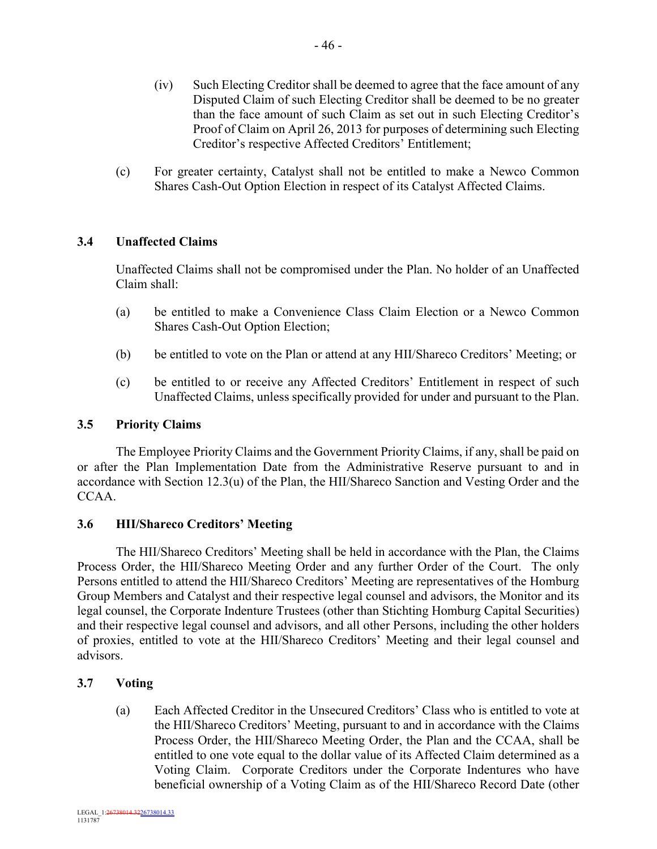- (iv) Such Electing Creditor shall be deemed to agree that the face amount of any Disputed Claim of such Electing Creditor shall be deemed to be no greater than the face amount of such Claim as set out in such Electing Creditor's Proof of Claim on April 26, 2013 for purposes of determining such Electing Creditor's respective Affected Creditors' Entitlement;
- (c) For greater certainty, Catalyst shall not be entitled to make a Newco Common Shares Cash-Out Option Election in respect of its Catalyst Affected Claims.

## **3.4 Unaffected Claims**

Unaffected Claims shall not be compromised under the Plan. No holder of an Unaffected Claim shall:

- (a) be entitled to make a Convenience Class Claim Election or a Newco Common Shares Cash-Out Option Election;
- (b) be entitled to vote on the Plan or attend at any HII/Shareco Creditors' Meeting; or
- (c) be entitled to or receive any Affected Creditors' Entitlement in respect of such Unaffected Claims, unless specifically provided for under and pursuant to the Plan.

## **3.5 Priority Claims**

The Employee Priority Claims and the Government Priority Claims, if any, shall be paid on or after the Plan Implementation Date from the Administrative Reserve pursuant to and in accordance with Section 12.3(u) of the Plan, the HII/Shareco Sanction and Vesting Order and the CCAA.

# **3.6 HII/Shareco Creditors' Meeting**

The HII/Shareco Creditors' Meeting shall be held in accordance with the Plan, the Claims Process Order, the HII/Shareco Meeting Order and any further Order of the Court. The only Persons entitled to attend the HII/Shareco Creditors' Meeting are representatives of the Homburg Group Members and Catalyst and their respective legal counsel and advisors, the Monitor and its legal counsel, the Corporate Indenture Trustees (other than Stichting Homburg Capital Securities) and their respective legal counsel and advisors, and all other Persons, including the other holders of proxies, entitled to vote at the HII/Shareco Creditors' Meeting and their legal counsel and advisors.

# **3.7 Voting**

(a) Each Affected Creditor in the Unsecured Creditors' Class who is entitled to vote at the HII/Shareco Creditors' Meeting, pursuant to and in accordance with the Claims Process Order, the HII/Shareco Meeting Order, the Plan and the CCAA, shall be entitled to one vote equal to the dollar value of its Affected Claim determined as a Voting Claim. Corporate Creditors under the Corporate Indentures who have beneficial ownership of a Voting Claim as of the HII/Shareco Record Date (other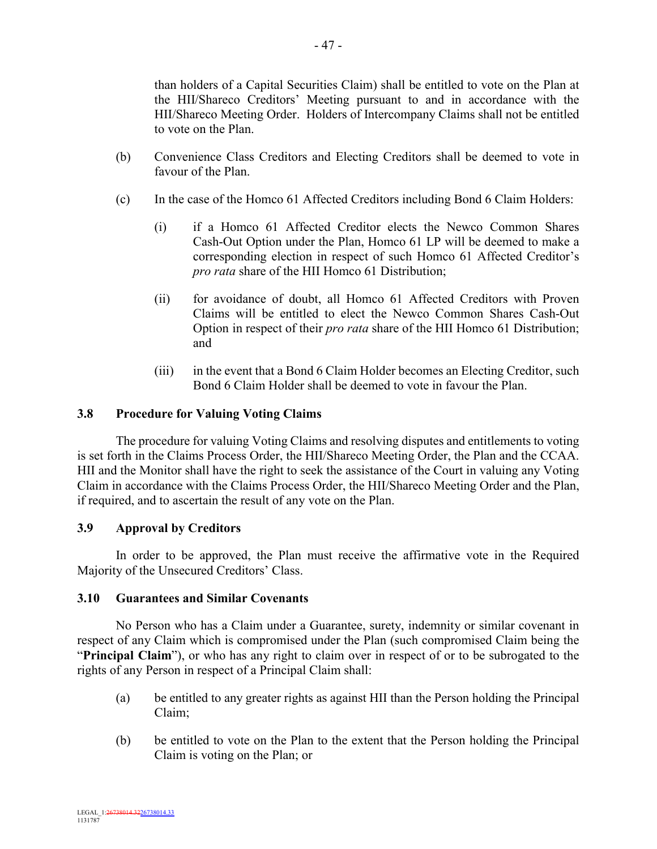than holders of a Capital Securities Claim) shall be entitled to vote on the Plan at the HII/Shareco Creditors' Meeting pursuant to and in accordance with the HII/Shareco Meeting Order. Holders of Intercompany Claims shall not be entitled to vote on the Plan.

- (b) Convenience Class Creditors and Electing Creditors shall be deemed to vote in favour of the Plan.
- (c) In the case of the Homco 61 Affected Creditors including Bond 6 Claim Holders:
	- (i) if a Homco 61 Affected Creditor elects the Newco Common Shares Cash-Out Option under the Plan, Homco 61 LP will be deemed to make a corresponding election in respect of such Homco 61 Affected Creditor's *pro rata* share of the HII Homco 61 Distribution;
	- (ii) for avoidance of doubt, all Homco 61 Affected Creditors with Proven Claims will be entitled to elect the Newco Common Shares Cash-Out Option in respect of their *pro rata* share of the HII Homco 61 Distribution; and
	- (iii) in the event that a Bond 6 Claim Holder becomes an Electing Creditor, such Bond 6 Claim Holder shall be deemed to vote in favour the Plan.

### **3.8 Procedure for Valuing Voting Claims**

The procedure for valuing Voting Claims and resolving disputes and entitlements to voting is set forth in the Claims Process Order, the HII/Shareco Meeting Order, the Plan and the CCAA. HII and the Monitor shall have the right to seek the assistance of the Court in valuing any Voting Claim in accordance with the Claims Process Order, the HII/Shareco Meeting Order and the Plan, if required, and to ascertain the result of any vote on the Plan.

### **3.9 Approval by Creditors**

In order to be approved, the Plan must receive the affirmative vote in the Required Majority of the Unsecured Creditors' Class.

#### **3.10 Guarantees and Similar Covenants**

No Person who has a Claim under a Guarantee, surety, indemnity or similar covenant in respect of any Claim which is compromised under the Plan (such compromised Claim being the "**Principal Claim**"), or who has any right to claim over in respect of or to be subrogated to the rights of any Person in respect of a Principal Claim shall:

- (a) be entitled to any greater rights as against HII than the Person holding the Principal Claim;
- (b) be entitled to vote on the Plan to the extent that the Person holding the Principal Claim is voting on the Plan; or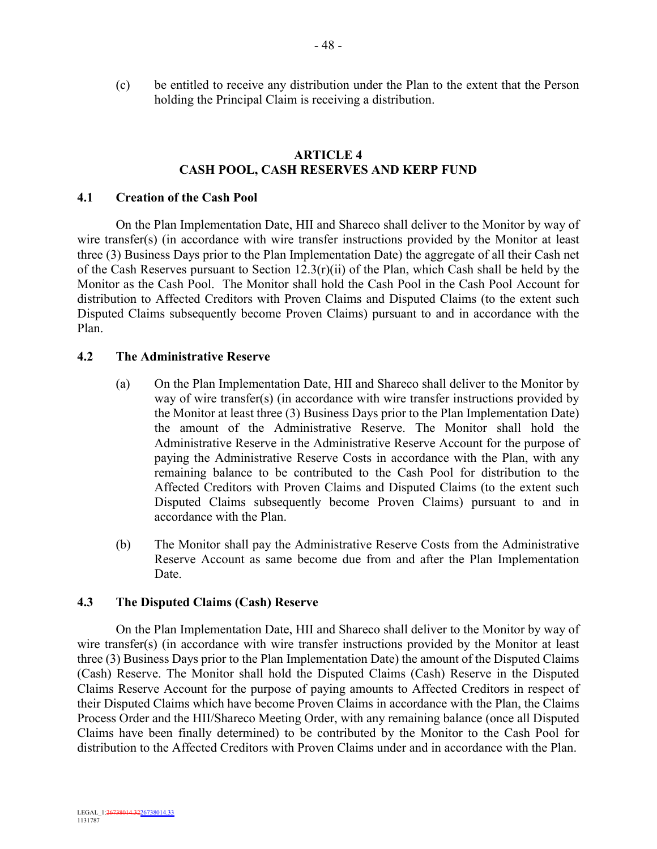(c) be entitled to receive any distribution under the Plan to the extent that the Person holding the Principal Claim is receiving a distribution.

### **ARTICLE 4 CASH POOL, CASH RESERVES AND KERP FUND**

#### **4.1 Creation of the Cash Pool**

On the Plan Implementation Date, HII and Shareco shall deliver to the Monitor by way of wire transfer(s) (in accordance with wire transfer instructions provided by the Monitor at least three (3) Business Days prior to the Plan Implementation Date) the aggregate of all their Cash net of the Cash Reserves pursuant to Section 12.3(r)(ii) of the Plan, which Cash shall be held by the Monitor as the Cash Pool. The Monitor shall hold the Cash Pool in the Cash Pool Account for distribution to Affected Creditors with Proven Claims and Disputed Claims (to the extent such Disputed Claims subsequently become Proven Claims) pursuant to and in accordance with the Plan.

#### **4.2 The Administrative Reserve**

- (a) On the Plan Implementation Date, HII and Shareco shall deliver to the Monitor by way of wire transfer(s) (in accordance with wire transfer instructions provided by the Monitor at least three (3) Business Days prior to the Plan Implementation Date) the amount of the Administrative Reserve. The Monitor shall hold the Administrative Reserve in the Administrative Reserve Account for the purpose of paying the Administrative Reserve Costs in accordance with the Plan, with any remaining balance to be contributed to the Cash Pool for distribution to the Affected Creditors with Proven Claims and Disputed Claims (to the extent such Disputed Claims subsequently become Proven Claims) pursuant to and in accordance with the Plan.
- (b) The Monitor shall pay the Administrative Reserve Costs from the Administrative Reserve Account as same become due from and after the Plan Implementation Date.

### **4.3 The Disputed Claims (Cash) Reserve**

On the Plan Implementation Date, HII and Shareco shall deliver to the Monitor by way of wire transfer(s) (in accordance with wire transfer instructions provided by the Monitor at least three (3) Business Days prior to the Plan Implementation Date) the amount of the Disputed Claims (Cash) Reserve. The Monitor shall hold the Disputed Claims (Cash) Reserve in the Disputed Claims Reserve Account for the purpose of paying amounts to Affected Creditors in respect of their Disputed Claims which have become Proven Claims in accordance with the Plan, the Claims Process Order and the HII/Shareco Meeting Order, with any remaining balance (once all Disputed Claims have been finally determined) to be contributed by the Monitor to the Cash Pool for distribution to the Affected Creditors with Proven Claims under and in accordance with the Plan.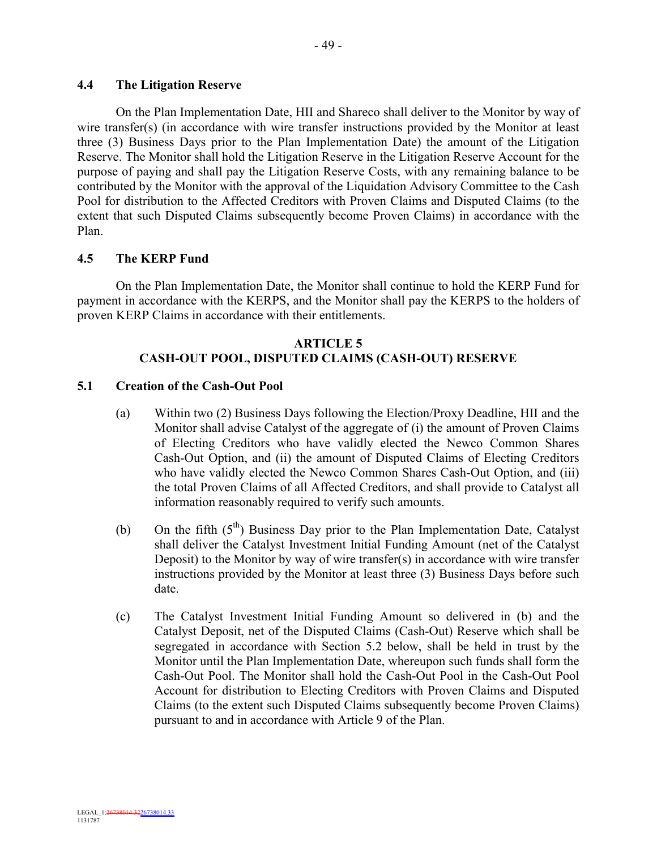## **4.4 The Litigation Reserve**

On the Plan Implementation Date, HII and Shareco shall deliver to the Monitor by way of wire transfer(s) (in accordance with wire transfer instructions provided by the Monitor at least three (3) Business Days prior to the Plan Implementation Date) the amount of the Litigation Reserve. The Monitor shall hold the Litigation Reserve in the Litigation Reserve Account for the purpose of paying and shall pay the Litigation Reserve Costs, with any remaining balance to be contributed by the Monitor with the approval of the Liquidation Advisory Committee to the Cash Pool for distribution to the Affected Creditors with Proven Claims and Disputed Claims (to the extent that such Disputed Claims subsequently become Proven Claims) in accordance with the Plan.

## **4.5 The KERP Fund**

On the Plan Implementation Date, the Monitor shall continue to hold the KERP Fund for payment in accordance with the KERPS, and the Monitor shall pay the KERPS to the holders of proven KERP Claims in accordance with their entitlements.

# **ARTICLE 5 CASH-OUT POOL, DISPUTED CLAIMS (CASH-OUT) RESERVE**

## **5.1 Creation of the Cash-Out Pool**

- (a) Within two (2) Business Days following the Election/Proxy Deadline, HII and the Monitor shall advise Catalyst of the aggregate of (i) the amount of Proven Claims of Electing Creditors who have validly elected the Newco Common Shares Cash-Out Option, and (ii) the amount of Disputed Claims of Electing Creditors who have validly elected the Newco Common Shares Cash-Out Option, and (iii) the total Proven Claims of all Affected Creditors, and shall provide to Catalyst all information reasonably required to verify such amounts.
- (b) On the fifth  $(5<sup>th</sup>)$  Business Day prior to the Plan Implementation Date, Catalyst shall deliver the Catalyst Investment Initial Funding Amount (net of the Catalyst Deposit) to the Monitor by way of wire transfer(s) in accordance with wire transfer instructions provided by the Monitor at least three (3) Business Days before such date.
- (c) The Catalyst Investment Initial Funding Amount so delivered in (b) and the Catalyst Deposit, net of the Disputed Claims (Cash-Out) Reserve which shall be segregated in accordance with Section 5.2 below, shall be held in trust by the Monitor until the Plan Implementation Date, whereupon such funds shall form the Cash-Out Pool. The Monitor shall hold the Cash-Out Pool in the Cash-Out Pool Account for distribution to Electing Creditors with Proven Claims and Disputed Claims (to the extent such Disputed Claims subsequently become Proven Claims) pursuant to and in accordance with Article 9 of the Plan.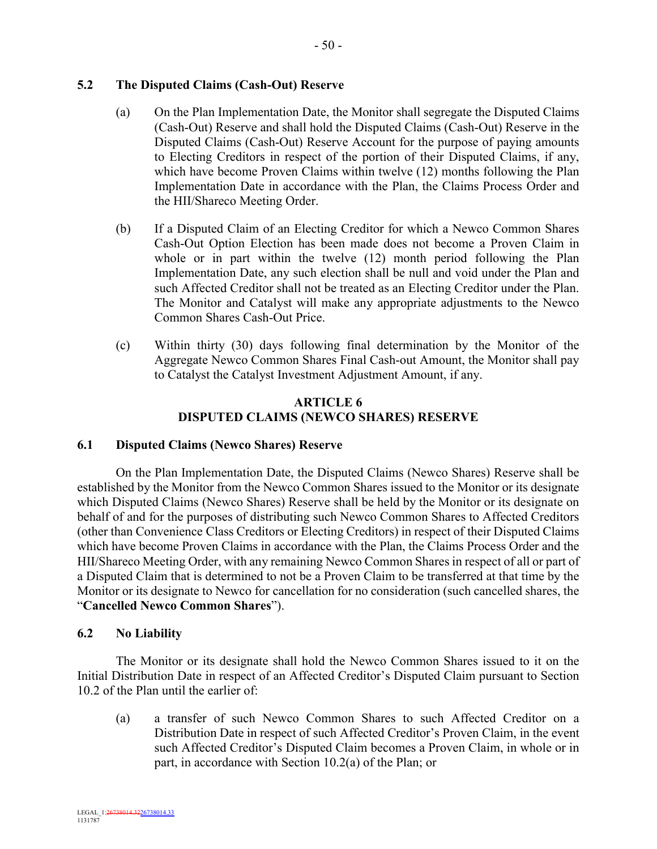## **5.2 The Disputed Claims (Cash-Out) Reserve**

- (a) On the Plan Implementation Date, the Monitor shall segregate the Disputed Claims (Cash-Out) Reserve and shall hold the Disputed Claims (Cash-Out) Reserve in the Disputed Claims (Cash-Out) Reserve Account for the purpose of paying amounts to Electing Creditors in respect of the portion of their Disputed Claims, if any, which have become Proven Claims within twelve (12) months following the Plan Implementation Date in accordance with the Plan, the Claims Process Order and the HII/Shareco Meeting Order.
- (b) If a Disputed Claim of an Electing Creditor for which a Newco Common Shares Cash-Out Option Election has been made does not become a Proven Claim in whole or in part within the twelve (12) month period following the Plan Implementation Date, any such election shall be null and void under the Plan and such Affected Creditor shall not be treated as an Electing Creditor under the Plan. The Monitor and Catalyst will make any appropriate adjustments to the Newco Common Shares Cash-Out Price.
- (c) Within thirty (30) days following final determination by the Monitor of the Aggregate Newco Common Shares Final Cash-out Amount, the Monitor shall pay to Catalyst the Catalyst Investment Adjustment Amount, if any.

## **ARTICLE 6 DISPUTED CLAIMS (NEWCO SHARES) RESERVE**

## **6.1 Disputed Claims (Newco Shares) Reserve**

On the Plan Implementation Date, the Disputed Claims (Newco Shares) Reserve shall be established by the Monitor from the Newco Common Shares issued to the Monitor or its designate which Disputed Claims (Newco Shares) Reserve shall be held by the Monitor or its designate on behalf of and for the purposes of distributing such Newco Common Shares to Affected Creditors (other than Convenience Class Creditors or Electing Creditors) in respect of their Disputed Claims which have become Proven Claims in accordance with the Plan, the Claims Process Order and the HII/Shareco Meeting Order, with any remaining Newco Common Shares in respect of all or part of a Disputed Claim that is determined to not be a Proven Claim to be transferred at that time by the Monitor or its designate to Newco for cancellation for no consideration (such cancelled shares, the "**Cancelled Newco Common Shares**").

## **6.2 No Liability**

The Monitor or its designate shall hold the Newco Common Shares issued to it on the Initial Distribution Date in respect of an Affected Creditor's Disputed Claim pursuant to Section 10.2 of the Plan until the earlier of:

(a) a transfer of such Newco Common Shares to such Affected Creditor on a Distribution Date in respect of such Affected Creditor's Proven Claim, in the event such Affected Creditor's Disputed Claim becomes a Proven Claim, in whole or in part, in accordance with Section 10.2(a) of the Plan; or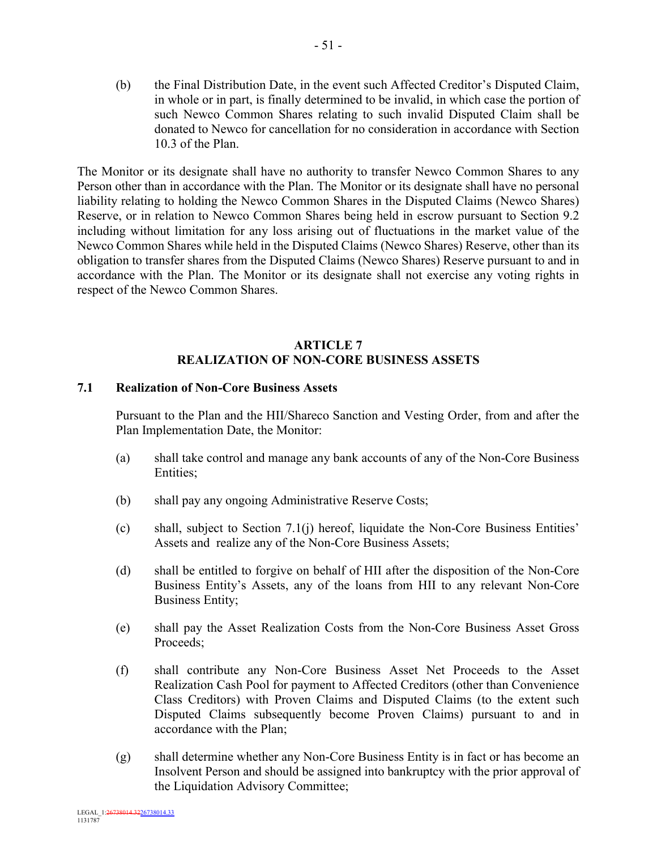(b) the Final Distribution Date, in the event such Affected Creditor's Disputed Claim, in whole or in part, is finally determined to be invalid, in which case the portion of such Newco Common Shares relating to such invalid Disputed Claim shall be donated to Newco for cancellation for no consideration in accordance with Section 10.3 of the Plan.

The Monitor or its designate shall have no authority to transfer Newco Common Shares to any Person other than in accordance with the Plan. The Monitor or its designate shall have no personal liability relating to holding the Newco Common Shares in the Disputed Claims (Newco Shares) Reserve, or in relation to Newco Common Shares being held in escrow pursuant to Section 9.2 including without limitation for any loss arising out of fluctuations in the market value of the Newco Common Shares while held in the Disputed Claims (Newco Shares) Reserve, other than its obligation to transfer shares from the Disputed Claims (Newco Shares) Reserve pursuant to and in accordance with the Plan. The Monitor or its designate shall not exercise any voting rights in respect of the Newco Common Shares.

## **ARTICLE 7 REALIZATION OF NON-CORE BUSINESS ASSETS**

### **7.1 Realization of Non-Core Business Assets**

Pursuant to the Plan and the HII/Shareco Sanction and Vesting Order, from and after the Plan Implementation Date, the Monitor:

- (a) shall take control and manage any bank accounts of any of the Non-Core Business Entities;
- (b) shall pay any ongoing Administrative Reserve Costs;
- (c) shall, subject to Section 7.1(j) hereof, liquidate the Non-Core Business Entities' Assets and realize any of the Non-Core Business Assets;
- (d) shall be entitled to forgive on behalf of HII after the disposition of the Non-Core Business Entity's Assets, any of the loans from HII to any relevant Non-Core Business Entity;
- (e) shall pay the Asset Realization Costs from the Non-Core Business Asset Gross Proceeds;
- (f) shall contribute any Non-Core Business Asset Net Proceeds to the Asset Realization Cash Pool for payment to Affected Creditors (other than Convenience Class Creditors) with Proven Claims and Disputed Claims (to the extent such Disputed Claims subsequently become Proven Claims) pursuant to and in accordance with the Plan;
- (g) shall determine whether any Non-Core Business Entity is in fact or has become an Insolvent Person and should be assigned into bankruptcy with the prior approval of the Liquidation Advisory Committee;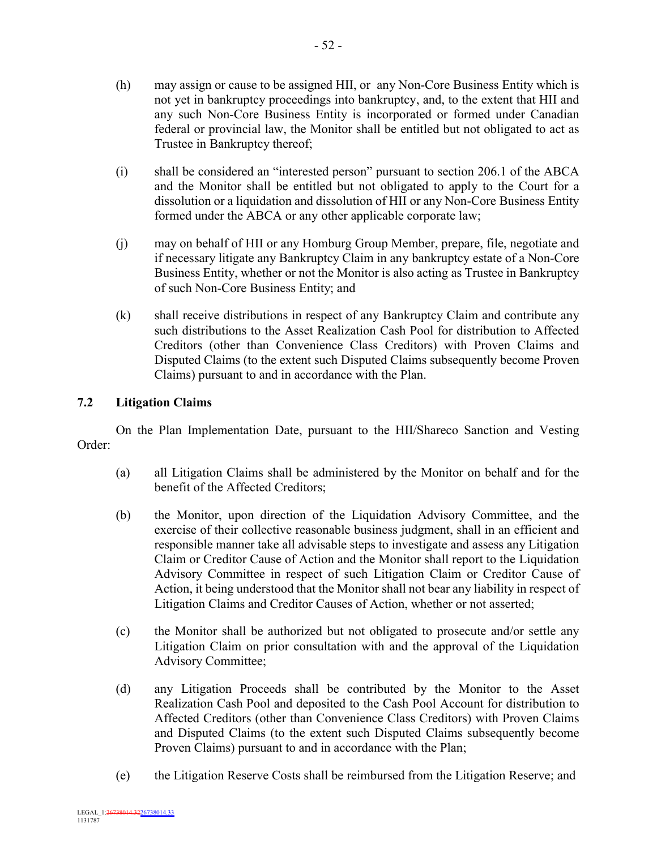- (h) may assign or cause to be assigned HII, or any Non-Core Business Entity which is not yet in bankruptcy proceedings into bankruptcy, and, to the extent that HII and any such Non-Core Business Entity is incorporated or formed under Canadian federal or provincial law, the Monitor shall be entitled but not obligated to act as Trustee in Bankruptcy thereof;
- (i) shall be considered an "interested person" pursuant to section 206.1 of the ABCA and the Monitor shall be entitled but not obligated to apply to the Court for a dissolution or a liquidation and dissolution of HII or any Non-Core Business Entity formed under the ABCA or any other applicable corporate law;
- (j) may on behalf of HII or any Homburg Group Member, prepare, file, negotiate and if necessary litigate any Bankruptcy Claim in any bankruptcy estate of a Non-Core Business Entity, whether or not the Monitor is also acting as Trustee in Bankruptcy of such Non-Core Business Entity; and
- (k) shall receive distributions in respect of any Bankruptcy Claim and contribute any such distributions to the Asset Realization Cash Pool for distribution to Affected Creditors (other than Convenience Class Creditors) with Proven Claims and Disputed Claims (to the extent such Disputed Claims subsequently become Proven Claims) pursuant to and in accordance with the Plan.

# **7.2 Litigation Claims**

On the Plan Implementation Date, pursuant to the HII/Shareco Sanction and Vesting Order:

- (a) all Litigation Claims shall be administered by the Monitor on behalf and for the benefit of the Affected Creditors;
- (b) the Monitor, upon direction of the Liquidation Advisory Committee, and the exercise of their collective reasonable business judgment, shall in an efficient and responsible manner take all advisable steps to investigate and assess any Litigation Claim or Creditor Cause of Action and the Monitor shall report to the Liquidation Advisory Committee in respect of such Litigation Claim or Creditor Cause of Action, it being understood that the Monitor shall not bear any liability in respect of Litigation Claims and Creditor Causes of Action, whether or not asserted;
- (c) the Monitor shall be authorized but not obligated to prosecute and/or settle any Litigation Claim on prior consultation with and the approval of the Liquidation Advisory Committee;
- (d) any Litigation Proceeds shall be contributed by the Monitor to the Asset Realization Cash Pool and deposited to the Cash Pool Account for distribution to Affected Creditors (other than Convenience Class Creditors) with Proven Claims and Disputed Claims (to the extent such Disputed Claims subsequently become Proven Claims) pursuant to and in accordance with the Plan;
- (e) the Litigation Reserve Costs shall be reimbursed from the Litigation Reserve; and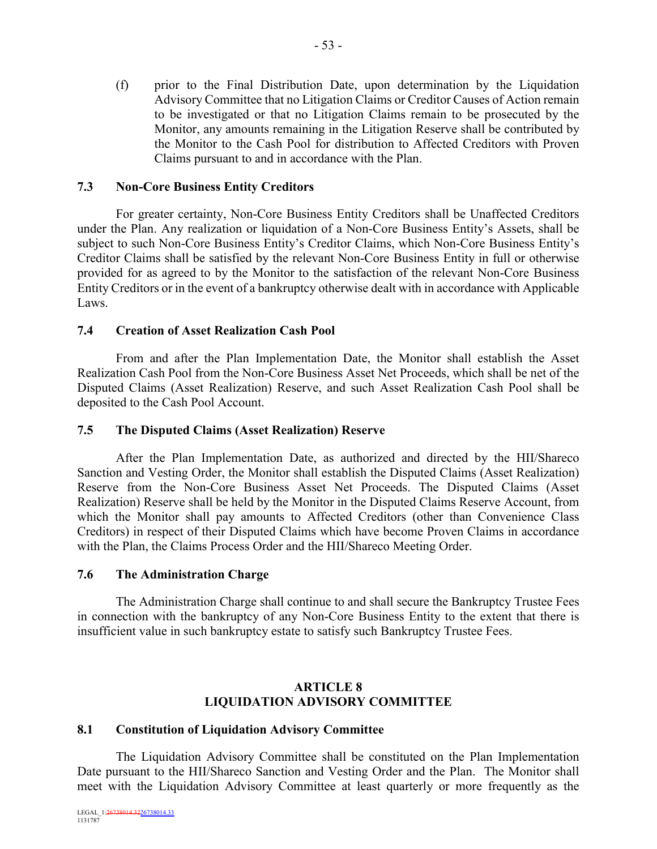(f) prior to the Final Distribution Date, upon determination by the Liquidation Advisory Committee that no Litigation Claims or Creditor Causes of Action remain to be investigated or that no Litigation Claims remain to be prosecuted by the Monitor, any amounts remaining in the Litigation Reserve shall be contributed by the Monitor to the Cash Pool for distribution to Affected Creditors with Proven Claims pursuant to and in accordance with the Plan.

## **7.3 Non-Core Business Entity Creditors**

For greater certainty, Non-Core Business Entity Creditors shall be Unaffected Creditors under the Plan. Any realization or liquidation of a Non-Core Business Entity's Assets, shall be subject to such Non-Core Business Entity's Creditor Claims, which Non-Core Business Entity's Creditor Claims shall be satisfied by the relevant Non-Core Business Entity in full or otherwise provided for as agreed to by the Monitor to the satisfaction of the relevant Non-Core Business Entity Creditors or in the event of a bankruptcy otherwise dealt with in accordance with Applicable Laws.

## **7.4 Creation of Asset Realization Cash Pool**

From and after the Plan Implementation Date, the Monitor shall establish the Asset Realization Cash Pool from the Non-Core Business Asset Net Proceeds, which shall be net of the Disputed Claims (Asset Realization) Reserve, and such Asset Realization Cash Pool shall be deposited to the Cash Pool Account.

#### **7.5 The Disputed Claims (Asset Realization) Reserve**

After the Plan Implementation Date, as authorized and directed by the HII/Shareco Sanction and Vesting Order, the Monitor shall establish the Disputed Claims (Asset Realization) Reserve from the Non-Core Business Asset Net Proceeds. The Disputed Claims (Asset Realization) Reserve shall be held by the Monitor in the Disputed Claims Reserve Account, from which the Monitor shall pay amounts to Affected Creditors (other than Convenience Class Creditors) in respect of their Disputed Claims which have become Proven Claims in accordance with the Plan, the Claims Process Order and the HII/Shareco Meeting Order.

#### **7.6 The Administration Charge**

The Administration Charge shall continue to and shall secure the Bankruptcy Trustee Fees in connection with the bankruptcy of any Non-Core Business Entity to the extent that there is insufficient value in such bankruptcy estate to satisfy such Bankruptcy Trustee Fees.

## **ARTICLE 8 LIQUIDATION ADVISORY COMMITTEE**

#### **8.1 Constitution of Liquidation Advisory Committee**

The Liquidation Advisory Committee shall be constituted on the Plan Implementation Date pursuant to the HII/Shareco Sanction and Vesting Order and the Plan. The Monitor shall meet with the Liquidation Advisory Committee at least quarterly or more frequently as the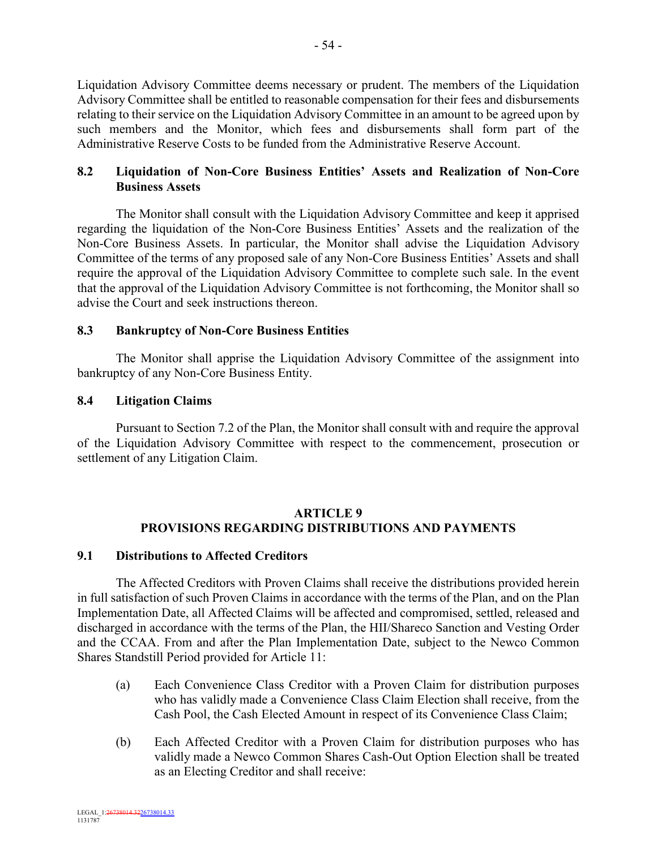Liquidation Advisory Committee deems necessary or prudent. The members of the Liquidation Advisory Committee shall be entitled to reasonable compensation for their fees and disbursements relating to their service on the Liquidation Advisory Committee in an amount to be agreed upon by such members and the Monitor, which fees and disbursements shall form part of the Administrative Reserve Costs to be funded from the Administrative Reserve Account.

## **8.2 Liquidation of Non-Core Business Entities' Assets and Realization of Non-Core Business Assets**

The Monitor shall consult with the Liquidation Advisory Committee and keep it apprised regarding the liquidation of the Non-Core Business Entities' Assets and the realization of the Non-Core Business Assets. In particular, the Monitor shall advise the Liquidation Advisory Committee of the terms of any proposed sale of any Non-Core Business Entities' Assets and shall require the approval of the Liquidation Advisory Committee to complete such sale. In the event that the approval of the Liquidation Advisory Committee is not forthcoming, the Monitor shall so advise the Court and seek instructions thereon.

## **8.3 Bankruptcy of Non-Core Business Entities**

The Monitor shall apprise the Liquidation Advisory Committee of the assignment into bankruptcy of any Non-Core Business Entity.

## **8.4 Litigation Claims**

Pursuant to Section 7.2 of the Plan, the Monitor shall consult with and require the approval of the Liquidation Advisory Committee with respect to the commencement, prosecution or settlement of any Litigation Claim.

## **ARTICLE 9 PROVISIONS REGARDING DISTRIBUTIONS AND PAYMENTS**

## **9.1 Distributions to Affected Creditors**

The Affected Creditors with Proven Claims shall receive the distributions provided herein in full satisfaction of such Proven Claims in accordance with the terms of the Plan, and on the Plan Implementation Date, all Affected Claims will be affected and compromised, settled, released and discharged in accordance with the terms of the Plan, the HII/Shareco Sanction and Vesting Order and the CCAA. From and after the Plan Implementation Date, subject to the Newco Common Shares Standstill Period provided for Article 11:

- (a) Each Convenience Class Creditor with a Proven Claim for distribution purposes who has validly made a Convenience Class Claim Election shall receive, from the Cash Pool, the Cash Elected Amount in respect of its Convenience Class Claim;
- (b) Each Affected Creditor with a Proven Claim for distribution purposes who has validly made a Newco Common Shares Cash-Out Option Election shall be treated as an Electing Creditor and shall receive: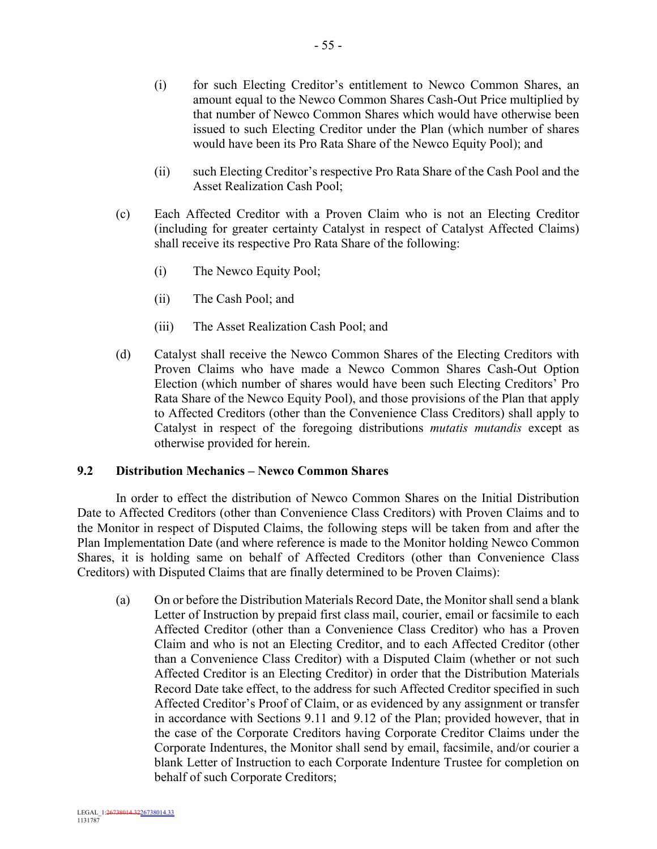- (i) for such Electing Creditor's entitlement to Newco Common Shares, an amount equal to the Newco Common Shares Cash-Out Price multiplied by that number of Newco Common Shares which would have otherwise been issued to such Electing Creditor under the Plan (which number of shares would have been its Pro Rata Share of the Newco Equity Pool); and
- (ii) such Electing Creditor's respective Pro Rata Share of the Cash Pool and the Asset Realization Cash Pool;
- (c) Each Affected Creditor with a Proven Claim who is not an Electing Creditor (including for greater certainty Catalyst in respect of Catalyst Affected Claims) shall receive its respective Pro Rata Share of the following:
	- (i) The Newco Equity Pool;
	- (ii) The Cash Pool; and
	- (iii) The Asset Realization Cash Pool; and
- (d) Catalyst shall receive the Newco Common Shares of the Electing Creditors with Proven Claims who have made a Newco Common Shares Cash-Out Option Election (which number of shares would have been such Electing Creditors' Pro Rata Share of the Newco Equity Pool), and those provisions of the Plan that apply to Affected Creditors (other than the Convenience Class Creditors) shall apply to Catalyst in respect of the foregoing distributions *mutatis mutandis* except as otherwise provided for herein.

## **9.2 Distribution Mechanics – Newco Common Shares**

In order to effect the distribution of Newco Common Shares on the Initial Distribution Date to Affected Creditors (other than Convenience Class Creditors) with Proven Claims and to the Monitor in respect of Disputed Claims, the following steps will be taken from and after the Plan Implementation Date (and where reference is made to the Monitor holding Newco Common Shares, it is holding same on behalf of Affected Creditors (other than Convenience Class Creditors) with Disputed Claims that are finally determined to be Proven Claims):

(a) On or before the Distribution Materials Record Date, the Monitor shall send a blank Letter of Instruction by prepaid first class mail, courier, email or facsimile to each Affected Creditor (other than a Convenience Class Creditor) who has a Proven Claim and who is not an Electing Creditor, and to each Affected Creditor (other than a Convenience Class Creditor) with a Disputed Claim (whether or not such Affected Creditor is an Electing Creditor) in order that the Distribution Materials Record Date take effect, to the address for such Affected Creditor specified in such Affected Creditor's Proof of Claim, or as evidenced by any assignment or transfer in accordance with Sections 9.11 and 9.12 of the Plan; provided however, that in the case of the Corporate Creditors having Corporate Creditor Claims under the Corporate Indentures, the Monitor shall send by email, facsimile, and/or courier a blank Letter of Instruction to each Corporate Indenture Trustee for completion on behalf of such Corporate Creditors;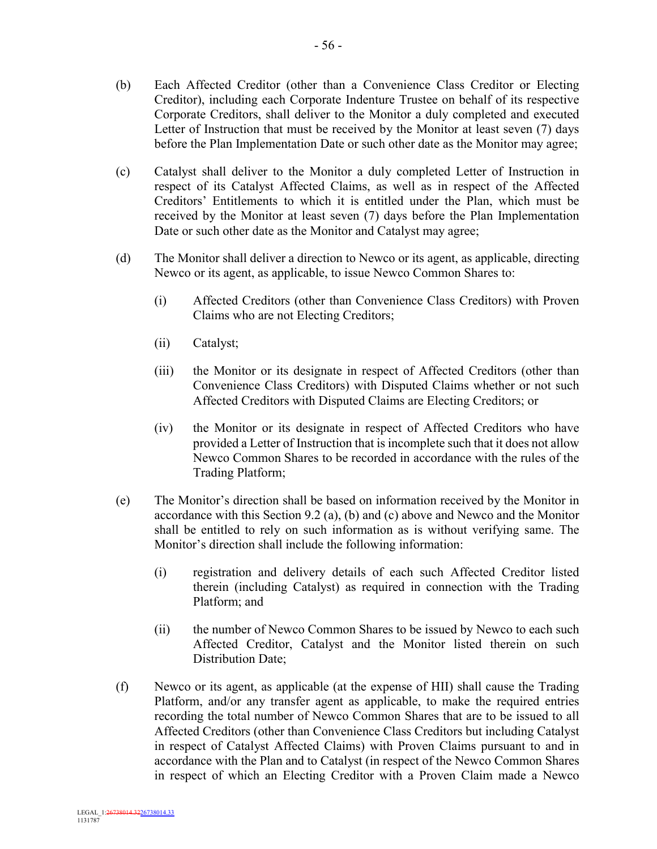- (b) Each Affected Creditor (other than a Convenience Class Creditor or Electing Creditor), including each Corporate Indenture Trustee on behalf of its respective Corporate Creditors, shall deliver to the Monitor a duly completed and executed Letter of Instruction that must be received by the Monitor at least seven (7) days before the Plan Implementation Date or such other date as the Monitor may agree;
- (c) Catalyst shall deliver to the Monitor a duly completed Letter of Instruction in respect of its Catalyst Affected Claims, as well as in respect of the Affected Creditors' Entitlements to which it is entitled under the Plan, which must be received by the Monitor at least seven (7) days before the Plan Implementation Date or such other date as the Monitor and Catalyst may agree;
- (d) The Monitor shall deliver a direction to Newco or its agent, as applicable, directing Newco or its agent, as applicable, to issue Newco Common Shares to:
	- (i) Affected Creditors (other than Convenience Class Creditors) with Proven Claims who are not Electing Creditors;
	- (ii) Catalyst;
	- (iii) the Monitor or its designate in respect of Affected Creditors (other than Convenience Class Creditors) with Disputed Claims whether or not such Affected Creditors with Disputed Claims are Electing Creditors; or
	- (iv) the Monitor or its designate in respect of Affected Creditors who have provided a Letter of Instruction that is incomplete such that it does not allow Newco Common Shares to be recorded in accordance with the rules of the Trading Platform;
- (e) The Monitor's direction shall be based on information received by the Monitor in accordance with this Section 9.2 (a), (b) and (c) above and Newco and the Monitor shall be entitled to rely on such information as is without verifying same. The Monitor's direction shall include the following information:
	- (i) registration and delivery details of each such Affected Creditor listed therein (including Catalyst) as required in connection with the Trading Platform; and
	- (ii) the number of Newco Common Shares to be issued by Newco to each such Affected Creditor, Catalyst and the Monitor listed therein on such Distribution Date;
- (f) Newco or its agent, as applicable (at the expense of HII) shall cause the Trading Platform, and/or any transfer agent as applicable, to make the required entries recording the total number of Newco Common Shares that are to be issued to all Affected Creditors (other than Convenience Class Creditors but including Catalyst in respect of Catalyst Affected Claims) with Proven Claims pursuant to and in accordance with the Plan and to Catalyst (in respect of the Newco Common Shares in respect of which an Electing Creditor with a Proven Claim made a Newco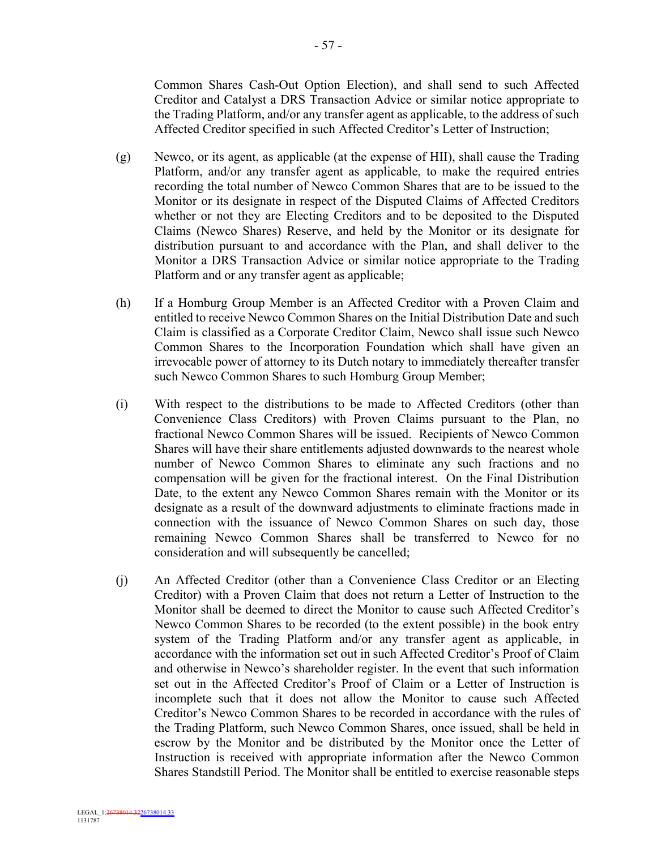Common Shares Cash-Out Option Election), and shall send to such Affected Creditor and Catalyst a DRS Transaction Advice or similar notice appropriate to the Trading Platform, and/or any transfer agent as applicable, to the address of such Affected Creditor specified in such Affected Creditor's Letter of Instruction;

- (g) Newco, or its agent, as applicable (at the expense of HII), shall cause the Trading Platform, and/or any transfer agent as applicable, to make the required entries recording the total number of Newco Common Shares that are to be issued to the Monitor or its designate in respect of the Disputed Claims of Affected Creditors whether or not they are Electing Creditors and to be deposited to the Disputed Claims (Newco Shares) Reserve, and held by the Monitor or its designate for distribution pursuant to and accordance with the Plan, and shall deliver to the Monitor a DRS Transaction Advice or similar notice appropriate to the Trading Platform and or any transfer agent as applicable;
- (h) If a Homburg Group Member is an Affected Creditor with a Proven Claim and entitled to receive Newco Common Shares on the Initial Distribution Date and such Claim is classified as a Corporate Creditor Claim, Newco shall issue such Newco Common Shares to the Incorporation Foundation which shall have given an irrevocable power of attorney to its Dutch notary to immediately thereafter transfer such Newco Common Shares to such Homburg Group Member;
- (i) With respect to the distributions to be made to Affected Creditors (other than Convenience Class Creditors) with Proven Claims pursuant to the Plan, no fractional Newco Common Shares will be issued. Recipients of Newco Common Shares will have their share entitlements adjusted downwards to the nearest whole number of Newco Common Shares to eliminate any such fractions and no compensation will be given for the fractional interest. On the Final Distribution Date, to the extent any Newco Common Shares remain with the Monitor or its designate as a result of the downward adjustments to eliminate fractions made in connection with the issuance of Newco Common Shares on such day, those remaining Newco Common Shares shall be transferred to Newco for no consideration and will subsequently be cancelled;
- (j) An Affected Creditor (other than a Convenience Class Creditor or an Electing Creditor) with a Proven Claim that does not return a Letter of Instruction to the Monitor shall be deemed to direct the Monitor to cause such Affected Creditor's Newco Common Shares to be recorded (to the extent possible) in the book entry system of the Trading Platform and/or any transfer agent as applicable, in accordance with the information set out in such Affected Creditor's Proof of Claim and otherwise in Newco's shareholder register. In the event that such information set out in the Affected Creditor's Proof of Claim or a Letter of Instruction is incomplete such that it does not allow the Monitor to cause such Affected Creditor's Newco Common Shares to be recorded in accordance with the rules of the Trading Platform, such Newco Common Shares, once issued, shall be held in escrow by the Monitor and be distributed by the Monitor once the Letter of Instruction is received with appropriate information after the Newco Common Shares Standstill Period. The Monitor shall be entitled to exercise reasonable steps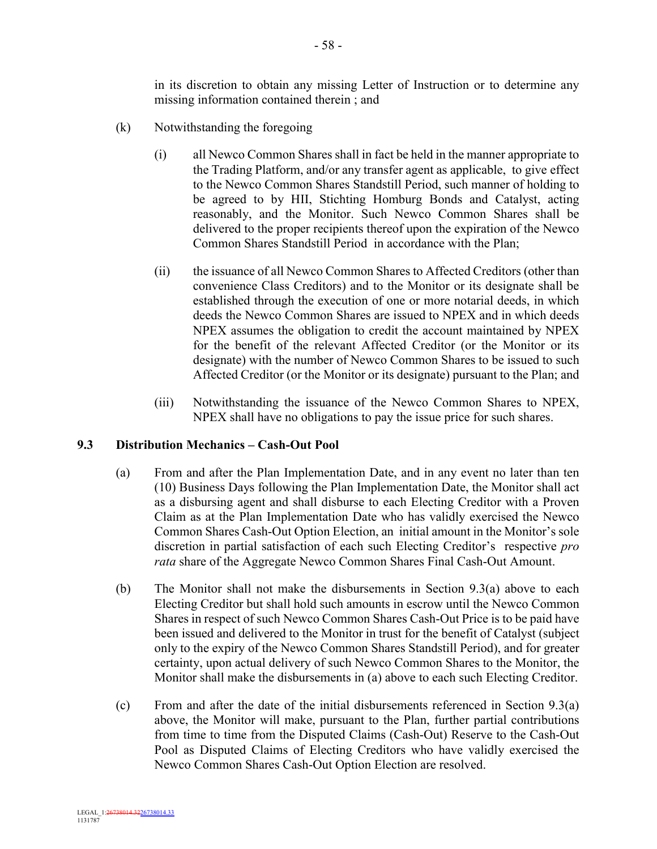in its discretion to obtain any missing Letter of Instruction or to determine any missing information contained therein ; and

- (k) Notwithstanding the foregoing
	- (i) all Newco Common Shares shall in fact be held in the manner appropriate to the Trading Platform, and/or any transfer agent as applicable, to give effect to the Newco Common Shares Standstill Period, such manner of holding to be agreed to by HII, Stichting Homburg Bonds and Catalyst, acting reasonably, and the Monitor. Such Newco Common Shares shall be delivered to the proper recipients thereof upon the expiration of the Newco Common Shares Standstill Period in accordance with the Plan;
	- (ii) the issuance of all Newco Common Shares to Affected Creditors (other than convenience Class Creditors) and to the Monitor or its designate shall be established through the execution of one or more notarial deeds, in which deeds the Newco Common Shares are issued to NPEX and in which deeds NPEX assumes the obligation to credit the account maintained by NPEX for the benefit of the relevant Affected Creditor (or the Monitor or its designate) with the number of Newco Common Shares to be issued to such Affected Creditor (or the Monitor or its designate) pursuant to the Plan; and
	- (iii) Notwithstanding the issuance of the Newco Common Shares to NPEX, NPEX shall have no obligations to pay the issue price for such shares.

## **9.3 Distribution Mechanics – Cash-Out Pool**

- (a) From and after the Plan Implementation Date, and in any event no later than ten (10) Business Days following the Plan Implementation Date, the Monitor shall act as a disbursing agent and shall disburse to each Electing Creditor with a Proven Claim as at the Plan Implementation Date who has validly exercised the Newco Common Shares Cash-Out Option Election, an initial amount in the Monitor's sole discretion in partial satisfaction of each such Electing Creditor's respective *pro rata* share of the Aggregate Newco Common Shares Final Cash-Out Amount.
- (b) The Monitor shall not make the disbursements in Section 9.3(a) above to each Electing Creditor but shall hold such amounts in escrow until the Newco Common Shares in respect of such Newco Common Shares Cash-Out Price is to be paid have been issued and delivered to the Monitor in trust for the benefit of Catalyst (subject only to the expiry of the Newco Common Shares Standstill Period), and for greater certainty, upon actual delivery of such Newco Common Shares to the Monitor, the Monitor shall make the disbursements in (a) above to each such Electing Creditor.
- (c) From and after the date of the initial disbursements referenced in Section 9.3(a) above, the Monitor will make, pursuant to the Plan, further partial contributions from time to time from the Disputed Claims (Cash-Out) Reserve to the Cash-Out Pool as Disputed Claims of Electing Creditors who have validly exercised the Newco Common Shares Cash-Out Option Election are resolved.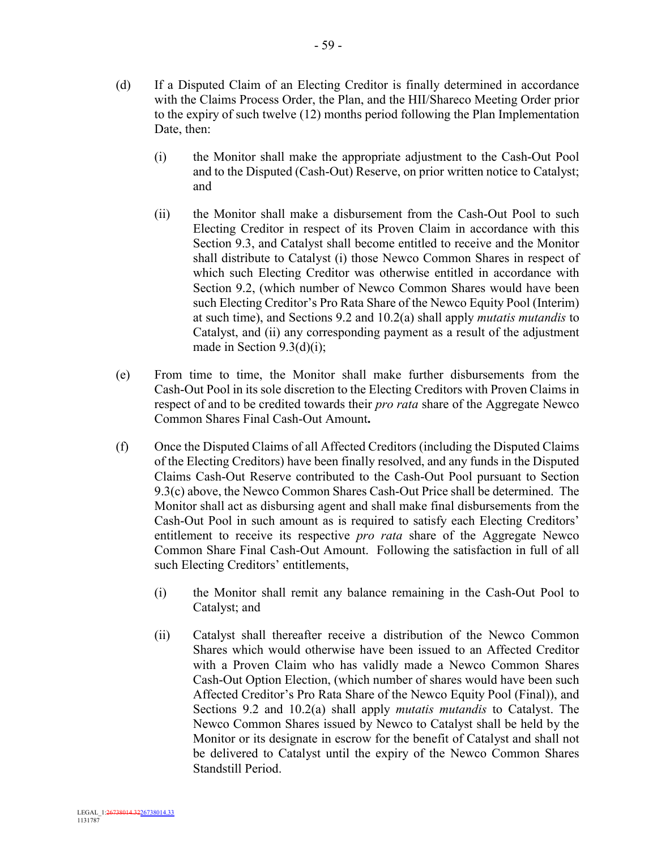- (d) If a Disputed Claim of an Electing Creditor is finally determined in accordance with the Claims Process Order, the Plan, and the HII/Shareco Meeting Order prior to the expiry of such twelve (12) months period following the Plan Implementation Date, then:
	- (i) the Monitor shall make the appropriate adjustment to the Cash-Out Pool and to the Disputed (Cash-Out) Reserve, on prior written notice to Catalyst; and
	- (ii) the Monitor shall make a disbursement from the Cash-Out Pool to such Electing Creditor in respect of its Proven Claim in accordance with this Section 9.3, and Catalyst shall become entitled to receive and the Monitor shall distribute to Catalyst (i) those Newco Common Shares in respect of which such Electing Creditor was otherwise entitled in accordance with Section 9.2, (which number of Newco Common Shares would have been such Electing Creditor's Pro Rata Share of the Newco Equity Pool (Interim) at such time), and Sections 9.2 and 10.2(a) shall apply *mutatis mutandis* to Catalyst, and (ii) any corresponding payment as a result of the adjustment made in Section 9.3(d)(i);
- (e) From time to time, the Monitor shall make further disbursements from the Cash-Out Pool in its sole discretion to the Electing Creditors with Proven Claims in respect of and to be credited towards their *pro rata* share of the Aggregate Newco Common Shares Final Cash-Out Amount**.**
- (f) Once the Disputed Claims of all Affected Creditors (including the Disputed Claims of the Electing Creditors) have been finally resolved, and any funds in the Disputed Claims Cash-Out Reserve contributed to the Cash-Out Pool pursuant to Section 9.3(c) above, the Newco Common Shares Cash-Out Price shall be determined. The Monitor shall act as disbursing agent and shall make final disbursements from the Cash-Out Pool in such amount as is required to satisfy each Electing Creditors' entitlement to receive its respective *pro rata* share of the Aggregate Newco Common Share Final Cash-Out Amount. Following the satisfaction in full of all such Electing Creditors' entitlements,
	- (i) the Monitor shall remit any balance remaining in the Cash-Out Pool to Catalyst; and
	- (ii) Catalyst shall thereafter receive a distribution of the Newco Common Shares which would otherwise have been issued to an Affected Creditor with a Proven Claim who has validly made a Newco Common Shares Cash-Out Option Election, (which number of shares would have been such Affected Creditor's Pro Rata Share of the Newco Equity Pool (Final)), and Sections 9.2 and 10.2(a) shall apply *mutatis mutandis* to Catalyst. The Newco Common Shares issued by Newco to Catalyst shall be held by the Monitor or its designate in escrow for the benefit of Catalyst and shall not be delivered to Catalyst until the expiry of the Newco Common Shares Standstill Period.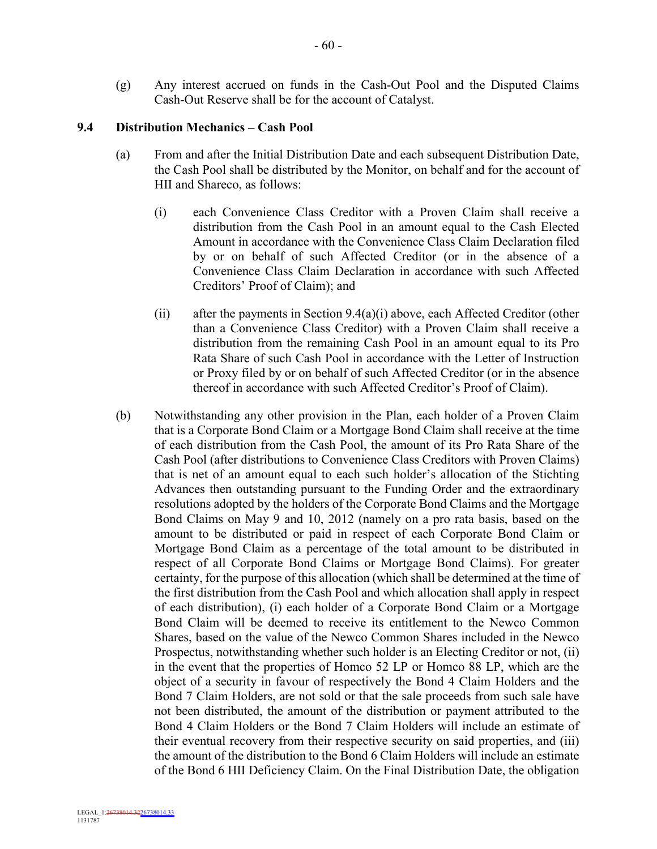(g) Any interest accrued on funds in the Cash-Out Pool and the Disputed Claims Cash-Out Reserve shall be for the account of Catalyst.

### **9.4 Distribution Mechanics – Cash Pool**

- (a) From and after the Initial Distribution Date and each subsequent Distribution Date, the Cash Pool shall be distributed by the Monitor, on behalf and for the account of HII and Shareco, as follows:
	- (i) each Convenience Class Creditor with a Proven Claim shall receive a distribution from the Cash Pool in an amount equal to the Cash Elected Amount in accordance with the Convenience Class Claim Declaration filed by or on behalf of such Affected Creditor (or in the absence of a Convenience Class Claim Declaration in accordance with such Affected Creditors' Proof of Claim); and
	- (ii) after the payments in Section 9.4(a)(i) above, each Affected Creditor (other than a Convenience Class Creditor) with a Proven Claim shall receive a distribution from the remaining Cash Pool in an amount equal to its Pro Rata Share of such Cash Pool in accordance with the Letter of Instruction or Proxy filed by or on behalf of such Affected Creditor (or in the absence thereof in accordance with such Affected Creditor's Proof of Claim).
- (b) Notwithstanding any other provision in the Plan, each holder of a Proven Claim that is a Corporate Bond Claim or a Mortgage Bond Claim shall receive at the time of each distribution from the Cash Pool, the amount of its Pro Rata Share of the Cash Pool (after distributions to Convenience Class Creditors with Proven Claims) that is net of an amount equal to each such holder's allocation of the Stichting Advances then outstanding pursuant to the Funding Order and the extraordinary resolutions adopted by the holders of the Corporate Bond Claims and the Mortgage Bond Claims on May 9 and 10, 2012 (namely on a pro rata basis, based on the amount to be distributed or paid in respect of each Corporate Bond Claim or Mortgage Bond Claim as a percentage of the total amount to be distributed in respect of all Corporate Bond Claims or Mortgage Bond Claims). For greater certainty, for the purpose of this allocation (which shall be determined at the time of the first distribution from the Cash Pool and which allocation shall apply in respect of each distribution), (i) each holder of a Corporate Bond Claim or a Mortgage Bond Claim will be deemed to receive its entitlement to the Newco Common Shares, based on the value of the Newco Common Shares included in the Newco Prospectus, notwithstanding whether such holder is an Electing Creditor or not, (ii) in the event that the properties of Homco 52 LP or Homco 88 LP, which are the object of a security in favour of respectively the Bond 4 Claim Holders and the Bond 7 Claim Holders, are not sold or that the sale proceeds from such sale have not been distributed, the amount of the distribution or payment attributed to the Bond 4 Claim Holders or the Bond 7 Claim Holders will include an estimate of their eventual recovery from their respective security on said properties, and (iii) the amount of the distribution to the Bond 6 Claim Holders will include an estimate of the Bond 6 HII Deficiency Claim. On the Final Distribution Date, the obligation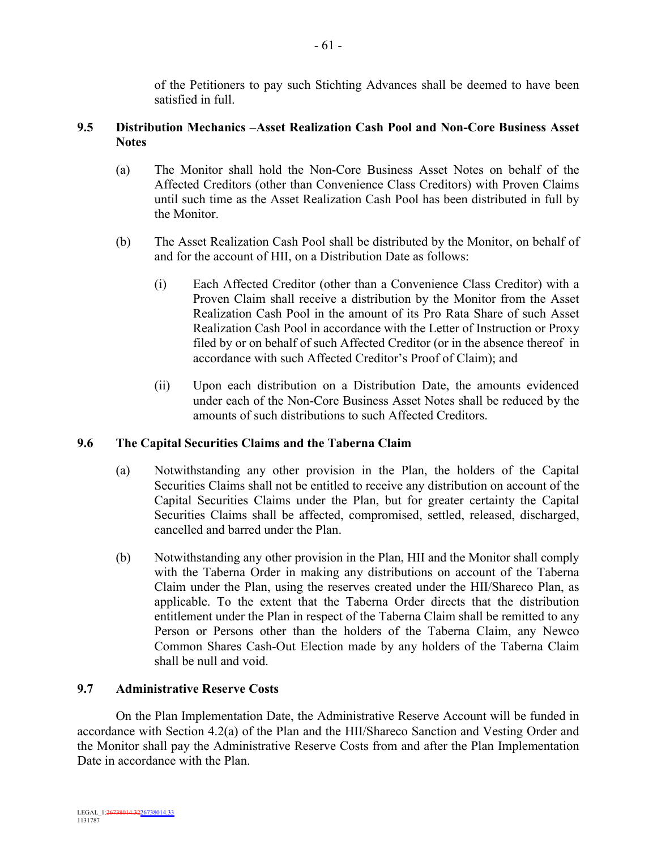of the Petitioners to pay such Stichting Advances shall be deemed to have been satisfied in full.

# **9.5 Distribution Mechanics –Asset Realization Cash Pool and Non-Core Business Asset Notes**

- (a) The Monitor shall hold the Non-Core Business Asset Notes on behalf of the Affected Creditors (other than Convenience Class Creditors) with Proven Claims until such time as the Asset Realization Cash Pool has been distributed in full by the Monitor.
- (b) The Asset Realization Cash Pool shall be distributed by the Monitor, on behalf of and for the account of HII, on a Distribution Date as follows:
	- (i) Each Affected Creditor (other than a Convenience Class Creditor) with a Proven Claim shall receive a distribution by the Monitor from the Asset Realization Cash Pool in the amount of its Pro Rata Share of such Asset Realization Cash Pool in accordance with the Letter of Instruction or Proxy filed by or on behalf of such Affected Creditor (or in the absence thereof in accordance with such Affected Creditor's Proof of Claim); and
	- (ii) Upon each distribution on a Distribution Date, the amounts evidenced under each of the Non-Core Business Asset Notes shall be reduced by the amounts of such distributions to such Affected Creditors.

# **9.6 The Capital Securities Claims and the Taberna Claim**

- (a) Notwithstanding any other provision in the Plan, the holders of the Capital Securities Claims shall not be entitled to receive any distribution on account of the Capital Securities Claims under the Plan, but for greater certainty the Capital Securities Claims shall be affected, compromised, settled, released, discharged, cancelled and barred under the Plan.
- (b) Notwithstanding any other provision in the Plan, HII and the Monitor shall comply with the Taberna Order in making any distributions on account of the Taberna Claim under the Plan, using the reserves created under the HII/Shareco Plan, as applicable. To the extent that the Taberna Order directs that the distribution entitlement under the Plan in respect of the Taberna Claim shall be remitted to any Person or Persons other than the holders of the Taberna Claim, any Newco Common Shares Cash-Out Election made by any holders of the Taberna Claim shall be null and void.

# **9.7 Administrative Reserve Costs**

On the Plan Implementation Date, the Administrative Reserve Account will be funded in accordance with Section 4.2(a) of the Plan and the HII/Shareco Sanction and Vesting Order and the Monitor shall pay the Administrative Reserve Costs from and after the Plan Implementation Date in accordance with the Plan.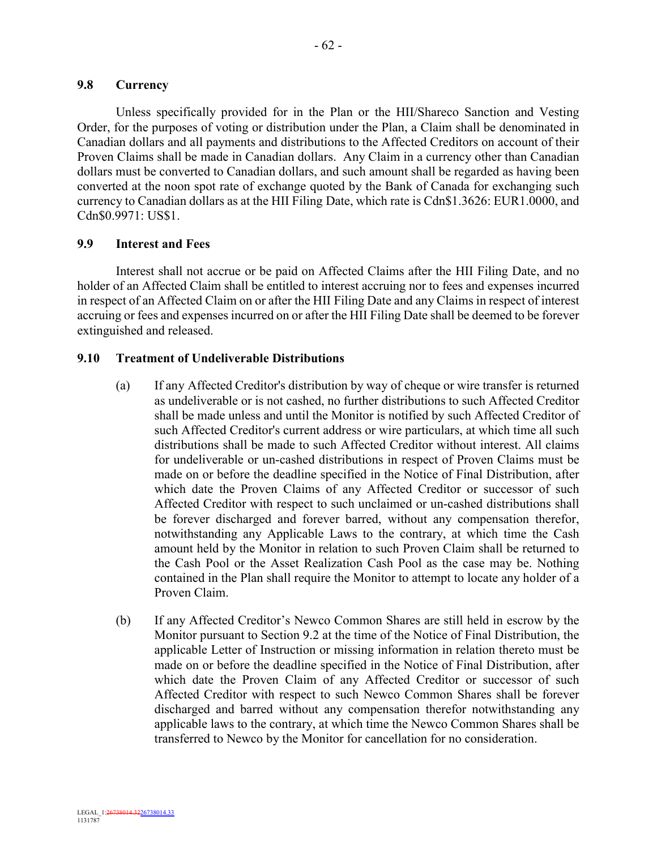## **9.8 Currency**

Unless specifically provided for in the Plan or the HII/Shareco Sanction and Vesting Order, for the purposes of voting or distribution under the Plan, a Claim shall be denominated in Canadian dollars and all payments and distributions to the Affected Creditors on account of their Proven Claims shall be made in Canadian dollars. Any Claim in a currency other than Canadian dollars must be converted to Canadian dollars, and such amount shall be regarded as having been converted at the noon spot rate of exchange quoted by the Bank of Canada for exchanging such currency to Canadian dollars as at the HII Filing Date, which rate is Cdn\$1.3626: EUR1.0000, and Cdn\$0.9971: US\$1.

## **9.9 Interest and Fees**

Interest shall not accrue or be paid on Affected Claims after the HII Filing Date, and no holder of an Affected Claim shall be entitled to interest accruing nor to fees and expenses incurred in respect of an Affected Claim on or after the HII Filing Date and any Claims in respect of interest accruing or fees and expenses incurred on or after the HII Filing Date shall be deemed to be forever extinguished and released.

## **9.10 Treatment of Undeliverable Distributions**

- (a) If any Affected Creditor's distribution by way of cheque or wire transfer is returned as undeliverable or is not cashed, no further distributions to such Affected Creditor shall be made unless and until the Monitor is notified by such Affected Creditor of such Affected Creditor's current address or wire particulars, at which time all such distributions shall be made to such Affected Creditor without interest. All claims for undeliverable or un-cashed distributions in respect of Proven Claims must be made on or before the deadline specified in the Notice of Final Distribution, after which date the Proven Claims of any Affected Creditor or successor of such Affected Creditor with respect to such unclaimed or un-cashed distributions shall be forever discharged and forever barred, without any compensation therefor, notwithstanding any Applicable Laws to the contrary, at which time the Cash amount held by the Monitor in relation to such Proven Claim shall be returned to the Cash Pool or the Asset Realization Cash Pool as the case may be. Nothing contained in the Plan shall require the Monitor to attempt to locate any holder of a Proven Claim.
- (b) If any Affected Creditor's Newco Common Shares are still held in escrow by the Monitor pursuant to Section 9.2 at the time of the Notice of Final Distribution, the applicable Letter of Instruction or missing information in relation thereto must be made on or before the deadline specified in the Notice of Final Distribution, after which date the Proven Claim of any Affected Creditor or successor of such Affected Creditor with respect to such Newco Common Shares shall be forever discharged and barred without any compensation therefor notwithstanding any applicable laws to the contrary, at which time the Newco Common Shares shall be transferred to Newco by the Monitor for cancellation for no consideration.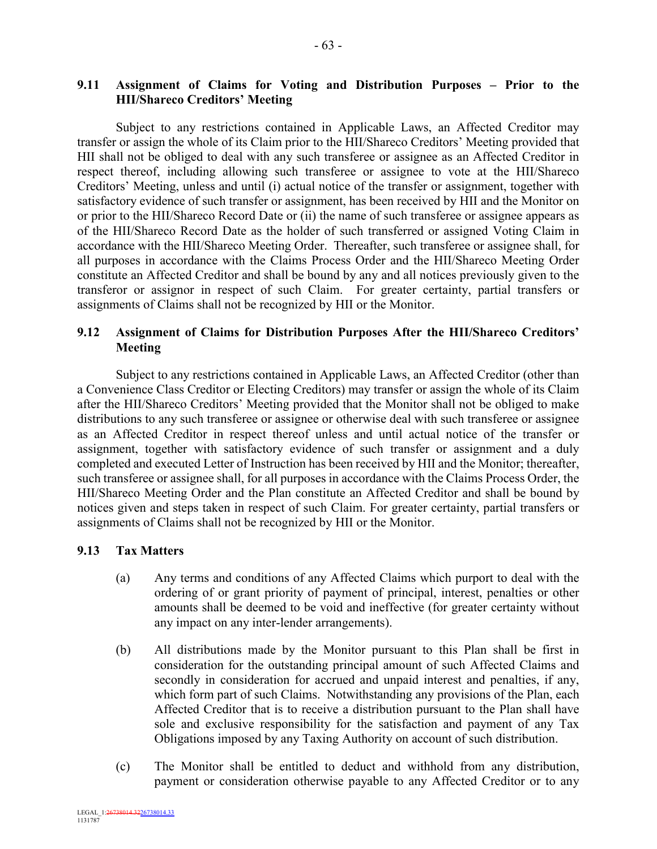- 63 -

# **9.11 Assignment of Claims for Voting and Distribution Purposes – Prior to the HII/Shareco Creditors' Meeting**

Subject to any restrictions contained in Applicable Laws, an Affected Creditor may transfer or assign the whole of its Claim prior to the HII/Shareco Creditors' Meeting provided that HII shall not be obliged to deal with any such transferee or assignee as an Affected Creditor in respect thereof, including allowing such transferee or assignee to vote at the HII/Shareco Creditors' Meeting, unless and until (i) actual notice of the transfer or assignment, together with satisfactory evidence of such transfer or assignment, has been received by HII and the Monitor on or prior to the HII/Shareco Record Date or (ii) the name of such transferee or assignee appears as of the HII/Shareco Record Date as the holder of such transferred or assigned Voting Claim in accordance with the HII/Shareco Meeting Order. Thereafter, such transferee or assignee shall, for all purposes in accordance with the Claims Process Order and the HII/Shareco Meeting Order constitute an Affected Creditor and shall be bound by any and all notices previously given to the transferor or assignor in respect of such Claim. For greater certainty, partial transfers or assignments of Claims shall not be recognized by HII or the Monitor.

## **9.12 Assignment of Claims for Distribution Purposes After the HII/Shareco Creditors' Meeting**

Subject to any restrictions contained in Applicable Laws, an Affected Creditor (other than a Convenience Class Creditor or Electing Creditors) may transfer or assign the whole of its Claim after the HII/Shareco Creditors' Meeting provided that the Monitor shall not be obliged to make distributions to any such transferee or assignee or otherwise deal with such transferee or assignee as an Affected Creditor in respect thereof unless and until actual notice of the transfer or assignment, together with satisfactory evidence of such transfer or assignment and a duly completed and executed Letter of Instruction has been received by HII and the Monitor; thereafter, such transferee or assignee shall, for all purposes in accordance with the Claims Process Order, the HII/Shareco Meeting Order and the Plan constitute an Affected Creditor and shall be bound by notices given and steps taken in respect of such Claim. For greater certainty, partial transfers or assignments of Claims shall not be recognized by HII or the Monitor.

## **9.13 Tax Matters**

- (a) Any terms and conditions of any Affected Claims which purport to deal with the ordering of or grant priority of payment of principal, interest, penalties or other amounts shall be deemed to be void and ineffective (for greater certainty without any impact on any inter-lender arrangements).
- (b) All distributions made by the Monitor pursuant to this Plan shall be first in consideration for the outstanding principal amount of such Affected Claims and secondly in consideration for accrued and unpaid interest and penalties, if any, which form part of such Claims. Notwithstanding any provisions of the Plan, each Affected Creditor that is to receive a distribution pursuant to the Plan shall have sole and exclusive responsibility for the satisfaction and payment of any Tax Obligations imposed by any Taxing Authority on account of such distribution.
- (c) The Monitor shall be entitled to deduct and withhold from any distribution, payment or consideration otherwise payable to any Affected Creditor or to any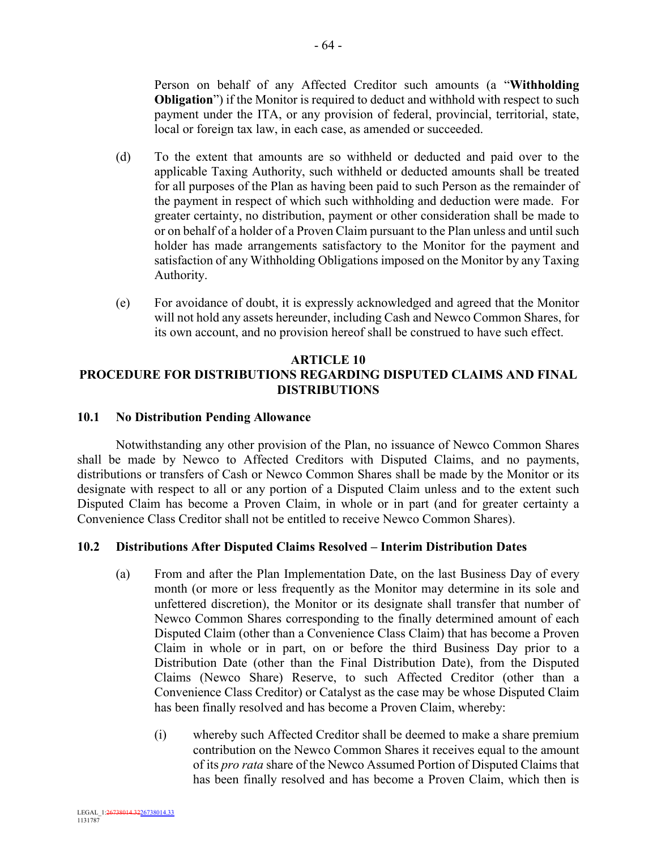Person on behalf of any Affected Creditor such amounts (a "**Withholding Obligation**") if the Monitor is required to deduct and withhold with respect to such payment under the ITA, or any provision of federal, provincial, territorial, state, local or foreign tax law, in each case, as amended or succeeded.

- (d) To the extent that amounts are so withheld or deducted and paid over to the applicable Taxing Authority, such withheld or deducted amounts shall be treated for all purposes of the Plan as having been paid to such Person as the remainder of the payment in respect of which such withholding and deduction were made. For greater certainty, no distribution, payment or other consideration shall be made to or on behalf of a holder of a Proven Claim pursuant to the Plan unless and until such holder has made arrangements satisfactory to the Monitor for the payment and satisfaction of any Withholding Obligations imposed on the Monitor by any Taxing Authority.
- (e) For avoidance of doubt, it is expressly acknowledged and agreed that the Monitor will not hold any assets hereunder, including Cash and Newco Common Shares, for its own account, and no provision hereof shall be construed to have such effect.

#### **ARTICLE 10**

# **PROCEDURE FOR DISTRIBUTIONS REGARDING DISPUTED CLAIMS AND FINAL DISTRIBUTIONS**

### **10.1 No Distribution Pending Allowance**

Notwithstanding any other provision of the Plan, no issuance of Newco Common Shares shall be made by Newco to Affected Creditors with Disputed Claims, and no payments, distributions or transfers of Cash or Newco Common Shares shall be made by the Monitor or its designate with respect to all or any portion of a Disputed Claim unless and to the extent such Disputed Claim has become a Proven Claim, in whole or in part (and for greater certainty a Convenience Class Creditor shall not be entitled to receive Newco Common Shares).

## **10.2 Distributions After Disputed Claims Resolved – Interim Distribution Dates**

- (a) From and after the Plan Implementation Date, on the last Business Day of every month (or more or less frequently as the Monitor may determine in its sole and unfettered discretion), the Monitor or its designate shall transfer that number of Newco Common Shares corresponding to the finally determined amount of each Disputed Claim (other than a Convenience Class Claim) that has become a Proven Claim in whole or in part, on or before the third Business Day prior to a Distribution Date (other than the Final Distribution Date), from the Disputed Claims (Newco Share) Reserve, to such Affected Creditor (other than a Convenience Class Creditor) or Catalyst as the case may be whose Disputed Claim has been finally resolved and has become a Proven Claim, whereby:
	- (i) whereby such Affected Creditor shall be deemed to make a share premium contribution on the Newco Common Shares it receives equal to the amount of its *pro rata* share of the Newco Assumed Portion of Disputed Claims that has been finally resolved and has become a Proven Claim, which then is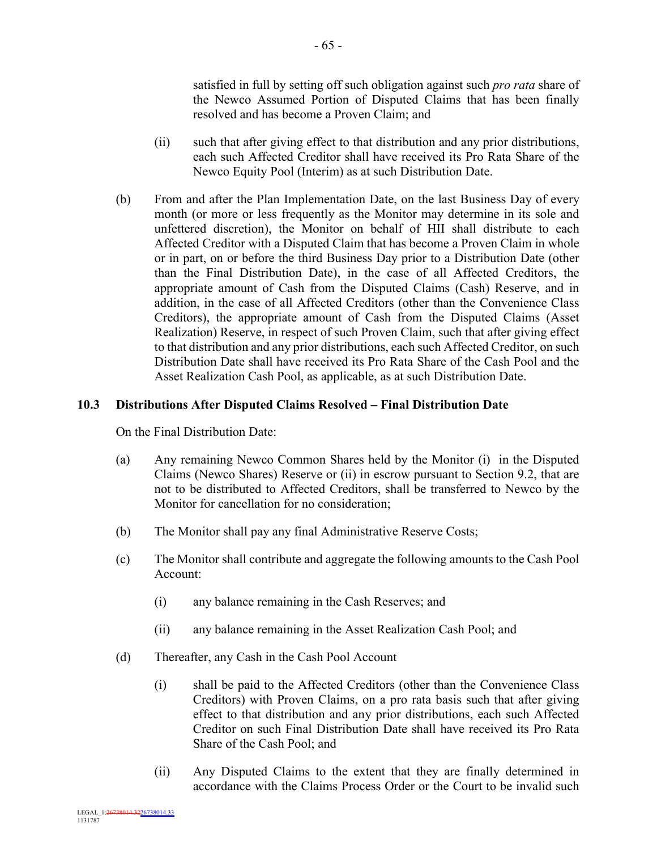satisfied in full by setting off such obligation against such *pro rata* share of the Newco Assumed Portion of Disputed Claims that has been finally resolved and has become a Proven Claim; and

- (ii) such that after giving effect to that distribution and any prior distributions, each such Affected Creditor shall have received its Pro Rata Share of the Newco Equity Pool (Interim) as at such Distribution Date.
- (b) From and after the Plan Implementation Date, on the last Business Day of every month (or more or less frequently as the Monitor may determine in its sole and unfettered discretion), the Monitor on behalf of HII shall distribute to each Affected Creditor with a Disputed Claim that has become a Proven Claim in whole or in part, on or before the third Business Day prior to a Distribution Date (other than the Final Distribution Date), in the case of all Affected Creditors, the appropriate amount of Cash from the Disputed Claims (Cash) Reserve, and in addition, in the case of all Affected Creditors (other than the Convenience Class Creditors), the appropriate amount of Cash from the Disputed Claims (Asset Realization) Reserve, in respect of such Proven Claim, such that after giving effect to that distribution and any prior distributions, each such Affected Creditor, on such Distribution Date shall have received its Pro Rata Share of the Cash Pool and the Asset Realization Cash Pool, as applicable, as at such Distribution Date.

# **10.3 Distributions After Disputed Claims Resolved – Final Distribution Date**

On the Final Distribution Date:

- (a) Any remaining Newco Common Shares held by the Monitor (i) in the Disputed Claims (Newco Shares) Reserve or (ii) in escrow pursuant to Section 9.2, that are not to be distributed to Affected Creditors, shall be transferred to Newco by the Monitor for cancellation for no consideration;
- (b) The Monitor shall pay any final Administrative Reserve Costs;
- (c) The Monitor shall contribute and aggregate the following amounts to the Cash Pool Account:
	- (i) any balance remaining in the Cash Reserves; and
	- (ii) any balance remaining in the Asset Realization Cash Pool; and
- (d) Thereafter, any Cash in the Cash Pool Account
	- (i) shall be paid to the Affected Creditors (other than the Convenience Class Creditors) with Proven Claims, on a pro rata basis such that after giving effect to that distribution and any prior distributions, each such Affected Creditor on such Final Distribution Date shall have received its Pro Rata Share of the Cash Pool; and
	- (ii) Any Disputed Claims to the extent that they are finally determined in accordance with the Claims Process Order or the Court to be invalid such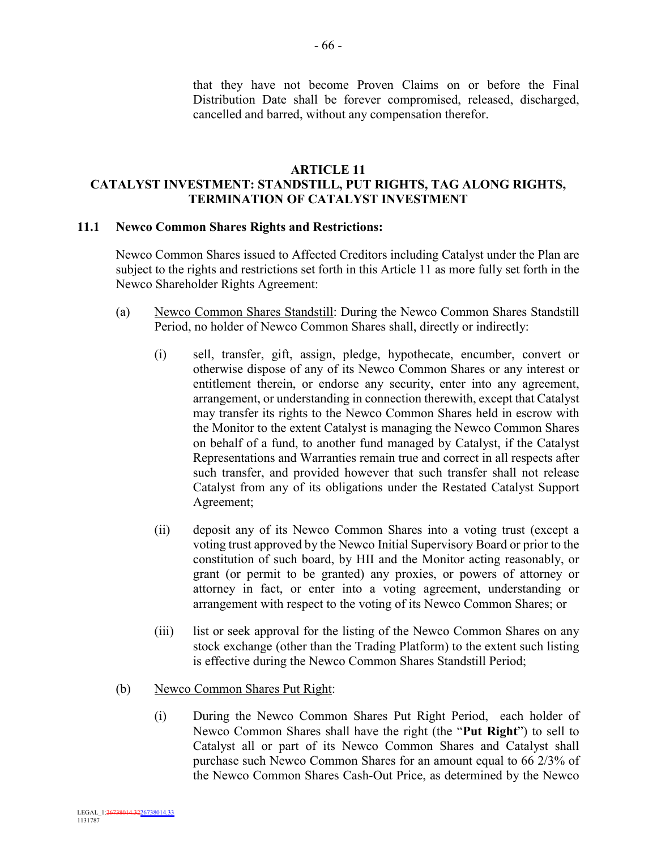that they have not become Proven Claims on or before the Final Distribution Date shall be forever compromised, released, discharged, cancelled and barred, without any compensation therefor.

### **ARTICLE 11**

# **CATALYST INVESTMENT: STANDSTILL, PUT RIGHTS, TAG ALONG RIGHTS, TERMINATION OF CATALYST INVESTMENT**

### **11.1 Newco Common Shares Rights and Restrictions:**

Newco Common Shares issued to Affected Creditors including Catalyst under the Plan are subject to the rights and restrictions set forth in this Article 11 as more fully set forth in the Newco Shareholder Rights Agreement:

- (a) Newco Common Shares Standstill: During the Newco Common Shares Standstill Period, no holder of Newco Common Shares shall, directly or indirectly:
	- (i) sell, transfer, gift, assign, pledge, hypothecate, encumber, convert or otherwise dispose of any of its Newco Common Shares or any interest or entitlement therein, or endorse any security, enter into any agreement, arrangement, or understanding in connection therewith, except that Catalyst may transfer its rights to the Newco Common Shares held in escrow with the Monitor to the extent Catalyst is managing the Newco Common Shares on behalf of a fund, to another fund managed by Catalyst, if the Catalyst Representations and Warranties remain true and correct in all respects after such transfer, and provided however that such transfer shall not release Catalyst from any of its obligations under the Restated Catalyst Support Agreement;
	- (ii) deposit any of its Newco Common Shares into a voting trust (except a voting trust approved by the Newco Initial Supervisory Board or prior to the constitution of such board, by HII and the Monitor acting reasonably, or grant (or permit to be granted) any proxies, or powers of attorney or attorney in fact, or enter into a voting agreement, understanding or arrangement with respect to the voting of its Newco Common Shares; or
	- (iii) list or seek approval for the listing of the Newco Common Shares on any stock exchange (other than the Trading Platform) to the extent such listing is effective during the Newco Common Shares Standstill Period;
- (b) Newco Common Shares Put Right:
	- (i) During the Newco Common Shares Put Right Period, each holder of Newco Common Shares shall have the right (the "**Put Right**") to sell to Catalyst all or part of its Newco Common Shares and Catalyst shall purchase such Newco Common Shares for an amount equal to 66 2/3% of the Newco Common Shares Cash-Out Price, as determined by the Newco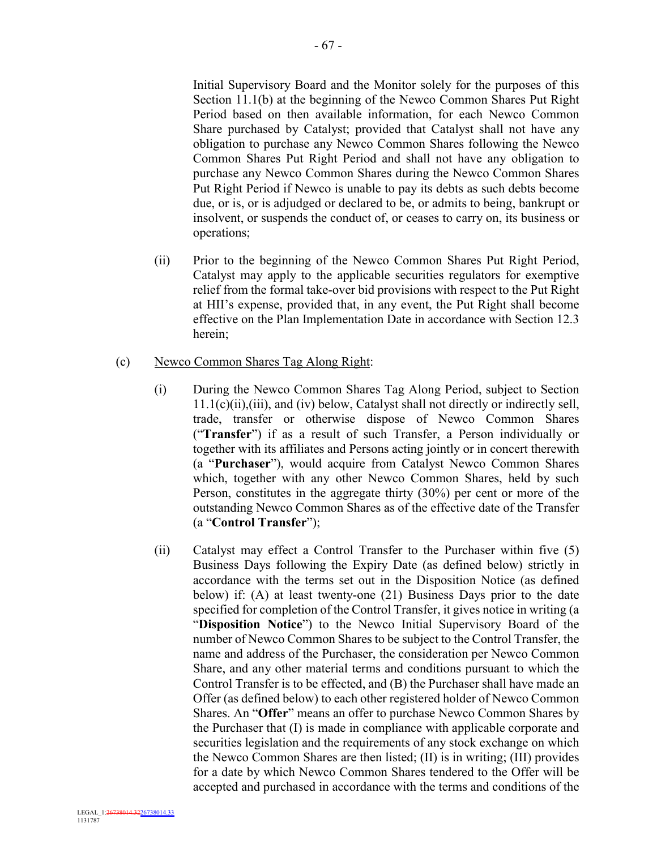Initial Supervisory Board and the Monitor solely for the purposes of this Section 11.1(b) at the beginning of the Newco Common Shares Put Right Period based on then available information, for each Newco Common Share purchased by Catalyst; provided that Catalyst shall not have any obligation to purchase any Newco Common Shares following the Newco Common Shares Put Right Period and shall not have any obligation to purchase any Newco Common Shares during the Newco Common Shares Put Right Period if Newco is unable to pay its debts as such debts become due, or is, or is adjudged or declared to be, or admits to being, bankrupt or insolvent, or suspends the conduct of, or ceases to carry on, its business or operations;

(ii) Prior to the beginning of the Newco Common Shares Put Right Period, Catalyst may apply to the applicable securities regulators for exemptive relief from the formal take-over bid provisions with respect to the Put Right at HII's expense, provided that, in any event, the Put Right shall become effective on the Plan Implementation Date in accordance with Section 12.3 herein;

# (c) Newco Common Shares Tag Along Right:

- (i) During the Newco Common Shares Tag Along Period, subject to Section 11.1(c)(ii),(iii), and (iv) below, Catalyst shall not directly or indirectly sell, trade, transfer or otherwise dispose of Newco Common Shares ("**Transfer**") if as a result of such Transfer, a Person individually or together with its affiliates and Persons acting jointly or in concert therewith (a "**Purchaser**"), would acquire from Catalyst Newco Common Shares which, together with any other Newco Common Shares, held by such Person, constitutes in the aggregate thirty (30%) per cent or more of the outstanding Newco Common Shares as of the effective date of the Transfer (a "**Control Transfer**");
- (ii) Catalyst may effect a Control Transfer to the Purchaser within five (5) Business Days following the Expiry Date (as defined below) strictly in accordance with the terms set out in the Disposition Notice (as defined below) if: (A) at least twenty-one (21) Business Days prior to the date specified for completion of the Control Transfer, it gives notice in writing (a "**Disposition Notice**") to the Newco Initial Supervisory Board of the number of Newco Common Shares to be subject to the Control Transfer, the name and address of the Purchaser, the consideration per Newco Common Share, and any other material terms and conditions pursuant to which the Control Transfer is to be effected, and (B) the Purchaser shall have made an Offer (as defined below) to each other registered holder of Newco Common Shares. An "**Offer**" means an offer to purchase Newco Common Shares by the Purchaser that (I) is made in compliance with applicable corporate and securities legislation and the requirements of any stock exchange on which the Newco Common Shares are then listed; (II) is in writing; (III) provides for a date by which Newco Common Shares tendered to the Offer will be accepted and purchased in accordance with the terms and conditions of the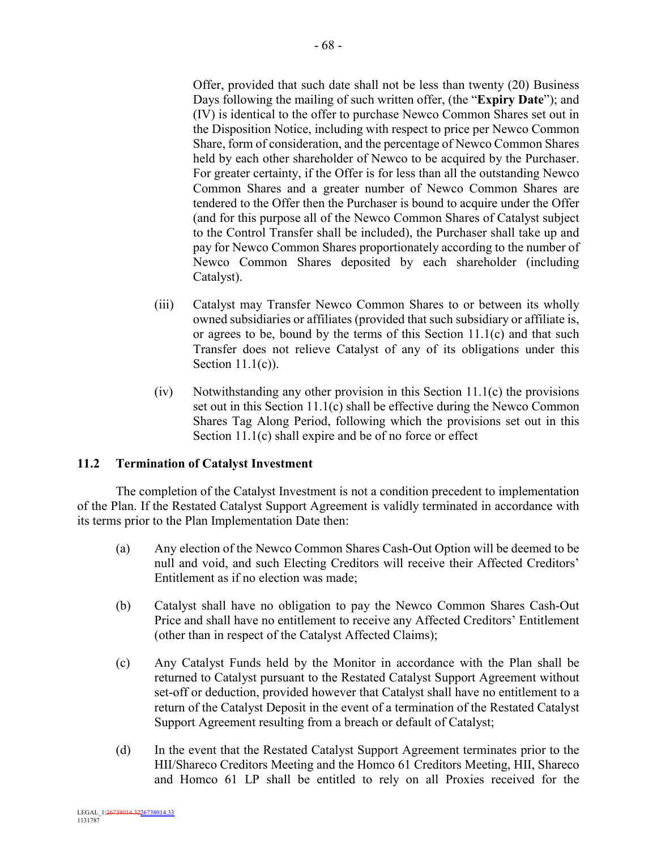Offer, provided that such date shall not be less than twenty (20) Business Days following the mailing of such written offer, (the "**Expiry Date**"); and (IV) is identical to the offer to purchase Newco Common Shares set out in the Disposition Notice, including with respect to price per Newco Common Share, form of consideration, and the percentage of Newco Common Shares held by each other shareholder of Newco to be acquired by the Purchaser. For greater certainty, if the Offer is for less than all the outstanding Newco Common Shares and a greater number of Newco Common Shares are tendered to the Offer then the Purchaser is bound to acquire under the Offer (and for this purpose all of the Newco Common Shares of Catalyst subject to the Control Transfer shall be included), the Purchaser shall take up and pay for Newco Common Shares proportionately according to the number of Newco Common Shares deposited by each shareholder (including Catalyst).

- (iii) Catalyst may Transfer Newco Common Shares to or between its wholly owned subsidiaries or affiliates (provided that such subsidiary or affiliate is, or agrees to be, bound by the terms of this Section 11.1(c) and that such Transfer does not relieve Catalyst of any of its obligations under this Section 11.1(c)).
- (iv) Notwithstanding any other provision in this Section 11.1(c) the provisions set out in this Section 11.1(c) shall be effective during the Newco Common Shares Tag Along Period, following which the provisions set out in this Section 11.1(c) shall expire and be of no force or effect

# **11.2 Termination of Catalyst Investment**

The completion of the Catalyst Investment is not a condition precedent to implementation of the Plan. If the Restated Catalyst Support Agreement is validly terminated in accordance with its terms prior to the Plan Implementation Date then:

- (a) Any election of the Newco Common Shares Cash-Out Option will be deemed to be null and void, and such Electing Creditors will receive their Affected Creditors' Entitlement as if no election was made;
- (b) Catalyst shall have no obligation to pay the Newco Common Shares Cash-Out Price and shall have no entitlement to receive any Affected Creditors' Entitlement (other than in respect of the Catalyst Affected Claims);
- (c) Any Catalyst Funds held by the Monitor in accordance with the Plan shall be returned to Catalyst pursuant to the Restated Catalyst Support Agreement without set-off or deduction, provided however that Catalyst shall have no entitlement to a return of the Catalyst Deposit in the event of a termination of the Restated Catalyst Support Agreement resulting from a breach or default of Catalyst;
- (d) In the event that the Restated Catalyst Support Agreement terminates prior to the HII/Shareco Creditors Meeting and the Homco 61 Creditors Meeting, HII, Shareco and Homco 61 LP shall be entitled to rely on all Proxies received for the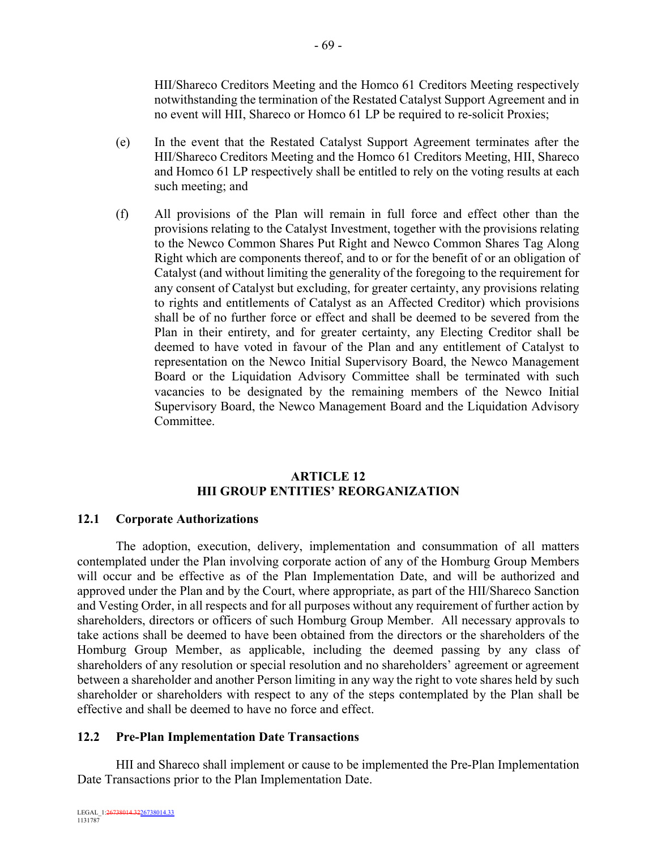HII/Shareco Creditors Meeting and the Homco 61 Creditors Meeting respectively notwithstanding the termination of the Restated Catalyst Support Agreement and in no event will HII, Shareco or Homco 61 LP be required to re-solicit Proxies;

- (e) In the event that the Restated Catalyst Support Agreement terminates after the HII/Shareco Creditors Meeting and the Homco 61 Creditors Meeting, HII, Shareco and Homco 61 LP respectively shall be entitled to rely on the voting results at each such meeting; and
- (f) All provisions of the Plan will remain in full force and effect other than the provisions relating to the Catalyst Investment, together with the provisions relating to the Newco Common Shares Put Right and Newco Common Shares Tag Along Right which are components thereof, and to or for the benefit of or an obligation of Catalyst (and without limiting the generality of the foregoing to the requirement for any consent of Catalyst but excluding, for greater certainty, any provisions relating to rights and entitlements of Catalyst as an Affected Creditor) which provisions shall be of no further force or effect and shall be deemed to be severed from the Plan in their entirety, and for greater certainty, any Electing Creditor shall be deemed to have voted in favour of the Plan and any entitlement of Catalyst to representation on the Newco Initial Supervisory Board, the Newco Management Board or the Liquidation Advisory Committee shall be terminated with such vacancies to be designated by the remaining members of the Newco Initial Supervisory Board, the Newco Management Board and the Liquidation Advisory **Committee**

## **ARTICLE 12 HII GROUP ENTITIES' REORGANIZATION**

#### **12.1 Corporate Authorizations**

The adoption, execution, delivery, implementation and consummation of all matters contemplated under the Plan involving corporate action of any of the Homburg Group Members will occur and be effective as of the Plan Implementation Date, and will be authorized and approved under the Plan and by the Court, where appropriate, as part of the HII/Shareco Sanction and Vesting Order, in all respects and for all purposes without any requirement of further action by shareholders, directors or officers of such Homburg Group Member. All necessary approvals to take actions shall be deemed to have been obtained from the directors or the shareholders of the Homburg Group Member, as applicable, including the deemed passing by any class of shareholders of any resolution or special resolution and no shareholders' agreement or agreement between a shareholder and another Person limiting in any way the right to vote shares held by such shareholder or shareholders with respect to any of the steps contemplated by the Plan shall be effective and shall be deemed to have no force and effect.

# **12.2 Pre-Plan Implementation Date Transactions**

HII and Shareco shall implement or cause to be implemented the Pre-Plan Implementation Date Transactions prior to the Plan Implementation Date.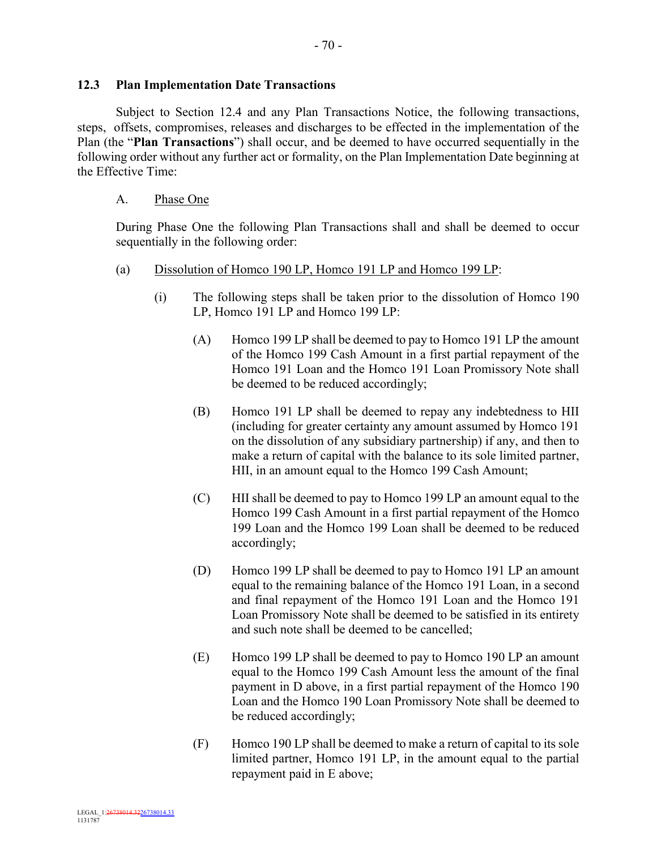#### **12.3 Plan Implementation Date Transactions**

Subject to Section 12.4 and any Plan Transactions Notice, the following transactions, steps, offsets, compromises, releases and discharges to be effected in the implementation of the Plan (the "**Plan Transactions**") shall occur, and be deemed to have occurred sequentially in the following order without any further act or formality, on the Plan Implementation Date beginning at the Effective Time:

#### A. Phase One

During Phase One the following Plan Transactions shall and shall be deemed to occur sequentially in the following order:

- (a) Dissolution of Homco 190 LP, Homco 191 LP and Homco 199 LP:
	- (i) The following steps shall be taken prior to the dissolution of Homco 190 LP, Homco 191 LP and Homco 199 LP:
		- (A) Homco 199 LP shall be deemed to pay to Homco 191 LP the amount of the Homco 199 Cash Amount in a first partial repayment of the Homco 191 Loan and the Homco 191 Loan Promissory Note shall be deemed to be reduced accordingly;
		- (B) Homco 191 LP shall be deemed to repay any indebtedness to HII (including for greater certainty any amount assumed by Homco 191 on the dissolution of any subsidiary partnership) if any, and then to make a return of capital with the balance to its sole limited partner, HII, in an amount equal to the Homco 199 Cash Amount;
		- (C) HII shall be deemed to pay to Homco 199 LP an amount equal to the Homco 199 Cash Amount in a first partial repayment of the Homco 199 Loan and the Homco 199 Loan shall be deemed to be reduced accordingly;
		- (D) Homco 199 LP shall be deemed to pay to Homco 191 LP an amount equal to the remaining balance of the Homco 191 Loan, in a second and final repayment of the Homco 191 Loan and the Homco 191 Loan Promissory Note shall be deemed to be satisfied in its entirety and such note shall be deemed to be cancelled;
		- (E) Homco 199 LP shall be deemed to pay to Homco 190 LP an amount equal to the Homco 199 Cash Amount less the amount of the final payment in D above, in a first partial repayment of the Homco 190 Loan and the Homco 190 Loan Promissory Note shall be deemed to be reduced accordingly;
		- (F) Homco 190 LP shall be deemed to make a return of capital to its sole limited partner, Homco 191 LP, in the amount equal to the partial repayment paid in E above;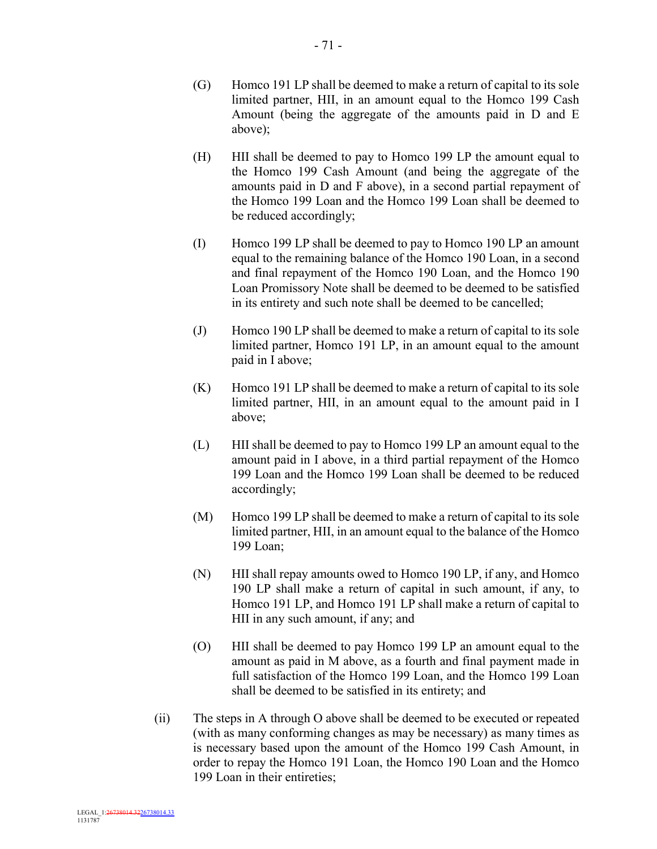- (G) Homco 191 LP shall be deemed to make a return of capital to its sole limited partner, HII, in an amount equal to the Homco 199 Cash Amount (being the aggregate of the amounts paid in D and E above);
- (H) HII shall be deemed to pay to Homco 199 LP the amount equal to the Homco 199 Cash Amount (and being the aggregate of the amounts paid in D and F above), in a second partial repayment of the Homco 199 Loan and the Homco 199 Loan shall be deemed to be reduced accordingly;
- (I) Homco 199 LP shall be deemed to pay to Homco 190 LP an amount equal to the remaining balance of the Homco 190 Loan, in a second and final repayment of the Homco 190 Loan, and the Homco 190 Loan Promissory Note shall be deemed to be deemed to be satisfied in its entirety and such note shall be deemed to be cancelled;
- (J) Homco 190 LP shall be deemed to make a return of capital to its sole limited partner, Homco 191 LP, in an amount equal to the amount paid in I above;
- (K) Homco 191 LP shall be deemed to make a return of capital to its sole limited partner, HII, in an amount equal to the amount paid in I above;
- (L) HII shall be deemed to pay to Homco 199 LP an amount equal to the amount paid in I above, in a third partial repayment of the Homco 199 Loan and the Homco 199 Loan shall be deemed to be reduced accordingly;
- (M) Homco 199 LP shall be deemed to make a return of capital to its sole limited partner, HII, in an amount equal to the balance of the Homco 199 Loan;
- (N) HII shall repay amounts owed to Homco 190 LP, if any, and Homco 190 LP shall make a return of capital in such amount, if any, to Homco 191 LP, and Homco 191 LP shall make a return of capital to HII in any such amount, if any; and
- (O) HII shall be deemed to pay Homco 199 LP an amount equal to the amount as paid in M above, as a fourth and final payment made in full satisfaction of the Homco 199 Loan, and the Homco 199 Loan shall be deemed to be satisfied in its entirety; and
- (ii) The steps in A through O above shall be deemed to be executed or repeated (with as many conforming changes as may be necessary) as many times as is necessary based upon the amount of the Homco 199 Cash Amount, in order to repay the Homco 191 Loan, the Homco 190 Loan and the Homco 199 Loan in their entireties;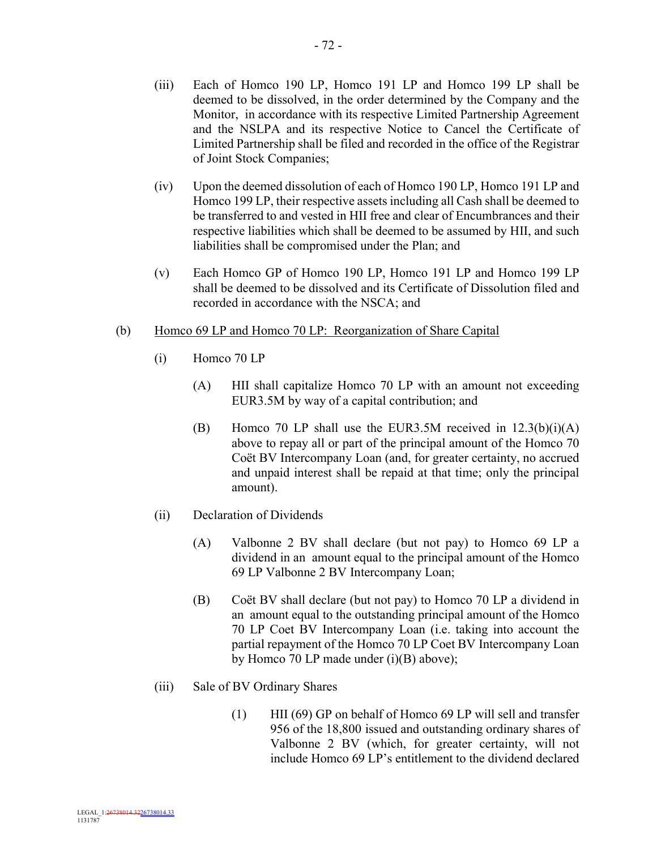- (iv) Upon the deemed dissolution of each of Homco 190 LP, Homco 191 LP and Homco 199 LP, their respective assets including all Cash shall be deemed to be transferred to and vested in HII free and clear of Encumbrances and their respective liabilities which shall be deemed to be assumed by HII, and such liabilities shall be compromised under the Plan; and
- (v) Each Homco GP of Homco 190 LP, Homco 191 LP and Homco 199 LP shall be deemed to be dissolved and its Certificate of Dissolution filed and recorded in accordance with the NSCA; and
- (b) Homco 69 LP and Homco 70 LP: Reorganization of Share Capital
	- (i) Homco 70 LP
		- (A) HII shall capitalize Homco 70 LP with an amount not exceeding EUR3.5M by way of a capital contribution; and
		- (B) Homco 70 LP shall use the EUR3.5M received in  $12.3(b)(i)(A)$ above to repay all or part of the principal amount of the Homco 70 Coët BV Intercompany Loan (and, for greater certainty, no accrued and unpaid interest shall be repaid at that time; only the principal amount).
	- (ii) Declaration of Dividends
		- (A) Valbonne 2 BV shall declare (but not pay) to Homco 69 LP a dividend in an amount equal to the principal amount of the Homco 69 LP Valbonne 2 BV Intercompany Loan;
		- (B) Coët BV shall declare (but not pay) to Homco 70 LP a dividend in an amount equal to the outstanding principal amount of the Homco 70 LP Coet BV Intercompany Loan (i.e. taking into account the partial repayment of the Homco 70 LP Coet BV Intercompany Loan by Homco 70 LP made under (i)(B) above);
	- (iii) Sale of BV Ordinary Shares
		- (1) HII (69) GP on behalf of Homco 69 LP will sell and transfer 956 of the 18,800 issued and outstanding ordinary shares of Valbonne 2 BV (which, for greater certainty, will not include Homco 69 LP's entitlement to the dividend declared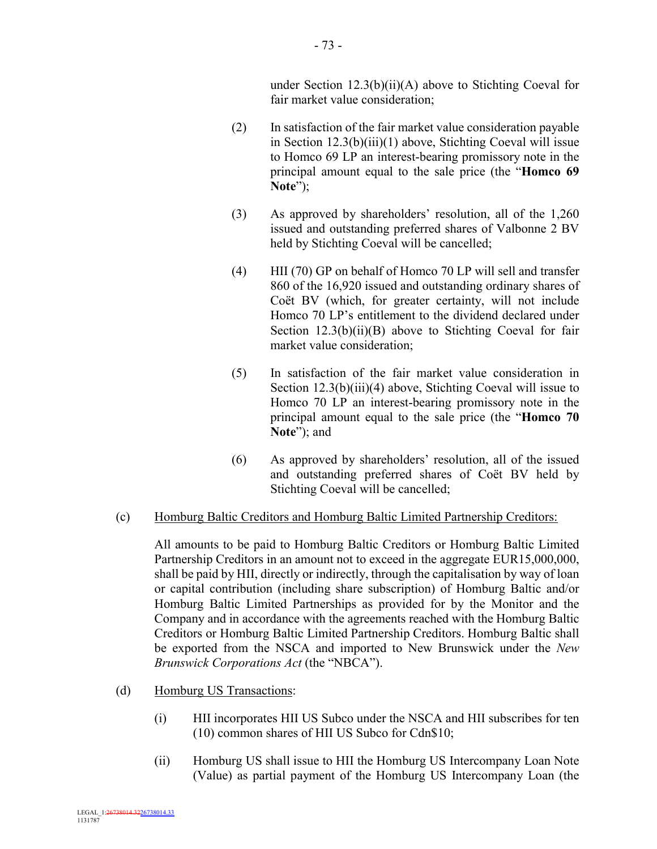under Section 12.3(b)(ii)(A) above to Stichting Coeval for fair market value consideration;

- (2) In satisfaction of the fair market value consideration payable in Section 12.3(b)(iii)(1) above, Stichting Coeval will issue to Homco 69 LP an interest-bearing promissory note in the principal amount equal to the sale price (the "**Homco 69 Note**");
- (3) As approved by shareholders' resolution, all of the 1,260 issued and outstanding preferred shares of Valbonne 2 BV held by Stichting Coeval will be cancelled;
- (4) HII (70) GP on behalf of Homco 70 LP will sell and transfer 860 of the 16,920 issued and outstanding ordinary shares of Coët BV (which, for greater certainty, will not include Homco 70 LP's entitlement to the dividend declared under Section 12.3(b)(ii)(B) above to Stichting Coeval for fair market value consideration;
- (5) In satisfaction of the fair market value consideration in Section 12.3(b)(iii)(4) above, Stichting Coeval will issue to Homco 70 LP an interest-bearing promissory note in the principal amount equal to the sale price (the "**Homco 70 Note**"); and
- (6) As approved by shareholders' resolution, all of the issued and outstanding preferred shares of Coët BV held by Stichting Coeval will be cancelled;

# (c) Homburg Baltic Creditors and Homburg Baltic Limited Partnership Creditors:

All amounts to be paid to Homburg Baltic Creditors or Homburg Baltic Limited Partnership Creditors in an amount not to exceed in the aggregate EUR15,000,000, shall be paid by HII, directly or indirectly, through the capitalisation by way of loan or capital contribution (including share subscription) of Homburg Baltic and/or Homburg Baltic Limited Partnerships as provided for by the Monitor and the Company and in accordance with the agreements reached with the Homburg Baltic Creditors or Homburg Baltic Limited Partnership Creditors. Homburg Baltic shall be exported from the NSCA and imported to New Brunswick under the *New Brunswick Corporations Act* (the "NBCA").

- (d) Homburg US Transactions:
	- (i) HII incorporates HII US Subco under the NSCA and HII subscribes for ten (10) common shares of HII US Subco for Cdn\$10;
	- (ii) Homburg US shall issue to HII the Homburg US Intercompany Loan Note (Value) as partial payment of the Homburg US Intercompany Loan (the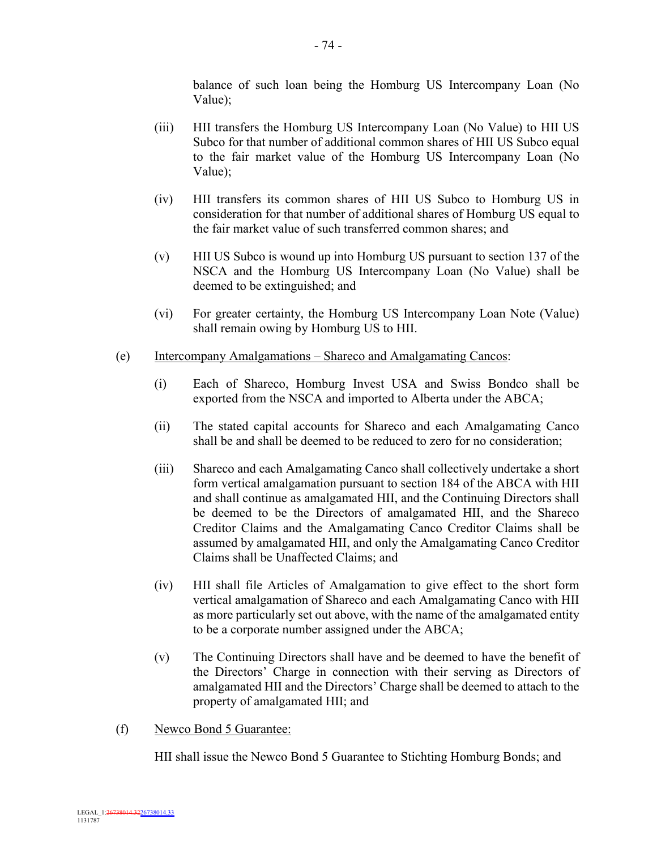balance of such loan being the Homburg US Intercompany Loan (No Value);

- (iii) HII transfers the Homburg US Intercompany Loan (No Value) to HII US Subco for that number of additional common shares of HII US Subco equal to the fair market value of the Homburg US Intercompany Loan (No Value);
- (iv) HII transfers its common shares of HII US Subco to Homburg US in consideration for that number of additional shares of Homburg US equal to the fair market value of such transferred common shares; and
- (v) HII US Subco is wound up into Homburg US pursuant to section 137 of the NSCA and the Homburg US Intercompany Loan (No Value) shall be deemed to be extinguished; and
- (vi) For greater certainty, the Homburg US Intercompany Loan Note (Value) shall remain owing by Homburg US to HII.
- (e) Intercompany Amalgamations Shareco and Amalgamating Cancos:
	- (i) Each of Shareco, Homburg Invest USA and Swiss Bondco shall be exported from the NSCA and imported to Alberta under the ABCA;
	- (ii) The stated capital accounts for Shareco and each Amalgamating Canco shall be and shall be deemed to be reduced to zero for no consideration;
	- (iii) Shareco and each Amalgamating Canco shall collectively undertake a short form vertical amalgamation pursuant to section 184 of the ABCA with HII and shall continue as amalgamated HII, and the Continuing Directors shall be deemed to be the Directors of amalgamated HII, and the Shareco Creditor Claims and the Amalgamating Canco Creditor Claims shall be assumed by amalgamated HII, and only the Amalgamating Canco Creditor Claims shall be Unaffected Claims; and
	- (iv) HII shall file Articles of Amalgamation to give effect to the short form vertical amalgamation of Shareco and each Amalgamating Canco with HII as more particularly set out above, with the name of the amalgamated entity to be a corporate number assigned under the ABCA;
	- (v) The Continuing Directors shall have and be deemed to have the benefit of the Directors' Charge in connection with their serving as Directors of amalgamated HII and the Directors' Charge shall be deemed to attach to the property of amalgamated HII; and
- (f) Newco Bond 5 Guarantee:

HII shall issue the Newco Bond 5 Guarantee to Stichting Homburg Bonds; and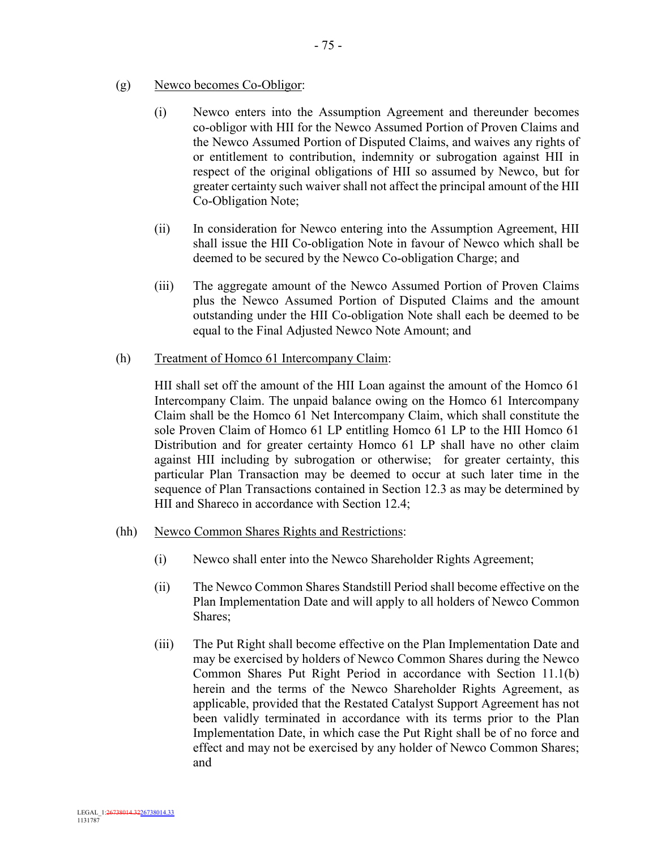- (g) Newco becomes Co-Obligor:
	- (i) Newco enters into the Assumption Agreement and thereunder becomes co-obligor with HII for the Newco Assumed Portion of Proven Claims and the Newco Assumed Portion of Disputed Claims, and waives any rights of or entitlement to contribution, indemnity or subrogation against HII in respect of the original obligations of HII so assumed by Newco, but for greater certainty such waiver shall not affect the principal amount of the HII Co-Obligation Note;
	- (ii) In consideration for Newco entering into the Assumption Agreement, HII shall issue the HII Co-obligation Note in favour of Newco which shall be deemed to be secured by the Newco Co-obligation Charge; and
	- (iii) The aggregate amount of the Newco Assumed Portion of Proven Claims plus the Newco Assumed Portion of Disputed Claims and the amount outstanding under the HII Co-obligation Note shall each be deemed to be equal to the Final Adjusted Newco Note Amount; and
- (h) Treatment of Homco 61 Intercompany Claim:

HII shall set off the amount of the HII Loan against the amount of the Homco 61 Intercompany Claim. The unpaid balance owing on the Homco 61 Intercompany Claim shall be the Homco 61 Net Intercompany Claim, which shall constitute the sole Proven Claim of Homco 61 LP entitling Homco 61 LP to the HII Homco 61 Distribution and for greater certainty Homco 61 LP shall have no other claim against HII including by subrogation or otherwise; for greater certainty, this particular Plan Transaction may be deemed to occur at such later time in the sequence of Plan Transactions contained in Section 12.3 as may be determined by HII and Shareco in accordance with Section 12.4;

- (hh) Newco Common Shares Rights and Restrictions:
	- (i) Newco shall enter into the Newco Shareholder Rights Agreement;
	- (ii) The Newco Common Shares Standstill Period shall become effective on the Plan Implementation Date and will apply to all holders of Newco Common Shares;
	- (iii) The Put Right shall become effective on the Plan Implementation Date and may be exercised by holders of Newco Common Shares during the Newco Common Shares Put Right Period in accordance with Section 11.1(b) herein and the terms of the Newco Shareholder Rights Agreement, as applicable, provided that the Restated Catalyst Support Agreement has not been validly terminated in accordance with its terms prior to the Plan Implementation Date, in which case the Put Right shall be of no force and effect and may not be exercised by any holder of Newco Common Shares; and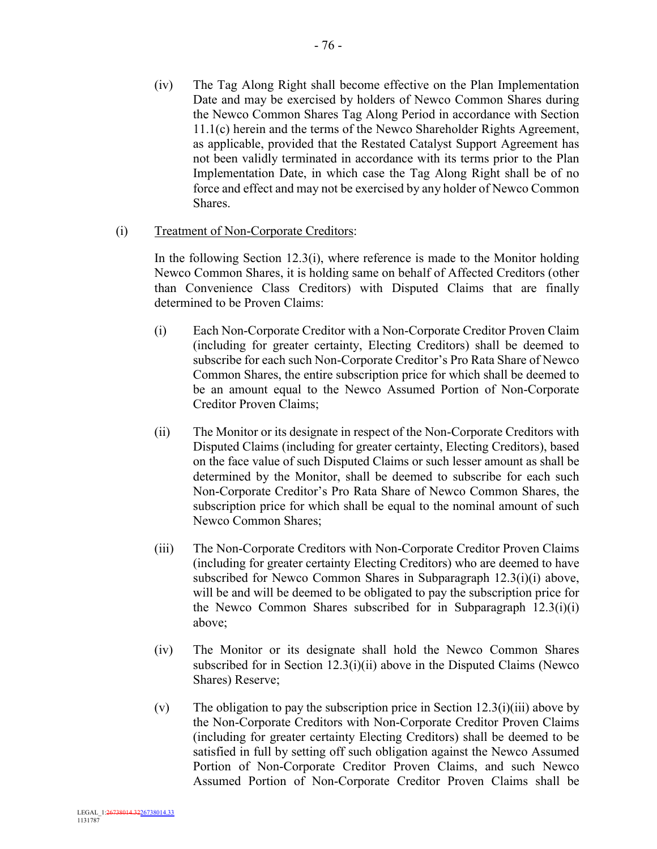- 76 -

(iv) The Tag Along Right shall become effective on the Plan Implementation Date and may be exercised by holders of Newco Common Shares during the Newco Common Shares Tag Along Period in accordance with Section 11.1(c) herein and the terms of the Newco Shareholder Rights Agreement, as applicable, provided that the Restated Catalyst Support Agreement has not been validly terminated in accordance with its terms prior to the Plan Implementation Date, in which case the Tag Along Right shall be of no force and effect and may not be exercised by any holder of Newco Common Shares.

# (i) Treatment of Non-Corporate Creditors:

In the following Section 12.3(i), where reference is made to the Monitor holding Newco Common Shares, it is holding same on behalf of Affected Creditors (other than Convenience Class Creditors) with Disputed Claims that are finally determined to be Proven Claims:

- (i) Each Non-Corporate Creditor with a Non-Corporate Creditor Proven Claim (including for greater certainty, Electing Creditors) shall be deemed to subscribe for each such Non-Corporate Creditor's Pro Rata Share of Newco Common Shares, the entire subscription price for which shall be deemed to be an amount equal to the Newco Assumed Portion of Non-Corporate Creditor Proven Claims;
- (ii) The Monitor or its designate in respect of the Non-Corporate Creditors with Disputed Claims (including for greater certainty, Electing Creditors), based on the face value of such Disputed Claims or such lesser amount as shall be determined by the Monitor, shall be deemed to subscribe for each such Non-Corporate Creditor's Pro Rata Share of Newco Common Shares, the subscription price for which shall be equal to the nominal amount of such Newco Common Shares;
- (iii) The Non-Corporate Creditors with Non-Corporate Creditor Proven Claims (including for greater certainty Electing Creditors) who are deemed to have subscribed for Newco Common Shares in Subparagraph 12.3(i)(i) above, will be and will be deemed to be obligated to pay the subscription price for the Newco Common Shares subscribed for in Subparagraph 12.3(i)(i) above;
- (iv) The Monitor or its designate shall hold the Newco Common Shares subscribed for in Section 12.3(i)(ii) above in the Disputed Claims (Newco Shares) Reserve;
- (v) The obligation to pay the subscription price in Section  $12.3(i)(iii)$  above by the Non-Corporate Creditors with Non-Corporate Creditor Proven Claims (including for greater certainty Electing Creditors) shall be deemed to be satisfied in full by setting off such obligation against the Newco Assumed Portion of Non-Corporate Creditor Proven Claims, and such Newco Assumed Portion of Non-Corporate Creditor Proven Claims shall be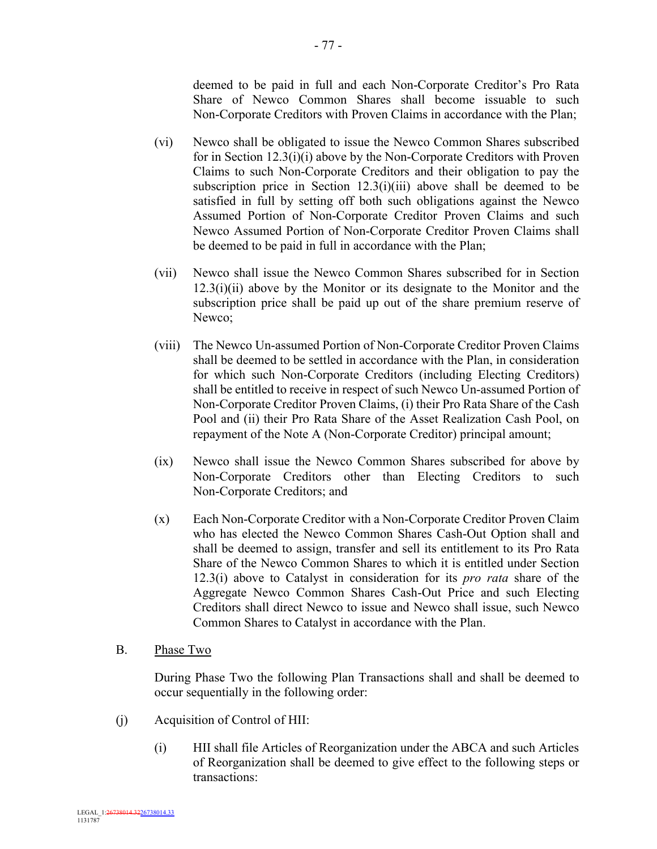deemed to be paid in full and each Non-Corporate Creditor's Pro Rata Share of Newco Common Shares shall become issuable to such Non-Corporate Creditors with Proven Claims in accordance with the Plan;

- (vi) Newco shall be obligated to issue the Newco Common Shares subscribed for in Section 12.3(i)(i) above by the Non-Corporate Creditors with Proven Claims to such Non-Corporate Creditors and their obligation to pay the subscription price in Section  $12.3(i)(iii)$  above shall be deemed to be satisfied in full by setting off both such obligations against the Newco Assumed Portion of Non-Corporate Creditor Proven Claims and such Newco Assumed Portion of Non-Corporate Creditor Proven Claims shall be deemed to be paid in full in accordance with the Plan;
- (vii) Newco shall issue the Newco Common Shares subscribed for in Section  $12.3(i)(ii)$  above by the Monitor or its designate to the Monitor and the subscription price shall be paid up out of the share premium reserve of Newco;
- (viii) The Newco Un-assumed Portion of Non-Corporate Creditor Proven Claims shall be deemed to be settled in accordance with the Plan, in consideration for which such Non-Corporate Creditors (including Electing Creditors) shall be entitled to receive in respect of such Newco Un-assumed Portion of Non-Corporate Creditor Proven Claims, (i) their Pro Rata Share of the Cash Pool and (ii) their Pro Rata Share of the Asset Realization Cash Pool, on repayment of the Note A (Non-Corporate Creditor) principal amount;
- (ix) Newco shall issue the Newco Common Shares subscribed for above by Non-Corporate Creditors other than Electing Creditors to such Non-Corporate Creditors; and
- (x) Each Non-Corporate Creditor with a Non-Corporate Creditor Proven Claim who has elected the Newco Common Shares Cash-Out Option shall and shall be deemed to assign, transfer and sell its entitlement to its Pro Rata Share of the Newco Common Shares to which it is entitled under Section 12.3(i) above to Catalyst in consideration for its *pro rata* share of the Aggregate Newco Common Shares Cash-Out Price and such Electing Creditors shall direct Newco to issue and Newco shall issue, such Newco Common Shares to Catalyst in accordance with the Plan.

#### B. Phase Two

During Phase Two the following Plan Transactions shall and shall be deemed to occur sequentially in the following order:

- (j) Acquisition of Control of HII:
	- (i) HII shall file Articles of Reorganization under the ABCA and such Articles of Reorganization shall be deemed to give effect to the following steps or transactions: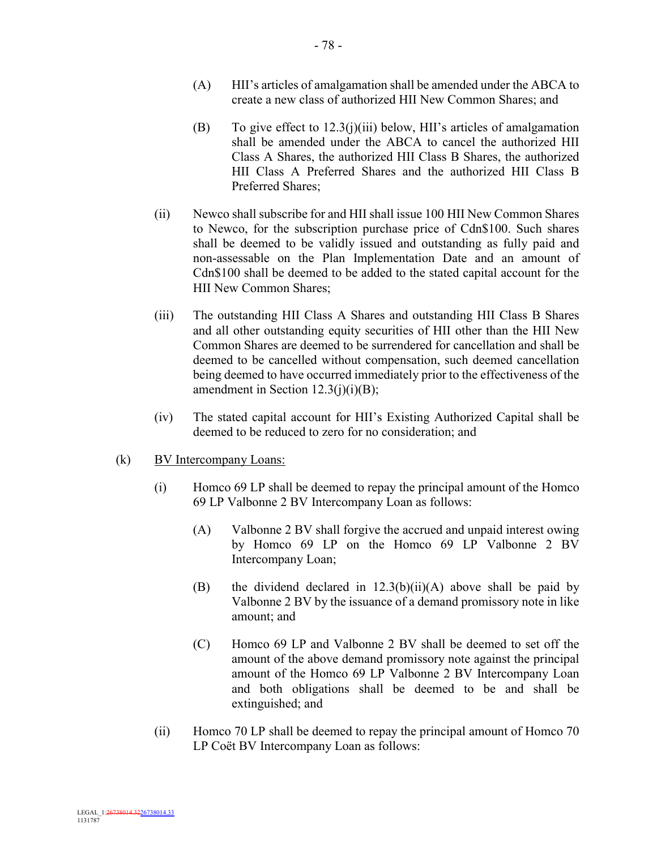- (A) HII's articles of amalgamation shall be amended under the ABCA to create a new class of authorized HII New Common Shares; and
- (B) To give effect to 12.3(j)(iii) below, HII's articles of amalgamation shall be amended under the ABCA to cancel the authorized HII Class A Shares, the authorized HII Class B Shares, the authorized HII Class A Preferred Shares and the authorized HII Class B Preferred Shares;
- (ii) Newco shall subscribe for and HII shall issue 100 HII New Common Shares to Newco, for the subscription purchase price of Cdn\$100. Such shares shall be deemed to be validly issued and outstanding as fully paid and non-assessable on the Plan Implementation Date and an amount of Cdn\$100 shall be deemed to be added to the stated capital account for the HII New Common Shares;
- (iii) The outstanding HII Class A Shares and outstanding HII Class B Shares and all other outstanding equity securities of HII other than the HII New Common Shares are deemed to be surrendered for cancellation and shall be deemed to be cancelled without compensation, such deemed cancellation being deemed to have occurred immediately prior to the effectiveness of the amendment in Section 12.3(j)(i)(B);
- (iv) The stated capital account for HII's Existing Authorized Capital shall be deemed to be reduced to zero for no consideration; and
- (k) BV Intercompany Loans:
	- (i) Homco 69 LP shall be deemed to repay the principal amount of the Homco 69 LP Valbonne 2 BV Intercompany Loan as follows:
		- (A) Valbonne 2 BV shall forgive the accrued and unpaid interest owing by Homco 69 LP on the Homco 69 LP Valbonne 2 BV Intercompany Loan;
		- (B) the dividend declared in  $12.3(b)(ii)(A)$  above shall be paid by Valbonne 2 BV by the issuance of a demand promissory note in like amount; and
		- (C) Homco 69 LP and Valbonne 2 BV shall be deemed to set off the amount of the above demand promissory note against the principal amount of the Homco 69 LP Valbonne 2 BV Intercompany Loan and both obligations shall be deemed to be and shall be extinguished; and
	- (ii) Homco 70 LP shall be deemed to repay the principal amount of Homco 70 LP Coët BV Intercompany Loan as follows: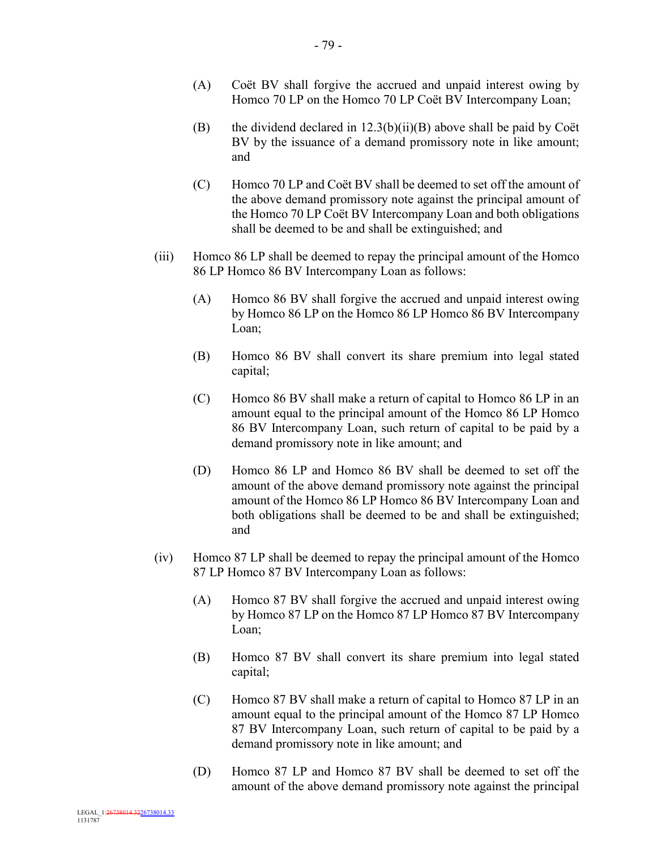- (A) Coët BV shall forgive the accrued and unpaid interest owing by Homco 70 LP on the Homco 70 LP Coët BV Intercompany Loan;
- (B) the dividend declared in  $12.3(b)(ii)(B)$  above shall be paid by Coët BV by the issuance of a demand promissory note in like amount; and
- (C) Homco 70 LP and Coët BV shall be deemed to set off the amount of the above demand promissory note against the principal amount of the Homco 70 LP Coët BV Intercompany Loan and both obligations shall be deemed to be and shall be extinguished; and
- (iii) Homco 86 LP shall be deemed to repay the principal amount of the Homco 86 LP Homco 86 BV Intercompany Loan as follows:
	- (A) Homco 86 BV shall forgive the accrued and unpaid interest owing by Homco 86 LP on the Homco 86 LP Homco 86 BV Intercompany Loan;
	- (B) Homco 86 BV shall convert its share premium into legal stated capital;
	- (C) Homco 86 BV shall make a return of capital to Homco 86 LP in an amount equal to the principal amount of the Homco 86 LP Homco 86 BV Intercompany Loan, such return of capital to be paid by a demand promissory note in like amount; and
	- (D) Homco 86 LP and Homco 86 BV shall be deemed to set off the amount of the above demand promissory note against the principal amount of the Homco 86 LP Homco 86 BV Intercompany Loan and both obligations shall be deemed to be and shall be extinguished; and
- (iv) Homco 87 LP shall be deemed to repay the principal amount of the Homco 87 LP Homco 87 BV Intercompany Loan as follows:
	- (A) Homco 87 BV shall forgive the accrued and unpaid interest owing by Homco 87 LP on the Homco 87 LP Homco 87 BV Intercompany Loan;
	- (B) Homco 87 BV shall convert its share premium into legal stated capital;
	- (C) Homco 87 BV shall make a return of capital to Homco 87 LP in an amount equal to the principal amount of the Homco 87 LP Homco 87 BV Intercompany Loan, such return of capital to be paid by a demand promissory note in like amount; and
	- (D) Homco 87 LP and Homco 87 BV shall be deemed to set off the amount of the above demand promissory note against the principal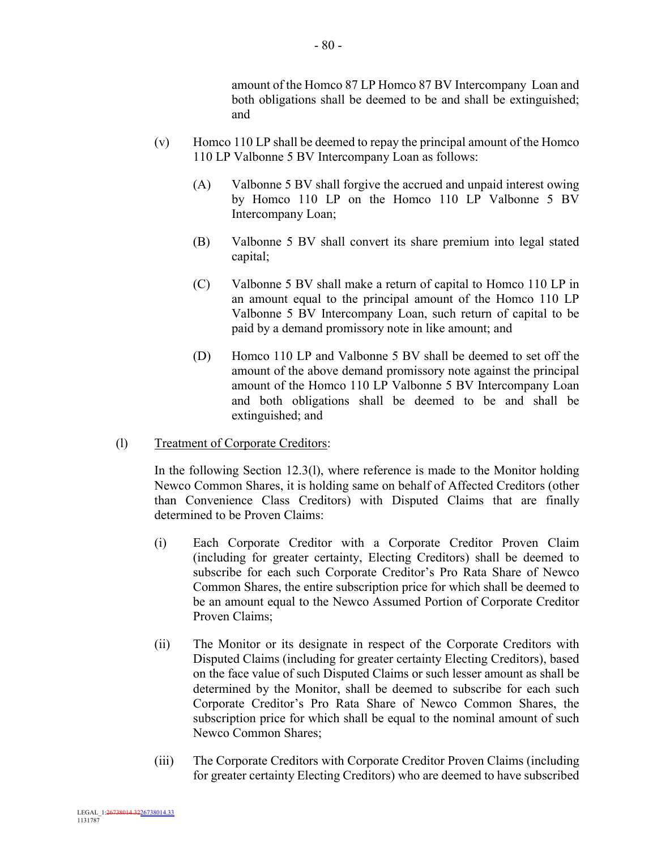amount of the Homco 87 LP Homco 87 BV Intercompany Loan and both obligations shall be deemed to be and shall be extinguished; and

- (v) Homco 110 LP shall be deemed to repay the principal amount of the Homco 110 LP Valbonne 5 BV Intercompany Loan as follows:
	- (A) Valbonne 5 BV shall forgive the accrued and unpaid interest owing by Homco 110 LP on the Homco 110 LP Valbonne 5 BV Intercompany Loan;
	- (B) Valbonne 5 BV shall convert its share premium into legal stated capital;
	- (C) Valbonne 5 BV shall make a return of capital to Homco 110 LP in an amount equal to the principal amount of the Homco 110 LP Valbonne 5 BV Intercompany Loan, such return of capital to be paid by a demand promissory note in like amount; and
	- (D) Homco 110 LP and Valbonne 5 BV shall be deemed to set off the amount of the above demand promissory note against the principal amount of the Homco 110 LP Valbonne 5 BV Intercompany Loan and both obligations shall be deemed to be and shall be extinguished; and
- (l) Treatment of Corporate Creditors:

In the following Section 12.3(l), where reference is made to the Monitor holding Newco Common Shares, it is holding same on behalf of Affected Creditors (other than Convenience Class Creditors) with Disputed Claims that are finally determined to be Proven Claims:

- (i) Each Corporate Creditor with a Corporate Creditor Proven Claim (including for greater certainty, Electing Creditors) shall be deemed to subscribe for each such Corporate Creditor's Pro Rata Share of Newco Common Shares, the entire subscription price for which shall be deemed to be an amount equal to the Newco Assumed Portion of Corporate Creditor Proven Claims;
- (ii) The Monitor or its designate in respect of the Corporate Creditors with Disputed Claims (including for greater certainty Electing Creditors), based on the face value of such Disputed Claims or such lesser amount as shall be determined by the Monitor, shall be deemed to subscribe for each such Corporate Creditor's Pro Rata Share of Newco Common Shares, the subscription price for which shall be equal to the nominal amount of such Newco Common Shares;
- (iii) The Corporate Creditors with Corporate Creditor Proven Claims (including for greater certainty Electing Creditors) who are deemed to have subscribed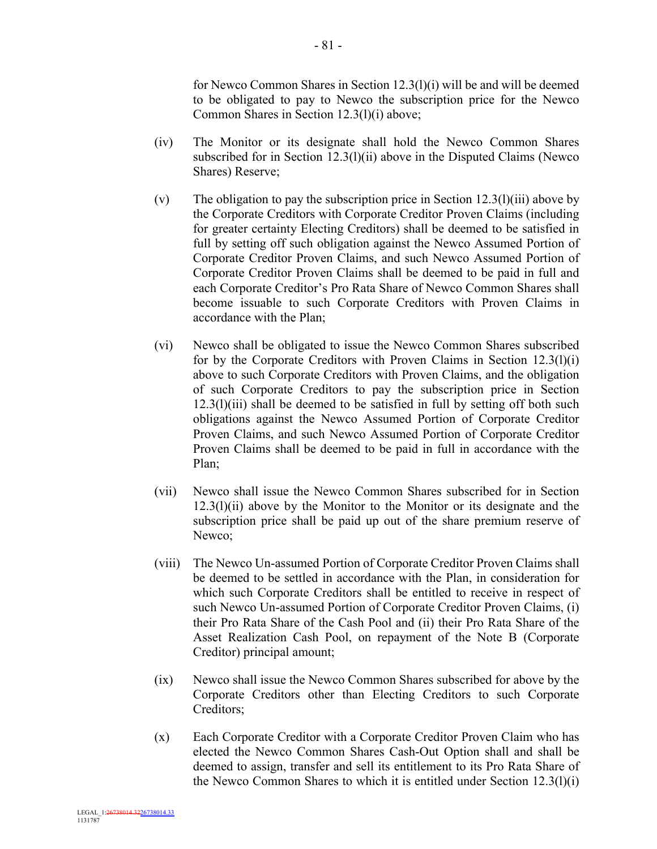for Newco Common Shares in Section 12.3(l)(i) will be and will be deemed to be obligated to pay to Newco the subscription price for the Newco Common Shares in Section 12.3(l)(i) above;

- (iv) The Monitor or its designate shall hold the Newco Common Shares subscribed for in Section 12.3(l)(ii) above in the Disputed Claims (Newco) Shares) Reserve;
- (v) The obligation to pay the subscription price in Section  $12.3(1)(iii)$  above by the Corporate Creditors with Corporate Creditor Proven Claims (including for greater certainty Electing Creditors) shall be deemed to be satisfied in full by setting off such obligation against the Newco Assumed Portion of Corporate Creditor Proven Claims, and such Newco Assumed Portion of Corporate Creditor Proven Claims shall be deemed to be paid in full and each Corporate Creditor's Pro Rata Share of Newco Common Shares shall become issuable to such Corporate Creditors with Proven Claims in accordance with the Plan;
- (vi) Newco shall be obligated to issue the Newco Common Shares subscribed for by the Corporate Creditors with Proven Claims in Section 12.3(l)(i) above to such Corporate Creditors with Proven Claims, and the obligation of such Corporate Creditors to pay the subscription price in Section  $12.3(1)(iii)$  shall be deemed to be satisfied in full by setting off both such obligations against the Newco Assumed Portion of Corporate Creditor Proven Claims, and such Newco Assumed Portion of Corporate Creditor Proven Claims shall be deemed to be paid in full in accordance with the Plan;
- (vii) Newco shall issue the Newco Common Shares subscribed for in Section  $12.3(1)(ii)$  above by the Monitor to the Monitor or its designate and the subscription price shall be paid up out of the share premium reserve of Newco;
- (viii) The Newco Un-assumed Portion of Corporate Creditor Proven Claims shall be deemed to be settled in accordance with the Plan, in consideration for which such Corporate Creditors shall be entitled to receive in respect of such Newco Un-assumed Portion of Corporate Creditor Proven Claims, (i) their Pro Rata Share of the Cash Pool and (ii) their Pro Rata Share of the Asset Realization Cash Pool, on repayment of the Note B (Corporate Creditor) principal amount;
- (ix) Newco shall issue the Newco Common Shares subscribed for above by the Corporate Creditors other than Electing Creditors to such Corporate Creditors;
- (x) Each Corporate Creditor with a Corporate Creditor Proven Claim who has elected the Newco Common Shares Cash-Out Option shall and shall be deemed to assign, transfer and sell its entitlement to its Pro Rata Share of the Newco Common Shares to which it is entitled under Section 12.3(l)(i)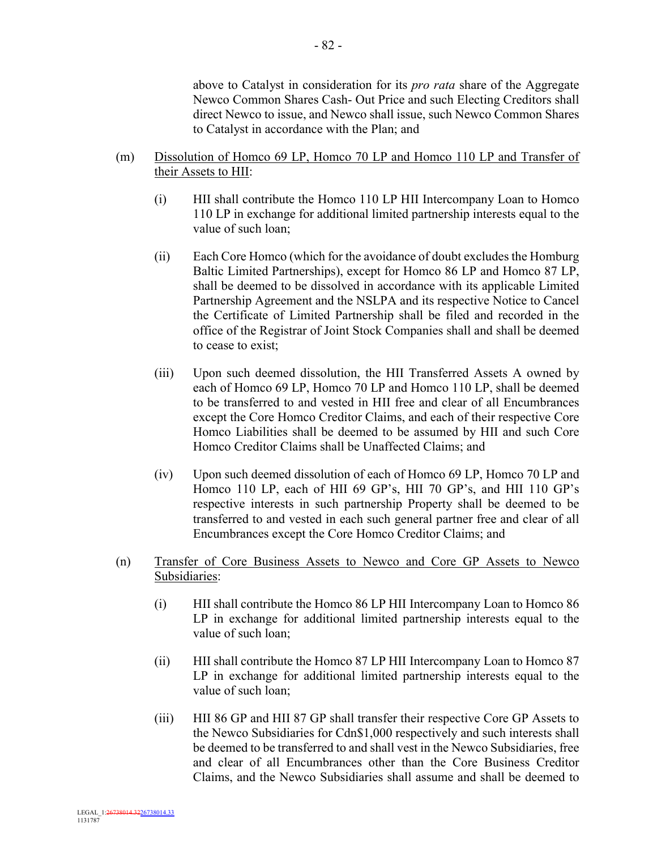above to Catalyst in consideration for its *pro rata* share of the Aggregate Newco Common Shares Cash- Out Price and such Electing Creditors shall direct Newco to issue, and Newco shall issue, such Newco Common Shares to Catalyst in accordance with the Plan; and

- (m) Dissolution of Homco 69 LP, Homco 70 LP and Homco 110 LP and Transfer of their Assets to HII:
	- (i) HII shall contribute the Homco 110 LP HII Intercompany Loan to Homco 110 LP in exchange for additional limited partnership interests equal to the value of such loan;
	- (ii) Each Core Homco (which for the avoidance of doubt excludes the Homburg Baltic Limited Partnerships), except for Homco 86 LP and Homco 87 LP, shall be deemed to be dissolved in accordance with its applicable Limited Partnership Agreement and the NSLPA and its respective Notice to Cancel the Certificate of Limited Partnership shall be filed and recorded in the office of the Registrar of Joint Stock Companies shall and shall be deemed to cease to exist;
	- (iii) Upon such deemed dissolution, the HII Transferred Assets A owned by each of Homco 69 LP, Homco 70 LP and Homco 110 LP, shall be deemed to be transferred to and vested in HII free and clear of all Encumbrances except the Core Homco Creditor Claims, and each of their respective Core Homco Liabilities shall be deemed to be assumed by HII and such Core Homco Creditor Claims shall be Unaffected Claims; and
	- (iv) Upon such deemed dissolution of each of Homco 69 LP, Homco 70 LP and Homco 110 LP, each of HII 69 GP's, HII 70 GP's, and HII 110 GP's respective interests in such partnership Property shall be deemed to be transferred to and vested in each such general partner free and clear of all Encumbrances except the Core Homco Creditor Claims; and
- (n) Transfer of Core Business Assets to Newco and Core GP Assets to Newco Subsidiaries:
	- (i) HII shall contribute the Homco 86 LP HII Intercompany Loan to Homco 86 LP in exchange for additional limited partnership interests equal to the value of such loan;
	- (ii) HII shall contribute the Homco 87 LP HII Intercompany Loan to Homco 87 LP in exchange for additional limited partnership interests equal to the value of such loan;
	- (iii) HII 86 GP and HII 87 GP shall transfer their respective Core GP Assets to the Newco Subsidiaries for Cdn\$1,000 respectively and such interests shall be deemed to be transferred to and shall vest in the Newco Subsidiaries, free and clear of all Encumbrances other than the Core Business Creditor Claims, and the Newco Subsidiaries shall assume and shall be deemed to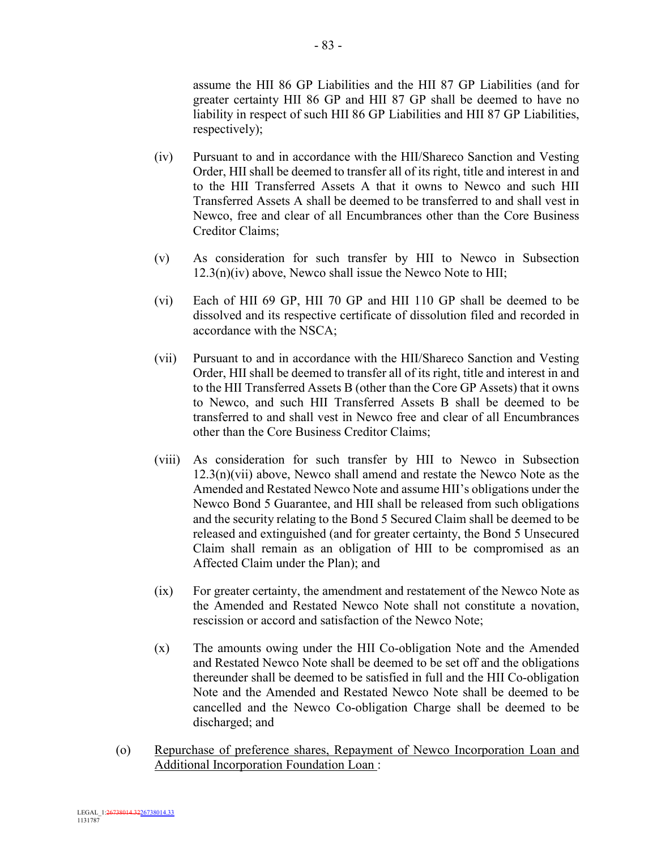assume the HII 86 GP Liabilities and the HII 87 GP Liabilities (and for greater certainty HII 86 GP and HII 87 GP shall be deemed to have no liability in respect of such HII 86 GP Liabilities and HII 87 GP Liabilities, respectively);

- (iv) Pursuant to and in accordance with the HII/Shareco Sanction and Vesting Order, HII shall be deemed to transfer all of its right, title and interest in and to the HII Transferred Assets A that it owns to Newco and such HII Transferred Assets A shall be deemed to be transferred to and shall vest in Newco, free and clear of all Encumbrances other than the Core Business Creditor Claims;
- (v) As consideration for such transfer by HII to Newco in Subsection  $12.3(n)(iv)$  above, Newco shall issue the Newco Note to HII;
- (vi) Each of HII 69 GP, HII 70 GP and HII 110 GP shall be deemed to be dissolved and its respective certificate of dissolution filed and recorded in accordance with the NSCA;
- (vii) Pursuant to and in accordance with the HII/Shareco Sanction and Vesting Order, HII shall be deemed to transfer all of its right, title and interest in and to the HII Transferred Assets B (other than the Core GP Assets) that it owns to Newco, and such HII Transferred Assets B shall be deemed to be transferred to and shall vest in Newco free and clear of all Encumbrances other than the Core Business Creditor Claims;
- (viii) As consideration for such transfer by HII to Newco in Subsection 12.3(n)(vii) above, Newco shall amend and restate the Newco Note as the Amended and Restated Newco Note and assume HII's obligations under the Newco Bond 5 Guarantee, and HII shall be released from such obligations and the security relating to the Bond 5 Secured Claim shall be deemed to be released and extinguished (and for greater certainty, the Bond 5 Unsecured Claim shall remain as an obligation of HII to be compromised as an Affected Claim under the Plan); and
- (ix) For greater certainty, the amendment and restatement of the Newco Note as the Amended and Restated Newco Note shall not constitute a novation, rescission or accord and satisfaction of the Newco Note;
- (x) The amounts owing under the HII Co-obligation Note and the Amended and Restated Newco Note shall be deemed to be set off and the obligations thereunder shall be deemed to be satisfied in full and the HII Co-obligation Note and the Amended and Restated Newco Note shall be deemed to be cancelled and the Newco Co-obligation Charge shall be deemed to be discharged; and
- (o) Repurchase of preference shares, Repayment of Newco Incorporation Loan and Additional Incorporation Foundation Loan :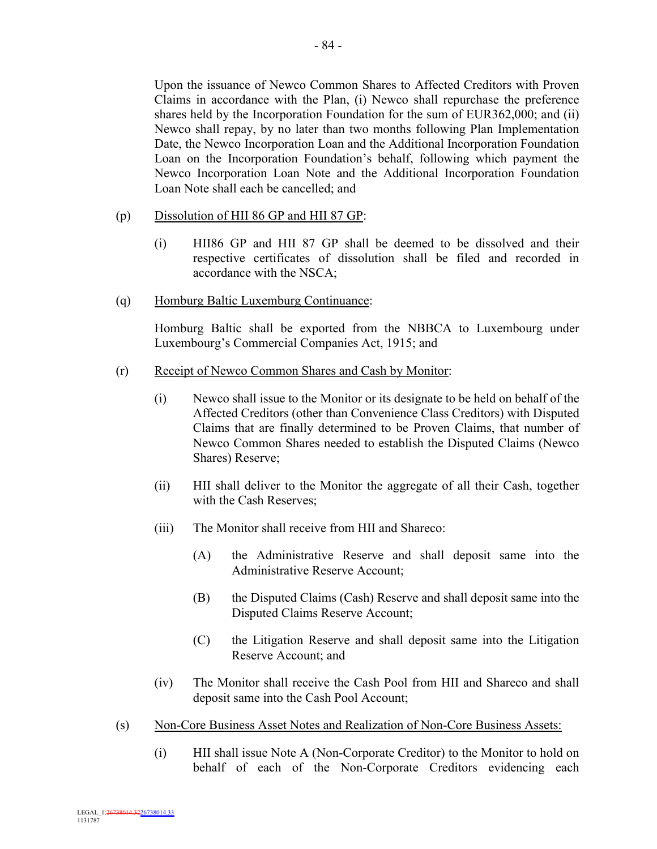Upon the issuance of Newco Common Shares to Affected Creditors with Proven Claims in accordance with the Plan, (i) Newco shall repurchase the preference shares held by the Incorporation Foundation for the sum of EUR362,000; and (ii) Newco shall repay, by no later than two months following Plan Implementation Date, the Newco Incorporation Loan and the Additional Incorporation Foundation Loan on the Incorporation Foundation's behalf, following which payment the Newco Incorporation Loan Note and the Additional Incorporation Foundation Loan Note shall each be cancelled; and

- (p) Dissolution of HII 86 GP and HII 87 GP:
	- (i) HII86 GP and HII 87 GP shall be deemed to be dissolved and their respective certificates of dissolution shall be filed and recorded in accordance with the NSCA;
- (q) Homburg Baltic Luxemburg Continuance:

Homburg Baltic shall be exported from the NBBCA to Luxembourg under Luxembourg's Commercial Companies Act, 1915; and

- (r) Receipt of Newco Common Shares and Cash by Monitor:
	- (i) Newco shall issue to the Monitor or its designate to be held on behalf of the Affected Creditors (other than Convenience Class Creditors) with Disputed Claims that are finally determined to be Proven Claims, that number of Newco Common Shares needed to establish the Disputed Claims (Newco Shares) Reserve;
	- (ii) HII shall deliver to the Monitor the aggregate of all their Cash, together with the Cash Reserves;
	- (iii) The Monitor shall receive from HII and Shareco:
		- (A) the Administrative Reserve and shall deposit same into the Administrative Reserve Account;
		- (B) the Disputed Claims (Cash) Reserve and shall deposit same into the Disputed Claims Reserve Account;
		- (C) the Litigation Reserve and shall deposit same into the Litigation Reserve Account; and
	- (iv) The Monitor shall receive the Cash Pool from HII and Shareco and shall deposit same into the Cash Pool Account;
- (s) Non-Core Business Asset Notes and Realization of Non-Core Business Assets:
	- (i) HII shall issue Note A (Non-Corporate Creditor) to the Monitor to hold on behalf of each of the Non-Corporate Creditors evidencing each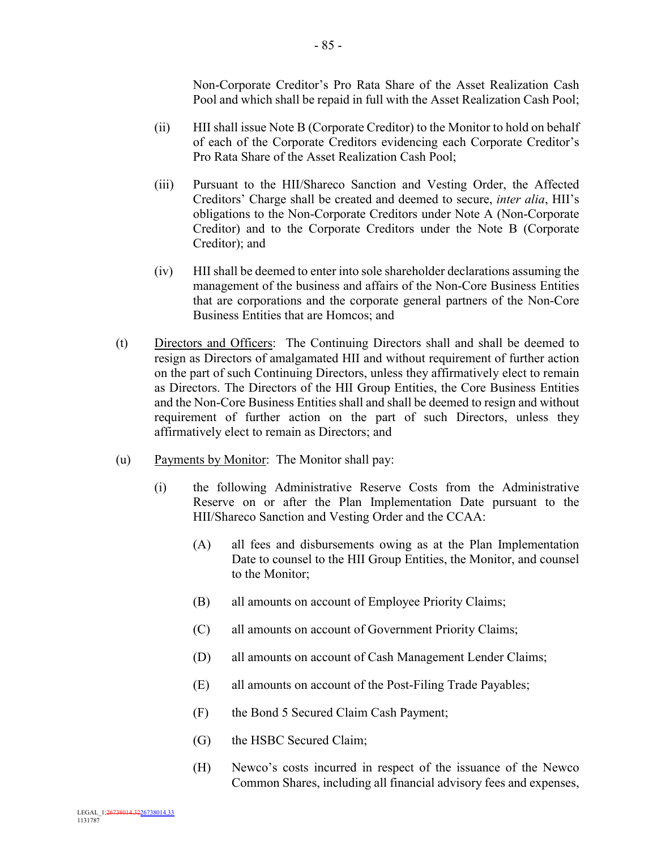Non-Corporate Creditor's Pro Rata Share of the Asset Realization Cash Pool and which shall be repaid in full with the Asset Realization Cash Pool;

- (ii) HII shall issue Note B (Corporate Creditor) to the Monitor to hold on behalf of each of the Corporate Creditors evidencing each Corporate Creditor's Pro Rata Share of the Asset Realization Cash Pool;
- (iii) Pursuant to the HII/Shareco Sanction and Vesting Order, the Affected Creditors' Charge shall be created and deemed to secure, *inter alia*, HII's obligations to the Non-Corporate Creditors under Note A (Non-Corporate Creditor) and to the Corporate Creditors under the Note B (Corporate Creditor); and
- (iv) HII shall be deemed to enter into sole shareholder declarations assuming the management of the business and affairs of the Non-Core Business Entities that are corporations and the corporate general partners of the Non-Core Business Entities that are Homcos; and
- (t) Directors and Officers: The Continuing Directors shall and shall be deemed to resign as Directors of amalgamated HII and without requirement of further action on the part of such Continuing Directors, unless they affirmatively elect to remain as Directors. The Directors of the HII Group Entities, the Core Business Entities and the Non-Core Business Entities shall and shall be deemed to resign and without requirement of further action on the part of such Directors, unless they affirmatively elect to remain as Directors; and
- (u) Payments by Monitor: The Monitor shall pay:
	- (i) the following Administrative Reserve Costs from the Administrative Reserve on or after the Plan Implementation Date pursuant to the HII/Shareco Sanction and Vesting Order and the CCAA:
		- (A) all fees and disbursements owing as at the Plan Implementation Date to counsel to the HII Group Entities, the Monitor, and counsel to the Monitor;
		- (B) all amounts on account of Employee Priority Claims;
		- (C) all amounts on account of Government Priority Claims;
		- (D) all amounts on account of Cash Management Lender Claims;
		- (E) all amounts on account of the Post-Filing Trade Payables;
		- (F) the Bond 5 Secured Claim Cash Payment;
		- (G) the HSBC Secured Claim;
		- (H) Newco's costs incurred in respect of the issuance of the Newco Common Shares, including all financial advisory fees and expenses,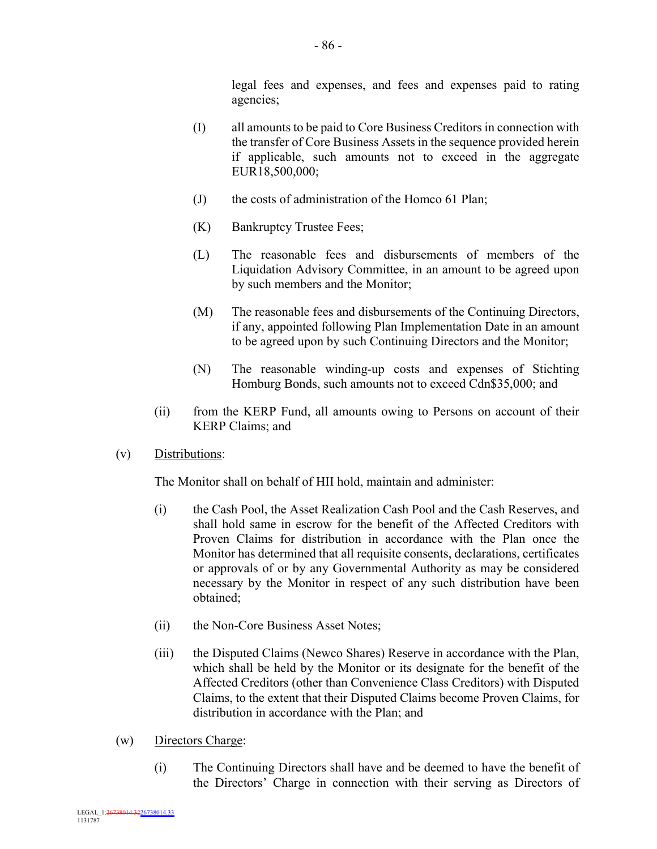legal fees and expenses, and fees and expenses paid to rating agencies;

- (I) all amounts to be paid to Core Business Creditors in connection with the transfer of Core Business Assets in the sequence provided herein if applicable, such amounts not to exceed in the aggregate EUR18,500,000;
- (J) the costs of administration of the Homco 61 Plan;
- (K) Bankruptcy Trustee Fees;
- (L) The reasonable fees and disbursements of members of the Liquidation Advisory Committee, in an amount to be agreed upon by such members and the Monitor;
- (M) The reasonable fees and disbursements of the Continuing Directors, if any, appointed following Plan Implementation Date in an amount to be agreed upon by such Continuing Directors and the Monitor;
- (N) The reasonable winding-up costs and expenses of Stichting Homburg Bonds, such amounts not to exceed Cdn\$35,000; and
- (ii) from the KERP Fund, all amounts owing to Persons on account of their KERP Claims; and
- (v) Distributions:

The Monitor shall on behalf of HII hold, maintain and administer:

- (i) the Cash Pool, the Asset Realization Cash Pool and the Cash Reserves, and shall hold same in escrow for the benefit of the Affected Creditors with Proven Claims for distribution in accordance with the Plan once the Monitor has determined that all requisite consents, declarations, certificates or approvals of or by any Governmental Authority as may be considered necessary by the Monitor in respect of any such distribution have been obtained;
- (ii) the Non-Core Business Asset Notes;
- (iii) the Disputed Claims (Newco Shares) Reserve in accordance with the Plan, which shall be held by the Monitor or its designate for the benefit of the Affected Creditors (other than Convenience Class Creditors) with Disputed Claims, to the extent that their Disputed Claims become Proven Claims, for distribution in accordance with the Plan; and
- (w) Directors Charge:
	- (i) The Continuing Directors shall have and be deemed to have the benefit of the Directors' Charge in connection with their serving as Directors of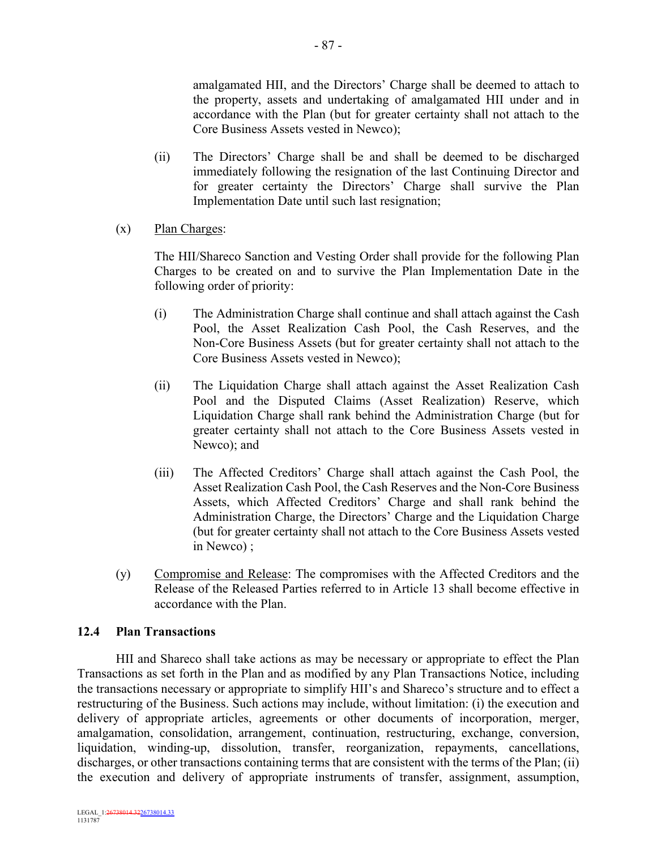amalgamated HII, and the Directors' Charge shall be deemed to attach to the property, assets and undertaking of amalgamated HII under and in accordance with the Plan (but for greater certainty shall not attach to the Core Business Assets vested in Newco);

- (ii) The Directors' Charge shall be and shall be deemed to be discharged immediately following the resignation of the last Continuing Director and for greater certainty the Directors' Charge shall survive the Plan Implementation Date until such last resignation;
- (x) Plan Charges:

The HII/Shareco Sanction and Vesting Order shall provide for the following Plan Charges to be created on and to survive the Plan Implementation Date in the following order of priority:

- (i) The Administration Charge shall continue and shall attach against the Cash Pool, the Asset Realization Cash Pool, the Cash Reserves, and the Non-Core Business Assets (but for greater certainty shall not attach to the Core Business Assets vested in Newco);
- (ii) The Liquidation Charge shall attach against the Asset Realization Cash Pool and the Disputed Claims (Asset Realization) Reserve, which Liquidation Charge shall rank behind the Administration Charge (but for greater certainty shall not attach to the Core Business Assets vested in Newco); and
- (iii) The Affected Creditors' Charge shall attach against the Cash Pool, the Asset Realization Cash Pool, the Cash Reserves and the Non-Core Business Assets, which Affected Creditors' Charge and shall rank behind the Administration Charge, the Directors' Charge and the Liquidation Charge (but for greater certainty shall not attach to the Core Business Assets vested in Newco) ;
- (y) Compromise and Release: The compromises with the Affected Creditors and the Release of the Released Parties referred to in Article 13 shall become effective in accordance with the Plan.

# **12.4 Plan Transactions**

HII and Shareco shall take actions as may be necessary or appropriate to effect the Plan Transactions as set forth in the Plan and as modified by any Plan Transactions Notice, including the transactions necessary or appropriate to simplify HII's and Shareco's structure and to effect a restructuring of the Business. Such actions may include, without limitation: (i) the execution and delivery of appropriate articles, agreements or other documents of incorporation, merger, amalgamation, consolidation, arrangement, continuation, restructuring, exchange, conversion, liquidation, winding-up, dissolution, transfer, reorganization, repayments, cancellations, discharges, or other transactions containing terms that are consistent with the terms of the Plan; (ii) the execution and delivery of appropriate instruments of transfer, assignment, assumption,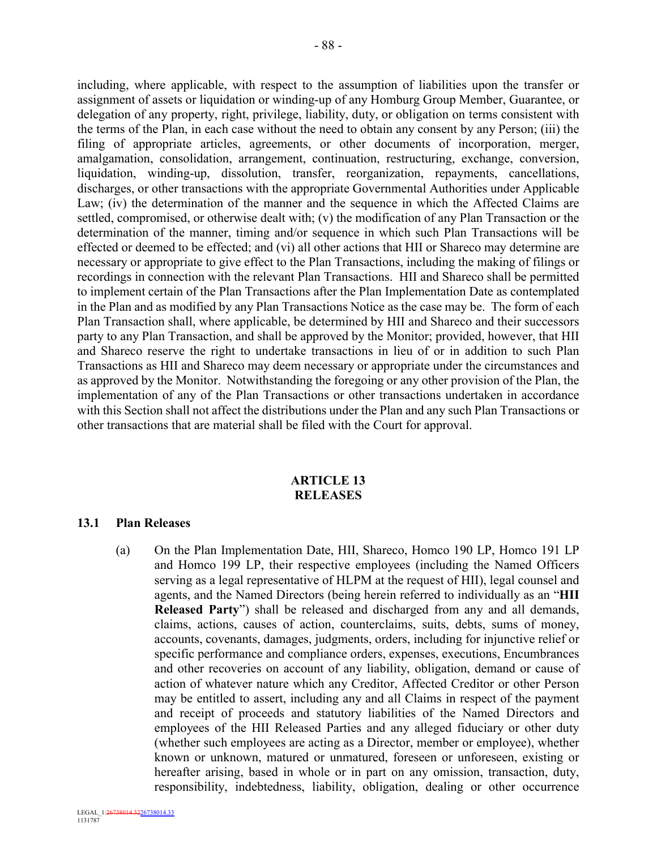including, where applicable, with respect to the assumption of liabilities upon the transfer or assignment of assets or liquidation or winding-up of any Homburg Group Member, Guarantee, or delegation of any property, right, privilege, liability, duty, or obligation on terms consistent with the terms of the Plan, in each case without the need to obtain any consent by any Person; (iii) the filing of appropriate articles, agreements, or other documents of incorporation, merger, amalgamation, consolidation, arrangement, continuation, restructuring, exchange, conversion, liquidation, winding-up, dissolution, transfer, reorganization, repayments, cancellations, discharges, or other transactions with the appropriate Governmental Authorities under Applicable Law; (iv) the determination of the manner and the sequence in which the Affected Claims are settled, compromised, or otherwise dealt with; (v) the modification of any Plan Transaction or the determination of the manner, timing and/or sequence in which such Plan Transactions will be effected or deemed to be effected; and (vi) all other actions that HII or Shareco may determine are necessary or appropriate to give effect to the Plan Transactions, including the making of filings or recordings in connection with the relevant Plan Transactions. HII and Shareco shall be permitted to implement certain of the Plan Transactions after the Plan Implementation Date as contemplated in the Plan and as modified by any Plan Transactions Notice as the case may be. The form of each Plan Transaction shall, where applicable, be determined by HII and Shareco and their successors party to any Plan Transaction, and shall be approved by the Monitor; provided, however, that HII and Shareco reserve the right to undertake transactions in lieu of or in addition to such Plan Transactions as HII and Shareco may deem necessary or appropriate under the circumstances and as approved by the Monitor. Notwithstanding the foregoing or any other provision of the Plan, the implementation of any of the Plan Transactions or other transactions undertaken in accordance with this Section shall not affect the distributions under the Plan and any such Plan Transactions or other transactions that are material shall be filed with the Court for approval.

#### **ARTICLE 13 RELEASES**

#### **13.1 Plan Releases**

(a) On the Plan Implementation Date, HII, Shareco, Homco 190 LP, Homco 191 LP and Homco 199 LP, their respective employees (including the Named Officers serving as a legal representative of HLPM at the request of HII), legal counsel and agents, and the Named Directors (being herein referred to individually as an "**HII Released Party**") shall be released and discharged from any and all demands, claims, actions, causes of action, counterclaims, suits, debts, sums of money, accounts, covenants, damages, judgments, orders, including for injunctive relief or specific performance and compliance orders, expenses, executions, Encumbrances and other recoveries on account of any liability, obligation, demand or cause of action of whatever nature which any Creditor, Affected Creditor or other Person may be entitled to assert, including any and all Claims in respect of the payment and receipt of proceeds and statutory liabilities of the Named Directors and employees of the HII Released Parties and any alleged fiduciary or other duty (whether such employees are acting as a Director, member or employee), whether known or unknown, matured or unmatured, foreseen or unforeseen, existing or hereafter arising, based in whole or in part on any omission, transaction, duty, responsibility, indebtedness, liability, obligation, dealing or other occurrence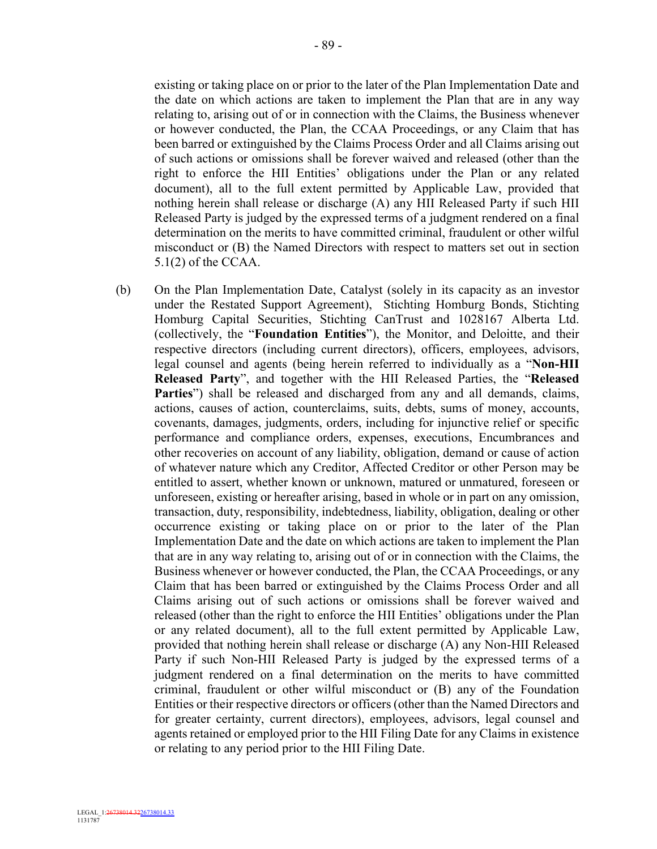existing or taking place on or prior to the later of the Plan Implementation Date and the date on which actions are taken to implement the Plan that are in any way relating to, arising out of or in connection with the Claims, the Business whenever or however conducted, the Plan, the CCAA Proceedings, or any Claim that has been barred or extinguished by the Claims Process Order and all Claims arising out of such actions or omissions shall be forever waived and released (other than the right to enforce the HII Entities' obligations under the Plan or any related document), all to the full extent permitted by Applicable Law, provided that nothing herein shall release or discharge (A) any HII Released Party if such HII Released Party is judged by the expressed terms of a judgment rendered on a final determination on the merits to have committed criminal, fraudulent or other wilful misconduct or (B) the Named Directors with respect to matters set out in section 5.1(2) of the CCAA.

(b) On the Plan Implementation Date, Catalyst (solely in its capacity as an investor under the Restated Support Agreement), Stichting Homburg Bonds, Stichting Homburg Capital Securities, Stichting CanTrust and 1028167 Alberta Ltd. (collectively, the "**Foundation Entities**"), the Monitor, and Deloitte, and their respective directors (including current directors), officers, employees, advisors, legal counsel and agents (being herein referred to individually as a "**Non-HII Released Party**", and together with the HII Released Parties, the "**Released Parties**") shall be released and discharged from any and all demands, claims, actions, causes of action, counterclaims, suits, debts, sums of money, accounts, covenants, damages, judgments, orders, including for injunctive relief or specific performance and compliance orders, expenses, executions, Encumbrances and other recoveries on account of any liability, obligation, demand or cause of action of whatever nature which any Creditor, Affected Creditor or other Person may be entitled to assert, whether known or unknown, matured or unmatured, foreseen or unforeseen, existing or hereafter arising, based in whole or in part on any omission, transaction, duty, responsibility, indebtedness, liability, obligation, dealing or other occurrence existing or taking place on or prior to the later of the Plan Implementation Date and the date on which actions are taken to implement the Plan that are in any way relating to, arising out of or in connection with the Claims, the Business whenever or however conducted, the Plan, the CCAA Proceedings, or any Claim that has been barred or extinguished by the Claims Process Order and all Claims arising out of such actions or omissions shall be forever waived and released (other than the right to enforce the HII Entities' obligations under the Plan or any related document), all to the full extent permitted by Applicable Law, provided that nothing herein shall release or discharge (A) any Non-HII Released Party if such Non-HII Released Party is judged by the expressed terms of a judgment rendered on a final determination on the merits to have committed criminal, fraudulent or other wilful misconduct or (B) any of the Foundation Entities or their respective directors or officers (other than the Named Directors and for greater certainty, current directors), employees, advisors, legal counsel and agents retained or employed prior to the HII Filing Date for any Claims in existence or relating to any period prior to the HII Filing Date.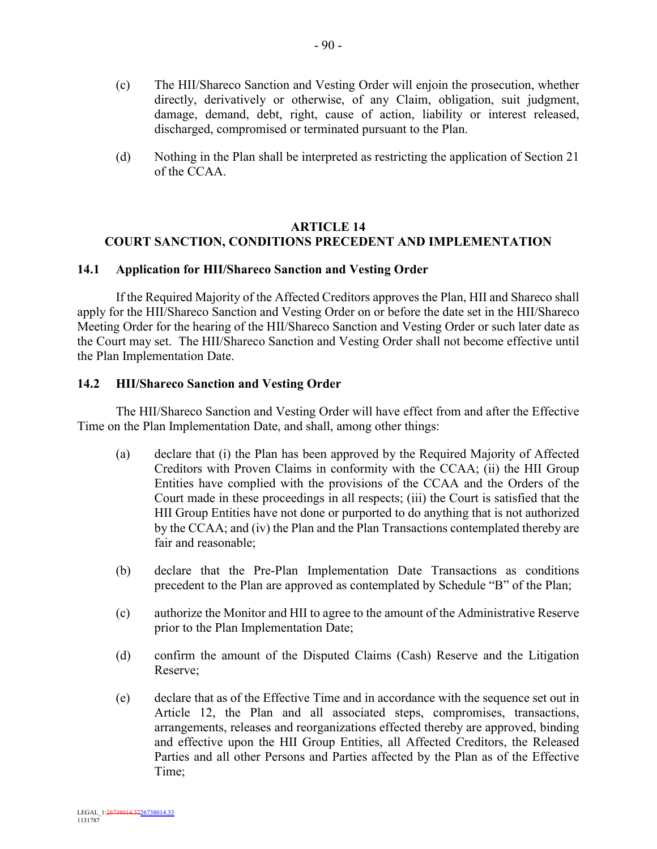- (c) The HII/Shareco Sanction and Vesting Order will enjoin the prosecution, whether directly, derivatively or otherwise, of any Claim, obligation, suit judgment, damage, demand, debt, right, cause of action, liability or interest released, discharged, compromised or terminated pursuant to the Plan.
- (d) Nothing in the Plan shall be interpreted as restricting the application of Section 21 of the CCAA.

## **ARTICLE 14 COURT SANCTION, CONDITIONS PRECEDENT AND IMPLEMENTATION**

# **14.1 Application for HII/Shareco Sanction and Vesting Order**

If the Required Majority of the Affected Creditors approves the Plan, HII and Shareco shall apply for the HII/Shareco Sanction and Vesting Order on or before the date set in the HII/Shareco Meeting Order for the hearing of the HII/Shareco Sanction and Vesting Order or such later date as the Court may set. The HII/Shareco Sanction and Vesting Order shall not become effective until the Plan Implementation Date.

## **14.2 HII/Shareco Sanction and Vesting Order**

The HII/Shareco Sanction and Vesting Order will have effect from and after the Effective Time on the Plan Implementation Date, and shall, among other things:

- (a) declare that (i) the Plan has been approved by the Required Majority of Affected Creditors with Proven Claims in conformity with the CCAA; (ii) the HII Group Entities have complied with the provisions of the CCAA and the Orders of the Court made in these proceedings in all respects; (iii) the Court is satisfied that the HII Group Entities have not done or purported to do anything that is not authorized by the CCAA; and (iv) the Plan and the Plan Transactions contemplated thereby are fair and reasonable;
- (b) declare that the Pre-Plan Implementation Date Transactions as conditions precedent to the Plan are approved as contemplated by Schedule "B" of the Plan;
- (c) authorize the Monitor and HII to agree to the amount of the Administrative Reserve prior to the Plan Implementation Date;
- (d) confirm the amount of the Disputed Claims (Cash) Reserve and the Litigation Reserve;
- (e) declare that as of the Effective Time and in accordance with the sequence set out in Article 12, the Plan and all associated steps, compromises, transactions, arrangements, releases and reorganizations effected thereby are approved, binding and effective upon the HII Group Entities, all Affected Creditors, the Released Parties and all other Persons and Parties affected by the Plan as of the Effective Time;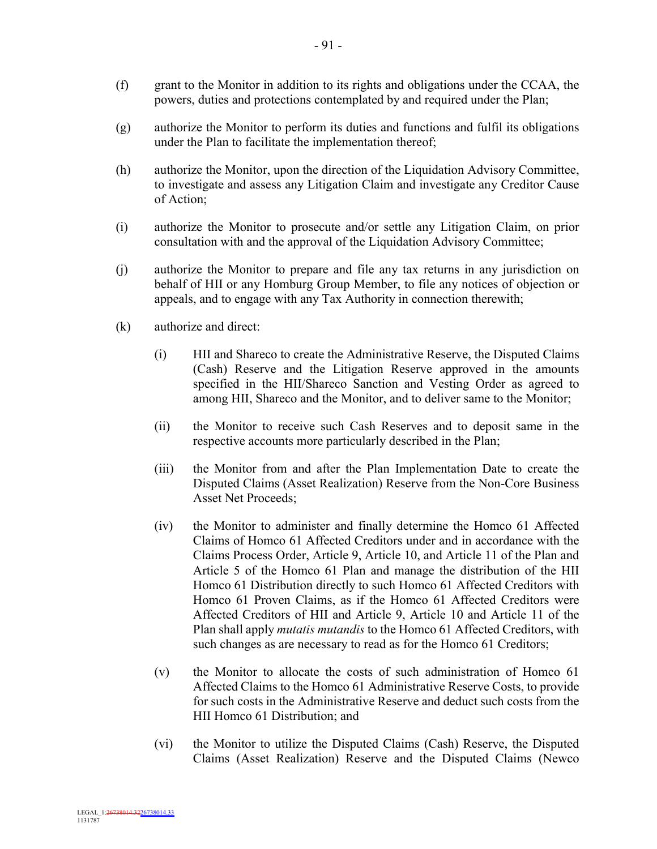- (f) grant to the Monitor in addition to its rights and obligations under the CCAA, the powers, duties and protections contemplated by and required under the Plan;
- (g) authorize the Monitor to perform its duties and functions and fulfil its obligations under the Plan to facilitate the implementation thereof;
- (h) authorize the Monitor, upon the direction of the Liquidation Advisory Committee, to investigate and assess any Litigation Claim and investigate any Creditor Cause of Action;
- (i) authorize the Monitor to prosecute and/or settle any Litigation Claim, on prior consultation with and the approval of the Liquidation Advisory Committee;
- (j) authorize the Monitor to prepare and file any tax returns in any jurisdiction on behalf of HII or any Homburg Group Member, to file any notices of objection or appeals, and to engage with any Tax Authority in connection therewith;
- (k) authorize and direct:
	- (i) HII and Shareco to create the Administrative Reserve, the Disputed Claims (Cash) Reserve and the Litigation Reserve approved in the amounts specified in the HII/Shareco Sanction and Vesting Order as agreed to among HII, Shareco and the Monitor, and to deliver same to the Monitor;
	- (ii) the Monitor to receive such Cash Reserves and to deposit same in the respective accounts more particularly described in the Plan;
	- (iii) the Monitor from and after the Plan Implementation Date to create the Disputed Claims (Asset Realization) Reserve from the Non-Core Business Asset Net Proceeds;
	- (iv) the Monitor to administer and finally determine the Homco 61 Affected Claims of Homco 61 Affected Creditors under and in accordance with the Claims Process Order, Article 9, Article 10, and Article 11 of the Plan and Article 5 of the Homco 61 Plan and manage the distribution of the HII Homco 61 Distribution directly to such Homco 61 Affected Creditors with Homco 61 Proven Claims, as if the Homco 61 Affected Creditors were Affected Creditors of HII and Article 9, Article 10 and Article 11 of the Plan shall apply *mutatis mutandis* to the Homco 61 Affected Creditors, with such changes as are necessary to read as for the Homco 61 Creditors;
	- (v) the Monitor to allocate the costs of such administration of Homco 61 Affected Claims to the Homco 61 Administrative Reserve Costs, to provide for such costs in the Administrative Reserve and deduct such costs from the HII Homco 61 Distribution; and
	- (vi) the Monitor to utilize the Disputed Claims (Cash) Reserve, the Disputed Claims (Asset Realization) Reserve and the Disputed Claims (Newco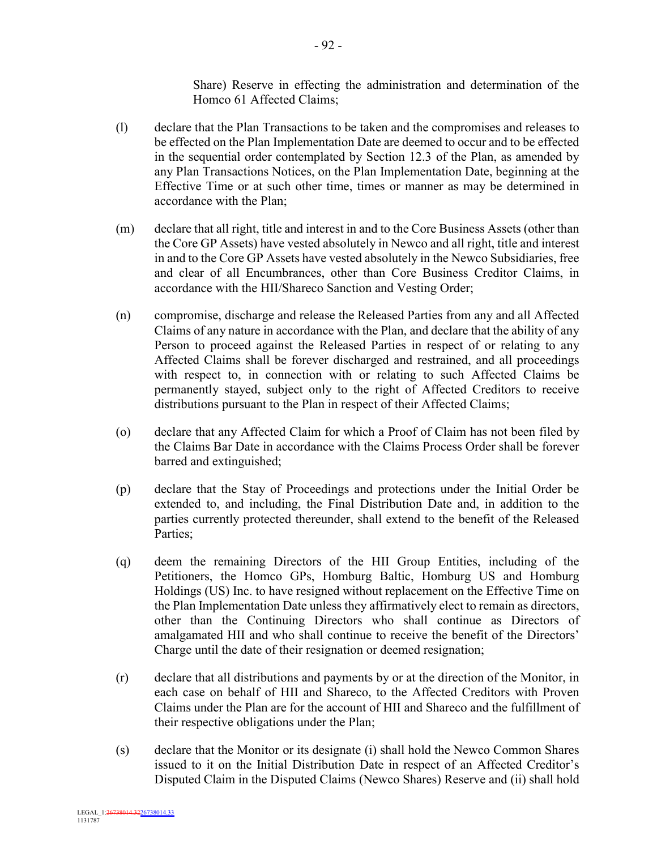Share) Reserve in effecting the administration and determination of the Homco 61 Affected Claims;

- (l) declare that the Plan Transactions to be taken and the compromises and releases to be effected on the Plan Implementation Date are deemed to occur and to be effected in the sequential order contemplated by Section 12.3 of the Plan, as amended by any Plan Transactions Notices, on the Plan Implementation Date, beginning at the Effective Time or at such other time, times or manner as may be determined in accordance with the Plan;
- (m) declare that all right, title and interest in and to the Core Business Assets (other than the Core GP Assets) have vested absolutely in Newco and all right, title and interest in and to the Core GP Assets have vested absolutely in the Newco Subsidiaries, free and clear of all Encumbrances, other than Core Business Creditor Claims, in accordance with the HII/Shareco Sanction and Vesting Order;
- (n) compromise, discharge and release the Released Parties from any and all Affected Claims of any nature in accordance with the Plan, and declare that the ability of any Person to proceed against the Released Parties in respect of or relating to any Affected Claims shall be forever discharged and restrained, and all proceedings with respect to, in connection with or relating to such Affected Claims be permanently stayed, subject only to the right of Affected Creditors to receive distributions pursuant to the Plan in respect of their Affected Claims;
- (o) declare that any Affected Claim for which a Proof of Claim has not been filed by the Claims Bar Date in accordance with the Claims Process Order shall be forever barred and extinguished;
- (p) declare that the Stay of Proceedings and protections under the Initial Order be extended to, and including, the Final Distribution Date and, in addition to the parties currently protected thereunder, shall extend to the benefit of the Released Parties;
- (q) deem the remaining Directors of the HII Group Entities, including of the Petitioners, the Homco GPs, Homburg Baltic, Homburg US and Homburg Holdings (US) Inc. to have resigned without replacement on the Effective Time on the Plan Implementation Date unless they affirmatively elect to remain as directors, other than the Continuing Directors who shall continue as Directors of amalgamated HII and who shall continue to receive the benefit of the Directors' Charge until the date of their resignation or deemed resignation;
- (r) declare that all distributions and payments by or at the direction of the Monitor, in each case on behalf of HII and Shareco, to the Affected Creditors with Proven Claims under the Plan are for the account of HII and Shareco and the fulfillment of their respective obligations under the Plan;
- (s) declare that the Monitor or its designate (i) shall hold the Newco Common Shares issued to it on the Initial Distribution Date in respect of an Affected Creditor's Disputed Claim in the Disputed Claims (Newco Shares) Reserve and (ii) shall hold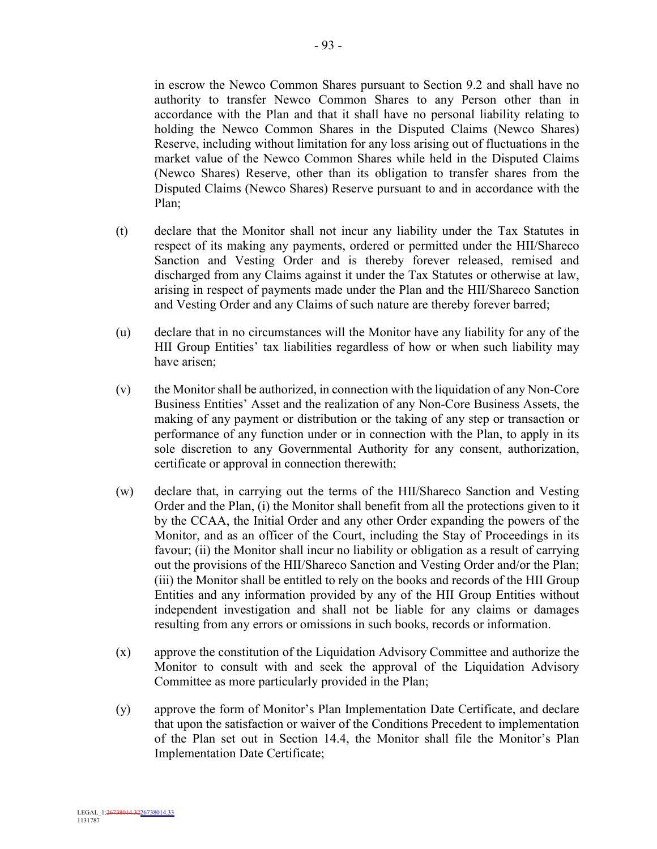in escrow the Newco Common Shares pursuant to Section 9.2 and shall have no authority to transfer Newco Common Shares to any Person other than in accordance with the Plan and that it shall have no personal liability relating to holding the Newco Common Shares in the Disputed Claims (Newco Shares) Reserve, including without limitation for any loss arising out of fluctuations in the market value of the Newco Common Shares while held in the Disputed Claims (Newco Shares) Reserve, other than its obligation to transfer shares from the Disputed Claims (Newco Shares) Reserve pursuant to and in accordance with the Plan;

- (t) declare that the Monitor shall not incur any liability under the Tax Statutes in respect of its making any payments, ordered or permitted under the HII/Shareco Sanction and Vesting Order and is thereby forever released, remised and discharged from any Claims against it under the Tax Statutes or otherwise at law, arising in respect of payments made under the Plan and the HII/Shareco Sanction and Vesting Order and any Claims of such nature are thereby forever barred;
- (u) declare that in no circumstances will the Monitor have any liability for any of the HII Group Entities' tax liabilities regardless of how or when such liability may have arisen;
- (v) the Monitor shall be authorized, in connection with the liquidation of any Non-Core Business Entities' Asset and the realization of any Non-Core Business Assets, the making of any payment or distribution or the taking of any step or transaction or performance of any function under or in connection with the Plan, to apply in its sole discretion to any Governmental Authority for any consent, authorization, certificate or approval in connection therewith;
- (w) declare that, in carrying out the terms of the HII/Shareco Sanction and Vesting Order and the Plan, (i) the Monitor shall benefit from all the protections given to it by the CCAA, the Initial Order and any other Order expanding the powers of the Monitor, and as an officer of the Court, including the Stay of Proceedings in its favour; (ii) the Monitor shall incur no liability or obligation as a result of carrying out the provisions of the HII/Shareco Sanction and Vesting Order and/or the Plan; (iii) the Monitor shall be entitled to rely on the books and records of the HII Group Entities and any information provided by any of the HII Group Entities without independent investigation and shall not be liable for any claims or damages resulting from any errors or omissions in such books, records or information.
- (x) approve the constitution of the Liquidation Advisory Committee and authorize the Monitor to consult with and seek the approval of the Liquidation Advisory Committee as more particularly provided in the Plan;
- (y) approve the form of Monitor's Plan Implementation Date Certificate, and declare that upon the satisfaction or waiver of the Conditions Precedent to implementation of the Plan set out in Section 14.4, the Monitor shall file the Monitor's Plan Implementation Date Certificate;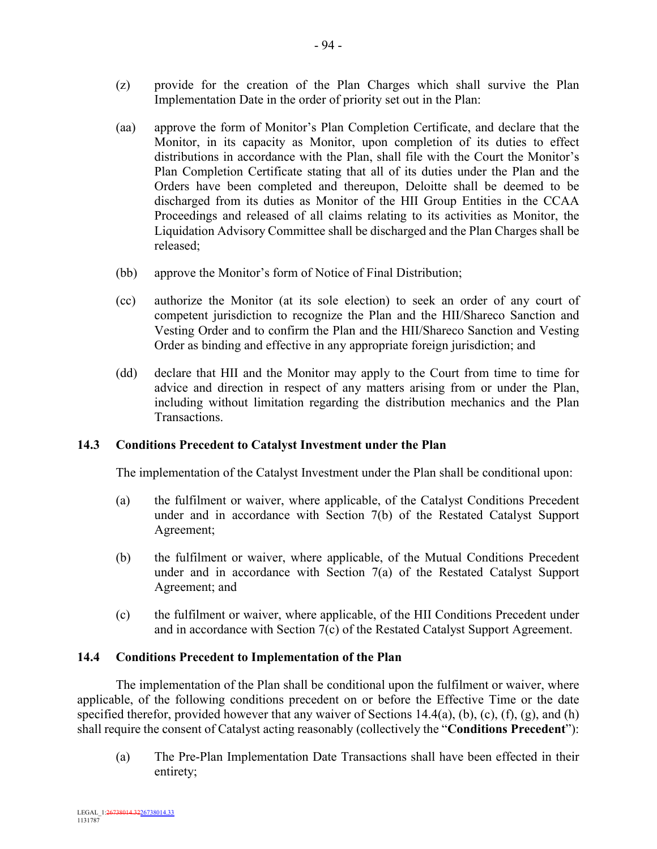- (z) provide for the creation of the Plan Charges which shall survive the Plan Implementation Date in the order of priority set out in the Plan:
- (aa) approve the form of Monitor's Plan Completion Certificate, and declare that the Monitor, in its capacity as Monitor, upon completion of its duties to effect distributions in accordance with the Plan, shall file with the Court the Monitor's Plan Completion Certificate stating that all of its duties under the Plan and the Orders have been completed and thereupon, Deloitte shall be deemed to be discharged from its duties as Monitor of the HII Group Entities in the CCAA Proceedings and released of all claims relating to its activities as Monitor, the Liquidation Advisory Committee shall be discharged and the Plan Charges shall be released;
- (bb) approve the Monitor's form of Notice of Final Distribution;
- (cc) authorize the Monitor (at its sole election) to seek an order of any court of competent jurisdiction to recognize the Plan and the HII/Shareco Sanction and Vesting Order and to confirm the Plan and the HII/Shareco Sanction and Vesting Order as binding and effective in any appropriate foreign jurisdiction; and
- (dd) declare that HII and the Monitor may apply to the Court from time to time for advice and direction in respect of any matters arising from or under the Plan, including without limitation regarding the distribution mechanics and the Plan Transactions.

# **14.3 Conditions Precedent to Catalyst Investment under the Plan**

The implementation of the Catalyst Investment under the Plan shall be conditional upon:

- (a) the fulfilment or waiver, where applicable, of the Catalyst Conditions Precedent under and in accordance with Section 7(b) of the Restated Catalyst Support Agreement;
- (b) the fulfilment or waiver, where applicable, of the Mutual Conditions Precedent under and in accordance with Section 7(a) of the Restated Catalyst Support Agreement; and
- (c) the fulfilment or waiver, where applicable, of the HII Conditions Precedent under and in accordance with Section 7(c) of the Restated Catalyst Support Agreement.

#### **14.4 Conditions Precedent to Implementation of the Plan**

The implementation of the Plan shall be conditional upon the fulfilment or waiver, where applicable, of the following conditions precedent on or before the Effective Time or the date specified therefor, provided however that any waiver of Sections  $14.4(a)$ , (b), (c), (f), (g), and (h) shall require the consent of Catalyst acting reasonably (collectively the "**Conditions Precedent**"):

(a) The Pre-Plan Implementation Date Transactions shall have been effected in their entirety;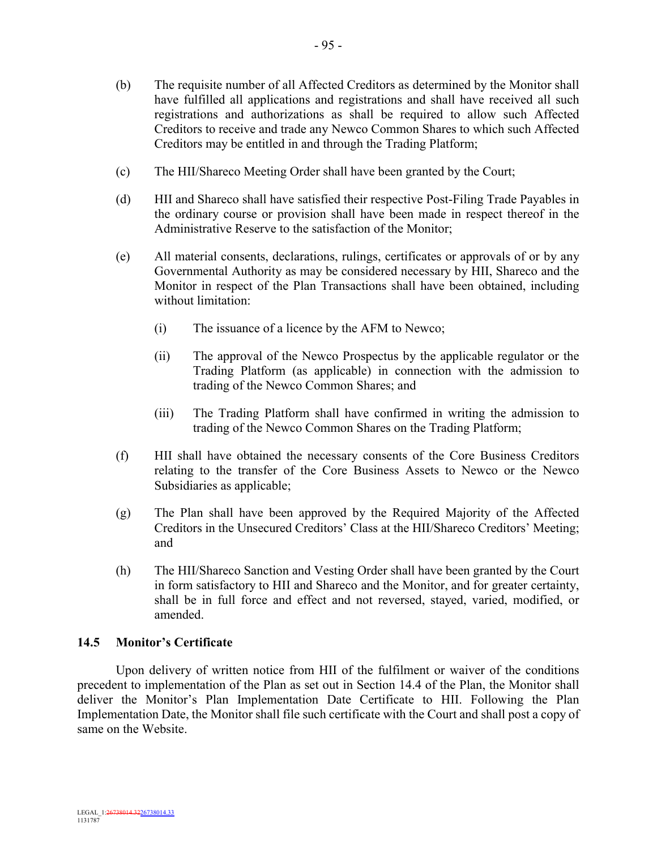- (b) The requisite number of all Affected Creditors as determined by the Monitor shall have fulfilled all applications and registrations and shall have received all such registrations and authorizations as shall be required to allow such Affected Creditors to receive and trade any Newco Common Shares to which such Affected Creditors may be entitled in and through the Trading Platform;
- (c) The HII/Shareco Meeting Order shall have been granted by the Court;
- (d) HII and Shareco shall have satisfied their respective Post-Filing Trade Payables in the ordinary course or provision shall have been made in respect thereof in the Administrative Reserve to the satisfaction of the Monitor;
- (e) All material consents, declarations, rulings, certificates or approvals of or by any Governmental Authority as may be considered necessary by HII, Shareco and the Monitor in respect of the Plan Transactions shall have been obtained, including without limitation:
	- (i) The issuance of a licence by the AFM to Newco;
	- (ii) The approval of the Newco Prospectus by the applicable regulator or the Trading Platform (as applicable) in connection with the admission to trading of the Newco Common Shares; and
	- (iii) The Trading Platform shall have confirmed in writing the admission to trading of the Newco Common Shares on the Trading Platform;
- (f) HII shall have obtained the necessary consents of the Core Business Creditors relating to the transfer of the Core Business Assets to Newco or the Newco Subsidiaries as applicable;
- (g) The Plan shall have been approved by the Required Majority of the Affected Creditors in the Unsecured Creditors' Class at the HII/Shareco Creditors' Meeting; and
- (h) The HII/Shareco Sanction and Vesting Order shall have been granted by the Court in form satisfactory to HII and Shareco and the Monitor, and for greater certainty, shall be in full force and effect and not reversed, stayed, varied, modified, or amended.

# **14.5 Monitor's Certificate**

Upon delivery of written notice from HII of the fulfilment or waiver of the conditions precedent to implementation of the Plan as set out in Section 14.4 of the Plan, the Monitor shall deliver the Monitor's Plan Implementation Date Certificate to HII. Following the Plan Implementation Date, the Monitor shall file such certificate with the Court and shall post a copy of same on the Website.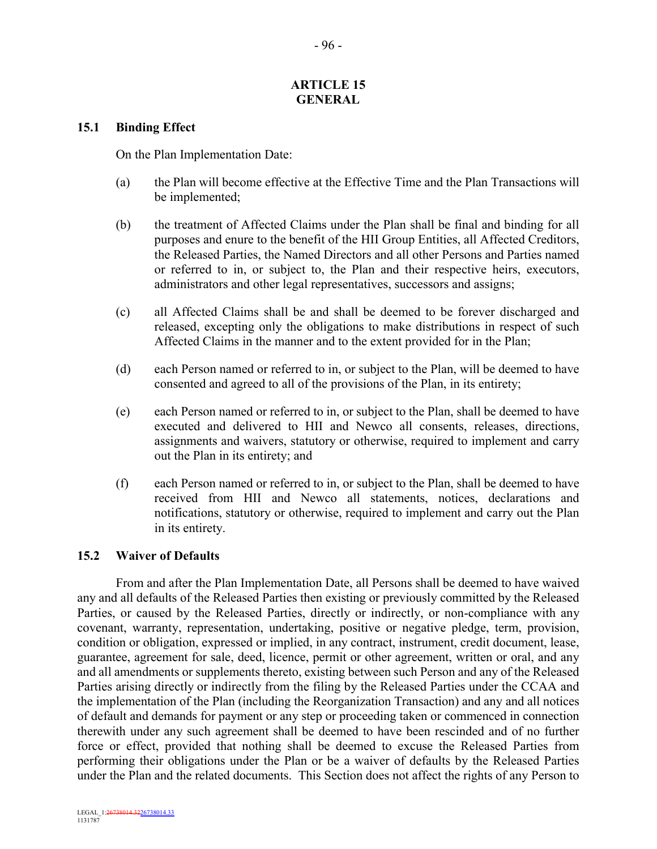#### **ARTICLE 15 GENERAL**

#### **15.1 Binding Effect**

On the Plan Implementation Date:

- (a) the Plan will become effective at the Effective Time and the Plan Transactions will be implemented;
- (b) the treatment of Affected Claims under the Plan shall be final and binding for all purposes and enure to the benefit of the HII Group Entities, all Affected Creditors, the Released Parties, the Named Directors and all other Persons and Parties named or referred to in, or subject to, the Plan and their respective heirs, executors, administrators and other legal representatives, successors and assigns;
- (c) all Affected Claims shall be and shall be deemed to be forever discharged and released, excepting only the obligations to make distributions in respect of such Affected Claims in the manner and to the extent provided for in the Plan;
- (d) each Person named or referred to in, or subject to the Plan, will be deemed to have consented and agreed to all of the provisions of the Plan, in its entirety;
- (e) each Person named or referred to in, or subject to the Plan, shall be deemed to have executed and delivered to HII and Newco all consents, releases, directions, assignments and waivers, statutory or otherwise, required to implement and carry out the Plan in its entirety; and
- (f) each Person named or referred to in, or subject to the Plan, shall be deemed to have received from HII and Newco all statements, notices, declarations and notifications, statutory or otherwise, required to implement and carry out the Plan in its entirety.

# **15.2 Waiver of Defaults**

From and after the Plan Implementation Date, all Persons shall be deemed to have waived any and all defaults of the Released Parties then existing or previously committed by the Released Parties, or caused by the Released Parties, directly or indirectly, or non-compliance with any covenant, warranty, representation, undertaking, positive or negative pledge, term, provision, condition or obligation, expressed or implied, in any contract, instrument, credit document, lease, guarantee, agreement for sale, deed, licence, permit or other agreement, written or oral, and any and all amendments or supplements thereto, existing between such Person and any of the Released Parties arising directly or indirectly from the filing by the Released Parties under the CCAA and the implementation of the Plan (including the Reorganization Transaction) and any and all notices of default and demands for payment or any step or proceeding taken or commenced in connection therewith under any such agreement shall be deemed to have been rescinded and of no further force or effect, provided that nothing shall be deemed to excuse the Released Parties from performing their obligations under the Plan or be a waiver of defaults by the Released Parties under the Plan and the related documents. This Section does not affect the rights of any Person to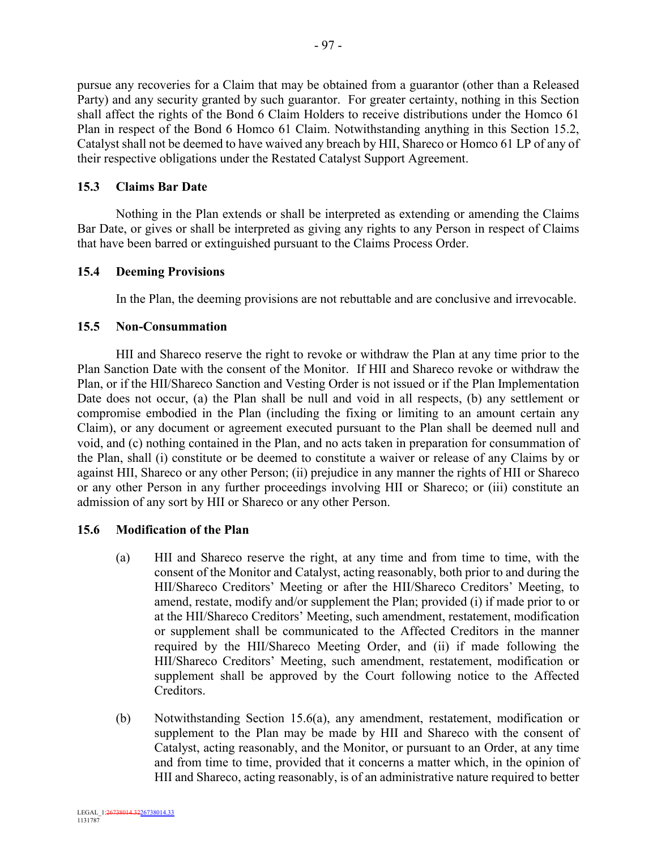pursue any recoveries for a Claim that may be obtained from a guarantor (other than a Released Party) and any security granted by such guarantor. For greater certainty, nothing in this Section shall affect the rights of the Bond 6 Claim Holders to receive distributions under the Homco 61 Plan in respect of the Bond 6 Homco 61 Claim. Notwithstanding anything in this Section 15.2, Catalyst shall not be deemed to have waived any breach by HII, Shareco or Homco 61 LP of any of their respective obligations under the Restated Catalyst Support Agreement.

#### **15.3 Claims Bar Date**

Nothing in the Plan extends or shall be interpreted as extending or amending the Claims Bar Date, or gives or shall be interpreted as giving any rights to any Person in respect of Claims that have been barred or extinguished pursuant to the Claims Process Order.

#### **15.4 Deeming Provisions**

In the Plan, the deeming provisions are not rebuttable and are conclusive and irrevocable.

#### **15.5 Non-Consummation**

HII and Shareco reserve the right to revoke or withdraw the Plan at any time prior to the Plan Sanction Date with the consent of the Monitor. If HII and Shareco revoke or withdraw the Plan, or if the HII/Shareco Sanction and Vesting Order is not issued or if the Plan Implementation Date does not occur, (a) the Plan shall be null and void in all respects, (b) any settlement or compromise embodied in the Plan (including the fixing or limiting to an amount certain any Claim), or any document or agreement executed pursuant to the Plan shall be deemed null and void, and (c) nothing contained in the Plan, and no acts taken in preparation for consummation of the Plan, shall (i) constitute or be deemed to constitute a waiver or release of any Claims by or against HII, Shareco or any other Person; (ii) prejudice in any manner the rights of HII or Shareco or any other Person in any further proceedings involving HII or Shareco; or (iii) constitute an admission of any sort by HII or Shareco or any other Person.

# **15.6 Modification of the Plan**

- (a) HII and Shareco reserve the right, at any time and from time to time, with the consent of the Monitor and Catalyst, acting reasonably, both prior to and during the HII/Shareco Creditors' Meeting or after the HII/Shareco Creditors' Meeting, to amend, restate, modify and/or supplement the Plan; provided (i) if made prior to or at the HII/Shareco Creditors' Meeting, such amendment, restatement, modification or supplement shall be communicated to the Affected Creditors in the manner required by the HII/Shareco Meeting Order, and (ii) if made following the HII/Shareco Creditors' Meeting, such amendment, restatement, modification or supplement shall be approved by the Court following notice to the Affected Creditors.
- (b) Notwithstanding Section 15.6(a), any amendment, restatement, modification or supplement to the Plan may be made by HII and Shareco with the consent of Catalyst, acting reasonably, and the Monitor, or pursuant to an Order, at any time and from time to time, provided that it concerns a matter which, in the opinion of HII and Shareco, acting reasonably, is of an administrative nature required to better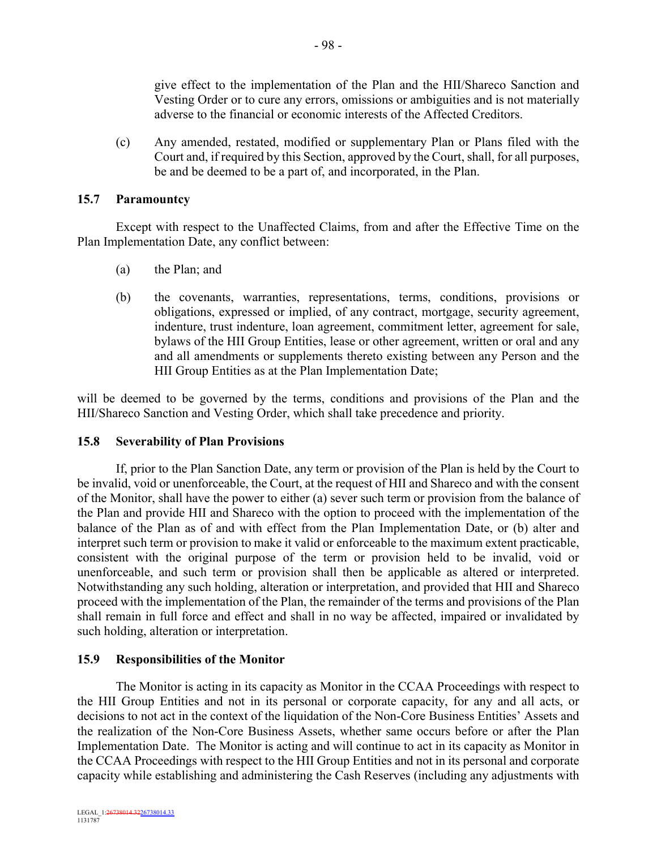give effect to the implementation of the Plan and the HII/Shareco Sanction and Vesting Order or to cure any errors, omissions or ambiguities and is not materially adverse to the financial or economic interests of the Affected Creditors.

(c) Any amended, restated, modified or supplementary Plan or Plans filed with the Court and, if required by this Section, approved by the Court, shall, for all purposes, be and be deemed to be a part of, and incorporated, in the Plan.

# **15.7 Paramountcy**

Except with respect to the Unaffected Claims, from and after the Effective Time on the Plan Implementation Date, any conflict between:

- (a) the Plan; and
- (b) the covenants, warranties, representations, terms, conditions, provisions or obligations, expressed or implied, of any contract, mortgage, security agreement, indenture, trust indenture, loan agreement, commitment letter, agreement for sale, bylaws of the HII Group Entities, lease or other agreement, written or oral and any and all amendments or supplements thereto existing between any Person and the HII Group Entities as at the Plan Implementation Date;

will be deemed to be governed by the terms, conditions and provisions of the Plan and the HII/Shareco Sanction and Vesting Order, which shall take precedence and priority.

# **15.8 Severability of Plan Provisions**

If, prior to the Plan Sanction Date, any term or provision of the Plan is held by the Court to be invalid, void or unenforceable, the Court, at the request of HII and Shareco and with the consent of the Monitor, shall have the power to either (a) sever such term or provision from the balance of the Plan and provide HII and Shareco with the option to proceed with the implementation of the balance of the Plan as of and with effect from the Plan Implementation Date, or (b) alter and interpret such term or provision to make it valid or enforceable to the maximum extent practicable, consistent with the original purpose of the term or provision held to be invalid, void or unenforceable, and such term or provision shall then be applicable as altered or interpreted. Notwithstanding any such holding, alteration or interpretation, and provided that HII and Shareco proceed with the implementation of the Plan, the remainder of the terms and provisions of the Plan shall remain in full force and effect and shall in no way be affected, impaired or invalidated by such holding, alteration or interpretation.

# **15.9 Responsibilities of the Monitor**

The Monitor is acting in its capacity as Monitor in the CCAA Proceedings with respect to the HII Group Entities and not in its personal or corporate capacity, for any and all acts, or decisions to not act in the context of the liquidation of the Non-Core Business Entities' Assets and the realization of the Non-Core Business Assets, whether same occurs before or after the Plan Implementation Date. The Monitor is acting and will continue to act in its capacity as Monitor in the CCAA Proceedings with respect to the HII Group Entities and not in its personal and corporate capacity while establishing and administering the Cash Reserves (including any adjustments with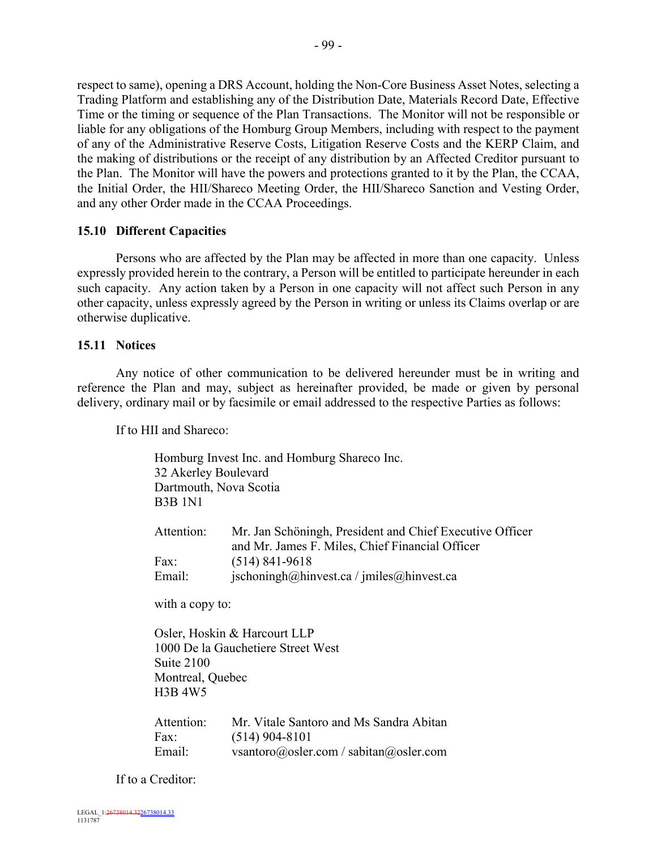respect to same), opening a DRS Account, holding the Non-Core Business Asset Notes, selecting a Trading Platform and establishing any of the Distribution Date, Materials Record Date, Effective Time or the timing or sequence of the Plan Transactions. The Monitor will not be responsible or liable for any obligations of the Homburg Group Members, including with respect to the payment of any of the Administrative Reserve Costs, Litigation Reserve Costs and the KERP Claim, and the making of distributions or the receipt of any distribution by an Affected Creditor pursuant to the Plan. The Monitor will have the powers and protections granted to it by the Plan, the CCAA, the Initial Order, the HII/Shareco Meeting Order, the HII/Shareco Sanction and Vesting Order, and any other Order made in the CCAA Proceedings.

# **15.10 Different Capacities**

Persons who are affected by the Plan may be affected in more than one capacity. Unless expressly provided herein to the contrary, a Person will be entitled to participate hereunder in each such capacity. Any action taken by a Person in one capacity will not affect such Person in any other capacity, unless expressly agreed by the Person in writing or unless its Claims overlap or are otherwise duplicative.

#### **15.11 Notices**

Any notice of other communication to be delivered hereunder must be in writing and reference the Plan and may, subject as hereinafter provided, be made or given by personal delivery, ordinary mail or by facsimile or email addressed to the respective Parties as follows:

If to HII and Shareco:

| 32 Akerley Boulevard<br><b>B3B 1N1</b> | Homburg Invest Inc. and Homburg Shareco Inc.<br>Dartmouth, Nova Scotia                                      |
|----------------------------------------|-------------------------------------------------------------------------------------------------------------|
| Attention:                             | Mr. Jan Schöningh, President and Chief Executive Officer<br>and Mr. James F. Miles, Chief Financial Officer |
| Fax:                                   | $(514)$ 841-9618                                                                                            |
| Email:                                 | $ischoningh(a)$ hinvest.ca / jmiles $(a)$ hinvest.ca                                                        |
| with a copy to:                        |                                                                                                             |
| Suite 2100                             | Osler, Hoskin & Harcourt LLP<br>1000 De la Gauchetiere Street West                                          |
| Montreal, Quebec                       |                                                                                                             |
| H3B 4W5                                |                                                                                                             |
| Attention:                             | Mr. Vitale Santoro and Ms Sandra Abitan                                                                     |
| Fax:                                   | $(514)$ 904-8101                                                                                            |
| Email:                                 | vsantoro@osler.com / sabitan@osler.com                                                                      |

If to a Creditor: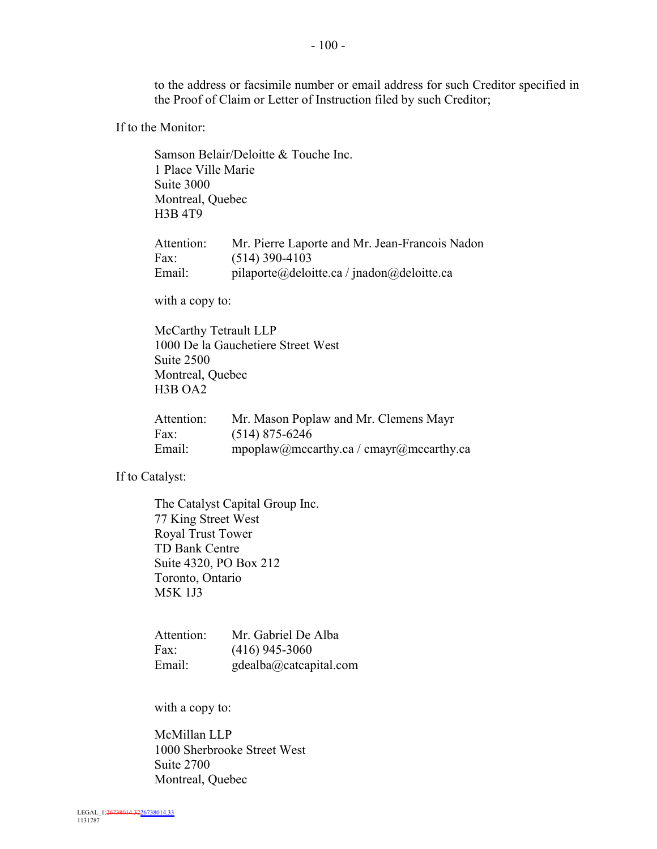- 100 -

to the address or facsimile number or email address for such Creditor specified in the Proof of Claim or Letter of Instruction filed by such Creditor;

If to the Monitor:

Samson Belair/Deloitte & Touche Inc. 1 Place Ville Marie Suite 3000 Montreal, Quebec H3B 4T9

| Attention: | Mr. Pierre Laporte and Mr. Jean-Francois Nadon |
|------------|------------------------------------------------|
| Fax:       | $(514)$ 390-4103                               |
| Email:     | pilaporte@deloitte.ca / jnadon@deloitte.ca     |

with a copy to:

McCarthy Tetrault LLP 1000 De la Gauchetiere Street West Suite 2500 Montreal, Quebec H3B OA2

| Attention: | Mr. Mason Poplaw and Mr. Clemens Mayr   |
|------------|-----------------------------------------|
| Fax:       | $(514)$ 875-6246                        |
| Email:     | mpoplaw@mccarthy.ca / cmayr@mccarthy.ca |

If to Catalyst:

The Catalyst Capital Group Inc. 77 King Street West Royal Trust Tower TD Bank Centre Suite 4320, PO Box 212 Toronto, Ontario M5K 1J3

Attention: Mr. Gabriel De Alba Fax: (416) 945-3060 Email: gdealba@catcapital.com

with a copy to:

McMillan LLP 1000 Sherbrooke Street West Suite 2700 Montreal, Quebec

LEGAL\_1:26738014.3226738014.33 1131787